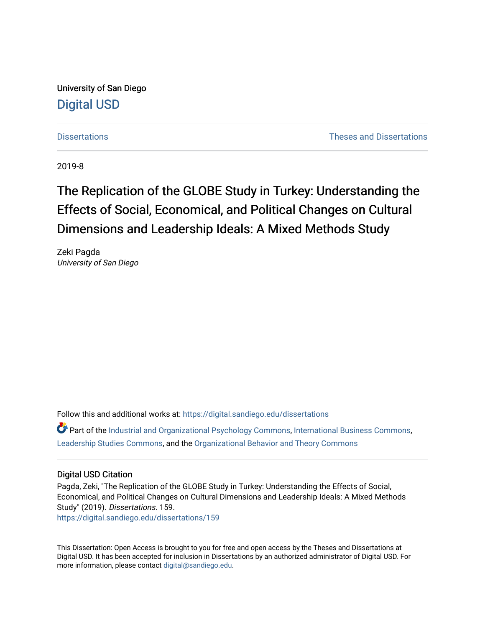University of San Diego [Digital USD](https://digital.sandiego.edu/)

[Dissertations](https://digital.sandiego.edu/dissertations) [Theses and Dissertations](https://digital.sandiego.edu/etd) 

2019-8

# The Replication of the GLOBE Study in Turkey: Understanding the Effects of Social, Economical, and Political Changes on Cultural Dimensions and Leadership Ideals: A Mixed Methods Study

Zeki Pagda University of San Diego

Follow this and additional works at: [https://digital.sandiego.edu/dissertations](https://digital.sandiego.edu/dissertations?utm_source=digital.sandiego.edu%2Fdissertations%2F159&utm_medium=PDF&utm_campaign=PDFCoverPages)

Part of the [Industrial and Organizational Psychology Commons,](http://network.bepress.com/hgg/discipline/412?utm_source=digital.sandiego.edu%2Fdissertations%2F159&utm_medium=PDF&utm_campaign=PDFCoverPages) [International Business Commons,](http://network.bepress.com/hgg/discipline/634?utm_source=digital.sandiego.edu%2Fdissertations%2F159&utm_medium=PDF&utm_campaign=PDFCoverPages) [Leadership Studies Commons](http://network.bepress.com/hgg/discipline/1250?utm_source=digital.sandiego.edu%2Fdissertations%2F159&utm_medium=PDF&utm_campaign=PDFCoverPages), and the [Organizational Behavior and Theory Commons](http://network.bepress.com/hgg/discipline/639?utm_source=digital.sandiego.edu%2Fdissertations%2F159&utm_medium=PDF&utm_campaign=PDFCoverPages) 

#### Digital USD Citation

Pagda, Zeki, "The Replication of the GLOBE Study in Turkey: Understanding the Effects of Social, Economical, and Political Changes on Cultural Dimensions and Leadership Ideals: A Mixed Methods Study" (2019). Dissertations. 159.

[https://digital.sandiego.edu/dissertations/159](https://digital.sandiego.edu/dissertations/159?utm_source=digital.sandiego.edu%2Fdissertations%2F159&utm_medium=PDF&utm_campaign=PDFCoverPages)

This Dissertation: Open Access is brought to you for free and open access by the Theses and Dissertations at Digital USD. It has been accepted for inclusion in Dissertations by an authorized administrator of Digital USD. For more information, please contact [digital@sandiego.edu.](mailto:digital@sandiego.edu)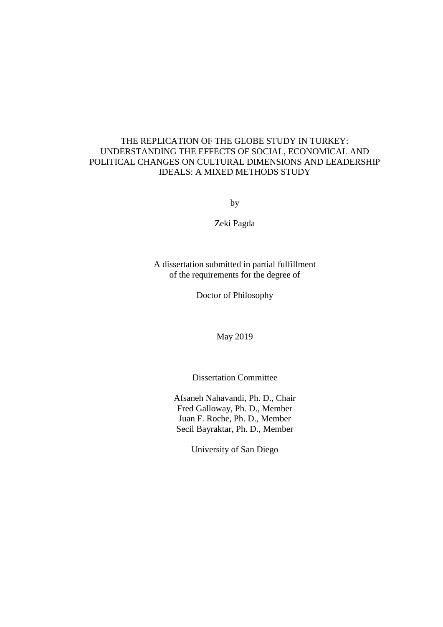### THE REPLICATION OF THE GLOBE STUDY IN TURKEY: UNDERSTANDING THE EFFECTS OF SOCIAL, ECONOMICAL AND POLITICAL CHANGES ON CULTURAL DIMENSIONS AND LEADERSHIP IDEALS: A MIXED METHODS STUDY

by

Zeki Pagda

A dissertation submitted in partial fulfillment of the requirements for the degree of

Doctor of Philosophy

May 2019

Dissertation Committee

Afsaneh Nahavandi, Ph. D., Chair Fred Galloway, Ph. D., Member Juan F. Roche, Ph. D., Member Secil Bayraktar, Ph. D., Member

University of San Diego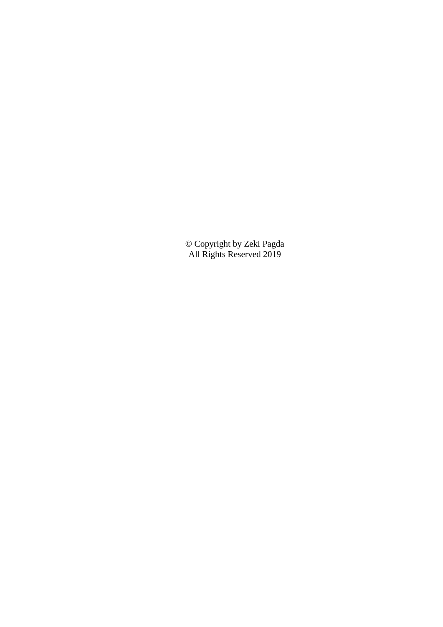© Copyright by Zeki Pagda All Rights Reserved 2019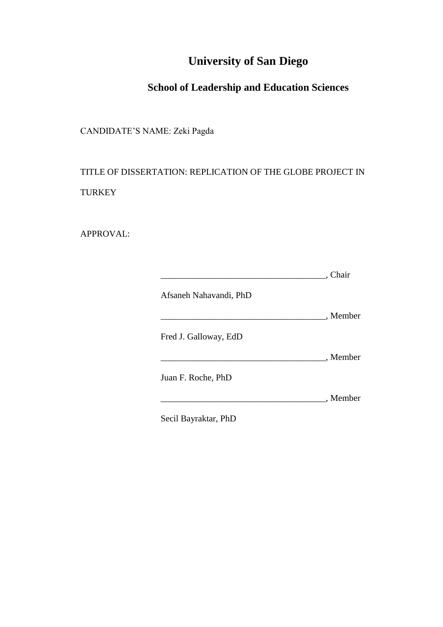# **University of San Diego**

# **School of Leadership and Education Sciences**

CANDIDATE'S NAME: Zeki Pagda

TITLE OF DISSERTATION: REPLICATION OF THE GLOBE PROJECT IN **TURKEY** 

APPROVAL:

|                        | . Chair  |
|------------------------|----------|
| Afsaneh Nahavandi, PhD |          |
|                        | , Member |
| Fred J. Galloway, EdD  |          |
|                        | . Member |
| Juan F. Roche, PhD     |          |
|                        | , Member |
| Secil Bayraktar, PhD   |          |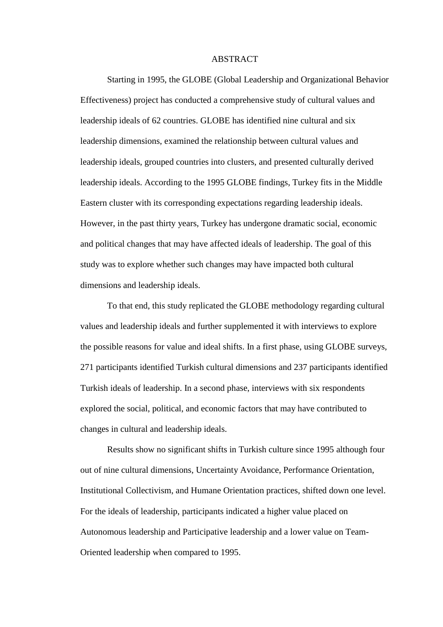#### ABSTRACT

Starting in 1995, the GLOBE (Global Leadership and Organizational Behavior Effectiveness) project has conducted a comprehensive study of cultural values and leadership ideals of 62 countries. GLOBE has identified nine cultural and six leadership dimensions, examined the relationship between cultural values and leadership ideals, grouped countries into clusters, and presented culturally derived leadership ideals. According to the 1995 GLOBE findings, Turkey fits in the Middle Eastern cluster with its corresponding expectations regarding leadership ideals. However, in the past thirty years, Turkey has undergone dramatic social, economic and political changes that may have affected ideals of leadership. The goal of this study was to explore whether such changes may have impacted both cultural dimensions and leadership ideals.

To that end, this study replicated the GLOBE methodology regarding cultural values and leadership ideals and further supplemented it with interviews to explore the possible reasons for value and ideal shifts. In a first phase, using GLOBE surveys, 271 participants identified Turkish cultural dimensions and 237 participants identified Turkish ideals of leadership. In a second phase, interviews with six respondents explored the social, political, and economic factors that may have contributed to changes in cultural and leadership ideals.

Results show no significant shifts in Turkish culture since 1995 although four out of nine cultural dimensions, Uncertainty Avoidance, Performance Orientation, Institutional Collectivism, and Humane Orientation practices, shifted down one level. For the ideals of leadership, participants indicated a higher value placed on Autonomous leadership and Participative leadership and a lower value on Team-Oriented leadership when compared to 1995.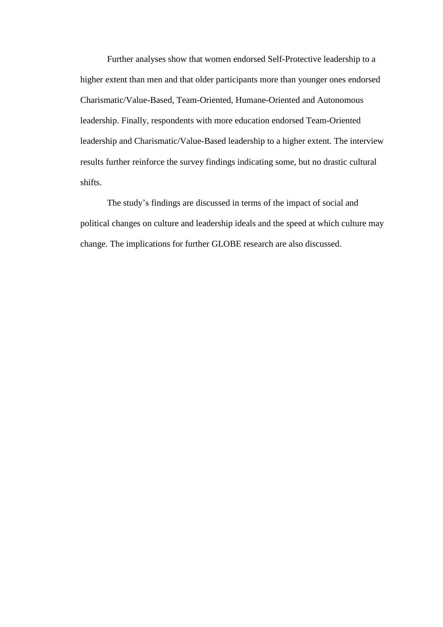Further analyses show that women endorsed Self-Protective leadership to a higher extent than men and that older participants more than younger ones endorsed Charismatic/Value-Based, Team-Oriented, Humane-Oriented and Autonomous leadership. Finally, respondents with more education endorsed Team-Oriented leadership and Charismatic/Value-Based leadership to a higher extent. The interview results further reinforce the survey findings indicating some, but no drastic cultural shifts.

The study's findings are discussed in terms of the impact of social and political changes on culture and leadership ideals and the speed at which culture may change. The implications for further GLOBE research are also discussed.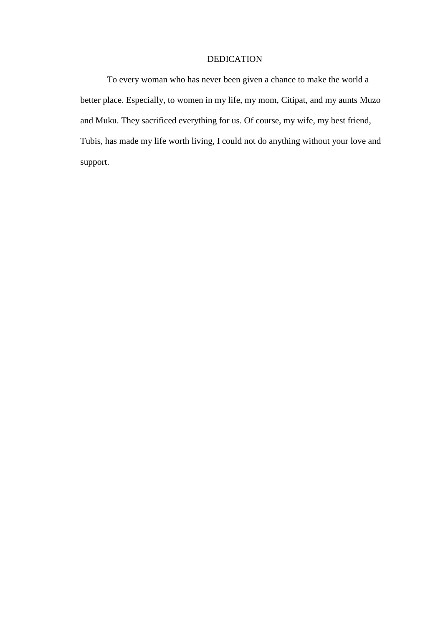#### DEDICATION

To every woman who has never been given a chance to make the world a better place. Especially, to women in my life, my mom, Citipat, and my aunts Muzo and Muku. They sacrificed everything for us. Of course, my wife, my best friend, Tubis, has made my life worth living, I could not do anything without your love and support.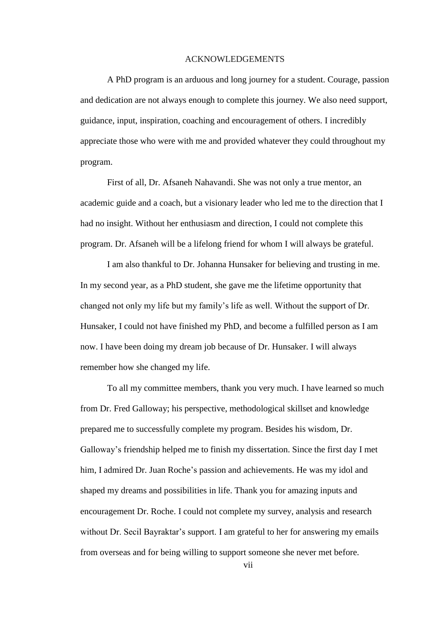#### ACKNOWLEDGEMENTS

<span id="page-7-0"></span>A PhD program is an arduous and long journey for a student. Courage, passion and dedication are not always enough to complete this journey. We also need support, guidance, input, inspiration, coaching and encouragement of others. I incredibly appreciate those who were with me and provided whatever they could throughout my program.

First of all, Dr. Afsaneh Nahavandi. She was not only a true mentor, an academic guide and a coach, but a visionary leader who led me to the direction that I had no insight. Without her enthusiasm and direction, I could not complete this program. Dr. Afsaneh will be a lifelong friend for whom I will always be grateful.

I am also thankful to Dr. Johanna Hunsaker for believing and trusting in me. In my second year, as a PhD student, she gave me the lifetime opportunity that changed not only my life but my family's life as well. Without the support of Dr. Hunsaker, I could not have finished my PhD, and become a fulfilled person as I am now. I have been doing my dream job because of Dr. Hunsaker. I will always remember how she changed my life.

To all my committee members, thank you very much. I have learned so much from Dr. Fred Galloway; his perspective, methodological skillset and knowledge prepared me to successfully complete my program. Besides his wisdom, Dr. Galloway's friendship helped me to finish my dissertation. Since the first day I met him, I admired Dr. Juan Roche's passion and achievements. He was my idol and shaped my dreams and possibilities in life. Thank you for amazing inputs and encouragement Dr. Roche. I could not complete my survey, analysis and research without Dr. Secil Bayraktar's support. I am grateful to her for answering my emails from overseas and for being willing to support someone she never met before.

vii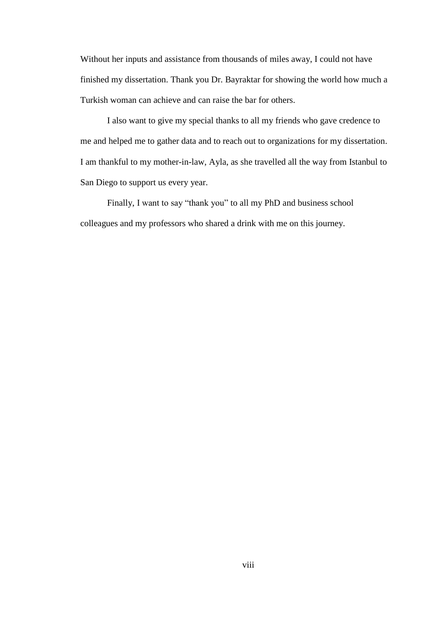Without her inputs and assistance from thousands of miles away, I could not have finished my dissertation. Thank you Dr. Bayraktar for showing the world how much a Turkish woman can achieve and can raise the bar for others.

I also want to give my special thanks to all my friends who gave credence to me and helped me to gather data and to reach out to organizations for my dissertation. I am thankful to my mother-in-law, Ayla, as she travelled all the way from Istanbul to San Diego to support us every year.

Finally, I want to say "thank you" to all my PhD and business school colleagues and my professors who shared a drink with me on this journey.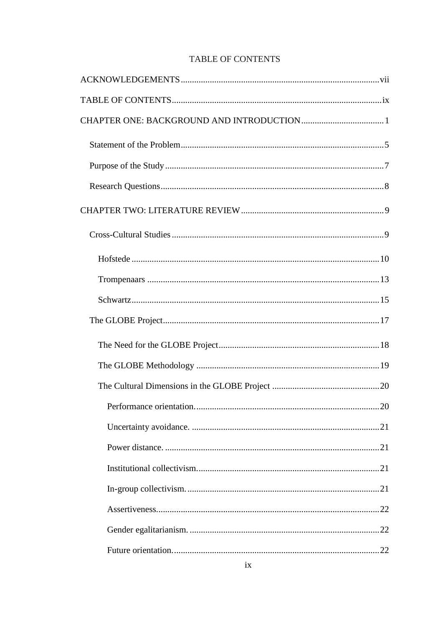## TABLE OF CONTENTS

<span id="page-9-0"></span>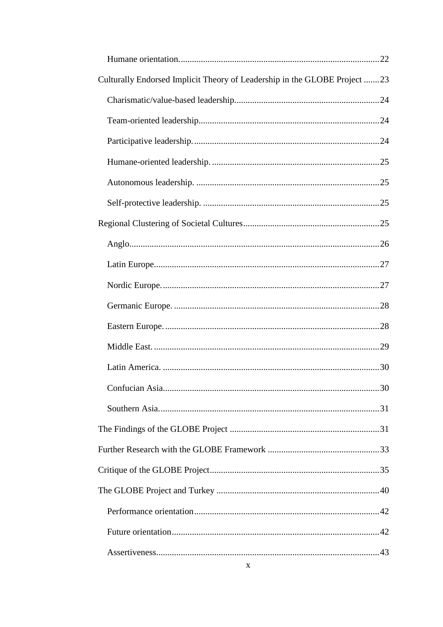| Culturally Endorsed Implicit Theory of Leadership in the GLOBE Project 23 |
|---------------------------------------------------------------------------|
|                                                                           |
|                                                                           |
|                                                                           |
|                                                                           |
|                                                                           |
|                                                                           |
|                                                                           |
|                                                                           |
|                                                                           |
|                                                                           |
|                                                                           |
|                                                                           |
|                                                                           |
|                                                                           |
|                                                                           |
|                                                                           |
|                                                                           |
|                                                                           |
|                                                                           |
|                                                                           |
|                                                                           |
|                                                                           |
|                                                                           |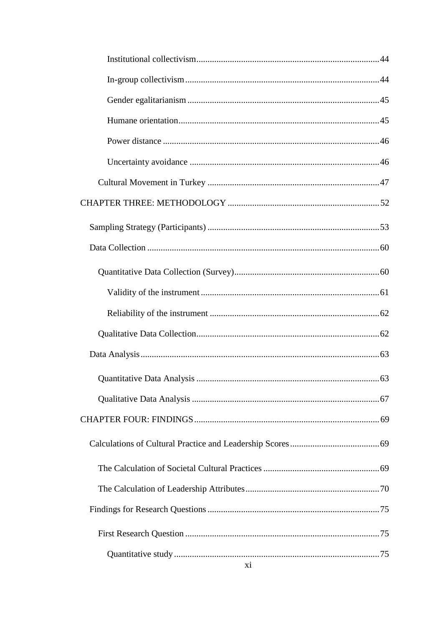| xi |  |
|----|--|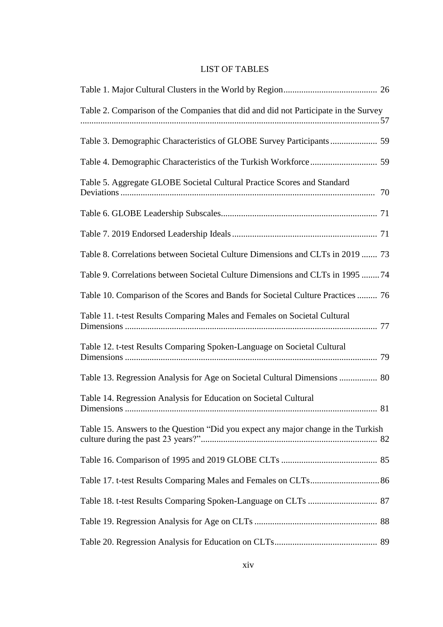### LIST OF TABLES

| Table 2. Comparison of the Companies that did and did not Participate in the Survey |  |
|-------------------------------------------------------------------------------------|--|
| Table 3. Demographic Characteristics of GLOBE Survey Participants  59               |  |
|                                                                                     |  |
| Table 5. Aggregate GLOBE Societal Cultural Practice Scores and Standard             |  |
|                                                                                     |  |
|                                                                                     |  |
| Table 8. Correlations between Societal Culture Dimensions and CLTs in 2019  73      |  |
| Table 9. Correlations between Societal Culture Dimensions and CLTs in 1995 74       |  |
| Table 10. Comparison of the Scores and Bands for Societal Culture Practices  76     |  |
| Table 11. t-test Results Comparing Males and Females on Societal Cultural           |  |
| Table 12. t-test Results Comparing Spoken-Language on Societal Cultural             |  |
| Table 13. Regression Analysis for Age on Societal Cultural Dimensions  80           |  |
| Table 14. Regression Analysis for Education on Societal Cultural                    |  |
| Table 15. Answers to the Question "Did you expect any major change in the Turkish"  |  |
|                                                                                     |  |
|                                                                                     |  |
|                                                                                     |  |
|                                                                                     |  |
|                                                                                     |  |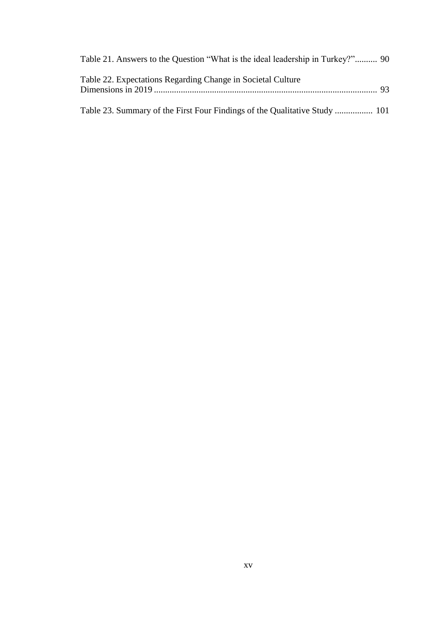| Table 21. Answers to the Question "What is the ideal leadership in Turkey?" 90 |  |
|--------------------------------------------------------------------------------|--|
| Table 22. Expectations Regarding Change in Societal Culture                    |  |
| Table 23. Summary of the First Four Findings of the Qualitative Study  101     |  |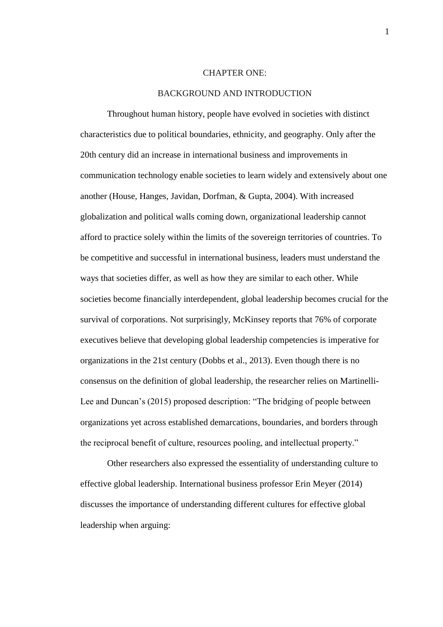#### CHAPTER ONE:

#### BACKGROUND AND INTRODUCTION

<span id="page-16-0"></span>Throughout human history, people have evolved in societies with distinct characteristics due to political boundaries, ethnicity, and geography. Only after the 20th century did an increase in international business and improvements in communication technology enable societies to learn widely and extensively about one another (House, Hanges, Javidan, Dorfman, & Gupta, 2004). With increased globalization and political walls coming down, organizational leadership cannot afford to practice solely within the limits of the sovereign territories of countries. To be competitive and successful in international business, leaders must understand the ways that societies differ, as well as how they are similar to each other. While societies become financially interdependent, global leadership becomes crucial for the survival of corporations. Not surprisingly, McKinsey reports that 76% of corporate executives believe that developing global leadership competencies is imperative for organizations in the 21st century (Dobbs et al., 2013). Even though there is no consensus on the definition of global leadership, the researcher relies on Martinelli-Lee and Duncan's (2015) proposed description: "The bridging of people between organizations yet across established demarcations, boundaries, and borders through the reciprocal benefit of culture, resources pooling, and intellectual property."

Other researchers also expressed the essentiality of understanding culture to effective global leadership. International business professor Erin Meyer (2014) discusses the importance of understanding different cultures for effective global leadership when arguing: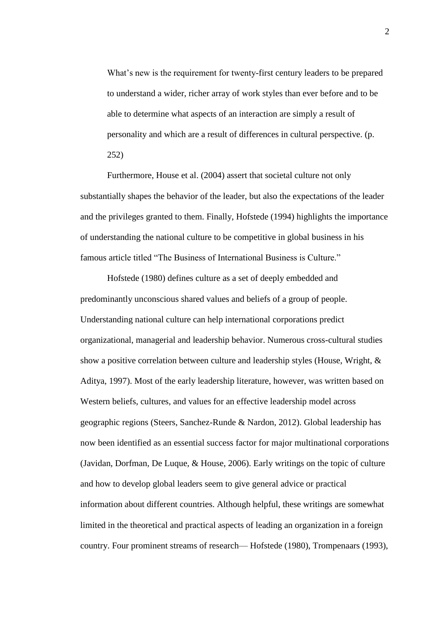What's new is the requirement for twenty-first century leaders to be prepared to understand a wider, richer array of work styles than ever before and to be able to determine what aspects of an interaction are simply a result of personality and which are a result of differences in cultural perspective. (p. 252)

Furthermore, House et al. (2004) assert that societal culture not only substantially shapes the behavior of the leader, but also the expectations of the leader and the privileges granted to them. Finally, Hofstede (1994) highlights the importance of understanding the national culture to be competitive in global business in his famous article titled "The Business of International Business is Culture."

Hofstede (1980) defines culture as a set of deeply embedded and predominantly unconscious shared values and beliefs of a group of people. Understanding national culture can help international corporations predict organizational, managerial and leadership behavior. Numerous cross-cultural studies show a positive correlation between culture and leadership styles (House, Wright, & Aditya, 1997). Most of the early leadership literature, however, was written based on Western beliefs, cultures, and values for an effective leadership model across geographic regions (Steers, Sanchez-Runde & Nardon, 2012). Global leadership has now been identified as an essential success factor for major multinational corporations (Javidan, Dorfman, De Luque, & House, 2006). Early writings on the topic of culture and how to develop global leaders seem to give general advice or practical information about different countries. Although helpful, these writings are somewhat limited in the theoretical and practical aspects of leading an organization in a foreign country. Four prominent streams of research— Hofstede (1980), Trompenaars (1993),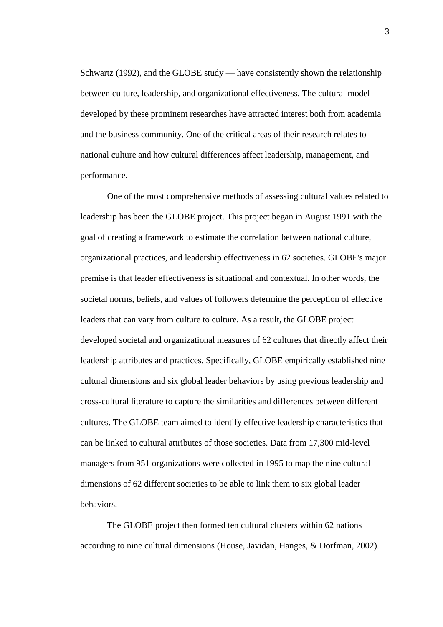Schwartz (1992), and the GLOBE study — have consistently shown the relationship between culture, leadership, and organizational effectiveness. The cultural model developed by these prominent researches have attracted interest both from academia and the business community. One of the critical areas of their research relates to national culture and how cultural differences affect leadership, management, and performance.

One of the most comprehensive methods of assessing cultural values related to leadership has been the GLOBE project. This project began in August 1991 with the goal of creating a framework to estimate the correlation between national culture, organizational practices, and leadership effectiveness in 62 societies. GLOBE's major premise is that leader effectiveness is situational and contextual. In other words, the societal norms, beliefs, and values of followers determine the perception of effective leaders that can vary from culture to culture. As a result, the GLOBE project developed societal and organizational measures of 62 cultures that directly affect their leadership attributes and practices. Specifically, GLOBE empirically established nine cultural dimensions and six global leader behaviors by using previous leadership and cross-cultural literature to capture the similarities and differences between different cultures. The GLOBE team aimed to identify effective leadership characteristics that can be linked to cultural attributes of those societies. Data from 17,300 mid-level managers from 951 organizations were collected in 1995 to map the nine cultural dimensions of 62 different societies to be able to link them to six global leader behaviors.

The GLOBE project then formed ten cultural clusters within 62 nations according to nine cultural dimensions (House, Javidan, Hanges, & Dorfman, 2002).

3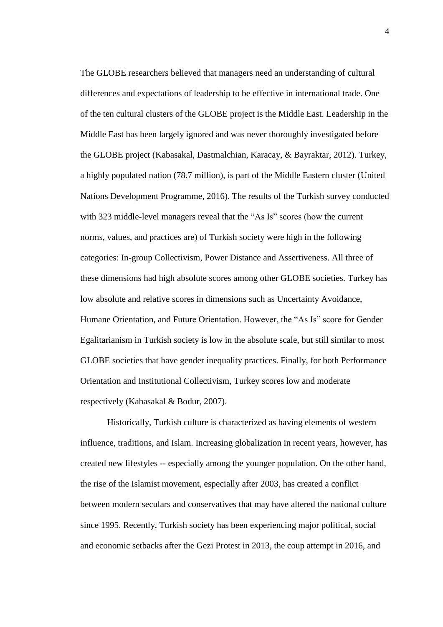The GLOBE researchers believed that managers need an understanding of cultural differences and expectations of leadership to be effective in international trade. One of the ten cultural clusters of the GLOBE project is the Middle East. Leadership in the Middle East has been largely ignored and was never thoroughly investigated before the GLOBE project (Kabasakal, Dastmalchian, Karacay, & Bayraktar, 2012). Turkey, a highly populated nation (78.7 million), is part of the Middle Eastern cluster (United Nations Development Programme, 2016). The results of the Turkish survey conducted with 323 middle-level managers reveal that the "As Is" scores (how the current norms, values, and practices are) of Turkish society were high in the following categories: In-group Collectivism, Power Distance and Assertiveness. All three of these dimensions had high absolute scores among other GLOBE societies. Turkey has low absolute and relative scores in dimensions such as Uncertainty Avoidance, Humane Orientation, and Future Orientation. However, the "As Is" score for Gender Egalitarianism in Turkish society is low in the absolute scale, but still similar to most GLOBE societies that have gender inequality practices. Finally, for both Performance Orientation and Institutional Collectivism, Turkey scores low and moderate respectively (Kabasakal & Bodur, 2007).

Historically, Turkish culture is characterized as having elements of western influence, traditions, and Islam. Increasing globalization in recent years, however, has created new lifestyles -- especially among the younger population. On the other hand, the rise of the Islamist movement, especially after 2003, has created a conflict between modern seculars and conservatives that may have altered the national culture since 1995. Recently, Turkish society has been experiencing major political, social and economic setbacks after the Gezi Protest in 2013, the coup attempt in 2016, and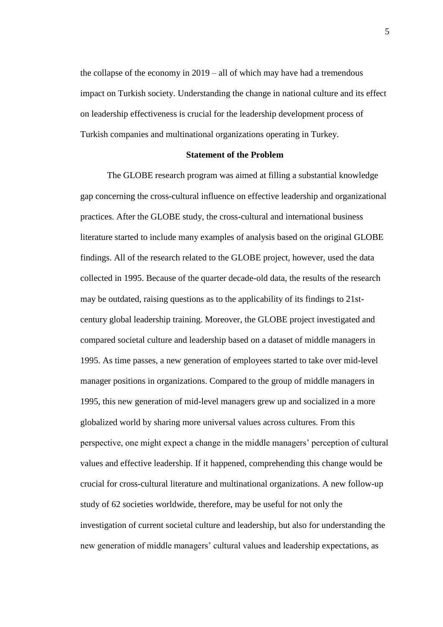the collapse of the economy in 2019 – all of which may have had a tremendous impact on Turkish society. Understanding the change in national culture and its effect on leadership effectiveness is crucial for the leadership development process of Turkish companies and multinational organizations operating in Turkey.

#### **Statement of the Problem**

<span id="page-20-0"></span>The GLOBE research program was aimed at filling a substantial knowledge gap concerning the cross-cultural influence on effective leadership and organizational practices. After the GLOBE study, the cross-cultural and international business literature started to include many examples of analysis based on the original GLOBE findings. All of the research related to the GLOBE project, however, used the data collected in 1995. Because of the quarter decade-old data, the results of the research may be outdated, raising questions as to the applicability of its findings to 21stcentury global leadership training. Moreover, the GLOBE project investigated and compared societal culture and leadership based on a dataset of middle managers in 1995. As time passes, a new generation of employees started to take over mid-level manager positions in organizations. Compared to the group of middle managers in 1995, this new generation of mid-level managers grew up and socialized in a more globalized world by sharing more universal values across cultures. From this perspective, one might expect a change in the middle managers' perception of cultural values and effective leadership. If it happened, comprehending this change would be crucial for cross-cultural literature and multinational organizations. A new follow-up study of 62 societies worldwide, therefore, may be useful for not only the investigation of current societal culture and leadership, but also for understanding the new generation of middle managers' cultural values and leadership expectations, as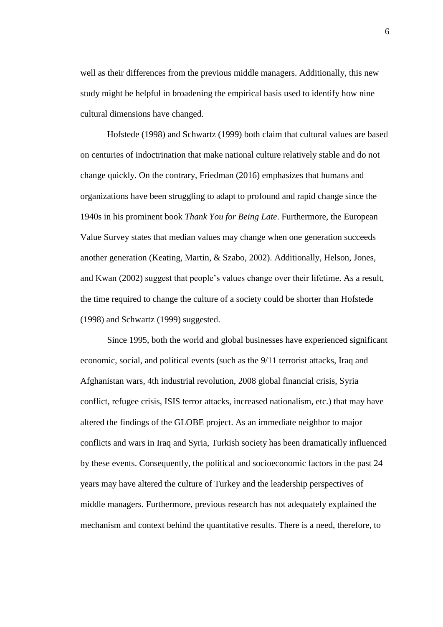well as their differences from the previous middle managers. Additionally, this new study might be helpful in broadening the empirical basis used to identify how nine cultural dimensions have changed.

Hofstede (1998) and Schwartz (1999) both claim that cultural values are based on centuries of indoctrination that make national culture relatively stable and do not change quickly. On the contrary, Friedman (2016) emphasizes that humans and organizations have been struggling to adapt to profound and rapid change since the 1940s in his prominent book *Thank You for Being Late*. Furthermore, the European Value Survey states that median values may change when one generation succeeds another generation (Keating, Martin, & Szabo, 2002). Additionally, Helson, Jones, and Kwan (2002) suggest that people's values change over their lifetime. As a result, the time required to change the culture of a society could be shorter than Hofstede (1998) and Schwartz (1999) suggested.

Since 1995, both the world and global businesses have experienced significant economic, social, and political events (such as the 9/11 terrorist attacks, Iraq and Afghanistan wars, 4th industrial revolution, 2008 global financial crisis, Syria conflict, refugee crisis, ISIS terror attacks, increased nationalism, etc.) that may have altered the findings of the GLOBE project. As an immediate neighbor to major conflicts and wars in Iraq and Syria, Turkish society has been dramatically influenced by these events. Consequently, the political and socioeconomic factors in the past 24 years may have altered the culture of Turkey and the leadership perspectives of middle managers. Furthermore, previous research has not adequately explained the mechanism and context behind the quantitative results. There is a need, therefore, to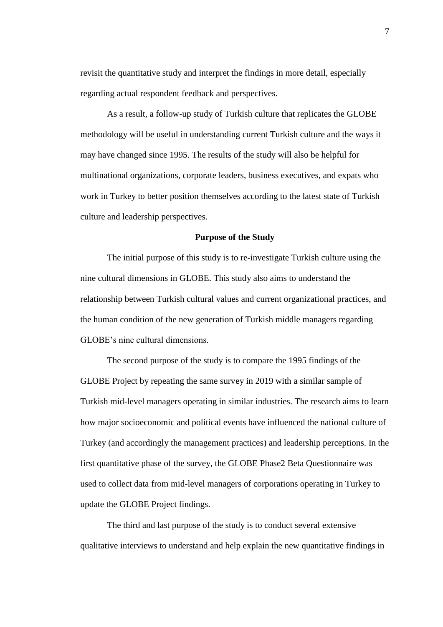revisit the quantitative study and interpret the findings in more detail, especially regarding actual respondent feedback and perspectives.

As a result, a follow-up study of Turkish culture that replicates the GLOBE methodology will be useful in understanding current Turkish culture and the ways it may have changed since 1995. The results of the study will also be helpful for multinational organizations, corporate leaders, business executives, and expats who work in Turkey to better position themselves according to the latest state of Turkish culture and leadership perspectives.

#### **Purpose of the Study**

<span id="page-22-0"></span>The initial purpose of this study is to re-investigate Turkish culture using the nine cultural dimensions in GLOBE. This study also aims to understand the relationship between Turkish cultural values and current organizational practices, and the human condition of the new generation of Turkish middle managers regarding GLOBE's nine cultural dimensions.

The second purpose of the study is to compare the 1995 findings of the GLOBE Project by repeating the same survey in 2019 with a similar sample of Turkish mid-level managers operating in similar industries. The research aims to learn how major socioeconomic and political events have influenced the national culture of Turkey (and accordingly the management practices) and leadership perceptions. In the first quantitative phase of the survey, the GLOBE Phase2 Beta Questionnaire was used to collect data from mid-level managers of corporations operating in Turkey to update the GLOBE Project findings.

The third and last purpose of the study is to conduct several extensive qualitative interviews to understand and help explain the new quantitative findings in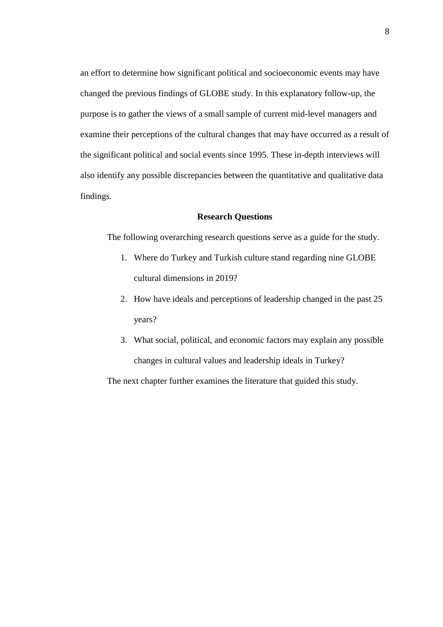an effort to determine how significant political and socioeconomic events may have changed the previous findings of GLOBE study. In this explanatory follow-up, the purpose is to gather the views of a small sample of current mid-level managers and examine their perceptions of the cultural changes that may have occurred as a result of the significant political and social events since 1995. These in-depth interviews will also identify any possible discrepancies between the quantitative and qualitative data findings.

### **Research Questions**

<span id="page-23-0"></span>The following overarching research questions serve as a guide for the study.

- 1. Where do Turkey and Turkish culture stand regarding nine GLOBE cultural dimensions in 2019?
- 2. How have ideals and perceptions of leadership changed in the past 25 years?
- 3. What social, political, and economic factors may explain any possible changes in cultural values and leadership ideals in Turkey?

The next chapter further examines the literature that guided this study.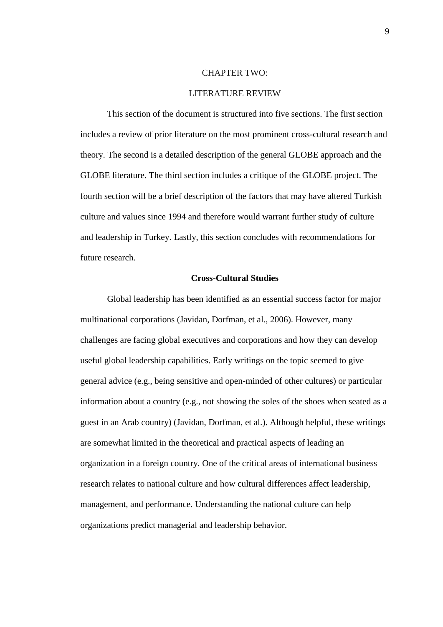#### CHAPTER TWO:

#### LITERATURE REVIEW

<span id="page-24-0"></span>This section of the document is structured into five sections. The first section includes a review of prior literature on the most prominent cross-cultural research and theory. The second is a detailed description of the general GLOBE approach and the GLOBE literature. The third section includes a critique of the GLOBE project. The fourth section will be a brief description of the factors that may have altered Turkish culture and values since 1994 and therefore would warrant further study of culture and leadership in Turkey. Lastly, this section concludes with recommendations for future research.

#### **Cross-Cultural Studies**

<span id="page-24-1"></span>Global leadership has been identified as an essential success factor for major multinational corporations (Javidan, Dorfman, et al., 2006). However, many challenges are facing global executives and corporations and how they can develop useful global leadership capabilities. Early writings on the topic seemed to give general advice (e.g., being sensitive and open-minded of other cultures) or particular information about a country (e.g., not showing the soles of the shoes when seated as a guest in an Arab country) (Javidan, Dorfman, et al.). Although helpful, these writings are somewhat limited in the theoretical and practical aspects of leading an organization in a foreign country. One of the critical areas of international business research relates to national culture and how cultural differences affect leadership, management, and performance. Understanding the national culture can help organizations predict managerial and leadership behavior.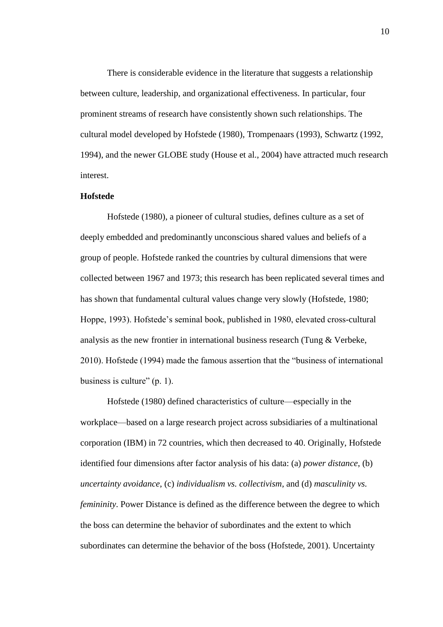There is considerable evidence in the literature that suggests a relationship between culture, leadership, and organizational effectiveness. In particular, four prominent streams of research have consistently shown such relationships. The cultural model developed by Hofstede (1980), Trompenaars (1993), Schwartz (1992, 1994), and the newer GLOBE study (House et al., 2004) have attracted much research interest.

#### <span id="page-25-0"></span>**Hofstede**

Hofstede (1980), a pioneer of cultural studies, defines culture as a set of deeply embedded and predominantly unconscious shared values and beliefs of a group of people. Hofstede ranked the countries by cultural dimensions that were collected between 1967 and 1973; this research has been replicated several times and has shown that fundamental cultural values change very slowly (Hofstede, 1980; Hoppe, 1993). Hofstede's seminal book, published in 1980, elevated cross-cultural analysis as the new frontier in international business research (Tung  $&$  Verbeke, 2010). Hofstede (1994) made the famous assertion that the "business of international business is culture" (p. 1).

Hofstede (1980) defined characteristics of culture—especially in the workplace—based on a large research project across subsidiaries of a multinational corporation (IBM) in 72 countries, which then decreased to 40. Originally, Hofstede identified four dimensions after factor analysis of his data: (a) *power distance*, (b) *uncertainty avoidance*, (c) *individualism vs. collectivism*, and (d) *masculinity vs. femininity*. Power Distance is defined as the difference between the degree to which the boss can determine the behavior of subordinates and the extent to which subordinates can determine the behavior of the boss (Hofstede, 2001). Uncertainty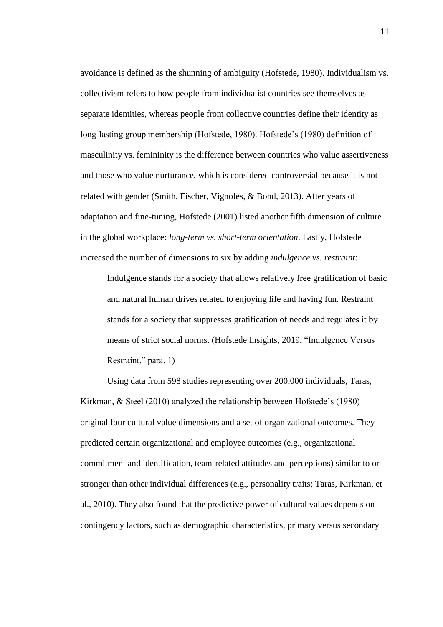avoidance is defined as the shunning of ambiguity (Hofstede, 1980). Individualism vs. collectivism refers to how people from individualist countries see themselves as separate identities, whereas people from collective countries define their identity as long-lasting group membership (Hofstede, 1980). Hofstede's (1980) definition of masculinity vs. femininity is the difference between countries who value assertiveness and those who value nurturance, which is considered controversial because it is not related with gender (Smith, Fischer, Vignoles, & Bond, 2013). After years of adaptation and fine-tuning, Hofstede (2001) listed another fifth dimension of culture in the global workplace: *long-term vs. short-term orientation*. Lastly, Hofstede increased the number of dimensions to six by adding *indulgence vs. restraint*:

Indulgence stands for a society that allows relatively free gratification of basic and natural human drives related to enjoying life and having fun. Restraint stands for a society that suppresses gratification of needs and regulates it by means of strict social norms. (Hofstede Insights, 2019, "Indulgence Versus Restraint," para. 1)

Using data from 598 studies representing over 200,000 individuals, Taras, Kirkman, & Steel (2010) analyzed the relationship between Hofstede's (1980) original four cultural value dimensions and a set of organizational outcomes. They predicted certain organizational and employee outcomes (e.g., organizational commitment and identification, team-related attitudes and perceptions) similar to or stronger than other individual differences (e.g., personality traits; Taras, Kirkman, et al., 2010). They also found that the predictive power of cultural values depends on contingency factors, such as demographic characteristics, primary versus secondary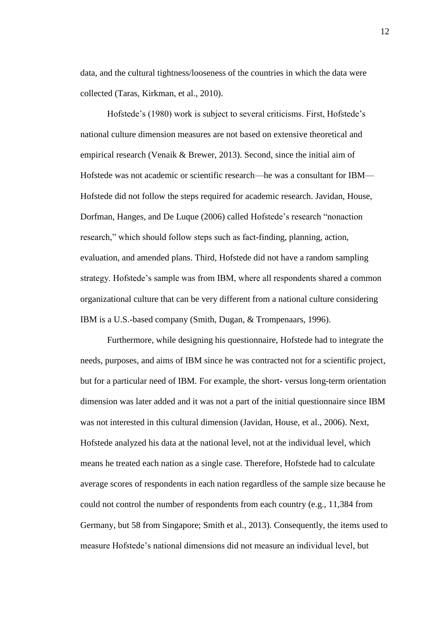data, and the cultural tightness/looseness of the countries in which the data were collected (Taras, Kirkman, et al., 2010).

Hofstede's (1980) work is subject to several criticisms. First, Hofstede's national culture dimension measures are not based on extensive theoretical and empirical research (Venaik & Brewer, 2013). Second, since the initial aim of Hofstede was not academic or scientific research—he was a consultant for IBM— Hofstede did not follow the steps required for academic research. Javidan, House, Dorfman, Hanges, and De Luque (2006) called Hofstede's research "nonaction research," which should follow steps such as fact-finding, planning, action, evaluation, and amended plans. Third, Hofstede did not have a random sampling strategy. Hofstede's sample was from IBM, where all respondents shared a common organizational culture that can be very different from a national culture considering IBM is a U.S.-based company (Smith, Dugan, & Trompenaars, 1996).

Furthermore, while designing his questionnaire, Hofstede had to integrate the needs, purposes, and aims of IBM since he was contracted not for a scientific project, but for a particular need of IBM. For example, the short- versus long-term orientation dimension was later added and it was not a part of the initial questionnaire since IBM was not interested in this cultural dimension (Javidan, House, et al., 2006). Next, Hofstede analyzed his data at the national level, not at the individual level, which means he treated each nation as a single case. Therefore, Hofstede had to calculate average scores of respondents in each nation regardless of the sample size because he could not control the number of respondents from each country (e.g., 11,384 from Germany, but 58 from Singapore; Smith et al., 2013). Consequently, the items used to measure Hofstede's national dimensions did not measure an individual level, but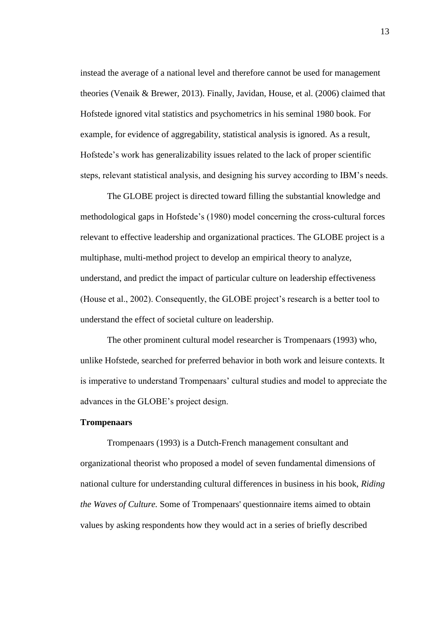instead the average of a national level and therefore cannot be used for management theories (Venaik & Brewer, 2013). Finally, Javidan, House, et al. (2006) claimed that Hofstede ignored vital statistics and psychometrics in his seminal 1980 book. For example, for evidence of aggregability, statistical analysis is ignored. As a result, Hofstede's work has generalizability issues related to the lack of proper scientific steps, relevant statistical analysis, and designing his survey according to IBM's needs.

The GLOBE project is directed toward filling the substantial knowledge and methodological gaps in Hofstede's (1980) model concerning the cross-cultural forces relevant to effective leadership and organizational practices. The GLOBE project is a multiphase, multi-method project to develop an empirical theory to analyze, understand, and predict the impact of particular culture on leadership effectiveness (House et al., 2002). Consequently, the GLOBE project's research is a better tool to understand the effect of societal culture on leadership.

The other prominent cultural model researcher is Trompenaars (1993) who, unlike Hofstede, searched for preferred behavior in both work and leisure contexts. It is imperative to understand Trompenaars' cultural studies and model to appreciate the advances in the GLOBE's project design.

#### <span id="page-28-0"></span>**Trompenaars**

Trompenaars (1993) is a Dutch-French management consultant and organizational theorist who proposed a model of seven fundamental dimensions of national culture for understanding cultural differences in business in his book, *Riding the Waves of Culture.* Some of Trompenaars' questionnaire items aimed to obtain values by asking respondents how they would act in a series of briefly described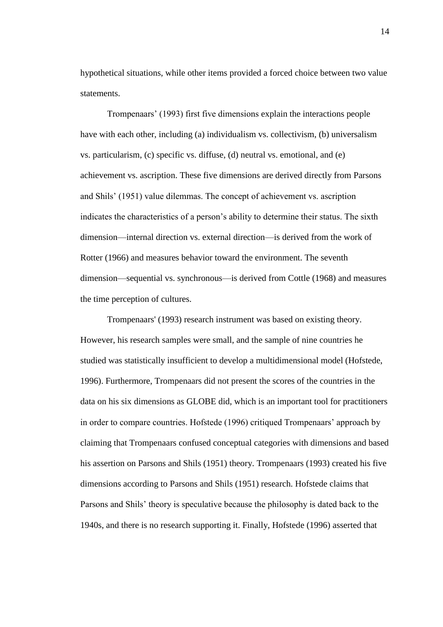hypothetical situations, while other items provided a forced choice between two value statements.

Trompenaars' (1993) first five dimensions explain the interactions people have with each other, including (a) individualism vs. collectivism, (b) universalism vs. particularism, (c) specific vs. diffuse, (d) neutral vs. emotional, and (e) achievement vs. ascription. These five dimensions are derived directly from Parsons and Shils' (1951) value dilemmas. The concept of achievement vs. ascription indicates the characteristics of a person's ability to determine their status. The sixth dimension—internal direction vs. external direction—is derived from the work of Rotter (1966) and measures behavior toward the environment. The seventh dimension—sequential vs. synchronous—is derived from Cottle (1968) and measures the time perception of cultures.

Trompenaars' (1993) research instrument was based on existing theory. However, his research samples were small, and the sample of nine countries he studied was statistically insufficient to develop a multidimensional model (Hofstede, 1996). Furthermore, Trompenaars did not present the scores of the countries in the data on his six dimensions as GLOBE did, which is an important tool for practitioners in order to compare countries. Hofstede (1996) critiqued Trompenaars' approach by claiming that Trompenaars confused conceptual categories with dimensions and based his assertion on Parsons and Shils (1951) theory. Trompenaars (1993) created his five dimensions according to Parsons and Shils (1951) research. Hofstede claims that Parsons and Shils' theory is speculative because the philosophy is dated back to the 1940s, and there is no research supporting it. Finally, Hofstede (1996) asserted that

14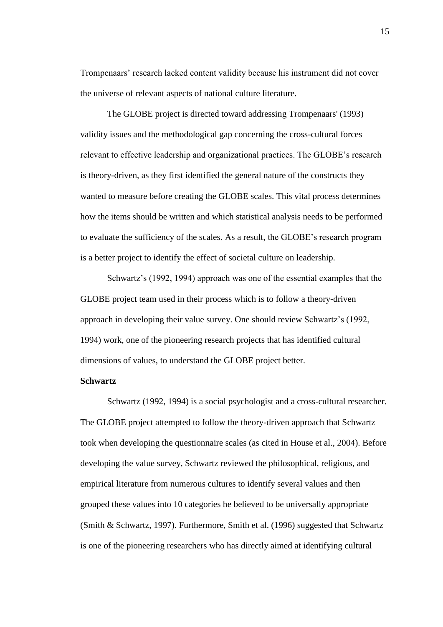Trompenaars' research lacked content validity because his instrument did not cover the universe of relevant aspects of national culture literature.

The GLOBE project is directed toward addressing Trompenaars' (1993) validity issues and the methodological gap concerning the cross-cultural forces relevant to effective leadership and organizational practices. The GLOBE's research is theory-driven, as they first identified the general nature of the constructs they wanted to measure before creating the GLOBE scales. This vital process determines how the items should be written and which statistical analysis needs to be performed to evaluate the sufficiency of the scales. As a result, the GLOBE's research program is a better project to identify the effect of societal culture on leadership.

Schwartz's (1992, 1994) approach was one of the essential examples that the GLOBE project team used in their process which is to follow a theory-driven approach in developing their value survey. One should review Schwartz's (1992, 1994) work, one of the pioneering research projects that has identified cultural dimensions of values, to understand the GLOBE project better.

#### <span id="page-30-0"></span>**Schwartz**

Schwartz (1992, 1994) is a social psychologist and a cross-cultural researcher. The GLOBE project attempted to follow the theory-driven approach that Schwartz took when developing the questionnaire scales (as cited in House et al., 2004). Before developing the value survey, Schwartz reviewed the philosophical, religious, and empirical literature from numerous cultures to identify several values and then grouped these values into 10 categories he believed to be universally appropriate (Smith & Schwartz, 1997). Furthermore, Smith et al. (1996) suggested that Schwartz is one of the pioneering researchers who has directly aimed at identifying cultural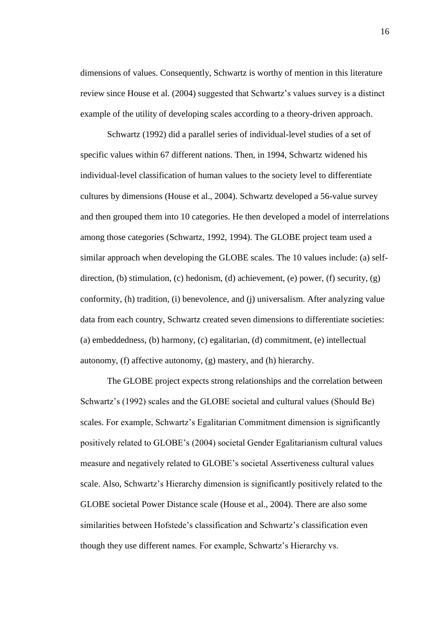dimensions of values. Consequently, Schwartz is worthy of mention in this literature review since House et al. (2004) suggested that Schwartz's values survey is a distinct example of the utility of developing scales according to a theory-driven approach.

Schwartz (1992) did a parallel series of individual-level studies of a set of specific values within 67 different nations. Then, in 1994, Schwartz widened his individual-level classification of human values to the society level to differentiate cultures by dimensions (House et al., 2004). Schwartz developed a 56-value survey and then grouped them into 10 categories. He then developed a model of interrelations among those categories (Schwartz, 1992, 1994). The GLOBE project team used a similar approach when developing the GLOBE scales. The 10 values include: (a) selfdirection, (b) stimulation, (c) hedonism, (d) achievement, (e) power, (f) security, (g) conformity, (h) tradition, (i) benevolence, and (j) universalism. After analyzing value data from each country, Schwartz created seven dimensions to differentiate societies: (a) embeddedness, (b) harmony, (c) egalitarian, (d) commitment, (e) intellectual autonomy, (f) affective autonomy, (g) mastery, and (h) hierarchy.

The GLOBE project expects strong relationships and the correlation between Schwartz's (1992) scales and the GLOBE societal and cultural values (Should Be) scales. For example, Schwartz's Egalitarian Commitment dimension is significantly positively related to GLOBE's (2004) societal Gender Egalitarianism cultural values measure and negatively related to GLOBE's societal Assertiveness cultural values scale. Also, Schwartz's Hierarchy dimension is significantly positively related to the GLOBE societal Power Distance scale (House et al., 2004). There are also some similarities between Hofstede's classification and Schwartz's classification even though they use different names. For example, Schwartz's Hierarchy vs.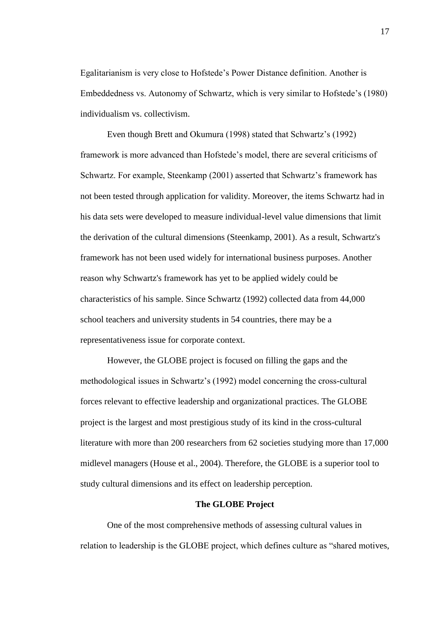Egalitarianism is very close to Hofstede's Power Distance definition. Another is Embeddedness vs. Autonomy of Schwartz, which is very similar to Hofstede's (1980) individualism vs. collectivism.

Even though Brett and Okumura (1998) stated that Schwartz's (1992) framework is more advanced than Hofstede's model, there are several criticisms of Schwartz. For example, Steenkamp (2001) asserted that Schwartz's framework has not been tested through application for validity. Moreover, the items Schwartz had in his data sets were developed to measure individual-level value dimensions that limit the derivation of the cultural dimensions (Steenkamp, 2001). As a result, Schwartz's framework has not been used widely for international business purposes. Another reason why Schwartz's framework has yet to be applied widely could be characteristics of his sample. Since Schwartz (1992) collected data from 44,000 school teachers and university students in 54 countries, there may be a representativeness issue for corporate context.

However, the GLOBE project is focused on filling the gaps and the methodological issues in Schwartz's (1992) model concerning the cross-cultural forces relevant to effective leadership and organizational practices. The GLOBE project is the largest and most prestigious study of its kind in the cross-cultural literature with more than 200 researchers from 62 societies studying more than 17,000 midlevel managers (House et al., 2004). Therefore, the GLOBE is a superior tool to study cultural dimensions and its effect on leadership perception.

#### **The GLOBE Project**

<span id="page-32-0"></span>One of the most comprehensive methods of assessing cultural values in relation to leadership is the GLOBE project, which defines culture as "shared motives,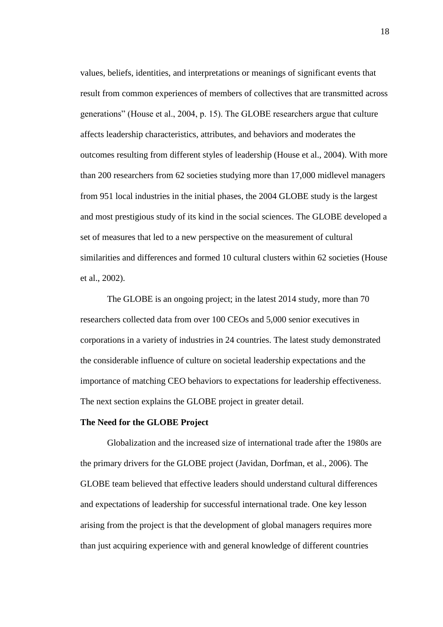values, beliefs, identities, and interpretations or meanings of significant events that result from common experiences of members of collectives that are transmitted across generations" (House et al., 2004, p. 15). The GLOBE researchers argue that culture affects leadership characteristics, attributes, and behaviors and moderates the outcomes resulting from different styles of leadership (House et al., 2004). With more than 200 researchers from 62 societies studying more than 17,000 midlevel managers from 951 local industries in the initial phases, the 2004 GLOBE study is the largest and most prestigious study of its kind in the social sciences. The GLOBE developed a set of measures that led to a new perspective on the measurement of cultural similarities and differences and formed 10 cultural clusters within 62 societies (House et al., 2002).

The GLOBE is an ongoing project; in the latest 2014 study, more than 70 researchers collected data from over 100 CEOs and 5,000 senior executives in corporations in a variety of industries in 24 countries. The latest study demonstrated the considerable influence of culture on societal leadership expectations and the importance of matching CEO behaviors to expectations for leadership effectiveness. The next section explains the GLOBE project in greater detail.

#### <span id="page-33-0"></span>**The Need for the GLOBE Project**

Globalization and the increased size of international trade after the 1980s are the primary drivers for the GLOBE project (Javidan, Dorfman, et al., 2006). The GLOBE team believed that effective leaders should understand cultural differences and expectations of leadership for successful international trade. One key lesson arising from the project is that the development of global managers requires more than just acquiring experience with and general knowledge of different countries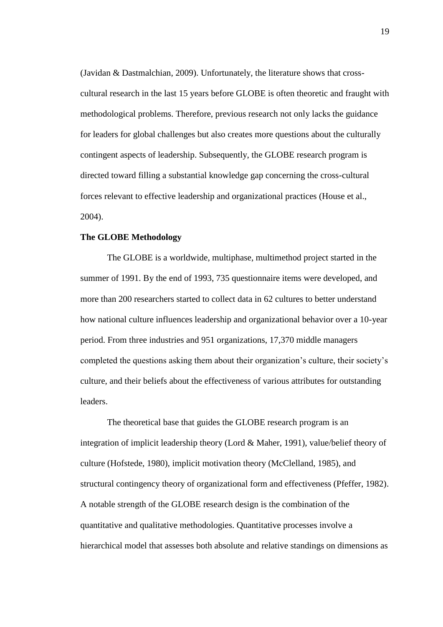(Javidan & Dastmalchian, 2009). Unfortunately, the literature shows that crosscultural research in the last 15 years before GLOBE is often theoretic and fraught with methodological problems. Therefore, previous research not only lacks the guidance for leaders for global challenges but also creates more questions about the culturally contingent aspects of leadership. Subsequently, the GLOBE research program is directed toward filling a substantial knowledge gap concerning the cross-cultural forces relevant to effective leadership and organizational practices (House et al., 2004).

#### <span id="page-34-0"></span>**The GLOBE Methodology**

The GLOBE is a worldwide, multiphase, multimethod project started in the summer of 1991. By the end of 1993, 735 questionnaire items were developed, and more than 200 researchers started to collect data in 62 cultures to better understand how national culture influences leadership and organizational behavior over a 10-year period. From three industries and 951 organizations, 17,370 middle managers completed the questions asking them about their organization's culture, their society's culture, and their beliefs about the effectiveness of various attributes for outstanding leaders.

The theoretical base that guides the GLOBE research program is an integration of implicit leadership theory (Lord & Maher, 1991), value/belief theory of culture (Hofstede, 1980), implicit motivation theory (McClelland, 1985), and structural contingency theory of organizational form and effectiveness (Pfeffer, 1982). A notable strength of the GLOBE research design is the combination of the quantitative and qualitative methodologies. Quantitative processes involve a hierarchical model that assesses both absolute and relative standings on dimensions as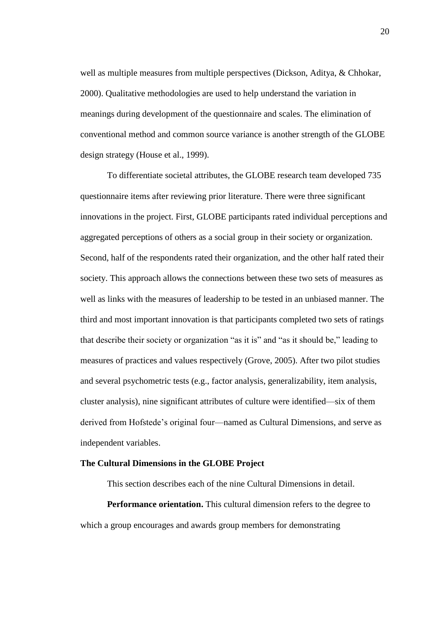well as multiple measures from multiple perspectives (Dickson, Aditya, & Chhokar, 2000). Qualitative methodologies are used to help understand the variation in meanings during development of the questionnaire and scales. The elimination of conventional method and common source variance is another strength of the GLOBE design strategy (House et al., 1999).

To differentiate societal attributes, the GLOBE research team developed 735 questionnaire items after reviewing prior literature. There were three significant innovations in the project. First, GLOBE participants rated individual perceptions and aggregated perceptions of others as a social group in their society or organization. Second, half of the respondents rated their organization, and the other half rated their society. This approach allows the connections between these two sets of measures as well as links with the measures of leadership to be tested in an unbiased manner. The third and most important innovation is that participants completed two sets of ratings that describe their society or organization "as it is" and "as it should be," leading to measures of practices and values respectively (Grove, 2005). After two pilot studies and several psychometric tests (e.g., factor analysis, generalizability, item analysis, cluster analysis), nine significant attributes of culture were identified—six of them derived from Hofstede's original four—named as Cultural Dimensions, and serve as independent variables.

#### <span id="page-35-0"></span>**The Cultural Dimensions in the GLOBE Project**

This section describes each of the nine Cultural Dimensions in detail.

<span id="page-35-1"></span>**Performance orientation.** This cultural dimension refers to the degree to which a group encourages and awards group members for demonstrating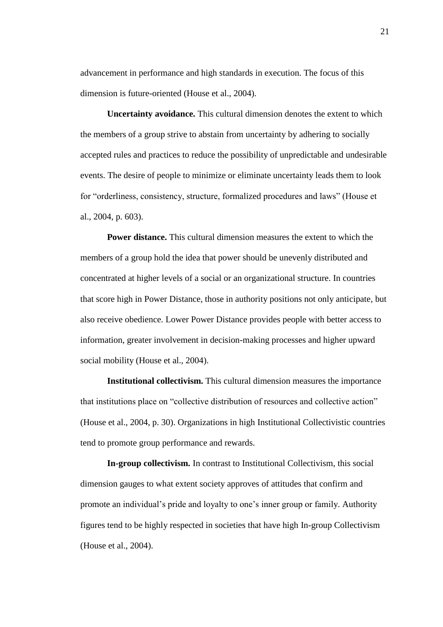advancement in performance and high standards in execution. The focus of this dimension is future-oriented (House et al., 2004).

**Uncertainty avoidance.** This cultural dimension denotes the extent to which the members of a group strive to abstain from uncertainty by adhering to socially accepted rules and practices to reduce the possibility of unpredictable and undesirable events. The desire of people to minimize or eliminate uncertainty leads them to look for "orderliness, consistency, structure, formalized procedures and laws" (House et al., 2004, p. 603).

**Power distance.** This cultural dimension measures the extent to which the members of a group hold the idea that power should be unevenly distributed and concentrated at higher levels of a social or an organizational structure. In countries that score high in Power Distance, those in authority positions not only anticipate, but also receive obedience. Lower Power Distance provides people with better access to information, greater involvement in decision-making processes and higher upward social mobility (House et al., 2004).

**Institutional collectivism.** This cultural dimension measures the importance that institutions place on "collective distribution of resources and collective action" (House et al., 2004, p. 30). Organizations in high Institutional Collectivistic countries tend to promote group performance and rewards.

**In-group collectivism.** In contrast to Institutional Collectivism, this social dimension gauges to what extent society approves of attitudes that confirm and promote an individual's pride and loyalty to one's inner group or family. Authority figures tend to be highly respected in societies that have high In-group Collectivism (House et al., 2004).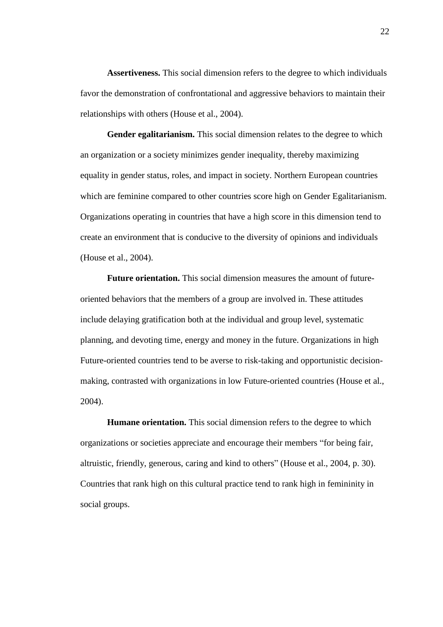**Assertiveness.** This social dimension refers to the degree to which individuals favor the demonstration of confrontational and aggressive behaviors to maintain their relationships with others (House et al., 2004).

**Gender egalitarianism.** This social dimension relates to the degree to which an organization or a society minimizes gender inequality, thereby maximizing equality in gender status, roles, and impact in society. Northern European countries which are feminine compared to other countries score high on Gender Egalitarianism. Organizations operating in countries that have a high score in this dimension tend to create an environment that is conducive to the diversity of opinions and individuals (House et al., 2004).

**Future orientation.** This social dimension measures the amount of futureoriented behaviors that the members of a group are involved in. These attitudes include delaying gratification both at the individual and group level, systematic planning, and devoting time, energy and money in the future. Organizations in high Future-oriented countries tend to be averse to risk-taking and opportunistic decisionmaking, contrasted with organizations in low Future-oriented countries (House et al., 2004).

**Humane orientation.** This social dimension refers to the degree to which organizations or societies appreciate and encourage their members "for being fair, altruistic, friendly, generous, caring and kind to others" (House et al., 2004, p. 30). Countries that rank high on this cultural practice tend to rank high in femininity in social groups.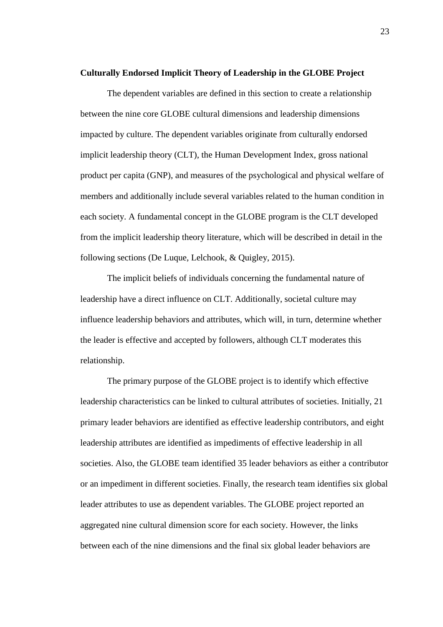#### **Culturally Endorsed Implicit Theory of Leadership in the GLOBE Project**

The dependent variables are defined in this section to create a relationship between the nine core GLOBE cultural dimensions and leadership dimensions impacted by culture. The dependent variables originate from culturally endorsed implicit leadership theory (CLT), the Human Development Index, gross national product per capita (GNP), and measures of the psychological and physical welfare of members and additionally include several variables related to the human condition in each society. A fundamental concept in the GLOBE program is the CLT developed from the implicit leadership theory literature, which will be described in detail in the following sections (De Luque, Lelchook, & Quigley, 2015).

The implicit beliefs of individuals concerning the fundamental nature of leadership have a direct influence on CLT. Additionally, societal culture may influence leadership behaviors and attributes, which will, in turn, determine whether the leader is effective and accepted by followers, although CLT moderates this relationship.

The primary purpose of the GLOBE project is to identify which effective leadership characteristics can be linked to cultural attributes of societies. Initially, 21 primary leader behaviors are identified as effective leadership contributors, and eight leadership attributes are identified as impediments of effective leadership in all societies. Also, the GLOBE team identified 35 leader behaviors as either a contributor or an impediment in different societies. Finally, the research team identifies six global leader attributes to use as dependent variables. The GLOBE project reported an aggregated nine cultural dimension score for each society. However, the links between each of the nine dimensions and the final six global leader behaviors are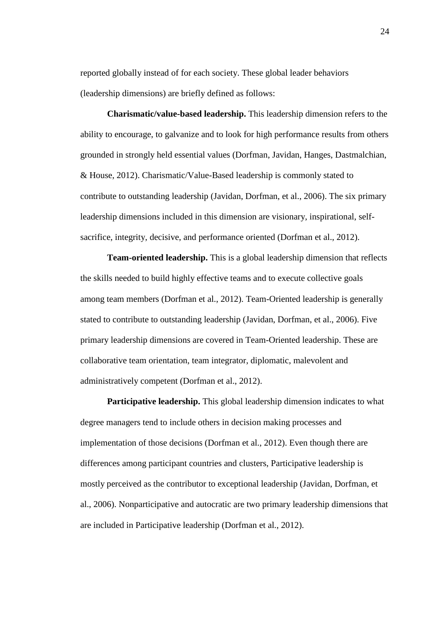reported globally instead of for each society. These global leader behaviors (leadership dimensions) are briefly defined as follows:

**Charismatic/value-based leadership.** This leadership dimension refers to the ability to encourage, to galvanize and to look for high performance results from others grounded in strongly held essential values (Dorfman, Javidan, Hanges, Dastmalchian, & House, 2012). Charismatic/Value-Based leadership is commonly stated to contribute to outstanding leadership (Javidan, Dorfman, et al., 2006). The six primary leadership dimensions included in this dimension are visionary, inspirational, selfsacrifice, integrity, decisive, and performance oriented (Dorfman et al., 2012).

**Team-oriented leadership.** This is a global leadership dimension that reflects the skills needed to build highly effective teams and to execute collective goals among team members (Dorfman et al., 2012). Team-Oriented leadership is generally stated to contribute to outstanding leadership (Javidan, Dorfman, et al., 2006). Five primary leadership dimensions are covered in Team-Oriented leadership. These are collaborative team orientation, team integrator, diplomatic, malevolent and administratively competent (Dorfman et al., 2012).

**Participative leadership.** This global leadership dimension indicates to what degree managers tend to include others in decision making processes and implementation of those decisions (Dorfman et al., 2012). Even though there are differences among participant countries and clusters, Participative leadership is mostly perceived as the contributor to exceptional leadership (Javidan, Dorfman, et al., 2006). Nonparticipative and autocratic are two primary leadership dimensions that are included in Participative leadership (Dorfman et al., 2012).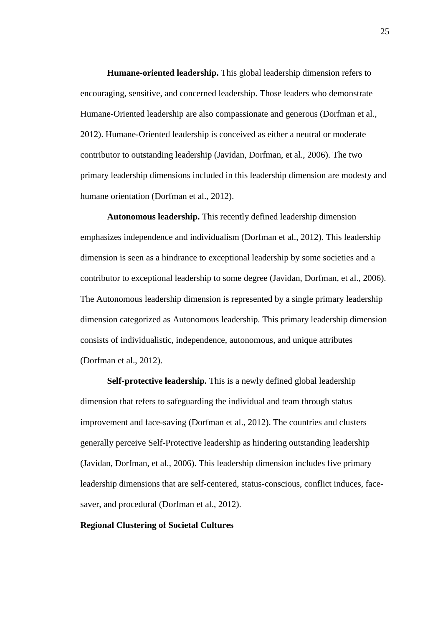**Humane-oriented leadership.** This global leadership dimension refers to encouraging, sensitive, and concerned leadership. Those leaders who demonstrate Humane-Oriented leadership are also compassionate and generous (Dorfman et al., 2012). Humane-Oriented leadership is conceived as either a neutral or moderate contributor to outstanding leadership (Javidan, Dorfman, et al., 2006). The two primary leadership dimensions included in this leadership dimension are modesty and humane orientation (Dorfman et al., 2012).

**Autonomous leadership.** This recently defined leadership dimension emphasizes independence and individualism (Dorfman et al., 2012). This leadership dimension is seen as a hindrance to exceptional leadership by some societies and a contributor to exceptional leadership to some degree (Javidan, Dorfman, et al., 2006). The Autonomous leadership dimension is represented by a single primary leadership dimension categorized as Autonomous leadership. This primary leadership dimension consists of individualistic, independence, autonomous, and unique attributes (Dorfman et al., 2012).

**Self-protective leadership.** This is a newly defined global leadership dimension that refers to safeguarding the individual and team through status improvement and face-saving (Dorfman et al., 2012). The countries and clusters generally perceive Self-Protective leadership as hindering outstanding leadership (Javidan, Dorfman, et al., 2006). This leadership dimension includes five primary leadership dimensions that are self-centered, status-conscious, conflict induces, facesaver, and procedural (Dorfman et al., 2012).

# **Regional Clustering of Societal Cultures**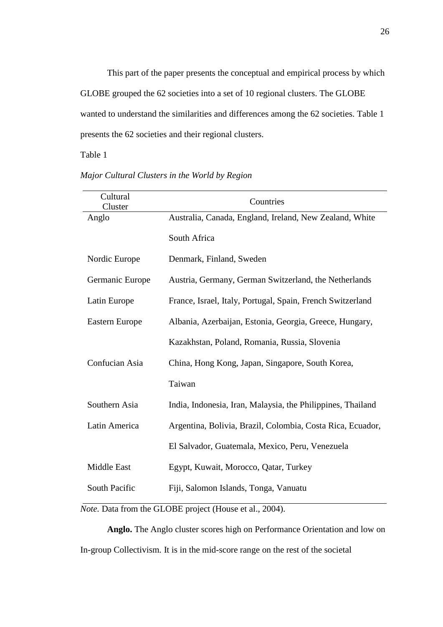This part of the paper presents the conceptual and empirical process by which GLOBE grouped the 62 societies into a set of 10 regional clusters. The GLOBE wanted to understand the similarities and differences among the 62 societies. Table 1 presents the 62 societies and their regional clusters.

Table 1

| Cultural<br>Cluster | Countries                                                   |
|---------------------|-------------------------------------------------------------|
| Anglo               | Australia, Canada, England, Ireland, New Zealand, White     |
|                     | South Africa                                                |
| Nordic Europe       | Denmark, Finland, Sweden                                    |
| Germanic Europe     | Austria, Germany, German Switzerland, the Netherlands       |
| Latin Europe        | France, Israel, Italy, Portugal, Spain, French Switzerland  |
| Eastern Europe      | Albania, Azerbaijan, Estonia, Georgia, Greece, Hungary,     |
|                     | Kazakhstan, Poland, Romania, Russia, Slovenia               |
| Confucian Asia      | China, Hong Kong, Japan, Singapore, South Korea,            |
|                     | Taiwan                                                      |
| Southern Asia       | India, Indonesia, Iran, Malaysia, the Philippines, Thailand |
| Latin America       | Argentina, Bolivia, Brazil, Colombia, Costa Rica, Ecuador,  |
|                     | El Salvador, Guatemala, Mexico, Peru, Venezuela             |
| <b>Middle East</b>  | Egypt, Kuwait, Morocco, Qatar, Turkey                       |
| South Pacific       | Fiji, Salomon Islands, Tonga, Vanuatu                       |

*Major Cultural Clusters in the World by Region*

*Note.* Data from the GLOBE project (House et al., 2004).

**Anglo.** The Anglo cluster scores high on Performance Orientation and low on In-group Collectivism*.* It is in the mid-score range on the rest of the societal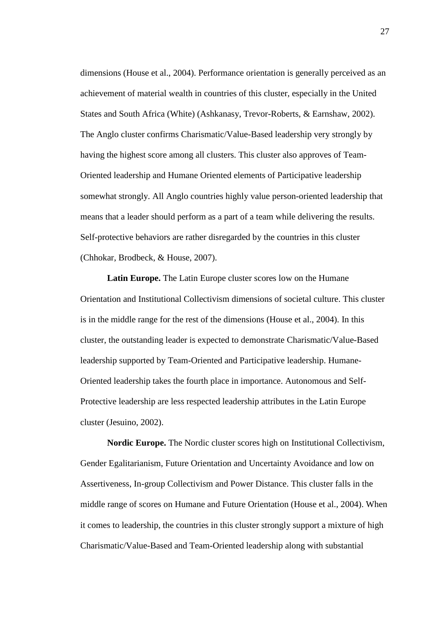dimensions (House et al., 2004). Performance orientation is generally perceived as an achievement of material wealth in countries of this cluster, especially in the United States and South Africa (White) (Ashkanasy, Trevor-Roberts, & Earnshaw, 2002). The Anglo cluster confirms Charismatic/Value-Based leadership very strongly by having the highest score among all clusters. This cluster also approves of Team-Oriented leadership and Humane Oriented elements of Participative leadership somewhat strongly. All Anglo countries highly value person-oriented leadership that means that a leader should perform as a part of a team while delivering the results. Self-protective behaviors are rather disregarded by the countries in this cluster (Chhokar, Brodbeck, & House, 2007).

**Latin Europe.** The Latin Europe cluster scores low on the Humane Orientation and Institutional Collectivism dimensions of societal culture. This cluster is in the middle range for the rest of the dimensions (House et al., 2004). In this cluster, the outstanding leader is expected to demonstrate Charismatic/Value-Based leadership supported by Team-Oriented and Participative leadership. Humane-Oriented leadership takes the fourth place in importance. Autonomous and Self-Protective leadership are less respected leadership attributes in the Latin Europe cluster (Jesuino, 2002).

**Nordic Europe.** The Nordic cluster scores high on Institutional Collectivism, Gender Egalitarianism, Future Orientation and Uncertainty Avoidance and low on Assertiveness, In-group Collectivism and Power Distance. This cluster falls in the middle range of scores on Humane and Future Orientation (House et al., 2004). When it comes to leadership, the countries in this cluster strongly support a mixture of high Charismatic/Value-Based and Team-Oriented leadership along with substantial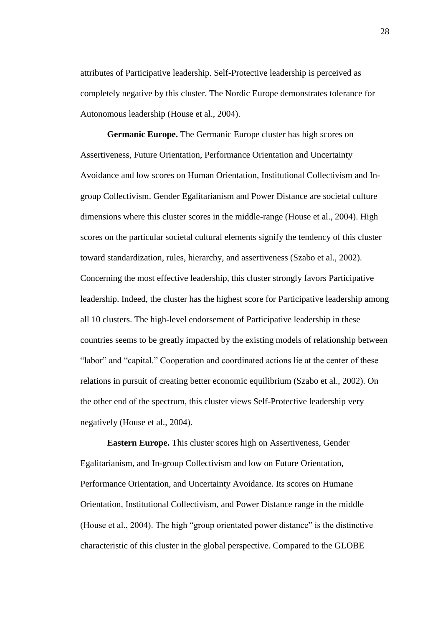attributes of Participative leadership. Self-Protective leadership is perceived as completely negative by this cluster. The Nordic Europe demonstrates tolerance for Autonomous leadership (House et al., 2004).

**Germanic Europe.** The Germanic Europe cluster has high scores on Assertiveness, Future Orientation, Performance Orientation and Uncertainty Avoidance and low scores on Human Orientation, Institutional Collectivism and Ingroup Collectivism. Gender Egalitarianism and Power Distance are societal culture dimensions where this cluster scores in the middle-range (House et al., 2004). High scores on the particular societal cultural elements signify the tendency of this cluster toward standardization, rules, hierarchy, and assertiveness (Szabo et al., 2002). Concerning the most effective leadership, this cluster strongly favors Participative leadership. Indeed, the cluster has the highest score for Participative leadership among all 10 clusters. The high-level endorsement of Participative leadership in these countries seems to be greatly impacted by the existing models of relationship between "labor" and "capital." Cooperation and coordinated actions lie at the center of these relations in pursuit of creating better economic equilibrium (Szabo et al., 2002). On the other end of the spectrum, this cluster views Self-Protective leadership very negatively (House et al., 2004).

**Eastern Europe.** This cluster scores high on Assertiveness, Gender Egalitarianism, and In-group Collectivism and low on Future Orientation, Performance Orientation, and Uncertainty Avoidance. Its scores on Humane Orientation, Institutional Collectivism, and Power Distance range in the middle (House et al., 2004). The high "group orientated power distance" is the distinctive characteristic of this cluster in the global perspective. Compared to the GLOBE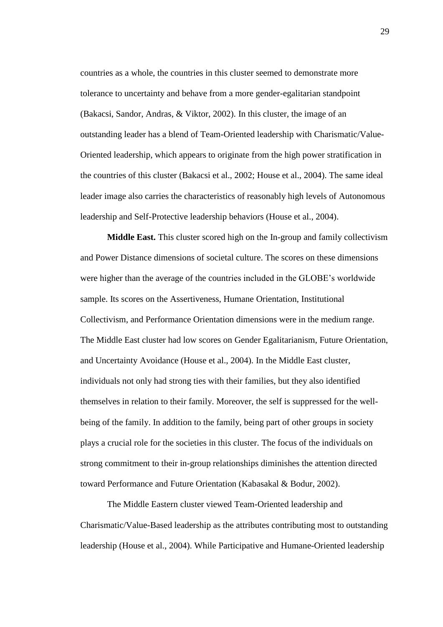countries as a whole, the countries in this cluster seemed to demonstrate more tolerance to uncertainty and behave from a more gender-egalitarian standpoint (Bakacsi, Sandor, Andras, & Viktor, 2002). In this cluster, the image of an outstanding leader has a blend of Team-Oriented leadership with Charismatic/Value-Oriented leadership, which appears to originate from the high power stratification in the countries of this cluster (Bakacsi et al., 2002; House et al., 2004). The same ideal leader image also carries the characteristics of reasonably high levels of Autonomous leadership and Self-Protective leadership behaviors (House et al., 2004).

**Middle East.** This cluster scored high on the In-group and family collectivism and Power Distance dimensions of societal culture. The scores on these dimensions were higher than the average of the countries included in the GLOBE's worldwide sample. Its scores on the Assertiveness, Humane Orientation, Institutional Collectivism, and Performance Orientation dimensions were in the medium range. The Middle East cluster had low scores on Gender Egalitarianism, Future Orientation, and Uncertainty Avoidance (House et al., 2004). In the Middle East cluster, individuals not only had strong ties with their families, but they also identified themselves in relation to their family. Moreover, the self is suppressed for the wellbeing of the family. In addition to the family, being part of other groups in society plays a crucial role for the societies in this cluster. The focus of the individuals on strong commitment to their in-group relationships diminishes the attention directed toward Performance and Future Orientation (Kabasakal & Bodur, 2002).

The Middle Eastern cluster viewed Team-Oriented leadership and Charismatic/Value-Based leadership as the attributes contributing most to outstanding leadership (House et al., 2004). While Participative and Humane-Oriented leadership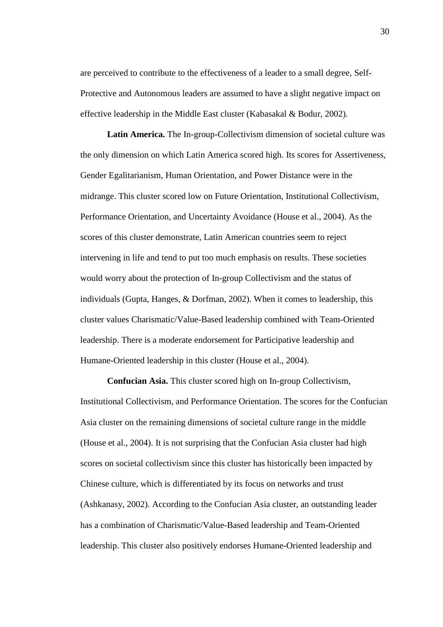are perceived to contribute to the effectiveness of a leader to a small degree, Self-Protective and Autonomous leaders are assumed to have a slight negative impact on effective leadership in the Middle East cluster (Kabasakal & Bodur, 2002).

**Latin America.** The In-group-Collectivism dimension of societal culture was the only dimension on which Latin America scored high. Its scores for Assertiveness, Gender Egalitarianism, Human Orientation, and Power Distance were in the midrange. This cluster scored low on Future Orientation, Institutional Collectivism, Performance Orientation, and Uncertainty Avoidance (House et al., 2004). As the scores of this cluster demonstrate, Latin American countries seem to reject intervening in life and tend to put too much emphasis on results. These societies would worry about the protection of In-group Collectivism and the status of individuals (Gupta, Hanges, & Dorfman, 2002). When it comes to leadership, this cluster values Charismatic/Value-Based leadership combined with Team-Oriented leadership. There is a moderate endorsement for Participative leadership and Humane-Oriented leadership in this cluster (House et al., 2004).

**Confucian Asia.** This cluster scored high on In-group Collectivism, Institutional Collectivism, and Performance Orientation. The scores for the Confucian Asia cluster on the remaining dimensions of societal culture range in the middle (House et al., 2004). It is not surprising that the Confucian Asia cluster had high scores on societal collectivism since this cluster has historically been impacted by Chinese culture, which is differentiated by its focus on networks and trust (Ashkanasy, 2002). According to the Confucian Asia cluster, an outstanding leader has a combination of Charismatic/Value-Based leadership and Team-Oriented leadership. This cluster also positively endorses Humane-Oriented leadership and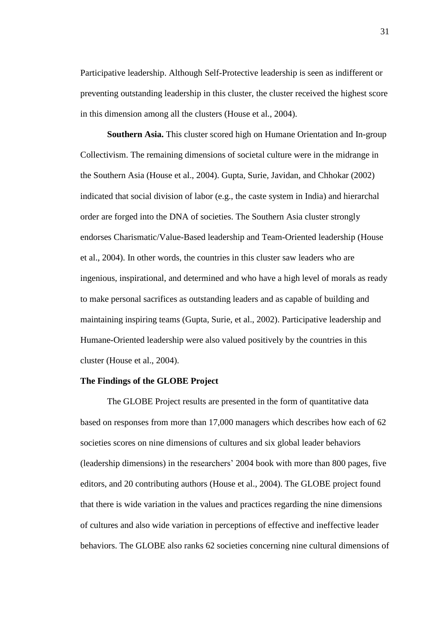Participative leadership. Although Self-Protective leadership is seen as indifferent or preventing outstanding leadership in this cluster, the cluster received the highest score in this dimension among all the clusters (House et al., 2004).

**Southern Asia.** This cluster scored high on Humane Orientation and In-group Collectivism. The remaining dimensions of societal culture were in the midrange in the Southern Asia (House et al., 2004). Gupta, Surie, Javidan, and Chhokar (2002) indicated that social division of labor (e.g., the caste system in India) and hierarchal order are forged into the DNA of societies. The Southern Asia cluster strongly endorses Charismatic/Value-Based leadership and Team-Oriented leadership (House et al., 2004). In other words, the countries in this cluster saw leaders who are ingenious, inspirational, and determined and who have a high level of morals as ready to make personal sacrifices as outstanding leaders and as capable of building and maintaining inspiring teams (Gupta, Surie, et al., 2002). Participative leadership and Humane-Oriented leadership were also valued positively by the countries in this cluster (House et al., 2004).

#### **The Findings of the GLOBE Project**

The GLOBE Project results are presented in the form of quantitative data based on responses from more than 17,000 managers which describes how each of 62 societies scores on nine dimensions of cultures and six global leader behaviors (leadership dimensions) in the researchers' 2004 book with more than 800 pages, five editors, and 20 contributing authors (House et al., 2004). The GLOBE project found that there is wide variation in the values and practices regarding the nine dimensions of cultures and also wide variation in perceptions of effective and ineffective leader behaviors. The GLOBE also ranks 62 societies concerning nine cultural dimensions of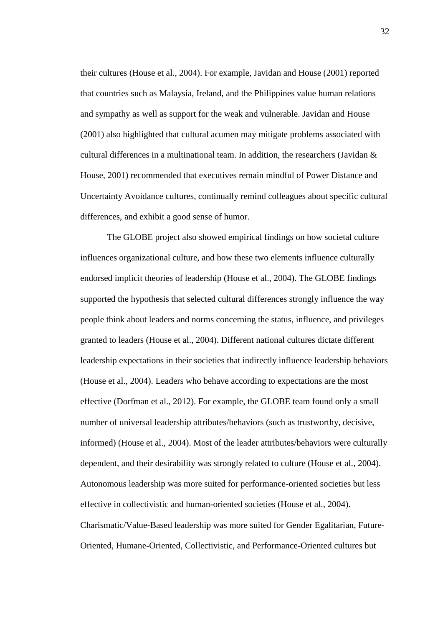their cultures (House et al., 2004). For example, Javidan and House (2001) reported that countries such as Malaysia, Ireland, and the Philippines value human relations and sympathy as well as support for the weak and vulnerable. Javidan and House (2001) also highlighted that cultural acumen may mitigate problems associated with cultural differences in a multinational team. In addition, the researchers (Javidan & House, 2001) recommended that executives remain mindful of Power Distance and Uncertainty Avoidance cultures, continually remind colleagues about specific cultural differences, and exhibit a good sense of humor.

The GLOBE project also showed empirical findings on how societal culture influences organizational culture, and how these two elements influence culturally endorsed implicit theories of leadership (House et al., 2004). The GLOBE findings supported the hypothesis that selected cultural differences strongly influence the way people think about leaders and norms concerning the status, influence, and privileges granted to leaders (House et al., 2004). Different national cultures dictate different leadership expectations in their societies that indirectly influence leadership behaviors (House et al., 2004). Leaders who behave according to expectations are the most effective (Dorfman et al., 2012). For example, the GLOBE team found only a small number of universal leadership attributes/behaviors (such as trustworthy, decisive, informed) (House et al., 2004). Most of the leader attributes/behaviors were culturally dependent, and their desirability was strongly related to culture (House et al., 2004). Autonomous leadership was more suited for performance-oriented societies but less effective in collectivistic and human-oriented societies (House et al., 2004). Charismatic/Value-Based leadership was more suited for Gender Egalitarian, Future-Oriented, Humane-Oriented, Collectivistic, and Performance-Oriented cultures but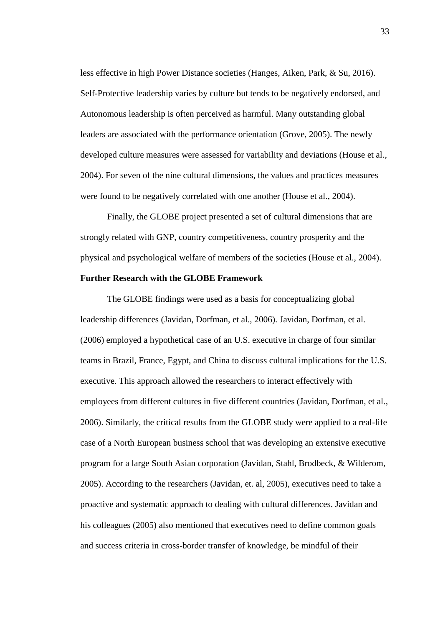less effective in high Power Distance societies (Hanges, Aiken, Park, & Su, 2016). Self-Protective leadership varies by culture but tends to be negatively endorsed, and Autonomous leadership is often perceived as harmful. Many outstanding global leaders are associated with the performance orientation (Grove, 2005). The newly developed culture measures were assessed for variability and deviations (House et al., 2004). For seven of the nine cultural dimensions, the values and practices measures were found to be negatively correlated with one another (House et al., 2004).

Finally, the GLOBE project presented a set of cultural dimensions that are strongly related with GNP, country competitiveness, country prosperity and the physical and psychological welfare of members of the societies (House et al., 2004).

### **Further Research with the GLOBE Framework**

The GLOBE findings were used as a basis for conceptualizing global leadership differences (Javidan, Dorfman, et al., 2006). Javidan, Dorfman, et al. (2006) employed a hypothetical case of an U.S. executive in charge of four similar teams in Brazil, France, Egypt, and China to discuss cultural implications for the U.S. executive. This approach allowed the researchers to interact effectively with employees from different cultures in five different countries (Javidan, Dorfman, et al., 2006). Similarly, the critical results from the GLOBE study were applied to a real-life case of a North European business school that was developing an extensive executive program for a large South Asian corporation (Javidan, Stahl, Brodbeck, & Wilderom, 2005). According to the researchers (Javidan, et. al, 2005), executives need to take a proactive and systematic approach to dealing with cultural differences. Javidan and his colleagues (2005) also mentioned that executives need to define common goals and success criteria in cross-border transfer of knowledge, be mindful of their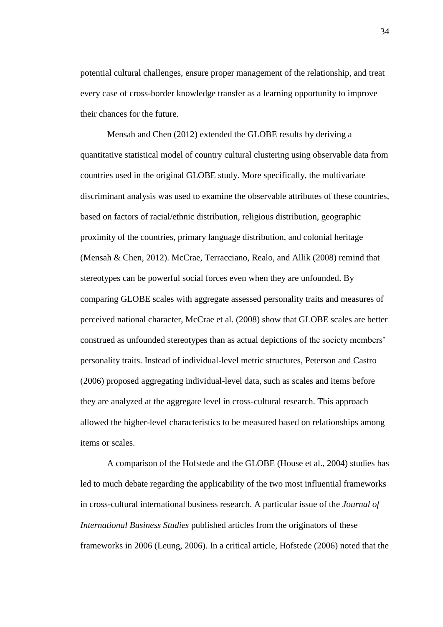potential cultural challenges, ensure proper management of the relationship, and treat every case of cross-border knowledge transfer as a learning opportunity to improve their chances for the future.

Mensah and Chen (2012) extended the GLOBE results by deriving a quantitative statistical model of country cultural clustering using observable data from countries used in the original GLOBE study. More specifically, the multivariate discriminant analysis was used to examine the observable attributes of these countries, based on factors of racial/ethnic distribution, religious distribution, geographic proximity of the countries, primary language distribution, and colonial heritage (Mensah & Chen, 2012). McCrae, Terracciano, Realo, and Allik (2008) remind that stereotypes can be powerful social forces even when they are unfounded. By comparing GLOBE scales with aggregate assessed personality traits and measures of perceived national character, McCrae et al. (2008) show that GLOBE scales are better construed as unfounded stereotypes than as actual depictions of the society members' personality traits. Instead of individual-level metric structures, Peterson and Castro (2006) proposed aggregating individual-level data, such as scales and items before they are analyzed at the aggregate level in cross-cultural research. This approach allowed the higher-level characteristics to be measured based on relationships among items or scales.

A comparison of the Hofstede and the GLOBE (House et al., 2004) studies has led to much debate regarding the applicability of the two most influential frameworks in cross-cultural international business research. A particular issue of the *Journal of International Business Studies* published articles from the originators of these frameworks in 2006 (Leung, 2006). In a critical article, Hofstede (2006) noted that the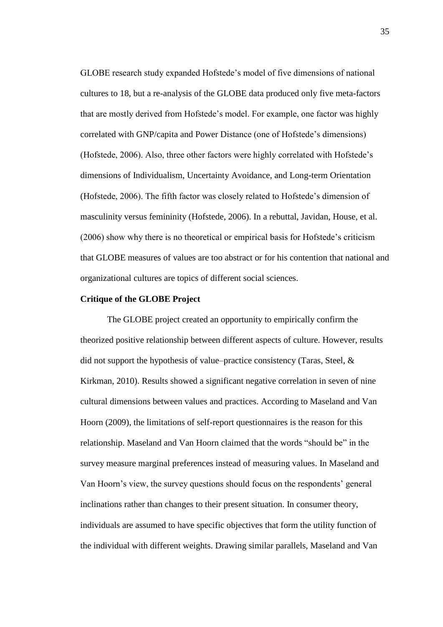GLOBE research study expanded Hofstede's model of five dimensions of national cultures to 18, but a re-analysis of the GLOBE data produced only five meta-factors that are mostly derived from Hofstede's model. For example, one factor was highly correlated with GNP/capita and Power Distance (one of Hofstede's dimensions) (Hofstede, 2006). Also, three other factors were highly correlated with Hofstede's dimensions of Individualism, Uncertainty Avoidance, and Long-term Orientation (Hofstede, 2006). The fifth factor was closely related to Hofstede's dimension of masculinity versus femininity (Hofstede, 2006). In a rebuttal, Javidan, House, et al. (2006) show why there is no theoretical or empirical basis for Hofstede's criticism that GLOBE measures of values are too abstract or for his contention that national and organizational cultures are topics of different social sciences.

# **Critique of the GLOBE Project**

The GLOBE project created an opportunity to empirically confirm the theorized positive relationship between different aspects of culture. However, results did not support the hypothesis of value–practice consistency (Taras, Steel, & Kirkman, 2010). Results showed a significant negative correlation in seven of nine cultural dimensions between values and practices. According to Maseland and Van Hoorn (2009), the limitations of self-report questionnaires is the reason for this relationship. Maseland and Van Hoorn claimed that the words "should be" in the survey measure marginal preferences instead of measuring values. In Maseland and Van Hoorn's view, the survey questions should focus on the respondents' general inclinations rather than changes to their present situation. In consumer theory, individuals are assumed to have specific objectives that form the utility function of the individual with different weights. Drawing similar parallels, Maseland and Van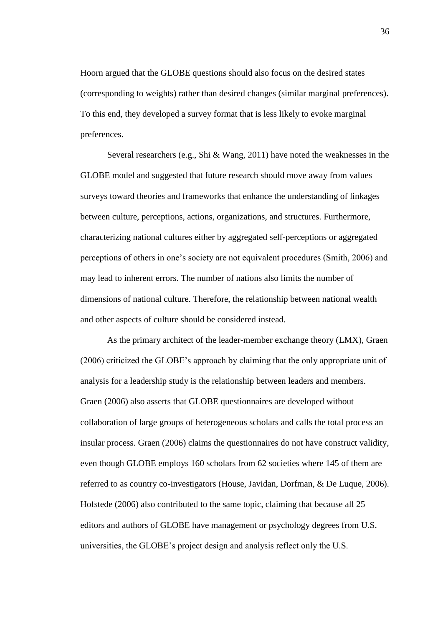Hoorn argued that the GLOBE questions should also focus on the desired states (corresponding to weights) rather than desired changes (similar marginal preferences). To this end, they developed a survey format that is less likely to evoke marginal preferences.

Several researchers (e.g., Shi & Wang, 2011) have noted the weaknesses in the GLOBE model and suggested that future research should move away from values surveys toward theories and frameworks that enhance the understanding of linkages between culture, perceptions, actions, organizations, and structures. Furthermore, characterizing national cultures either by aggregated self-perceptions or aggregated perceptions of others in one's society are not equivalent procedures (Smith, 2006) and may lead to inherent errors. The number of nations also limits the number of dimensions of national culture. Therefore, the relationship between national wealth and other aspects of culture should be considered instead.

As the primary architect of the leader-member exchange theory (LMX), Graen (2006) criticized the GLOBE's approach by claiming that the only appropriate unit of analysis for a leadership study is the relationship between leaders and members. Graen (2006) also asserts that GLOBE questionnaires are developed without collaboration of large groups of heterogeneous scholars and calls the total process an insular process. Graen (2006) claims the questionnaires do not have construct validity, even though GLOBE employs 160 scholars from 62 societies where 145 of them are referred to as country co-investigators (House, Javidan, Dorfman, & De Luque, 2006). Hofstede (2006) also contributed to the same topic, claiming that because all 25 editors and authors of GLOBE have management or psychology degrees from U.S. universities, the GLOBE's project design and analysis reflect only the U.S.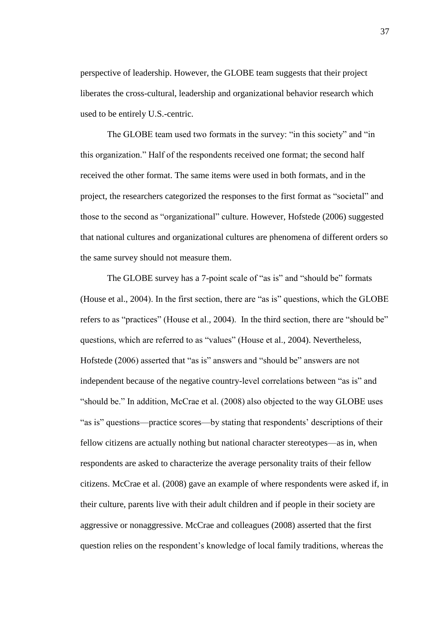perspective of leadership. However, the GLOBE team suggests that their project liberates the cross-cultural, leadership and organizational behavior research which used to be entirely U.S.-centric.

The GLOBE team used two formats in the survey: "in this society" and "in this organization." Half of the respondents received one format; the second half received the other format. The same items were used in both formats, and in the project, the researchers categorized the responses to the first format as "societal" and those to the second as "organizational" culture. However, Hofstede (2006) suggested that national cultures and organizational cultures are phenomena of different orders so the same survey should not measure them.

The GLOBE survey has a 7-point scale of "as is" and "should be" formats (House et al., 2004). In the first section, there are "as is" questions, which the GLOBE refers to as "practices" (House et al., 2004). In the third section, there are "should be" questions, which are referred to as "values" (House et al., 2004). Nevertheless, Hofstede (2006) asserted that "as is" answers and "should be" answers are not independent because of the negative country-level correlations between "as is" and "should be." In addition, McCrae et al. (2008) also objected to the way GLOBE uses "as is" questions—practice scores—by stating that respondents' descriptions of their fellow citizens are actually nothing but national character stereotypes—as in, when respondents are asked to characterize the average personality traits of their fellow citizens. McCrae et al. (2008) gave an example of where respondents were asked if, in their culture, parents live with their adult children and if people in their society are aggressive or nonaggressive. McCrae and colleagues (2008) asserted that the first question relies on the respondent's knowledge of local family traditions, whereas the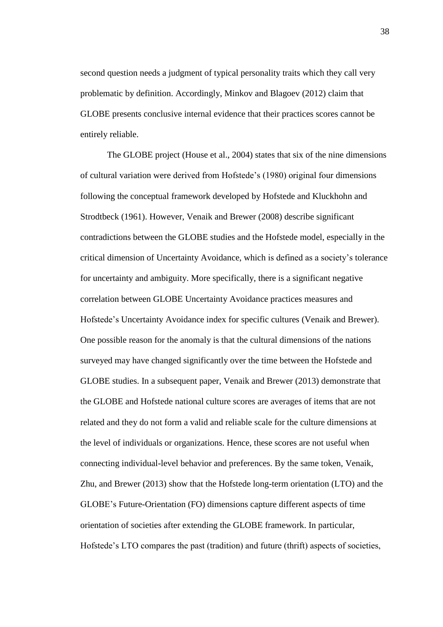second question needs a judgment of typical personality traits which they call very problematic by definition. Accordingly, Minkov and Blagoev (2012) claim that GLOBE presents conclusive internal evidence that their practices scores cannot be entirely reliable.

The GLOBE project (House et al., 2004) states that six of the nine dimensions of cultural variation were derived from Hofstede's (1980) original four dimensions following the conceptual framework developed by Hofstede and Kluckhohn and Strodtbeck (1961). However, Venaik and Brewer (2008) describe significant contradictions between the GLOBE studies and the Hofstede model, especially in the critical dimension of Uncertainty Avoidance, which is defined as a society's tolerance for uncertainty and ambiguity. More specifically, there is a significant negative correlation between GLOBE Uncertainty Avoidance practices measures and Hofstede's Uncertainty Avoidance index for specific cultures (Venaik and Brewer). One possible reason for the anomaly is that the cultural dimensions of the nations surveyed may have changed significantly over the time between the Hofstede and GLOBE studies. In a subsequent paper, Venaik and Brewer (2013) demonstrate that the GLOBE and Hofstede national culture scores are averages of items that are not related and they do not form a valid and reliable scale for the culture dimensions at the level of individuals or organizations. Hence, these scores are not useful when connecting individual-level behavior and preferences. By the same token, Venaik, Zhu, and Brewer (2013) show that the Hofstede long-term orientation (LTO) and the GLOBE's Future-Orientation (FO) dimensions capture different aspects of time orientation of societies after extending the GLOBE framework. In particular, Hofstede's LTO compares the past (tradition) and future (thrift) aspects of societies,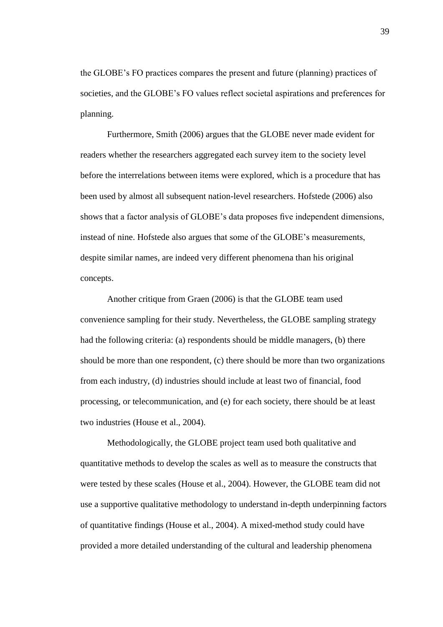the GLOBE's FO practices compares the present and future (planning) practices of societies, and the GLOBE's FO values reflect societal aspirations and preferences for planning.

Furthermore, Smith (2006) argues that the GLOBE never made evident for readers whether the researchers aggregated each survey item to the society level before the interrelations between items were explored, which is a procedure that has been used by almost all subsequent nation-level researchers. Hofstede (2006) also shows that a factor analysis of GLOBE's data proposes five independent dimensions, instead of nine. Hofstede also argues that some of the GLOBE's measurements, despite similar names, are indeed very different phenomena than his original concepts.

Another critique from Graen (2006) is that the GLOBE team used convenience sampling for their study. Nevertheless, the GLOBE sampling strategy had the following criteria: (a) respondents should be middle managers, (b) there should be more than one respondent, (c) there should be more than two organizations from each industry, (d) industries should include at least two of financial, food processing, or telecommunication, and (e) for each society, there should be at least two industries (House et al., 2004).

Methodologically, the GLOBE project team used both qualitative and quantitative methods to develop the scales as well as to measure the constructs that were tested by these scales (House et al., 2004). However, the GLOBE team did not use a supportive qualitative methodology to understand in-depth underpinning factors of quantitative findings (House et al., 2004). A mixed-method study could have provided a more detailed understanding of the cultural and leadership phenomena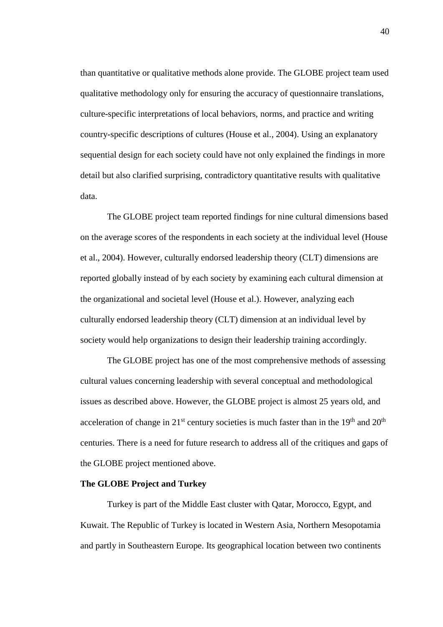than quantitative or qualitative methods alone provide. The GLOBE project team used qualitative methodology only for ensuring the accuracy of questionnaire translations, culture-specific interpretations of local behaviors, norms, and practice and writing country-specific descriptions of cultures (House et al., 2004). Using an explanatory sequential design for each society could have not only explained the findings in more detail but also clarified surprising, contradictory quantitative results with qualitative data.

The GLOBE project team reported findings for nine cultural dimensions based on the average scores of the respondents in each society at the individual level (House et al., 2004). However, culturally endorsed leadership theory (CLT) dimensions are reported globally instead of by each society by examining each cultural dimension at the organizational and societal level (House et al.). However, analyzing each culturally endorsed leadership theory (CLT) dimension at an individual level by society would help organizations to design their leadership training accordingly.

The GLOBE project has one of the most comprehensive methods of assessing cultural values concerning leadership with several conceptual and methodological issues as described above. However, the GLOBE project is almost 25 years old, and acceleration of change in  $21^{st}$  century societies is much faster than in the  $19^{th}$  and  $20^{th}$ centuries. There is a need for future research to address all of the critiques and gaps of the GLOBE project mentioned above.

## **The GLOBE Project and Turkey**

Turkey is part of the Middle East cluster with Qatar, Morocco, Egypt, and Kuwait. The Republic of Turkey is located in Western Asia, Northern Mesopotamia and partly in Southeastern Europe. Its geographical location between two continents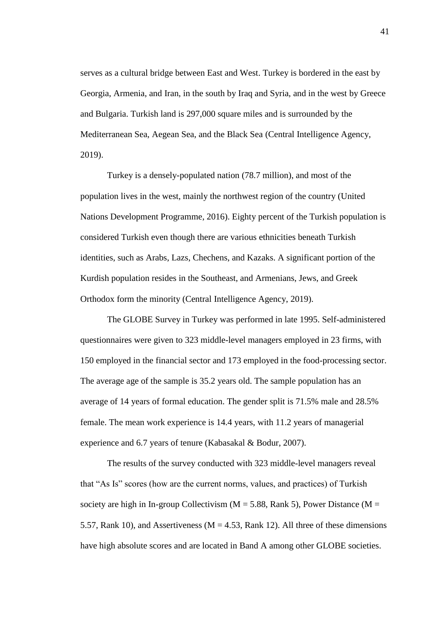serves as a cultural bridge between East and West. Turkey is bordered in the east by Georgia, Armenia, and Iran, in the south by Iraq and Syria, and in the west by Greece and Bulgaria. Turkish land is 297,000 square miles and is surrounded by the Mediterranean Sea, Aegean Sea, and the Black Sea (Central Intelligence Agency, 2019).

Turkey is a densely-populated nation (78.7 million), and most of the population lives in the west, mainly the northwest region of the country (United Nations Development Programme, 2016). Eighty percent of the Turkish population is considered Turkish even though there are various ethnicities beneath Turkish identities, such as Arabs, Lazs, Chechens, and Kazaks. A significant portion of the Kurdish population resides in the Southeast, and Armenians, Jews, and Greek Orthodox form the minority (Central Intelligence Agency, 2019).

The GLOBE Survey in Turkey was performed in late 1995. Self-administered questionnaires were given to 323 middle-level managers employed in 23 firms, with 150 employed in the financial sector and 173 employed in the food-processing sector. The average age of the sample is 35.2 years old. The sample population has an average of 14 years of formal education. The gender split is 71.5% male and 28.5% female. The mean work experience is 14.4 years, with 11.2 years of managerial experience and 6.7 years of tenure (Kabasakal & Bodur, 2007).

The results of the survey conducted with 323 middle-level managers reveal that "As Is" scores (how are the current norms, values, and practices) of Turkish society are high in In-group Collectivism ( $M = 5.88$ , Rank 5), Power Distance ( $M =$ 5.57, Rank 10), and Assertiveness ( $M = 4.53$ , Rank 12). All three of these dimensions have high absolute scores and are located in Band A among other GLOBE societies.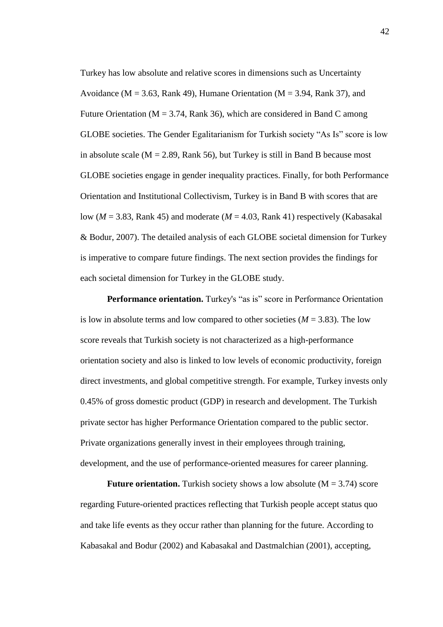Turkey has low absolute and relative scores in dimensions such as Uncertainty Avoidance ( $M = 3.63$ , Rank 49), Humane Orientation ( $M = 3.94$ , Rank 37), and Future Orientation ( $M = 3.74$ , Rank 36), which are considered in Band C among GLOBE societies. The Gender Egalitarianism for Turkish society "As Is" score is low in absolute scale ( $M = 2.89$ , Rank 56), but Turkey is still in Band B because most GLOBE societies engage in gender inequality practices. Finally, for both Performance Orientation and Institutional Collectivism, Turkey is in Band B with scores that are low (*M* = 3.83, Rank 45) and moderate (*M* = 4.03, Rank 41) respectively (Kabasakal & Bodur, 2007). The detailed analysis of each GLOBE societal dimension for Turkey is imperative to compare future findings. The next section provides the findings for each societal dimension for Turkey in the GLOBE study.

**Performance orientation.** Turkey's "as is" score in Performance Orientation is low in absolute terms and low compared to other societies  $(M = 3.83)$ . The low score reveals that Turkish society is not characterized as a high-performance orientation society and also is linked to low levels of economic productivity, foreign direct investments, and global competitive strength. For example, Turkey invests only 0.45% of gross domestic product (GDP) in research and development. The Turkish private sector has higher Performance Orientation compared to the public sector. Private organizations generally invest in their employees through training, development, and the use of performance-oriented measures for career planning.

**Future orientation.** Turkish society shows a low absolute  $(M = 3.74)$  score regarding Future-oriented practices reflecting that Turkish people accept status quo and take life events as they occur rather than planning for the future. According to Kabasakal and Bodur (2002) and Kabasakal and Dastmalchian (2001), accepting,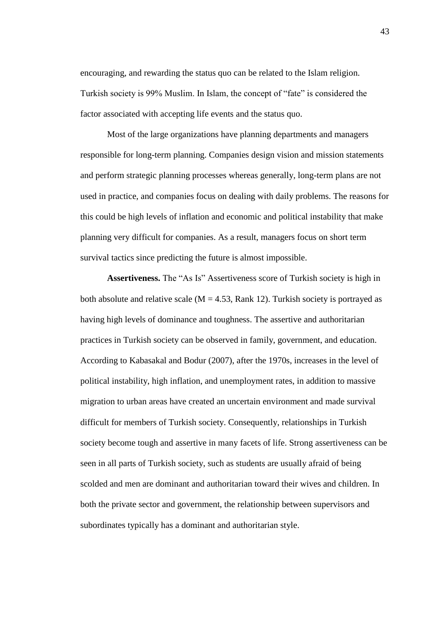encouraging, and rewarding the status quo can be related to the Islam religion. Turkish society is 99% Muslim. In Islam, the concept of "fate" is considered the factor associated with accepting life events and the status quo.

Most of the large organizations have planning departments and managers responsible for long-term planning. Companies design vision and mission statements and perform strategic planning processes whereas generally, long-term plans are not used in practice, and companies focus on dealing with daily problems. The reasons for this could be high levels of inflation and economic and political instability that make planning very difficult for companies. As a result, managers focus on short term survival tactics since predicting the future is almost impossible.

**Assertiveness.** The "As Is" Assertiveness score of Turkish society is high in both absolute and relative scale  $(M = 4.53, Rank 12)$ . Turkish society is portrayed as having high levels of dominance and toughness. The assertive and authoritarian practices in Turkish society can be observed in family, government, and education. According to Kabasakal and Bodur (2007), after the 1970s, increases in the level of political instability, high inflation, and unemployment rates, in addition to massive migration to urban areas have created an uncertain environment and made survival difficult for members of Turkish society. Consequently, relationships in Turkish society become tough and assertive in many facets of life. Strong assertiveness can be seen in all parts of Turkish society, such as students are usually afraid of being scolded and men are dominant and authoritarian toward their wives and children. In both the private sector and government, the relationship between supervisors and subordinates typically has a dominant and authoritarian style.

43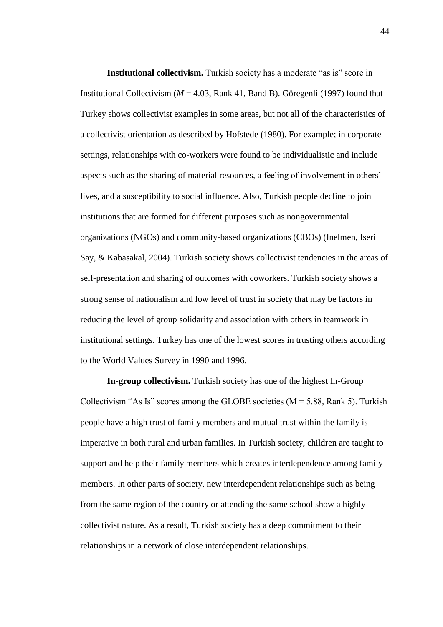**Institutional collectivism.** Turkish society has a moderate "as is" score in Institutional Collectivism (*M* = 4.03, Rank 41, Band B). Göregenli (1997) found that Turkey shows collectivist examples in some areas, but not all of the characteristics of a collectivist orientation as described by Hofstede (1980). For example; in corporate settings, relationships with co-workers were found to be individualistic and include aspects such as the sharing of material resources, a feeling of involvement in others' lives, and a susceptibility to social influence. Also, Turkish people decline to join institutions that are formed for different purposes such as nongovernmental organizations (NGOs) and community-based organizations (CBOs) (Inelmen, Iseri Say, & Kabasakal, 2004). Turkish society shows collectivist tendencies in the areas of self-presentation and sharing of outcomes with coworkers. Turkish society shows a strong sense of nationalism and low level of trust in society that may be factors in reducing the level of group solidarity and association with others in teamwork in institutional settings. Turkey has one of the lowest scores in trusting others according to the World Values Survey in 1990 and 1996.

**In-group collectivism.** Turkish society has one of the highest In-Group Collectivism "As Is" scores among the GLOBE societies ( $M = 5.88$ , Rank 5). Turkish people have a high trust of family members and mutual trust within the family is imperative in both rural and urban families. In Turkish society, children are taught to support and help their family members which creates interdependence among family members. In other parts of society, new interdependent relationships such as being from the same region of the country or attending the same school show a highly collectivist nature. As a result, Turkish society has a deep commitment to their relationships in a network of close interdependent relationships.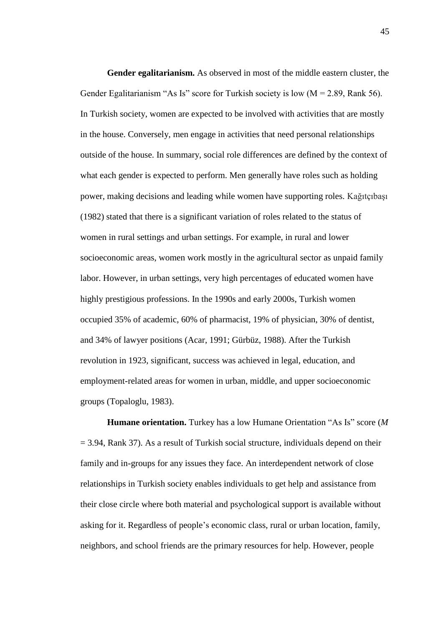**Gender egalitarianism.** As observed in most of the middle eastern cluster, the Gender Egalitarianism "As Is" score for Turkish society is low  $(M = 2.89, Rank 56)$ . In Turkish society, women are expected to be involved with activities that are mostly in the house. Conversely, men engage in activities that need personal relationships outside of the house. In summary, social role differences are defined by the context of what each gender is expected to perform. Men generally have roles such as holding power, making decisions and leading while women have supporting roles. Kağıtçıbaşı (1982) stated that there is a significant variation of roles related to the status of women in rural settings and urban settings. For example, in rural and lower socioeconomic areas, women work mostly in the agricultural sector as unpaid family labor. However, in urban settings, very high percentages of educated women have highly prestigious professions. In the 1990s and early 2000s, Turkish women occupied 35% of academic, 60% of pharmacist, 19% of physician, 30% of dentist, and 34% of lawyer positions (Acar, 1991; Gürbüz, 1988). After the Turkish revolution in 1923, significant, success was achieved in legal, education, and employment-related areas for women in urban, middle, and upper socioeconomic groups (Topaloglu, 1983).

**Humane orientation.** Turkey has a low Humane Orientation "As Is" score (*M*  $= 3.94$ , Rank 37). As a result of Turkish social structure, individuals depend on their family and in-groups for any issues they face. An interdependent network of close relationships in Turkish society enables individuals to get help and assistance from their close circle where both material and psychological support is available without asking for it. Regardless of people's economic class, rural or urban location, family, neighbors, and school friends are the primary resources for help. However, people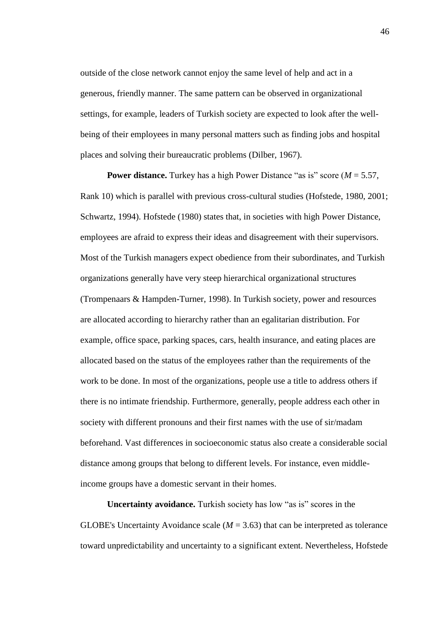outside of the close network cannot enjoy the same level of help and act in a generous, friendly manner. The same pattern can be observed in organizational settings, for example, leaders of Turkish society are expected to look after the wellbeing of their employees in many personal matters such as finding jobs and hospital places and solving their bureaucratic problems (Dilber, 1967).

**Power distance.** Turkey has a high Power Distance "as is" score (*M* = 5.57, Rank 10) which is parallel with previous cross-cultural studies (Hofstede, 1980, 2001; Schwartz, 1994). Hofstede (1980) states that, in societies with high Power Distance, employees are afraid to express their ideas and disagreement with their supervisors. Most of the Turkish managers expect obedience from their subordinates, and Turkish organizations generally have very steep hierarchical organizational structures (Trompenaars & Hampden-Turner, 1998). In Turkish society, power and resources are allocated according to hierarchy rather than an egalitarian distribution. For example, office space, parking spaces, cars, health insurance, and eating places are allocated based on the status of the employees rather than the requirements of the work to be done. In most of the organizations, people use a title to address others if there is no intimate friendship. Furthermore, generally, people address each other in society with different pronouns and their first names with the use of sir/madam beforehand. Vast differences in socioeconomic status also create a considerable social distance among groups that belong to different levels. For instance, even middleincome groups have a domestic servant in their homes.

**Uncertainty avoidance.** Turkish society has low "as is" scores in the GLOBE's Uncertainty Avoidance scale  $(M = 3.63)$  that can be interpreted as tolerance toward unpredictability and uncertainty to a significant extent. Nevertheless, Hofstede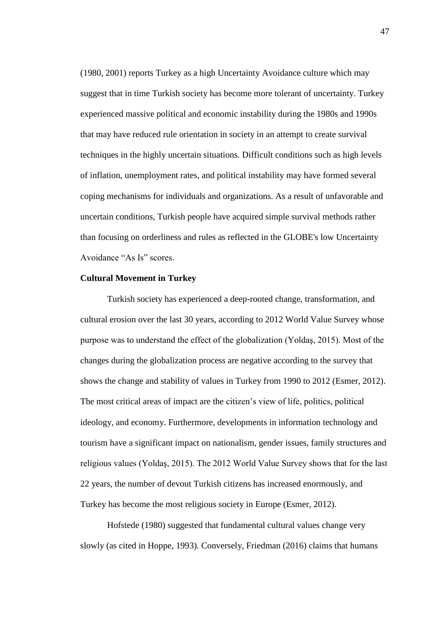(1980, 2001) reports Turkey as a high Uncertainty Avoidance culture which may suggest that in time Turkish society has become more tolerant of uncertainty. Turkey experienced massive political and economic instability during the 1980s and 1990s that may have reduced rule orientation in society in an attempt to create survival techniques in the highly uncertain situations. Difficult conditions such as high levels of inflation, unemployment rates, and political instability may have formed several coping mechanisms for individuals and organizations. As a result of unfavorable and uncertain conditions, Turkish people have acquired simple survival methods rather than focusing on orderliness and rules as reflected in the GLOBE's low Uncertainty Avoidance "As Is" scores.

### **Cultural Movement in Turkey**

Turkish society has experienced a deep-rooted change, transformation, and cultural erosion over the last 30 years, according to 2012 World Value Survey whose purpose was to understand the effect of the globalization (Yoldaş, 2015). Most of the changes during the globalization process are negative according to the survey that shows the change and stability of values in Turkey from 1990 to 2012 (Esmer, 2012). The most critical areas of impact are the citizen's view of life, politics, political ideology, and economy. Furthermore, developments in information technology and tourism have a significant impact on nationalism, gender issues, family structures and religious values (Yoldaş, 2015). The 2012 World Value Survey shows that for the last 22 years, the number of devout Turkish citizens has increased enormously, and Turkey has become the most religious society in Europe (Esmer, 2012).

Hofstede (1980) suggested that fundamental cultural values change very slowly (as cited in Hoppe, 1993). Conversely, Friedman (2016) claims that humans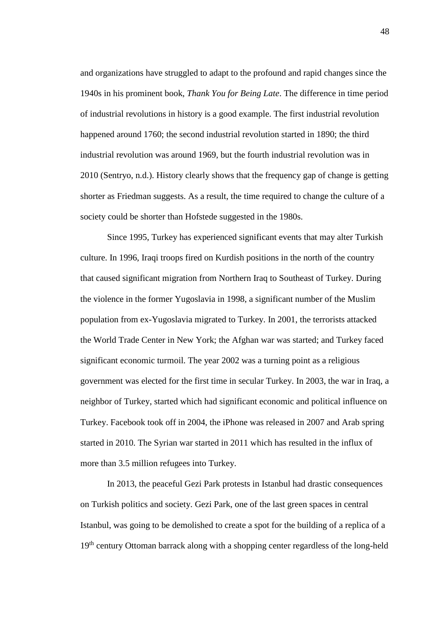and organizations have struggled to adapt to the profound and rapid changes since the 1940s in his prominent book, *Thank You for Being Late*. The difference in time period of industrial revolutions in history is a good example. The first industrial revolution happened around 1760; the second industrial revolution started in 1890; the third industrial revolution was around 1969, but the fourth industrial revolution was in 2010 (Sentryo, n.d.). History clearly shows that the frequency gap of change is getting shorter as Friedman suggests. As a result, the time required to change the culture of a society could be shorter than Hofstede suggested in the 1980s.

Since 1995, Turkey has experienced significant events that may alter Turkish culture. In 1996, Iraqi troops fired on Kurdish positions in the north of the country that caused significant migration from Northern Iraq to Southeast of Turkey. During the violence in the former Yugoslavia in 1998, a significant number of the Muslim population from ex-Yugoslavia migrated to Turkey. In 2001, the terrorists attacked the World Trade Center in New York; the Afghan war was started; and Turkey faced significant economic turmoil. The year 2002 was a turning point as a religious government was elected for the first time in secular Turkey. In 2003, the war in Iraq, a neighbor of Turkey, started which had significant economic and political influence on Turkey. Facebook took off in 2004, the iPhone was released in 2007 and Arab spring started in 2010. The Syrian war started in 2011 which has resulted in the influx of more than 3.5 million refugees into Turkey.

In 2013, the peaceful Gezi Park protests in Istanbul had drastic consequences on Turkish politics and society. Gezi Park, one of the last green spaces in central Istanbul, was going to be demolished to create a spot for the building of a replica of a 19<sup>th</sup> century Ottoman barrack along with a shopping center regardless of the long-held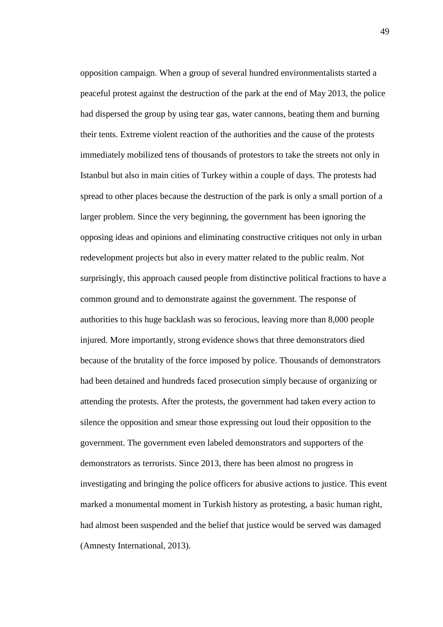opposition campaign. When a group of several hundred environmentalists started a peaceful protest against the destruction of the park at the end of May 2013, the police had dispersed the group by using tear gas, water cannons, beating them and burning their tents. Extreme violent reaction of the authorities and the cause of the protests immediately mobilized tens of thousands of protestors to take the streets not only in Istanbul but also in main cities of Turkey within a couple of days. The protests had spread to other places because the destruction of the park is only a small portion of a larger problem. Since the very beginning, the government has been ignoring the opposing ideas and opinions and eliminating constructive critiques not only in urban redevelopment projects but also in every matter related to the public realm. Not surprisingly, this approach caused people from distinctive political fractions to have a common ground and to demonstrate against the government. The response of authorities to this huge backlash was so ferocious, leaving more than 8,000 people injured. More importantly, strong evidence shows that three demonstrators died because of the brutality of the force imposed by police. Thousands of demonstrators had been detained and hundreds faced prosecution simply because of organizing or attending the protests. After the protests, the government had taken every action to silence the opposition and smear those expressing out loud their opposition to the government. The government even labeled demonstrators and supporters of the demonstrators as terrorists. Since 2013, there has been almost no progress in investigating and bringing the police officers for abusive actions to justice. This event marked a monumental moment in Turkish history as protesting, a basic human right, had almost been suspended and the belief that justice would be served was damaged (Amnesty International, 2013).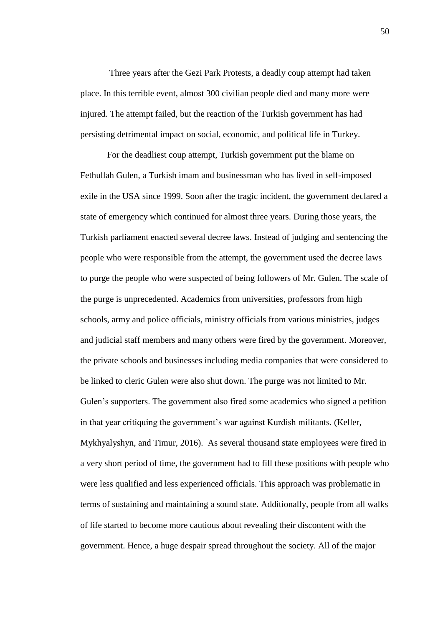Three years after the Gezi Park Protests, a deadly coup attempt had taken place. In this terrible event, almost 300 civilian people died and many more were injured. The attempt failed, but the reaction of the Turkish government has had persisting detrimental impact on social, economic, and political life in Turkey.

For the deadliest coup attempt, Turkish government put the blame on Fethullah Gulen, a Turkish imam and businessman who has lived in self-imposed exile in the USA since 1999. Soon after the tragic incident, the government declared a state of emergency which continued for almost three years. During those years, the Turkish parliament enacted several decree laws. Instead of judging and sentencing the people who were responsible from the attempt, the government used the decree laws to purge the people who were suspected of being followers of Mr. Gulen. The scale of the purge is unprecedented. Academics from universities, professors from high schools, army and police officials, ministry officials from various ministries, judges and judicial staff members and many others were fired by the government. Moreover, the private schools and businesses including media companies that were considered to be linked to cleric Gulen were also shut down. The purge was not limited to Mr. Gulen's supporters. The government also fired some academics who signed a petition in that year critiquing the government's war against Kurdish militants. (Keller, Mykhyalyshyn, and Timur, 2016). As several thousand state employees were fired in a very short period of time, the government had to fill these positions with people who were less qualified and less experienced officials. This approach was problematic in terms of sustaining and maintaining a sound state. Additionally, people from all walks of life started to become more cautious about revealing their discontent with the government. Hence, a huge despair spread throughout the society. All of the major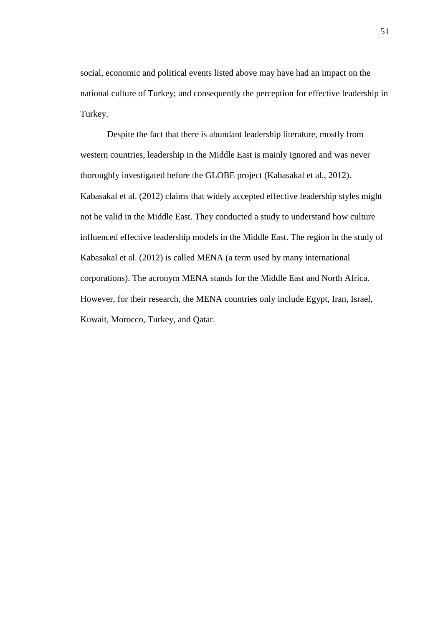social, economic and political events listed above may have had an impact on the national culture of Turkey; and consequently the perception for effective leadership in Turkey.

Despite the fact that there is abundant leadership literature, mostly from western countries, leadership in the Middle East is mainly ignored and was never thoroughly investigated before the GLOBE project (Kabasakal et al., 2012). Kabasakal et al. (2012) claims that widely accepted effective leadership styles might not be valid in the Middle East. They conducted a study to understand how culture influenced effective leadership models in the Middle East. The region in the study of Kabasakal et al. (2012) is called MENA (a term used by many international corporations). The acronym MENA stands for the Middle East and North Africa. However, for their research, the MENA countries only include Egypt, Iran, Israel, Kuwait, Morocco, Turkey, and Qatar.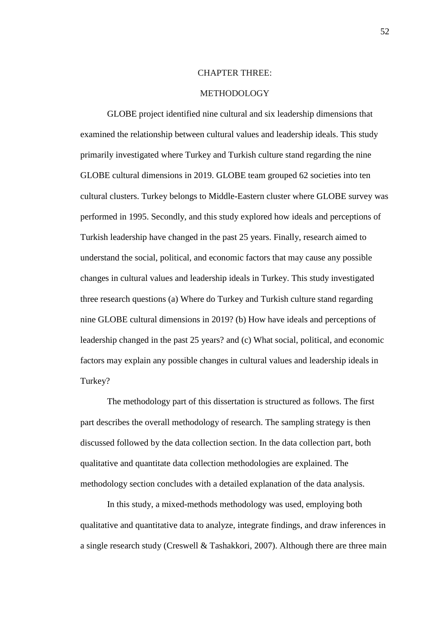## CHAPTER THREE:

### METHODOLOGY

GLOBE project identified nine cultural and six leadership dimensions that examined the relationship between cultural values and leadership ideals. This study primarily investigated where Turkey and Turkish culture stand regarding the nine GLOBE cultural dimensions in 2019. GLOBE team grouped 62 societies into ten cultural clusters. Turkey belongs to Middle-Eastern cluster where GLOBE survey was performed in 1995. Secondly, and this study explored how ideals and perceptions of Turkish leadership have changed in the past 25 years. Finally, research aimed to understand the social, political, and economic factors that may cause any possible changes in cultural values and leadership ideals in Turkey. This study investigated three research questions (a) Where do Turkey and Turkish culture stand regarding nine GLOBE cultural dimensions in 2019? (b) How have ideals and perceptions of leadership changed in the past 25 years? and (c) What social, political, and economic factors may explain any possible changes in cultural values and leadership ideals in Turkey?

The methodology part of this dissertation is structured as follows. The first part describes the overall methodology of research. The sampling strategy is then discussed followed by the data collection section. In the data collection part, both qualitative and quantitate data collection methodologies are explained. The methodology section concludes with a detailed explanation of the data analysis.

In this study, a mixed-methods methodology was used, employing both qualitative and quantitative data to analyze, integrate findings, and draw inferences in a single research study (Creswell & Tashakkori, 2007). Although there are three main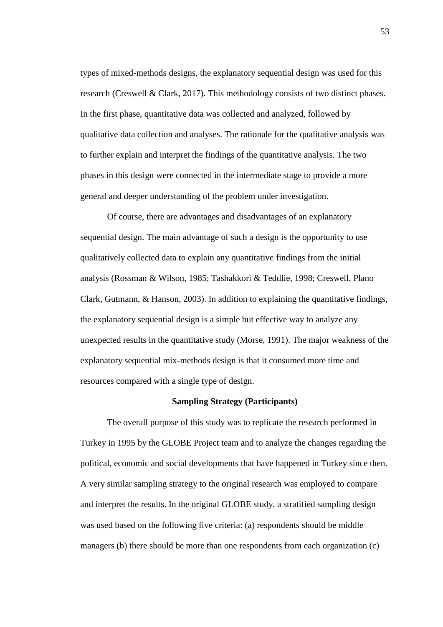types of mixed-methods designs, the explanatory sequential design was used for this research (Creswell & Clark, 2017). This methodology consists of two distinct phases. In the first phase, quantitative data was collected and analyzed, followed by qualitative data collection and analyses. The rationale for the qualitative analysis was to further explain and interpret the findings of the quantitative analysis. The two phases in this design were connected in the intermediate stage to provide a more general and deeper understanding of the problem under investigation.

Of course, there are advantages and disadvantages of an explanatory sequential design. The main advantage of such a design is the opportunity to use qualitatively collected data to explain any quantitative findings from the initial analysis (Rossman & Wilson, 1985; Tashakkori & Teddlie, 1998; Creswell, Plano Clark, Gutmann, & Hanson, 2003). In addition to explaining the quantitative findings, the explanatory sequential design is a simple but effective way to analyze any unexpected results in the quantitative study (Morse, 1991). The major weakness of the explanatory sequential mix-methods design is that it consumed more time and resources compared with a single type of design.

### **Sampling Strategy (Participants)**

The overall purpose of this study was to replicate the research performed in Turkey in 1995 by the GLOBE Project team and to analyze the changes regarding the political, economic and social developments that have happened in Turkey since then. A very similar sampling strategy to the original research was employed to compare and interpret the results. In the original GLOBE study, a stratified sampling design was used based on the following five criteria: (a) respondents should be middle managers (b) there should be more than one respondents from each organization (c)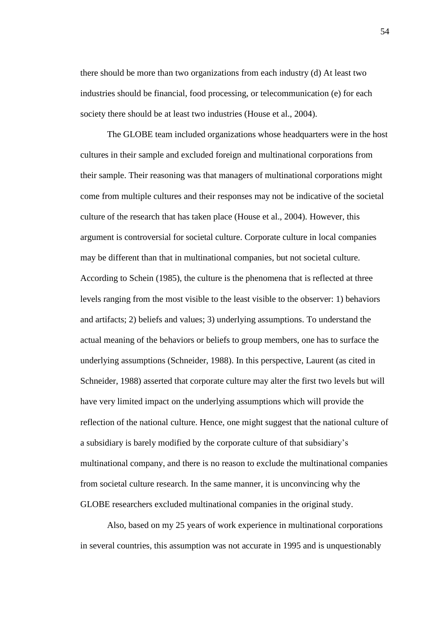there should be more than two organizations from each industry (d) At least two industries should be financial, food processing, or telecommunication (e) for each society there should be at least two industries (House et al., 2004).

The GLOBE team included organizations whose headquarters were in the host cultures in their sample and excluded foreign and multinational corporations from their sample. Their reasoning was that managers of multinational corporations might come from multiple cultures and their responses may not be indicative of the societal culture of the research that has taken place (House et al., 2004). However, this argument is controversial for societal culture. Corporate culture in local companies may be different than that in multinational companies, but not societal culture. According to Schein (1985), the culture is the phenomena that is reflected at three levels ranging from the most visible to the least visible to the observer: 1) behaviors and artifacts; 2) beliefs and values; 3) underlying assumptions. To understand the actual meaning of the behaviors or beliefs to group members, one has to surface the underlying assumptions (Schneider, 1988). In this perspective, Laurent (as cited in Schneider, 1988) asserted that corporate culture may alter the first two levels but will have very limited impact on the underlying assumptions which will provide the reflection of the national culture. Hence, one might suggest that the national culture of a subsidiary is barely modified by the corporate culture of that subsidiary's multinational company, and there is no reason to exclude the multinational companies from societal culture research. In the same manner, it is unconvincing why the GLOBE researchers excluded multinational companies in the original study.

Also, based on my 25 years of work experience in multinational corporations in several countries, this assumption was not accurate in 1995 and is unquestionably

54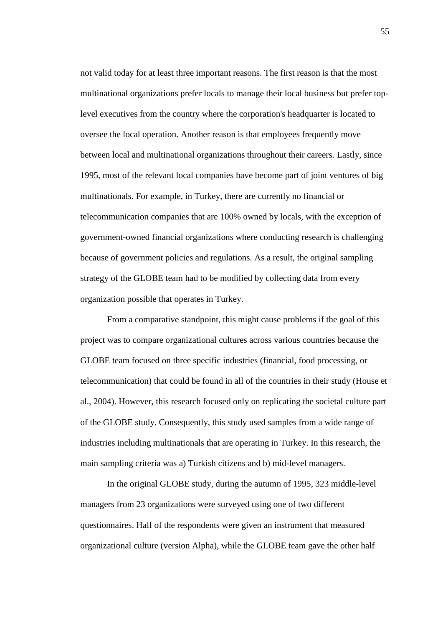not valid today for at least three important reasons. The first reason is that the most multinational organizations prefer locals to manage their local business but prefer toplevel executives from the country where the corporation's headquarter is located to oversee the local operation. Another reason is that employees frequently move between local and multinational organizations throughout their careers. Lastly, since 1995, most of the relevant local companies have become part of joint ventures of big multinationals. For example, in Turkey, there are currently no financial or telecommunication companies that are 100% owned by locals, with the exception of government-owned financial organizations where conducting research is challenging because of government policies and regulations. As a result, the original sampling strategy of the GLOBE team had to be modified by collecting data from every organization possible that operates in Turkey.

From a comparative standpoint, this might cause problems if the goal of this project was to compare organizational cultures across various countries because the GLOBE team focused on three specific industries (financial, food processing, or telecommunication) that could be found in all of the countries in their study (House et al., 2004). However, this research focused only on replicating the societal culture part of the GLOBE study. Consequently, this study used samples from a wide range of industries including multinationals that are operating in Turkey. In this research, the main sampling criteria was a) Turkish citizens and b) mid-level managers.

In the original GLOBE study, during the autumn of 1995, 323 middle-level managers from 23 organizations were surveyed using one of two different questionnaires. Half of the respondents were given an instrument that measured organizational culture (version Alpha), while the GLOBE team gave the other half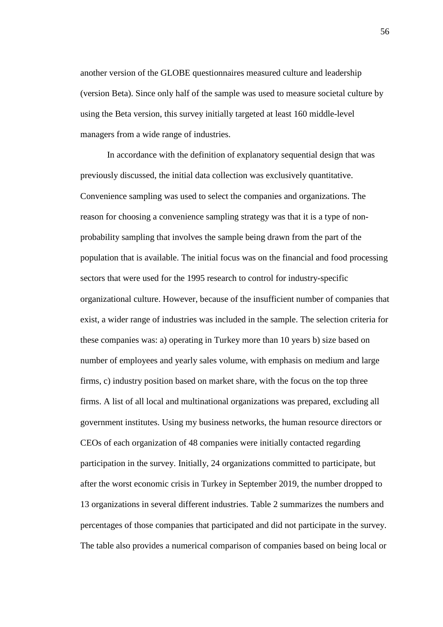another version of the GLOBE questionnaires measured culture and leadership (version Beta). Since only half of the sample was used to measure societal culture by using the Beta version, this survey initially targeted at least 160 middle-level managers from a wide range of industries.

In accordance with the definition of explanatory sequential design that was previously discussed, the initial data collection was exclusively quantitative. Convenience sampling was used to select the companies and organizations. The reason for choosing a convenience sampling strategy was that it is a type of nonprobability sampling that involves the sample being drawn from the part of the population that is available. The initial focus was on the financial and food processing sectors that were used for the 1995 research to control for industry-specific organizational culture. However, because of the insufficient number of companies that exist, a wider range of industries was included in the sample. The selection criteria for these companies was: a) operating in Turkey more than 10 years b) size based on number of employees and yearly sales volume, with emphasis on medium and large firms, c) industry position based on market share, with the focus on the top three firms. A list of all local and multinational organizations was prepared, excluding all government institutes. Using my business networks, the human resource directors or CEOs of each organization of 48 companies were initially contacted regarding participation in the survey. Initially, 24 organizations committed to participate, but after the worst economic crisis in Turkey in September 2019, the number dropped to 13 organizations in several different industries. Table 2 summarizes the numbers and percentages of those companies that participated and did not participate in the survey. The table also provides a numerical comparison of companies based on being local or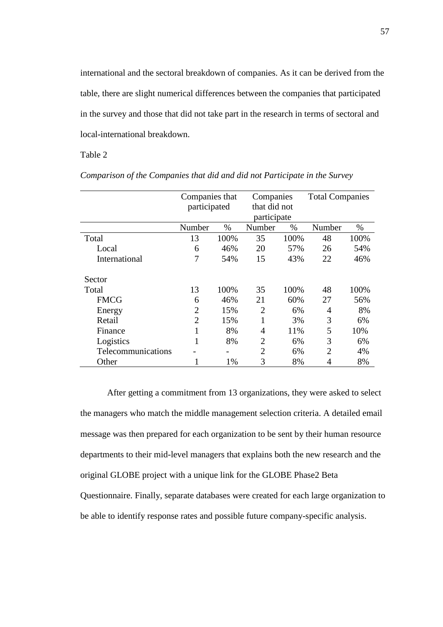international and the sectoral breakdown of companies. As it can be derived from the table, there are slight numerical differences between the companies that participated in the survey and those that did not take part in the research in terms of sectoral and local-international breakdown.

Table 2

|                    | Companies that |      | Companies      |              | <b>Total Companies</b>      |      |
|--------------------|----------------|------|----------------|--------------|-----------------------------|------|
|                    | participated   |      |                | that did not |                             |      |
|                    |                |      | participate    |              |                             |      |
|                    | Number         | $\%$ | Number         | $\%$         | Number                      | $\%$ |
| Total              | 13             | 100% | 35             | 100%         | 48                          | 100% |
| Local              | 6              | 46%  | 20             | 57%          | 26                          | 54%  |
| International      | 7              | 54%  | 15             | 43%          | 22                          | 46%  |
| Sector             |                |      |                |              |                             |      |
| Total              | 13             | 100% | 35             | 100%         | 48                          | 100% |
| <b>FMCG</b>        | 6              | 46%  | 21             | 60%          | 27                          | 56%  |
| Energy             | $\overline{2}$ | 15%  | $\overline{2}$ | 6%           | 4                           | 8%   |
| Retail             | $\overline{2}$ | 15%  | 1              | 3%           | 3                           | 6%   |
| Finance            | 1              | 8%   | 4              | 11%          | 5                           | 10%  |
| Logistics          | 1              | 8%   | $\overline{2}$ | 6%           | 3                           | 6%   |
| Telecommunications |                |      | $\mathfrak{D}$ | 6%           | $\mathcal{D}_{\mathcal{A}}$ | 4%   |
| Other              |                | 1%   | 3              | 8%           | 4                           | 8%   |

*Comparison of the Companies that did and did not Participate in the Survey*

After getting a commitment from 13 organizations, they were asked to select the managers who match the middle management selection criteria. A detailed email message was then prepared for each organization to be sent by their human resource departments to their mid-level managers that explains both the new research and the original GLOBE project with a unique link for the GLOBE Phase2 Beta Questionnaire. Finally, separate databases were created for each large organization to be able to identify response rates and possible future company-specific analysis.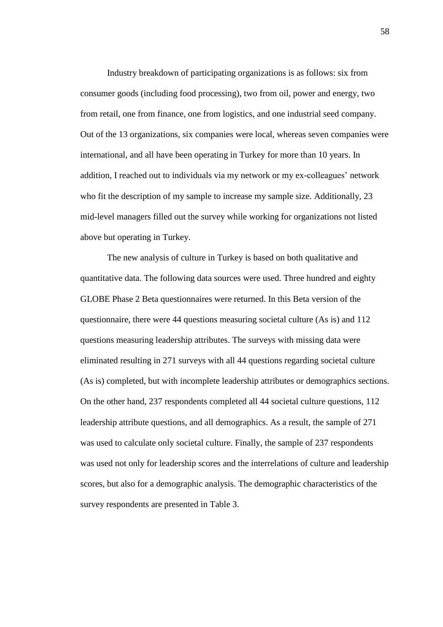Industry breakdown of participating organizations is as follows: six from consumer goods (including food processing), two from oil, power and energy, two from retail, one from finance, one from logistics, and one industrial seed company. Out of the 13 organizations, six companies were local, whereas seven companies were international, and all have been operating in Turkey for more than 10 years. In addition, I reached out to individuals via my network or my ex-colleagues' network who fit the description of my sample to increase my sample size. Additionally, 23 mid-level managers filled out the survey while working for organizations not listed above but operating in Turkey.

The new analysis of culture in Turkey is based on both qualitative and quantitative data. The following data sources were used. Three hundred and eighty GLOBE Phase 2 Beta questionnaires were returned. In this Beta version of the questionnaire, there were 44 questions measuring societal culture (As is) and 112 questions measuring leadership attributes. The surveys with missing data were eliminated resulting in 271 surveys with all 44 questions regarding societal culture (As is) completed, but with incomplete leadership attributes or demographics sections. On the other hand, 237 respondents completed all 44 societal culture questions, 112 leadership attribute questions, and all demographics. As a result, the sample of 271 was used to calculate only societal culture. Finally, the sample of 237 respondents was used not only for leadership scores and the interrelations of culture and leadership scores, but also for a demographic analysis. The demographic characteristics of the survey respondents are presented in Table 3.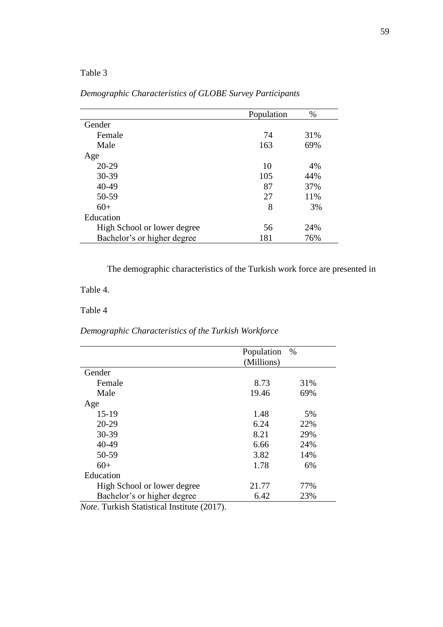### Table 3

|                             | Population | $\%$ |
|-----------------------------|------------|------|
| Gender                      |            |      |
| Female                      | 74         | 31%  |
| Male                        | 163        | 69%  |
| Age                         |            |      |
| 20-29                       | 10         | 4%   |
| 30-39                       | 105        | 44%  |
| 40-49                       | 87         | 37%  |
| 50-59                       | 27         | 11%  |
| $60+$                       | 8          | 3%   |
| Education                   |            |      |
| High School or lower degree | 56         | 24%  |
| Bachelor's or higher degree | 181        | 76%  |

### *Demographic Characteristics of GLOBE Survey Participants*

The demographic characteristics of the Turkish work force are presented in

### Table 4.

### Table 4

### *Demographic Characteristics of the Turkish Workforce*

|                             | Population | %   |
|-----------------------------|------------|-----|
|                             | (Millions) |     |
| Gender                      |            |     |
| Female                      | 8.73       | 31% |
| Male                        | 19.46      | 69% |
| Age                         |            |     |
| $15-19$                     | 1.48       | 5%  |
| 20-29                       | 6.24       | 22% |
| 30-39                       | 8.21       | 29% |
| 40-49                       | 6.66       | 24% |
| 50-59                       | 3.82       | 14% |
| $60+$                       | 1.78       | 6%  |
| Education                   |            |     |
| High School or lower degree | 21.77      | 77% |
| Bachelor's or higher degree | 6.42       | 23% |
|                             |            |     |

*Note*. Turkish Statistical Institute (2017).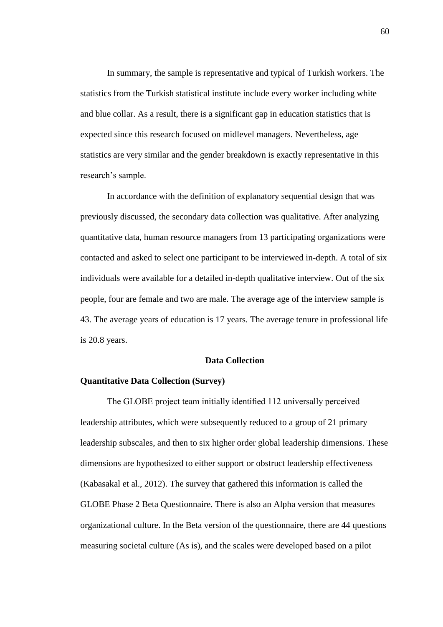In summary, the sample is representative and typical of Turkish workers. The statistics from the Turkish statistical institute include every worker including white and blue collar. As a result, there is a significant gap in education statistics that is expected since this research focused on midlevel managers. Nevertheless, age statistics are very similar and the gender breakdown is exactly representative in this research's sample.

In accordance with the definition of explanatory sequential design that was previously discussed, the secondary data collection was qualitative. After analyzing quantitative data, human resource managers from 13 participating organizations were contacted and asked to select one participant to be interviewed in-depth. A total of six individuals were available for a detailed in-depth qualitative interview. Out of the six people, four are female and two are male. The average age of the interview sample is 43. The average years of education is 17 years. The average tenure in professional life is 20.8 years.

#### **Data Collection**

#### **Quantitative Data Collection (Survey)**

The GLOBE project team initially identified 112 universally perceived leadership attributes, which were subsequently reduced to a group of 21 primary leadership subscales, and then to six higher order global leadership dimensions. These dimensions are hypothesized to either support or obstruct leadership effectiveness (Kabasakal et al., 2012). The survey that gathered this information is called the GLOBE Phase 2 Beta Questionnaire. There is also an Alpha version that measures organizational culture. In the Beta version of the questionnaire, there are 44 questions measuring societal culture (As is), and the scales were developed based on a pilot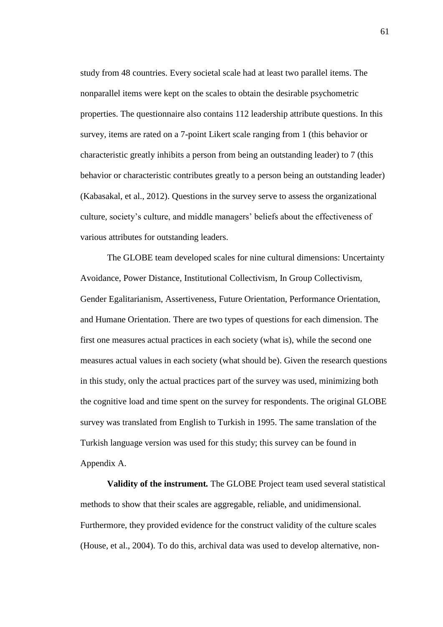study from 48 countries. Every societal scale had at least two parallel items. The nonparallel items were kept on the scales to obtain the desirable psychometric properties. The questionnaire also contains 112 leadership attribute questions. In this survey, items are rated on a 7-point Likert scale ranging from 1 (this behavior or characteristic greatly inhibits a person from being an outstanding leader) to 7 (this behavior or characteristic contributes greatly to a person being an outstanding leader) (Kabasakal, et al., 2012). Questions in the survey serve to assess the organizational culture, society's culture, and middle managers' beliefs about the effectiveness of various attributes for outstanding leaders.

The GLOBE team developed scales for nine cultural dimensions: Uncertainty Avoidance, Power Distance, Institutional Collectivism, In Group Collectivism, Gender Egalitarianism, Assertiveness, Future Orientation, Performance Orientation, and Humane Orientation. There are two types of questions for each dimension. The first one measures actual practices in each society (what is), while the second one measures actual values in each society (what should be). Given the research questions in this study, only the actual practices part of the survey was used, minimizing both the cognitive load and time spent on the survey for respondents. The original GLOBE survey was translated from English to Turkish in 1995. The same translation of the Turkish language version was used for this study; this survey can be found in Appendix A.

**Validity of the instrument***.* The GLOBE Project team used several statistical methods to show that their scales are aggregable, reliable, and unidimensional. Furthermore, they provided evidence for the construct validity of the culture scales (House, et al., 2004). To do this, archival data was used to develop alternative, non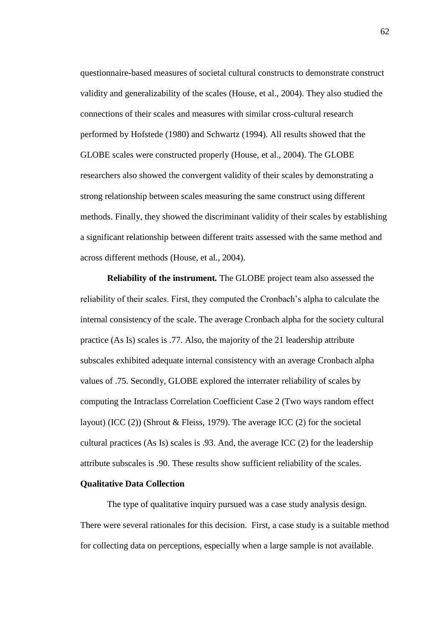questionnaire-based measures of societal cultural constructs to demonstrate construct validity and generalizability of the scales (House, et al., 2004). They also studied the connections of their scales and measures with similar cross-cultural research performed by Hofstede (1980) and Schwartz (1994). All results showed that the GLOBE scales were constructed properly (House, et al., 2004). The GLOBE researchers also showed the convergent validity of their scales by demonstrating a strong relationship between scales measuring the same construct using different methods. Finally, they showed the discriminant validity of their scales by establishing a significant relationship between different traits assessed with the same method and across different methods (House, et al., 2004).

**Reliability of the instrument***.* The GLOBE project team also assessed the reliability of their scales. First, they computed the Cronbach's alpha to calculate the internal consistency of the scale. The average Cronbach alpha for the society cultural practice (As Is) scales is .77. Also, the majority of the 21 leadership attribute subscales exhibited adequate internal consistency with an average Cronbach alpha values of .75. Secondly, GLOBE explored the interrater reliability of scales by computing the Intraclass Correlation Coefficient Case 2 (Two ways random effect layout) (ICC (2)) (Shrout & Fleiss, 1979). The average ICC (2) for the societal cultural practices (As Is) scales is .93. And, the average ICC (2) for the leadership attribute subscales is .90. These results show sufficient reliability of the scales.

### **Qualitative Data Collection**

The type of qualitative inquiry pursued was a case study analysis design. There were several rationales for this decision. First, a case study is a suitable method for collecting data on perceptions, especially when a large sample is not available.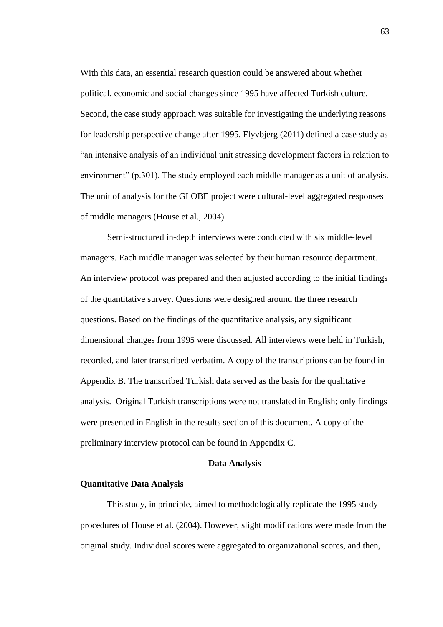With this data, an essential research question could be answered about whether political, economic and social changes since 1995 have affected Turkish culture. Second, the case study approach was suitable for investigating the underlying reasons for leadership perspective change after 1995. Flyvbjerg (2011) defined a case study as "an intensive analysis of an individual unit stressing development factors in relation to environment" (p.301). The study employed each middle manager as a unit of analysis. The unit of analysis for the GLOBE project were cultural-level aggregated responses of middle managers (House et al., 2004).

Semi-structured in-depth interviews were conducted with six middle-level managers. Each middle manager was selected by their human resource department. An interview protocol was prepared and then adjusted according to the initial findings of the quantitative survey. Questions were designed around the three research questions. Based on the findings of the quantitative analysis, any significant dimensional changes from 1995 were discussed. All interviews were held in Turkish, recorded, and later transcribed verbatim. A copy of the transcriptions can be found in Appendix B. The transcribed Turkish data served as the basis for the qualitative analysis. Original Turkish transcriptions were not translated in English; only findings were presented in English in the results section of this document. A copy of the preliminary interview protocol can be found in Appendix C.

#### **Data Analysis**

#### **Quantitative Data Analysis**

This study, in principle, aimed to methodologically replicate the 1995 study procedures of House et al. (2004). However, slight modifications were made from the original study. Individual scores were aggregated to organizational scores, and then,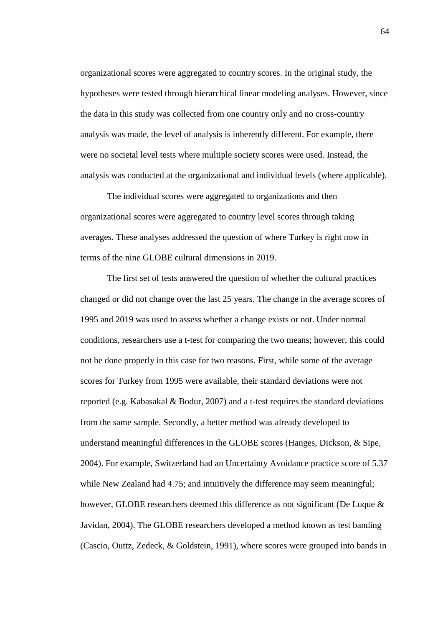organizational scores were aggregated to country scores. In the original study, the hypotheses were tested through hierarchical linear modeling analyses. However, since the data in this study was collected from one country only and no cross-country analysis was made, the level of analysis is inherently different. For example, there were no societal level tests where multiple society scores were used. Instead, the analysis was conducted at the organizational and individual levels (where applicable).

The individual scores were aggregated to organizations and then organizational scores were aggregated to country level scores through taking averages. These analyses addressed the question of where Turkey is right now in terms of the nine GLOBE cultural dimensions in 2019.

The first set of tests answered the question of whether the cultural practices changed or did not change over the last 25 years. The change in the average scores of 1995 and 2019 was used to assess whether a change exists or not. Under normal conditions, researchers use a t-test for comparing the two means; however, this could not be done properly in this case for two reasons. First, while some of the average scores for Turkey from 1995 were available, their standard deviations were not reported (e.g. Kabasakal & Bodur, 2007) and a t-test requires the standard deviations from the same sample. Secondly, a better method was already developed to understand meaningful differences in the GLOBE scores (Hanges, Dickson, & Sipe, 2004). For example, Switzerland had an Uncertainty Avoidance practice score of 5.37 while New Zealand had 4.75; and intuitively the difference may seem meaningful; however, GLOBE researchers deemed this difference as not significant (De Luque  $\&$ Javidan, 2004). The GLOBE researchers developed a method known as test banding (Cascio, Outtz, Zedeck, & Goldstein, 1991), where scores were grouped into bands in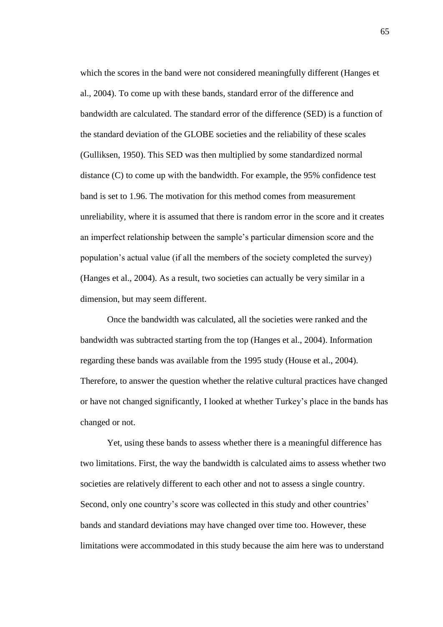which the scores in the band were not considered meaningfully different (Hanges et al., 2004). To come up with these bands, standard error of the difference and bandwidth are calculated. The standard error of the difference (SED) is a function of the standard deviation of the GLOBE societies and the reliability of these scales (Gulliksen, 1950). This SED was then multiplied by some standardized normal distance (C) to come up with the bandwidth. For example, the 95% confidence test band is set to 1.96. The motivation for this method comes from measurement unreliability, where it is assumed that there is random error in the score and it creates an imperfect relationship between the sample's particular dimension score and the population's actual value (if all the members of the society completed the survey) (Hanges et al., 2004). As a result, two societies can actually be very similar in a dimension, but may seem different.

Once the bandwidth was calculated, all the societies were ranked and the bandwidth was subtracted starting from the top (Hanges et al., 2004). Information regarding these bands was available from the 1995 study (House et al., 2004). Therefore, to answer the question whether the relative cultural practices have changed or have not changed significantly, I looked at whether Turkey's place in the bands has changed or not.

Yet, using these bands to assess whether there is a meaningful difference has two limitations. First, the way the bandwidth is calculated aims to assess whether two societies are relatively different to each other and not to assess a single country. Second, only one country's score was collected in this study and other countries' bands and standard deviations may have changed over time too. However, these limitations were accommodated in this study because the aim here was to understand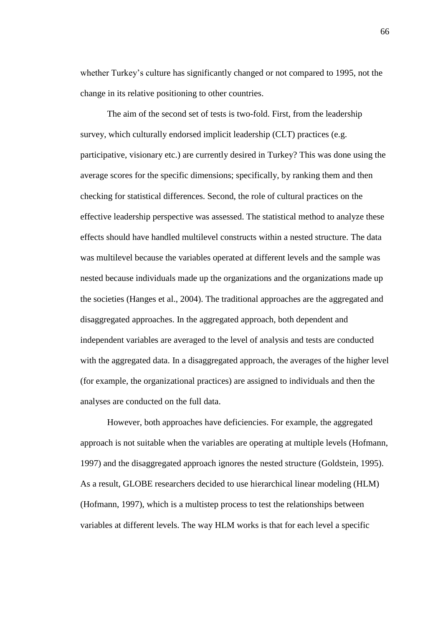whether Turkey's culture has significantly changed or not compared to 1995, not the change in its relative positioning to other countries.

The aim of the second set of tests is two-fold. First, from the leadership survey, which culturally endorsed implicit leadership (CLT) practices (e.g. participative, visionary etc.) are currently desired in Turkey? This was done using the average scores for the specific dimensions; specifically, by ranking them and then checking for statistical differences. Second, the role of cultural practices on the effective leadership perspective was assessed. The statistical method to analyze these effects should have handled multilevel constructs within a nested structure. The data was multilevel because the variables operated at different levels and the sample was nested because individuals made up the organizations and the organizations made up the societies (Hanges et al., 2004). The traditional approaches are the aggregated and disaggregated approaches. In the aggregated approach, both dependent and independent variables are averaged to the level of analysis and tests are conducted with the aggregated data. In a disaggregated approach, the averages of the higher level (for example, the organizational practices) are assigned to individuals and then the analyses are conducted on the full data.

However, both approaches have deficiencies. For example, the aggregated approach is not suitable when the variables are operating at multiple levels (Hofmann, 1997) and the disaggregated approach ignores the nested structure (Goldstein, 1995). As a result, GLOBE researchers decided to use hierarchical linear modeling (HLM) (Hofmann, 1997), which is a multistep process to test the relationships between variables at different levels. The way HLM works is that for each level a specific

66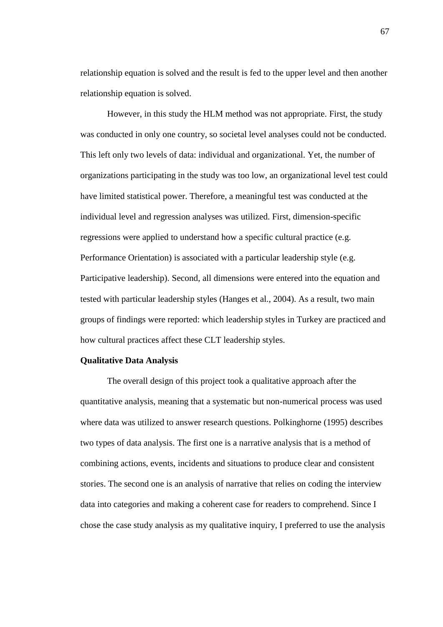relationship equation is solved and the result is fed to the upper level and then another relationship equation is solved.

However, in this study the HLM method was not appropriate. First, the study was conducted in only one country, so societal level analyses could not be conducted. This left only two levels of data: individual and organizational. Yet, the number of organizations participating in the study was too low, an organizational level test could have limited statistical power. Therefore, a meaningful test was conducted at the individual level and regression analyses was utilized. First, dimension-specific regressions were applied to understand how a specific cultural practice (e.g. Performance Orientation) is associated with a particular leadership style (e.g. Participative leadership). Second, all dimensions were entered into the equation and tested with particular leadership styles (Hanges et al., 2004). As a result, two main groups of findings were reported: which leadership styles in Turkey are practiced and how cultural practices affect these CLT leadership styles.

#### **Qualitative Data Analysis**

The overall design of this project took a qualitative approach after the quantitative analysis, meaning that a systematic but non-numerical process was used where data was utilized to answer research questions. Polkinghorne (1995) describes two types of data analysis. The first one is a narrative analysis that is a method of combining actions, events, incidents and situations to produce clear and consistent stories. The second one is an analysis of narrative that relies on coding the interview data into categories and making a coherent case for readers to comprehend. Since I chose the case study analysis as my qualitative inquiry, I preferred to use the analysis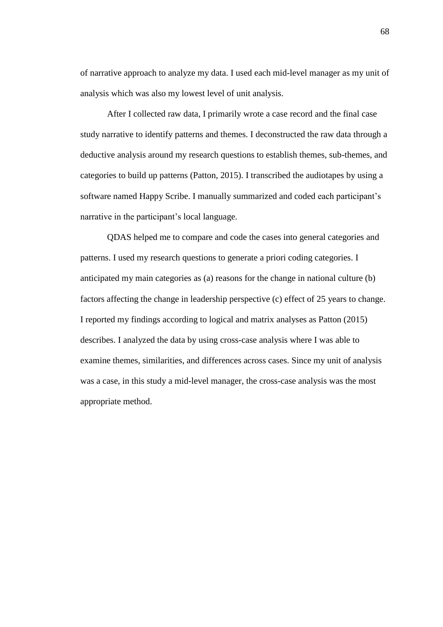of narrative approach to analyze my data. I used each mid-level manager as my unit of analysis which was also my lowest level of unit analysis.

After I collected raw data, I primarily wrote a case record and the final case study narrative to identify patterns and themes. I deconstructed the raw data through a deductive analysis around my research questions to establish themes, sub-themes, and categories to build up patterns (Patton, 2015). I transcribed the audiotapes by using a software named Happy Scribe. I manually summarized and coded each participant's narrative in the participant's local language.

QDAS helped me to compare and code the cases into general categories and patterns. I used my research questions to generate a priori coding categories. I anticipated my main categories as (a) reasons for the change in national culture (b) factors affecting the change in leadership perspective (c) effect of 25 years to change. I reported my findings according to logical and matrix analyses as Patton (2015) describes. I analyzed the data by using cross-case analysis where I was able to examine themes, similarities, and differences across cases. Since my unit of analysis was a case, in this study a mid-level manager, the cross-case analysis was the most appropriate method.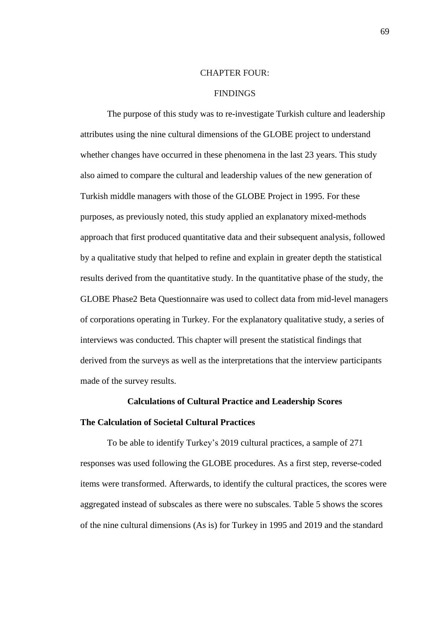#### CHAPTER FOUR:

### **FINDINGS**

The purpose of this study was to re-investigate Turkish culture and leadership attributes using the nine cultural dimensions of the GLOBE project to understand whether changes have occurred in these phenomena in the last 23 years. This study also aimed to compare the cultural and leadership values of the new generation of Turkish middle managers with those of the GLOBE Project in 1995. For these purposes, as previously noted, this study applied an explanatory mixed-methods approach that first produced quantitative data and their subsequent analysis, followed by a qualitative study that helped to refine and explain in greater depth the statistical results derived from the quantitative study. In the quantitative phase of the study, the GLOBE Phase2 Beta Questionnaire was used to collect data from mid-level managers of corporations operating in Turkey. For the explanatory qualitative study, a series of interviews was conducted. This chapter will present the statistical findings that derived from the surveys as well as the interpretations that the interview participants made of the survey results.

### **Calculations of Cultural Practice and Leadership Scores**

### **The Calculation of Societal Cultural Practices**

To be able to identify Turkey's 2019 cultural practices, a sample of 271 responses was used following the GLOBE procedures. As a first step, reverse-coded items were transformed. Afterwards, to identify the cultural practices, the scores were aggregated instead of subscales as there were no subscales. Table 5 shows the scores of the nine cultural dimensions (As is) for Turkey in 1995 and 2019 and the standard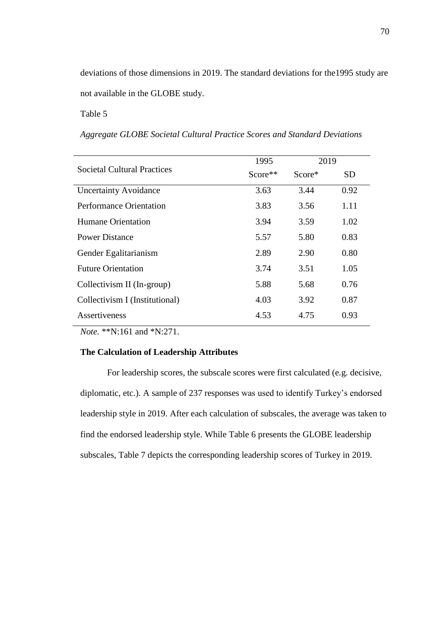deviations of those dimensions in 2019. The standard deviations for the1995 study are not available in the GLOBE study.

Table 5

*Aggregate GLOBE Societal Cultural Practice Scores and Standard Deviations*

|                                    | 1995    | 2019      |           |
|------------------------------------|---------|-----------|-----------|
| <b>Societal Cultural Practices</b> | Score** | $Score^*$ | <b>SD</b> |
| <b>Uncertainty Avoidance</b>       | 3.63    | 3.44      | 0.92      |
| <b>Performance Orientation</b>     | 3.83    | 3.56      | 1.11      |
| Humane Orientation                 | 3.94    | 3.59      | 1.02      |
| Power Distance                     | 5.57    | 5.80      | 0.83      |
| Gender Egalitarianism              | 2.89    | 2.90      | 0.80      |
| <b>Future Orientation</b>          | 3.74    | 3.51      | 1.05      |
| Collectivism II (In-group)         | 5.88    | 5.68      | 0.76      |
| Collectivism I (Institutional)     | 4.03    | 3.92      | 0.87      |
| Assertiveness                      | 4.53    | 4.75      | 0.93      |

*Note.* \*\*N:161 and \*N:271.

#### **The Calculation of Leadership Attributes**

For leadership scores, the subscale scores were first calculated (e.g. decisive, diplomatic, etc.). A sample of 237 responses was used to identify Turkey's endorsed leadership style in 2019. After each calculation of subscales, the average was taken to find the endorsed leadership style. While Table 6 presents the GLOBE leadership subscales, Table 7 depicts the corresponding leadership scores of Turkey in 2019.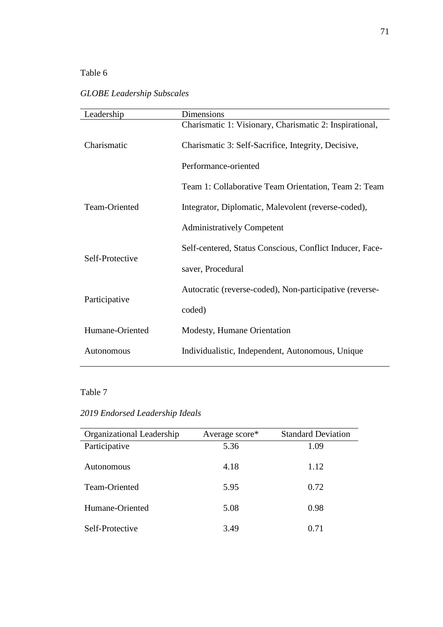### Table 6

### *GLOBE Leadership Subscales*

| Leadership      | Dimensions                                               |  |  |  |  |
|-----------------|----------------------------------------------------------|--|--|--|--|
|                 | Charismatic 1: Visionary, Charismatic 2: Inspirational,  |  |  |  |  |
| Charismatic     | Charismatic 3: Self-Sacrifice, Integrity, Decisive,      |  |  |  |  |
|                 | Performance-oriented                                     |  |  |  |  |
|                 | Team 1: Collaborative Team Orientation, Team 2: Team     |  |  |  |  |
| Team-Oriented   | Integrator, Diplomatic, Malevolent (reverse-coded),      |  |  |  |  |
|                 | <b>Administratively Competent</b>                        |  |  |  |  |
| Self-Protective | Self-centered, Status Conscious, Conflict Inducer, Face- |  |  |  |  |
|                 | saver, Procedural                                        |  |  |  |  |
|                 | Autocratic (reverse-coded), Non-participative (reverse-  |  |  |  |  |
| Participative   | coded)                                                   |  |  |  |  |
| Humane-Oriented | Modesty, Humane Orientation                              |  |  |  |  |
| Autonomous      | Individualistic, Independent, Autonomous, Unique         |  |  |  |  |

### Table 7

## *2019 Endorsed Leadership Ideals*

| Organizational Leadership | Average score* | <b>Standard Deviation</b> |
|---------------------------|----------------|---------------------------|
| Participative             | 5.36           | 1.09                      |
| Autonomous                | 4.18           | 1.12                      |
| Team-Oriented             | 5.95           | 0.72                      |
| Humane-Oriented           | 5.08           | 0.98                      |
| Self-Protective           | 3.49           | 0.71                      |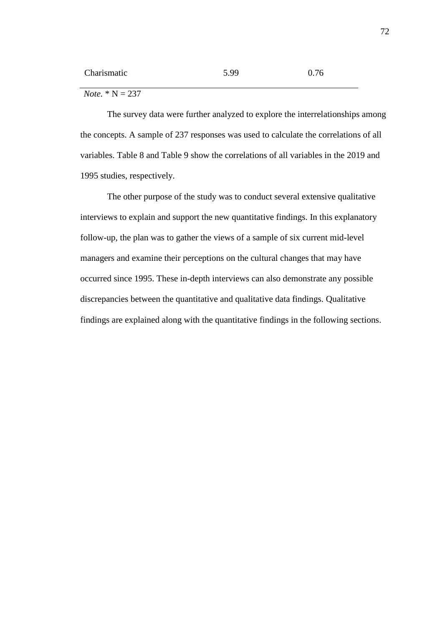| Charismatic | 5.99 | 0.76 |
|-------------|------|------|
|             |      |      |

*Note.* \* N = 237

The survey data were further analyzed to explore the interrelationships among the concepts. A sample of 237 responses was used to calculate the correlations of all variables. Table 8 and Table 9 show the correlations of all variables in the 2019 and 1995 studies, respectively.

The other purpose of the study was to conduct several extensive qualitative interviews to explain and support the new quantitative findings. In this explanatory follow-up, the plan was to gather the views of a sample of six current mid-level managers and examine their perceptions on the cultural changes that may have occurred since 1995. These in-depth interviews can also demonstrate any possible discrepancies between the quantitative and qualitative data findings. Qualitative findings are explained along with the quantitative findings in the following sections.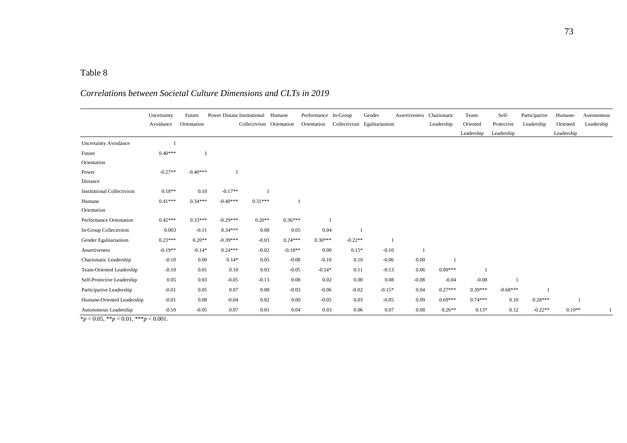### Table 8

# *Correlations between Societal Culture Dimensions and CLTs in 2019*

|                                   | Uncertainty | Future      | Power Distanc Institutional Humane |           |                          | Performance In-Group |           | Gender                      | Assertiveness Charismatic |            | Team-      | Self-      | Participative | Humane-    | Autonomous |
|-----------------------------------|-------------|-------------|------------------------------------|-----------|--------------------------|----------------------|-----------|-----------------------------|---------------------------|------------|------------|------------|---------------|------------|------------|
|                                   | Avoidance   | Orientation |                                    |           | Collectivism Orientation | Orientation          |           | Collectivism Egalitarianism |                           | Leadership | Oriented   | Protective | Leadership    | Oriented   | Leadership |
|                                   |             |             |                                    |           |                          |                      |           |                             |                           |            | Leadership | Leadership |               | Leadership |            |
| <b>Uncertainty Avoidance</b>      |             |             |                                    |           |                          |                      |           |                             |                           |            |            |            |               |            |            |
| Future                            | $0.40***$   |             |                                    |           |                          |                      |           |                             |                           |            |            |            |               |            |            |
| Orientation                       |             |             |                                    |           |                          |                      |           |                             |                           |            |            |            |               |            |            |
| Power                             | $-0.27**$   | $-0.40***$  |                                    |           |                          |                      |           |                             |                           |            |            |            |               |            |            |
| Distance                          |             |             |                                    |           |                          |                      |           |                             |                           |            |            |            |               |            |            |
| <b>Institutional Collectivism</b> | $0.18**$    | 0.10        | $-0.17**$                          |           |                          |                      |           |                             |                           |            |            |            |               |            |            |
| Humane                            | $0.41***$   | $0.34***$   | $-0.40***$                         | $0.31***$ |                          |                      |           |                             |                           |            |            |            |               |            |            |
| Orientation                       |             |             |                                    |           |                          |                      |           |                             |                           |            |            |            |               |            |            |
| Performance Orientation           | $0.42***$   | $0.33***$   | $-0.29***$                         | $0.20**$  | $0.36***$                |                      |           |                             |                           |            |            |            |               |            |            |
| In-Group Collectivism             | 0.003       | $-0.11$     | $0.34***$                          | 0.08      | 0.05                     | 0.04                 |           |                             |                           |            |            |            |               |            |            |
| Gender Egalitarianism             | $0.23***$   | $0.20**$    | $-0.39***$                         | $-0.03$   | $0.24***$                | $0.30***$            | $-0.22**$ |                             |                           |            |            |            |               |            |            |
| Assertiveness                     | $-0.19**$   | $-0.14*$    | $0.24***$                          | $-0.02$   | $-0.18**$                | 0.00                 | $0.15*$   | $-0.10$                     |                           |            |            |            |               |            |            |
| Charismatic Leadership            | $-0.10$     | 0.00        | $0.14*$                            | 0.05      | $-0.08$                  | $-0.10$              | 0.10      | $-0.06$                     | 0.00                      |            |            |            |               |            |            |
| Team-Oriented Leadership          | $-0.10$     | 0.01        | 0.10                               | 0.03      | $-0.05$                  | $-0.14*$             | 0.11      | $-0.13$                     | 0.06                      | $0.89***$  |            |            |               |            |            |
| Self-Protective Leadership        | 0.05        | 0.03        | $-0.05$                            | $-0.13$   | 0.08                     | 0.02                 | 0.00      | 0.08                        | $-0.08$                   | $-0.04$    | $-0.08$    |            |               |            |            |
| Participative Leadership          | $-0.01$     | 0.05        | 0.07                               | 0.08      | $-0.03$                  | $-0.06$              | $-0.02$   | $-0.15*$                    | 0.04                      | $0.27***$  | $0.39***$  | $-0.68***$ |               |            |            |
| Humane-Oriented Leadership        | $-0.01$     | 0.08        | $-0.04$                            | 0.02      | 0.00                     | $-0.05$              | 0.03      | $-0.05$                     | 0.09                      | $0.69***$  | $0.74***$  | 0.10       | $0.28***$     |            |            |
| Autonomous Leadership             | $-0.10$     | $-0.05$     | 0.07                               | 0.01      | 0.04                     | 0.03                 | 0.06      | 0.07                        | 0.08                      | $0.26**$   | $0.13*$    | 0.12       | $-0.22**$     | $0.19**$   |            |

\**p* < 0.05, \*\**p* < 0.01, \*\*\**p* < 0.001.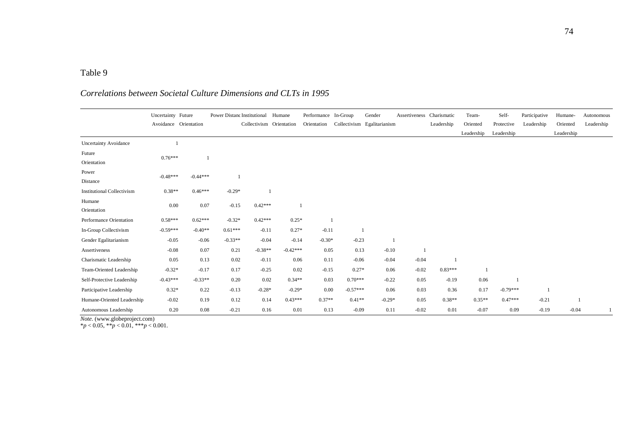#### Table 9

#### Uncertainty Future Avoidance Orientation Power Distanc Institutional Humane Collectivism Orientation Performance In-Group Orientation Collectivism Egalitarianism Gender Assertiveness Charismatic Leadership Team-Oriented Leadership Self-Protective Leadership Participative Leadership Humane-Oriented Leadership Autonomous Leadership Uncertainty Avoidance 1 Future **Orientation** 0.76\*\*\* 1 Power Distance -0.48\*\*\* -0.44\*\*\* 1 Institutional Collectivism 0.38\*\* 0.46\*\*\* -0.29\* 1 Humane Orientation 0.00 0.07 -0.15 0.42\*\*\* 1 Performance Orientation 0.58\*\*\* 0.62\*\*\* -0.32\* 0.42\*\*\* 0.25\* 1 In-Group Collectivism  $-0.59***$   $-0.40**$   $0.61***$   $-0.11$   $0.27*$   $-0.11$  1 Gender Egalitarianism -0.05 -0.06 -0.33<sup>\*\*</sup> -0.04 -0.14 -0.30<sup>\*</sup> -0.23 1 Assertiveness -0.08 0.07 0.21 -0.38<sup>\*\*</sup> -0.42<sup>\*\*\*</sup> 0.05 0.13 -0.10 1 Charismatic Leadership 0.05 0.13 0.02 -0.11 0.06 0.11 -0.06 -0.04 -0.04 1 Team-Oriented Leadership  $-0.32^*$   $-0.17$   $0.17$   $-0.25$   $0.02$   $-0.15$   $0.27^*$   $0.06$   $-0.02$   $0.83^{***}$  1 Self-Protective Leadership  $-0.43^{***}$   $-0.33^{**}$   $0.20$   $0.02$   $0.34^{**}$   $0.03$   $0.70^{***}$   $-0.22$   $0.05$   $-0.19$   $0.06$  1 Participative Leadership 0.32\* 0.22 -0.13 -0.28\* -0.29\* 0.00 -0.57\*\*\* 0.06 0.03 0.36 0.17 -0.79\*\*\* 1 Humane-Oriented Leadership  $-0.02$   $0.19$   $0.12$   $0.14$   $0.43***$   $0.37**$   $0.41**$   $-0.29*$   $0.05$   $0.38**$   $0.35***$   $0.47***$   $-0.21$  1 Autonomous Leadership 0.20 0.08 -0.21 0.16 0.01 0.13 -0.09 0.11 -0.02 0.01 -0.07 0.09 -0.19 -0.04 1

### *Correlations between Societal Culture Dimensions and CLTs in 1995*

*Note.* (www.globeproject.com)

 $*_{p}$  < 0.05, \*\**p* < 0.01, \*\*\**p* < 0.001.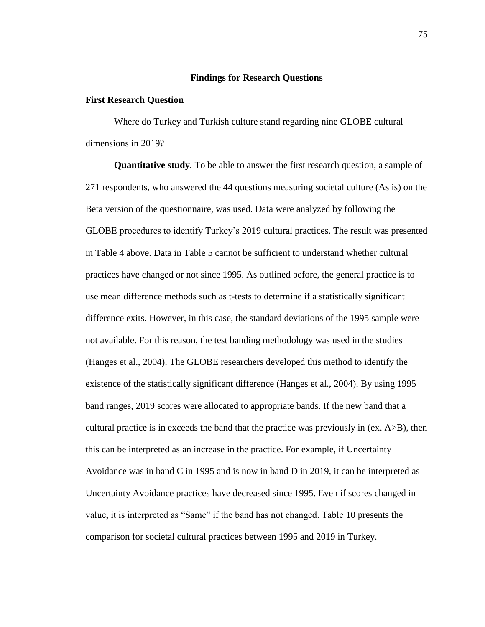#### **Findings for Research Questions**

#### **First Research Question**

Where do Turkey and Turkish culture stand regarding nine GLOBE cultural dimensions in 2019?

**Quantitative study***.* To be able to answer the first research question, a sample of 271 respondents, who answered the 44 questions measuring societal culture (As is) on the Beta version of the questionnaire, was used. Data were analyzed by following the GLOBE procedures to identify Turkey's 2019 cultural practices. The result was presented in Table 4 above. Data in Table 5 cannot be sufficient to understand whether cultural practices have changed or not since 1995. As outlined before, the general practice is to use mean difference methods such as t-tests to determine if a statistically significant difference exits. However, in this case, the standard deviations of the 1995 sample were not available. For this reason, the test banding methodology was used in the studies (Hanges et al., 2004). The GLOBE researchers developed this method to identify the existence of the statistically significant difference (Hanges et al., 2004). By using 1995 band ranges, 2019 scores were allocated to appropriate bands. If the new band that a cultural practice is in exceeds the band that the practice was previously in (ex. A>B), then this can be interpreted as an increase in the practice. For example, if Uncertainty Avoidance was in band C in 1995 and is now in band D in 2019, it can be interpreted as Uncertainty Avoidance practices have decreased since 1995. Even if scores changed in value, it is interpreted as "Same" if the band has not changed. Table 10 presents the comparison for societal cultural practices between 1995 and 2019 in Turkey.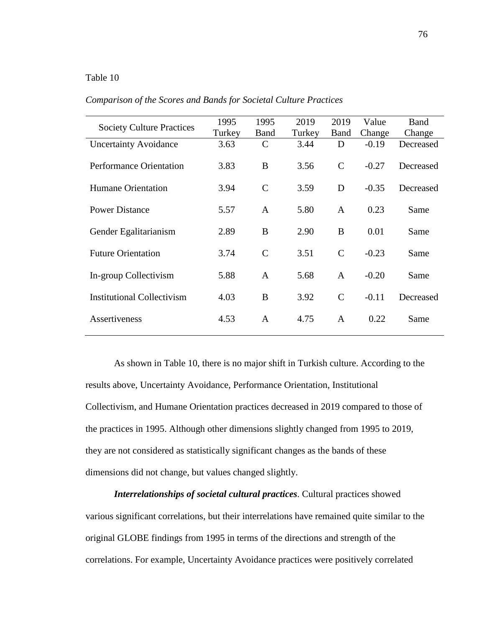### Table 10

| <b>Society Culture Practices</b>  | 1995           | 1995                 | 2019           | 2019          | Value             | Band                |
|-----------------------------------|----------------|----------------------|----------------|---------------|-------------------|---------------------|
| <b>Uncertainty Avoidance</b>      | Turkey<br>3.63 | Band<br>$\mathsf{C}$ | Turkey<br>3.44 | Band<br>D     | Change<br>$-0.19$ | Change<br>Decreased |
| <b>Performance Orientation</b>    | 3.83           | B                    | 3.56           | $\mathsf{C}$  | $-0.27$           | Decreased           |
| <b>Humane Orientation</b>         | 3.94           | $\mathsf{C}$         | 3.59           | D             | $-0.35$           | Decreased           |
| <b>Power Distance</b>             | 5.57           | $\mathbf{A}$         | 5.80           | $\mathbf{A}$  | 0.23              | Same                |
| Gender Egalitarianism             | 2.89           | B                    | 2.90           | B             | 0.01              | Same                |
| <b>Future Orientation</b>         | 3.74           | $\mathcal{C}$        | 3.51           | $\mathcal{C}$ | $-0.23$           | Same                |
| In-group Collectivism             | 5.88           | $\mathbf{A}$         | 5.68           | $\mathbf{A}$  | $-0.20$           | Same                |
| <b>Institutional Collectivism</b> | 4.03           | B                    | 3.92           | $\mathcal{C}$ | $-0.11$           | Decreased           |
| <b>Assertiveness</b>              | 4.53           | $\mathbf{A}$         | 4.75           | $\mathbf{A}$  | 0.22              | Same                |
|                                   |                |                      |                |               |                   |                     |

*Comparison of the Scores and Bands for Societal Culture Practices*

As shown in Table 10, there is no major shift in Turkish culture. According to the results above, Uncertainty Avoidance, Performance Orientation, Institutional Collectivism, and Humane Orientation practices decreased in 2019 compared to those of the practices in 1995. Although other dimensions slightly changed from 1995 to 2019, they are not considered as statistically significant changes as the bands of these dimensions did not change, but values changed slightly.

*Interrelationships of societal cultural practices.* Cultural practices showed various significant correlations, but their interrelations have remained quite similar to the original GLOBE findings from 1995 in terms of the directions and strength of the correlations. For example, Uncertainty Avoidance practices were positively correlated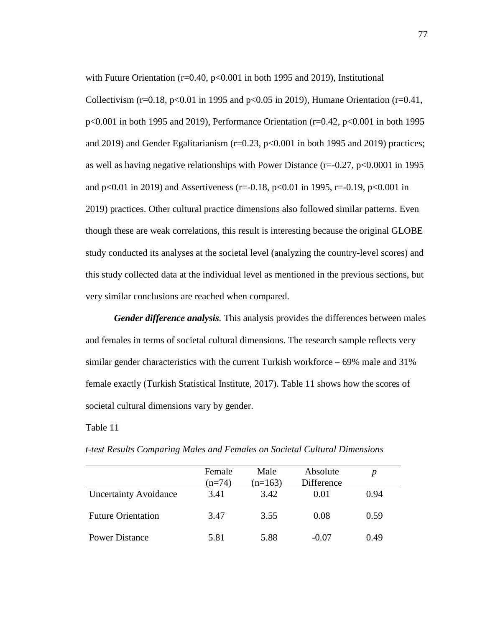with Future Orientation ( $r=0.40$ ,  $p<0.001$  in both 1995 and 2019), Institutional Collectivism ( $r=0.18$ ,  $p<0.01$  in 1995 and  $p<0.05$  in 2019), Humane Orientation ( $r=0.41$ , p<0.001 in both 1995 and 2019), Performance Orientation (r=0.42, p<0.001 in both 1995 and 2019) and Gender Egalitarianism ( $r=0.23$ ,  $p<0.001$  in both 1995 and 2019) practices; as well as having negative relationships with Power Distance  $(r=0.27, p<0.0001$  in 1995 and  $p<0.01$  in 2019) and Assertiveness (r=-0.18,  $p<0.01$  in 1995, r=-0.19,  $p<0.001$  in 2019) practices. Other cultural practice dimensions also followed similar patterns. Even though these are weak correlations, this result is interesting because the original GLOBE study conducted its analyses at the societal level (analyzing the country-level scores) and this study collected data at the individual level as mentioned in the previous sections, but very similar conclusions are reached when compared.

*Gender difference analysis.* This analysis provides the differences between males and females in terms of societal cultural dimensions. The research sample reflects very similar gender characteristics with the current Turkish workforce – 69% male and 31% female exactly (Turkish Statistical Institute, 2017). Table 11 shows how the scores of societal cultural dimensions vary by gender.

### Table 11

|                              | Female<br>$(n=74)$ | Male<br>$(n=163)$ | Absolute<br>Difference |      |
|------------------------------|--------------------|-------------------|------------------------|------|
| <b>Uncertainty Avoidance</b> | 3.41               | 3.42              | 0.01                   | 0.94 |
| <b>Future Orientation</b>    | 3.47               | 3.55              | 0.08                   | 0.59 |
| <b>Power Distance</b>        | 5.81               | 5.88              | $-0.07$                | 0.49 |

*t*-*test Results Comparing Males and Females on Societal Cultural Dimensions*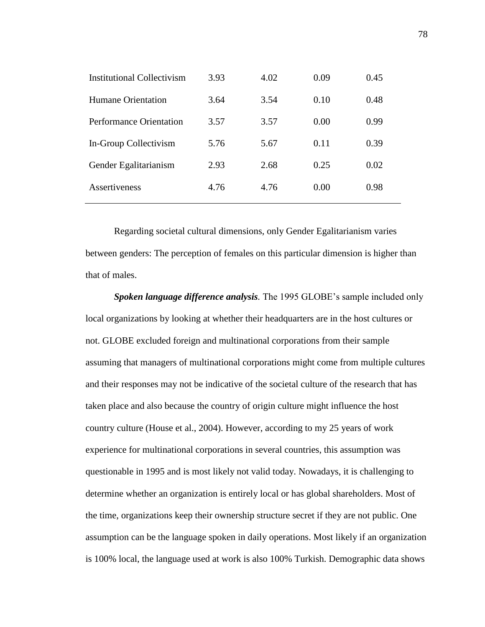| <b>Institutional Collectivism</b> | 3.93 | 4.02 | 0.09 | 0.45 |
|-----------------------------------|------|------|------|------|
| <b>Humane Orientation</b>         | 3.64 | 3.54 | 0.10 | 0.48 |
| Performance Orientation           | 3.57 | 3.57 | 0.00 | 0.99 |
| In-Group Collectivism             | 5.76 | 5.67 | 0.11 | 0.39 |
| Gender Egalitarianism             | 2.93 | 2.68 | 0.25 | 0.02 |
| Assertiveness                     | 4.76 | 4.76 | 0.00 | 0.98 |

Regarding societal cultural dimensions, only Gender Egalitarianism varies between genders: The perception of females on this particular dimension is higher than that of males.

*Spoken language difference analysis.* The 1995 GLOBE's sample included only local organizations by looking at whether their headquarters are in the host cultures or not. GLOBE excluded foreign and multinational corporations from their sample assuming that managers of multinational corporations might come from multiple cultures and their responses may not be indicative of the societal culture of the research that has taken place and also because the country of origin culture might influence the host country culture (House et al., 2004). However, according to my 25 years of work experience for multinational corporations in several countries, this assumption was questionable in 1995 and is most likely not valid today. Nowadays, it is challenging to determine whether an organization is entirely local or has global shareholders. Most of the time, organizations keep their ownership structure secret if they are not public. One assumption can be the language spoken in daily operations. Most likely if an organization is 100% local, the language used at work is also 100% Turkish. Demographic data shows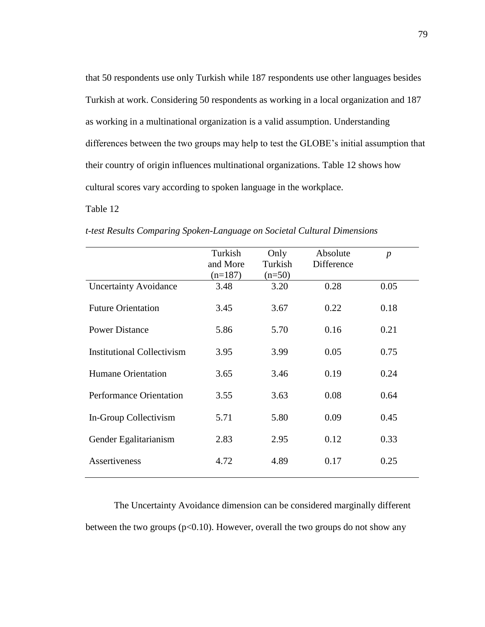that 50 respondents use only Turkish while 187 respondents use other languages besides Turkish at work. Considering 50 respondents as working in a local organization and 187 as working in a multinational organization is a valid assumption. Understanding differences between the two groups may help to test the GLOBE's initial assumption that their country of origin influences multinational organizations. Table 12 shows how cultural scores vary according to spoken language in the workplace.

### Table 12

|                                   | Turkish<br>and More<br>$(n=187)$ | Only<br>Turkish<br>$(n=50)$ | Absolute<br>Difference | $\boldsymbol{p}$ |
|-----------------------------------|----------------------------------|-----------------------------|------------------------|------------------|
| <b>Uncertainty Avoidance</b>      | 3.48                             | 3.20                        | 0.28                   | 0.05             |
| <b>Future Orientation</b>         | 3.45                             | 3.67                        | 0.22                   | 0.18             |
| <b>Power Distance</b>             | 5.86                             | 5.70                        | 0.16                   | 0.21             |
| <b>Institutional Collectivism</b> | 3.95                             | 3.99                        | 0.05                   | 0.75             |
| <b>Humane Orientation</b>         | 3.65                             | 3.46                        | 0.19                   | 0.24             |
| <b>Performance Orientation</b>    | 3.55                             | 3.63                        | 0.08                   | 0.64             |
| In-Group Collectivism             | 5.71                             | 5.80                        | 0.09                   | 0.45             |
| Gender Egalitarianism             | 2.83                             | 2.95                        | 0.12                   | 0.33             |
| <b>Assertiveness</b>              | 4.72                             | 4.89                        | 0.17                   | 0.25             |

*t*-*test Results Comparing Spoken-Language on Societal Cultural Dimensions*

The Uncertainty Avoidance dimension can be considered marginally different between the two groups ( $p<0.10$ ). However, overall the two groups do not show any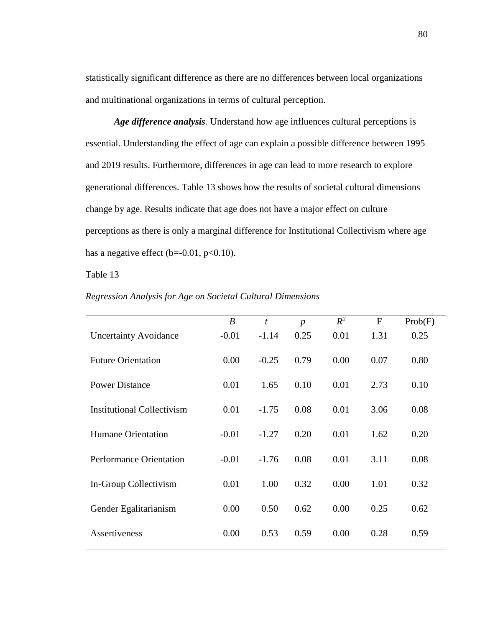statistically significant difference as there are no differences between local organizations and multinational organizations in terms of cultural perception.

*Age difference analysis.* Understand how age influences cultural perceptions is essential. Understanding the effect of age can explain a possible difference between 1995 and 2019 results. Furthermore, differences in age can lead to more research to explore generational differences. Table 13 shows how the results of societal cultural dimensions change by age. Results indicate that age does not have a major effect on culture perceptions as there is only a marginal difference for Institutional Collectivism where age has a negative effect ( $b=-0.01$ ,  $p<0.10$ ).

Table 13

|                                   | $\boldsymbol{B}$ | $\mathbf{t}$ | n    | $R^2$ | $\mathbf{F}$ | Prob(F) |
|-----------------------------------|------------------|--------------|------|-------|--------------|---------|
| <b>Uncertainty Avoidance</b>      | $-0.01$          | $-1.14$      | 0.25 | 0.01  | 1.31         | 0.25    |
| <b>Future Orientation</b>         | 0.00             | $-0.25$      | 0.79 | 0.00  | 0.07         | 0.80    |
| <b>Power Distance</b>             | 0.01             | 1.65         | 0.10 | 0.01  | 2.73         | 0.10    |
| <b>Institutional Collectivism</b> | 0.01             | $-1.75$      | 0.08 | 0.01  | 3.06         | 0.08    |
| <b>Humane Orientation</b>         | $-0.01$          | $-1.27$      | 0.20 | 0.01  | 1.62         | 0.20    |
| <b>Performance Orientation</b>    | $-0.01$          | $-1.76$      | 0.08 | 0.01  | 3.11         | 0.08    |
| In-Group Collectivism             | 0.01             | 1.00         | 0.32 | 0.00  | 1.01         | 0.32    |
| Gender Egalitarianism             | 0.00             | 0.50         | 0.62 | 0.00  | 0.25         | 0.62    |
| Assertiveness                     | 0.00             | 0.53         | 0.59 | 0.00  | 0.28         | 0.59    |
|                                   |                  |              |      |       |              |         |

*Regression Analysis for Age on Societal Cultural Dimensions*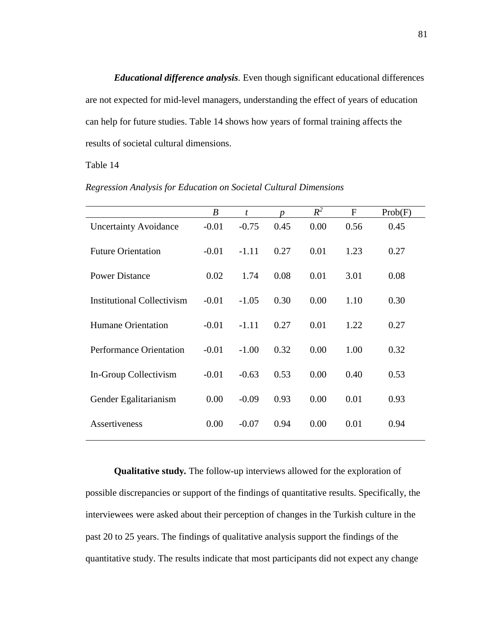*Educational difference analysis.* Even though significant educational differences are not expected for mid-level managers, understanding the effect of years of education can help for future studies. Table 14 shows how years of formal training affects the results of societal cultural dimensions.

Table 14

|                                   | $\boldsymbol{B}$ | $\boldsymbol{t}$ | n    | $R^2$ | F    | Prob(F) |
|-----------------------------------|------------------|------------------|------|-------|------|---------|
| <b>Uncertainty Avoidance</b>      | $-0.01$          | $-0.75$          | 0.45 | 0.00  | 0.56 | 0.45    |
| <b>Future Orientation</b>         | $-0.01$          | $-1.11$          | 0.27 | 0.01  | 1.23 | 0.27    |
| <b>Power Distance</b>             | 0.02             | 1.74             | 0.08 | 0.01  | 3.01 | 0.08    |
| <b>Institutional Collectivism</b> | $-0.01$          | $-1.05$          | 0.30 | 0.00  | 1.10 | 0.30    |
| <b>Humane Orientation</b>         | $-0.01$          | $-1.11$          | 0.27 | 0.01  | 1.22 | 0.27    |
| <b>Performance Orientation</b>    | $-0.01$          | $-1.00$          | 0.32 | 0.00  | 1.00 | 0.32    |
| In-Group Collectivism             | $-0.01$          | $-0.63$          | 0.53 | 0.00  | 0.40 | 0.53    |
| Gender Egalitarianism             | 0.00             | $-0.09$          | 0.93 | 0.00  | 0.01 | 0.93    |
| Assertiveness                     | 0.00             | $-0.07$          | 0.94 | 0.00  | 0.01 | 0.94    |

*Regression Analysis for Education on Societal Cultural Dimensions*

**Qualitative study***.* The follow-up interviews allowed for the exploration of possible discrepancies or support of the findings of quantitative results. Specifically, the interviewees were asked about their perception of changes in the Turkish culture in the past 20 to 25 years. The findings of qualitative analysis support the findings of the quantitative study. The results indicate that most participants did not expect any change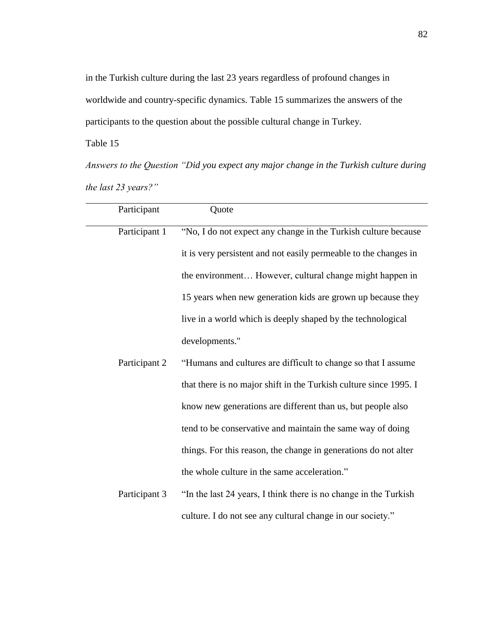in the Turkish culture during the last 23 years regardless of profound changes in worldwide and country-specific dynamics. Table 15 summarizes the answers of the participants to the question about the possible cultural change in Turkey.

Table 15

*Answers to the Question "Did you expect any major change in the Turkish culture during the last 23 years?"*

| Participant   | Quote                                                             |
|---------------|-------------------------------------------------------------------|
| Participant 1 | "No, I do not expect any change in the Turkish culture because    |
|               | it is very persistent and not easily permeable to the changes in  |
|               | the environment However, cultural change might happen in          |
|               | 15 years when new generation kids are grown up because they       |
|               | live in a world which is deeply shaped by the technological       |
|               | developments."                                                    |
| Participant 2 | "Humans and cultures are difficult to change so that I assume     |
|               | that there is no major shift in the Turkish culture since 1995. I |
|               | know new generations are different than us, but people also       |
|               | tend to be conservative and maintain the same way of doing        |
|               | things. For this reason, the change in generations do not alter   |
|               | the whole culture in the same acceleration."                      |
| Participant 3 | "In the last 24 years, I think there is no change in the Turkish  |
|               |                                                                   |

culture. I do not see any cultural change in our society."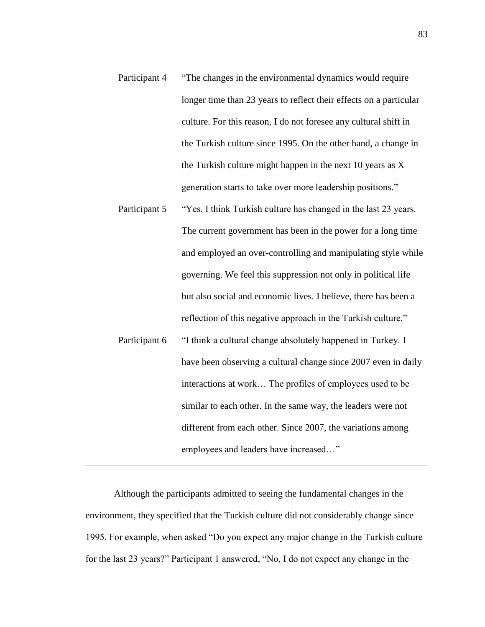- Participant 4 "The changes in the environmental dynamics would require longer time than 23 years to reflect their effects on a particular culture. For this reason, I do not foresee any cultural shift in the Turkish culture since 1995. On the other hand, a change in the Turkish culture might happen in the next 10 years as X generation starts to take over more leadership positions."
- Participant 5 "Yes, I think Turkish culture has changed in the last 23 years. The current government has been in the power for a long time and employed an over-controlling and manipulating style while governing. We feel this suppression not only in political life but also social and economic lives. I believe, there has been a reflection of this negative approach in the Turkish culture." Participant 6 "I think a cultural change absolutely happened in Turkey. I have been observing a cultural change since 2007 even in daily interactions at work… The profiles of employees used to be similar to each other. In the same way, the leaders were not different from each other. Since 2007, the variations among employees and leaders have increased…"

Although the participants admitted to seeing the fundamental changes in the environment, they specified that the Turkish culture did not considerably change since 1995. For example, when asked "Do you expect any major change in the Turkish culture for the last 23 years?" Participant 1 answered, "No, I do not expect any change in the

83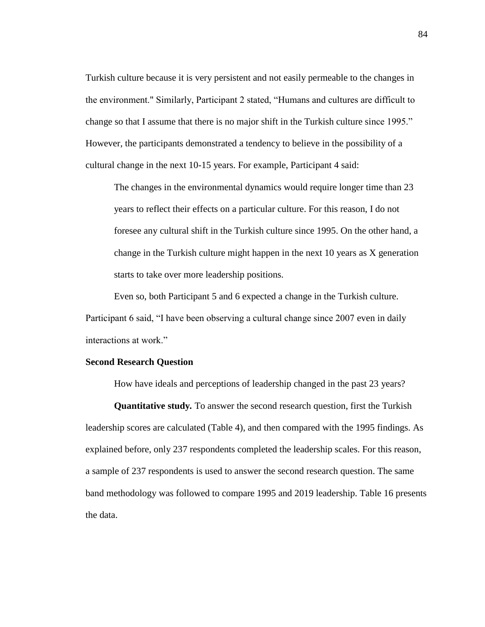Turkish culture because it is very persistent and not easily permeable to the changes in the environment." Similarly, Participant 2 stated, "Humans and cultures are difficult to change so that I assume that there is no major shift in the Turkish culture since 1995." However, the participants demonstrated a tendency to believe in the possibility of a cultural change in the next 10-15 years. For example, Participant 4 said:

The changes in the environmental dynamics would require longer time than 23 years to reflect their effects on a particular culture. For this reason, I do not foresee any cultural shift in the Turkish culture since 1995. On the other hand, a change in the Turkish culture might happen in the next 10 years as X generation starts to take over more leadership positions.

Even so, both Participant 5 and 6 expected a change in the Turkish culture. Participant 6 said, "I have been observing a cultural change since 2007 even in daily interactions at work."

#### **Second Research Question**

How have ideals and perceptions of leadership changed in the past 23 years?

**Quantitative study***.* To answer the second research question, first the Turkish leadership scores are calculated (Table 4), and then compared with the 1995 findings. As explained before, only 237 respondents completed the leadership scales. For this reason, a sample of 237 respondents is used to answer the second research question. The same band methodology was followed to compare 1995 and 2019 leadership. Table 16 presents the data.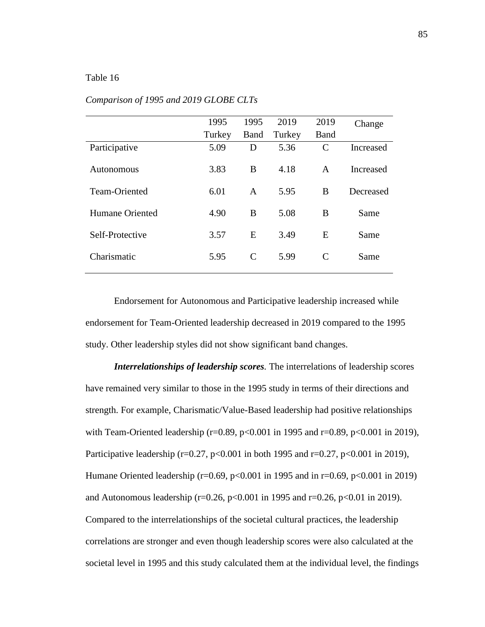### Table 16

|                 | 1995   | 1995         | 2019   | 2019          | Change    |
|-----------------|--------|--------------|--------|---------------|-----------|
|                 | Turkey | Band         | Turkey | <b>Band</b>   |           |
| Participative   | 5.09   | D            | 5.36   | $\mathcal{C}$ | Increased |
| Autonomous      | 3.83   | B            | 4.18   | A             | Increased |
| Team-Oriented   | 6.01   | $\mathsf{A}$ | 5.95   | B             | Decreased |
| Humane Oriented | 4.90   | B            | 5.08   | B             | Same      |
| Self-Protective | 3.57   | E            | 3.49   | E             | Same      |
| Charismatic     | 5.95   | C            | 5.99   | C             | Same      |

#### *Comparison of 1995 and 2019 GLOBE CLTs*

Endorsement for Autonomous and Participative leadership increased while endorsement for Team-Oriented leadership decreased in 2019 compared to the 1995 study. Other leadership styles did not show significant band changes.

*Interrelationships of leadership scores.* The interrelations of leadership scores have remained very similar to those in the 1995 study in terms of their directions and strength. For example, Charismatic/Value-Based leadership had positive relationships with Team-Oriented leadership (r=0.89, p<0.001 in 1995 and r=0.89, p<0.001 in 2019), Participative leadership ( $r=0.27$ ,  $p<0.001$  in both 1995 and  $r=0.27$ ,  $p<0.001$  in 2019), Humane Oriented leadership (r=0.69, p<0.001 in 1995 and in r=0.69, p<0.001 in 2019) and Autonomous leadership ( $r=0.26$ ,  $p<0.001$  in 1995 and  $r=0.26$ ,  $p<0.01$  in 2019). Compared to the interrelationships of the societal cultural practices, the leadership correlations are stronger and even though leadership scores were also calculated at the societal level in 1995 and this study calculated them at the individual level, the findings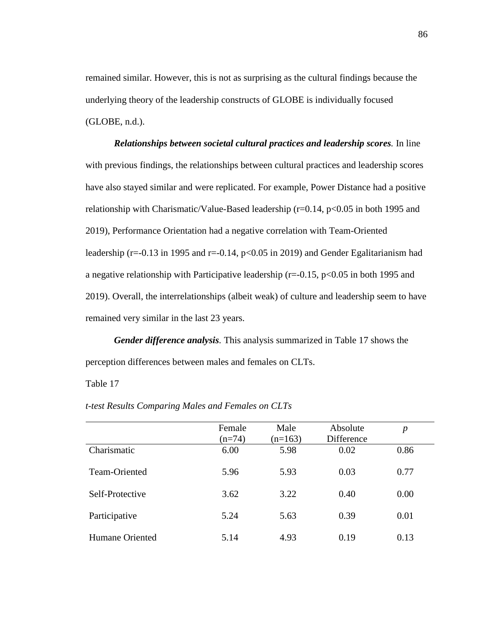remained similar. However, this is not as surprising as the cultural findings because the underlying theory of the leadership constructs of GLOBE is individually focused (GLOBE, n.d.).

*Relationships between societal cultural practices and leadership scores.* In line with previous findings, the relationships between cultural practices and leadership scores have also stayed similar and were replicated. For example, Power Distance had a positive relationship with Charismatic/Value-Based leadership ( $r=0.14$ ,  $p<0.05$  in both 1995 and 2019), Performance Orientation had a negative correlation with Team-Oriented leadership ( $r=-0.13$  in 1995 and  $r=-0.14$ ,  $p<0.05$  in 2019) and Gender Egalitarianism had a negative relationship with Participative leadership ( $r = -0.15$ ,  $p < 0.05$  in both 1995 and 2019). Overall, the interrelationships (albeit weak) of culture and leadership seem to have remained very similar in the last 23 years.

*Gender difference analysis.* This analysis summarized in Table 17 shows the perception differences between males and females on CLTs.

Table 17

|                 | Female<br>$(n=74)$ | Male<br>$(n=163)$ | Absolute<br>Difference | $\boldsymbol{p}$ |
|-----------------|--------------------|-------------------|------------------------|------------------|
| Charismatic     | 6.00               | 5.98              | 0.02                   | 0.86             |
| Team-Oriented   | 5.96               | 5.93              | 0.03                   | 0.77             |
| Self-Protective | 3.62               | 3.22              | 0.40                   | 0.00             |
| Participative   | 5.24               | 5.63              | 0.39                   | 0.01             |
| Humane Oriented | 5.14               | 4.93              | 0.19                   | 0.13             |

*t*-*test Results Comparing Males and Females on CLTs*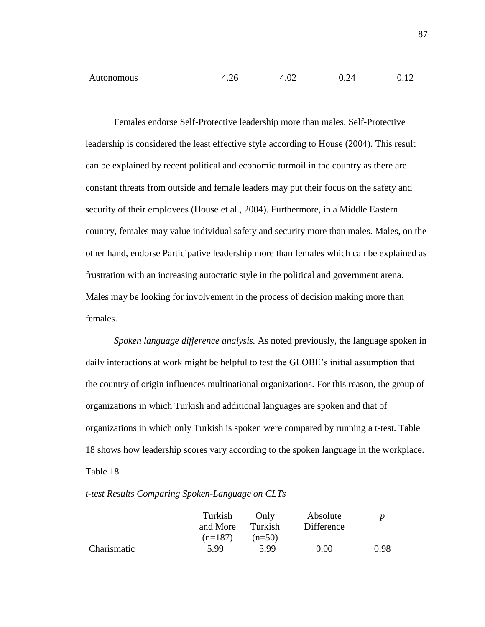| Autonomous | 4.26 | 4.02 | 0.24 |  |
|------------|------|------|------|--|
|            |      |      |      |  |

Females endorse Self-Protective leadership more than males. Self-Protective leadership is considered the least effective style according to House (2004). This result can be explained by recent political and economic turmoil in the country as there are constant threats from outside and female leaders may put their focus on the safety and security of their employees (House et al., 2004). Furthermore, in a Middle Eastern country, females may value individual safety and security more than males. Males, on the other hand, endorse Participative leadership more than females which can be explained as frustration with an increasing autocratic style in the political and government arena. Males may be looking for involvement in the process of decision making more than females.

*Spoken language difference analysis.* As noted previously, the language spoken in daily interactions at work might be helpful to test the GLOBE's initial assumption that the country of origin influences multinational organizations. For this reason, the group of organizations in which Turkish and additional languages are spoken and that of organizations in which only Turkish is spoken were compared by running a t-test. Table 18 shows how leadership scores vary according to the spoken language in the workplace. Table 18

|             | Turkish<br>and More | Only<br>Turkish | Absolute<br>Difference |      |
|-------------|---------------------|-----------------|------------------------|------|
|             | $(n=187)$           | $(n=50)$        |                        |      |
| Charismatic | 5.99                | 5.99            | 0.00                   | 0.98 |

*t*-*test Results Comparing Spoken-Language on CLTs*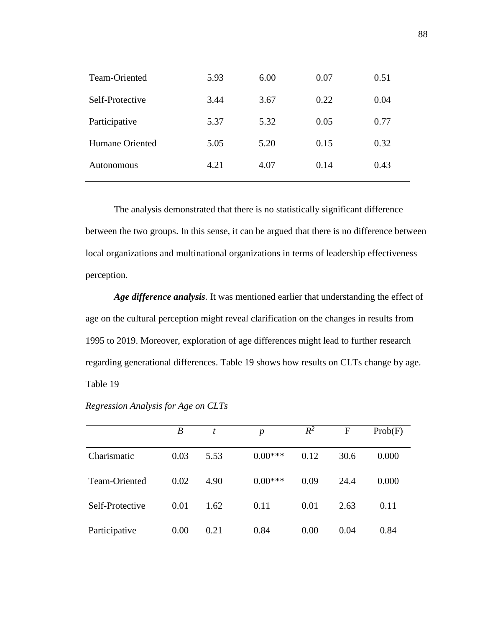| 5.93 | 6.00 | 0.07 | 0.51 |
|------|------|------|------|
| 3.44 | 3.67 | 0.22 | 0.04 |
| 5.37 | 5.32 | 0.05 | 0.77 |
| 5.05 | 5.20 | 0.15 | 0.32 |
| 4.21 | 4.07 | 0.14 | 0.43 |
|      |      |      |      |

The analysis demonstrated that there is no statistically significant difference between the two groups. In this sense, it can be argued that there is no difference between local organizations and multinational organizations in terms of leadership effectiveness perception.

*Age difference analysis.* It was mentioned earlier that understanding the effect of age on the cultural perception might reveal clarification on the changes in results from 1995 to 2019. Moreover, exploration of age differences might lead to further research regarding generational differences. Table 19 shows how results on CLTs change by age. Table 19

|                 | $\boldsymbol{B}$ | t    | $\boldsymbol{p}$ | $R^2$ | F    | Prob(F) |
|-----------------|------------------|------|------------------|-------|------|---------|
| Charismatic     | 0.03             | 5.53 | $0.00***$        | 0.12  | 30.6 | 0.000   |
| Team-Oriented   | 0.02             | 4.90 | $0.00***$        | 0.09  | 24.4 | 0.000   |
| Self-Protective | 0.01             | 1.62 | 0.11             | 0.01  | 2.63 | 0.11    |
| Participative   | 0.00             | 0.21 | 0.84             | 0.00  | 0.04 | 0.84    |

*Regression Analysis for Age on CLTs*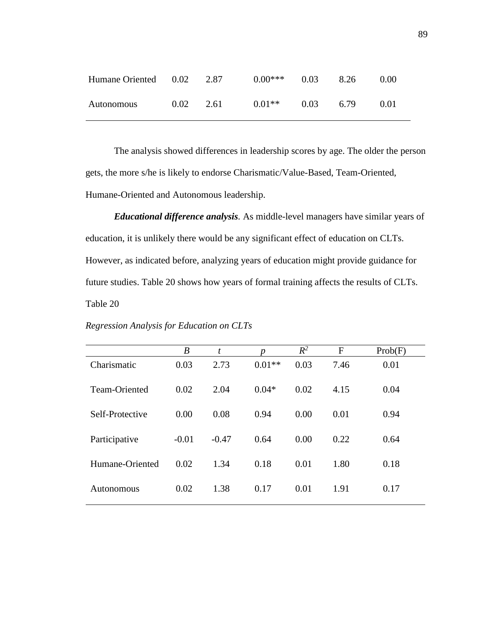| Humane Oriented 0.02 |      | 2.87 | $0.00***$ | 0.03 | 8.26 | 0.00 |
|----------------------|------|------|-----------|------|------|------|
| Autonomous           | 0.02 | 2.61 | $0.01**$  | 0.03 | 6.79 | 0.01 |

The analysis showed differences in leadership scores by age. The older the person gets, the more s/he is likely to endorse Charismatic/Value-Based, Team-Oriented, Humane-Oriented and Autonomous leadership.

*Educational difference analysis.* As middle-level managers have similar years of education, it is unlikely there would be any significant effect of education on CLTs. However, as indicated before, analyzing years of education might provide guidance for future studies. Table 20 shows how years of formal training affects the results of CLTs. Table 20

|                 | $\boldsymbol{B}$ | t       | n        | $R^2$ | $\mathbf{F}$ | Prob(F) |
|-----------------|------------------|---------|----------|-------|--------------|---------|
| Charismatic     | 0.03             | 2.73    | $0.01**$ | 0.03  | 7.46         | 0.01    |
| Team-Oriented   | 0.02             | 2.04    | $0.04*$  | 0.02  | 4.15         | 0.04    |
| Self-Protective | 0.00             | 0.08    | 0.94     | 0.00  | 0.01         | 0.94    |
| Participative   | $-0.01$          | $-0.47$ | 0.64     | 0.00  | 0.22         | 0.64    |
| Humane-Oriented | 0.02             | 1.34    | 0.18     | 0.01  | 1.80         | 0.18    |
| Autonomous      | 0.02             | 1.38    | 0.17     | 0.01  | 1.91         | 0.17    |

*Regression Analysis for Education on CLTs*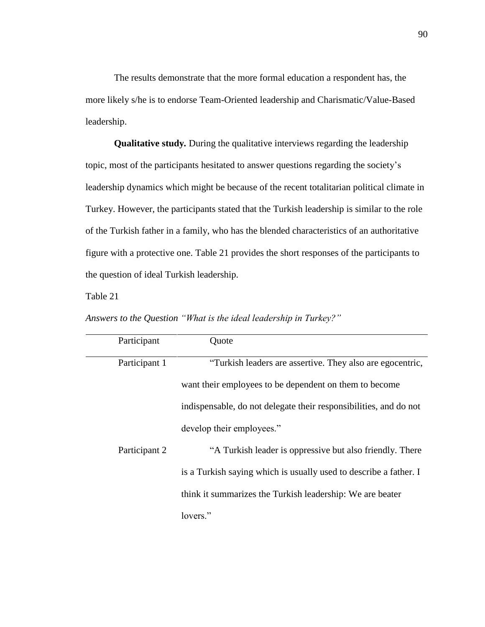The results demonstrate that the more formal education a respondent has, the more likely s/he is to endorse Team-Oriented leadership and Charismatic/Value-Based leadership.

**Qualitative study***.* During the qualitative interviews regarding the leadership topic, most of the participants hesitated to answer questions regarding the society's leadership dynamics which might be because of the recent totalitarian political climate in Turkey. However, the participants stated that the Turkish leadership is similar to the role of the Turkish father in a family, who has the blended characteristics of an authoritative figure with a protective one. Table 21 provides the short responses of the participants to the question of ideal Turkish leadership.

Table 21

| Participant   | Quote                                                             |
|---------------|-------------------------------------------------------------------|
| Participant 1 | "Turkish leaders are assertive. They also are egocentric,         |
|               | want their employees to be dependent on them to become            |
|               | indispensable, do not delegate their responsibilities, and do not |
|               | develop their employees."                                         |
| Participant 2 | "A Turkish leader is oppressive but also friendly. There          |
|               | is a Turkish saying which is usually used to describe a father. I |
|               | think it summarizes the Turkish leadership: We are beater         |
|               | lovers."                                                          |

*Answers to the Question "What is the ideal leadership in Turkey?"*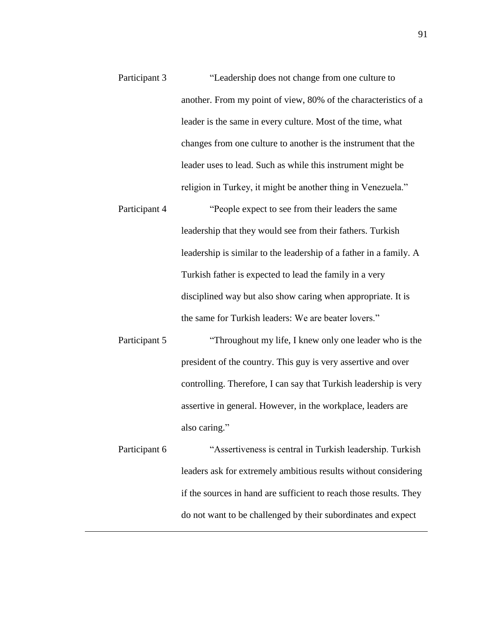- Participant 3 "Leadership does not change from one culture to another. From my point of view, 80% of the characteristics of a leader is the same in every culture. Most of the time, what changes from one culture to another is the instrument that the leader uses to lead. Such as while this instrument might be religion in Turkey, it might be another thing in Venezuela."
- Participant 4 "People expect to see from their leaders the same leadership that they would see from their fathers. Turkish leadership is similar to the leadership of a father in a family. A Turkish father is expected to lead the family in a very disciplined way but also show caring when appropriate. It is the same for Turkish leaders: We are beater lovers."
- Participant 5 "Throughout my life, I knew only one leader who is the president of the country. This guy is very assertive and over controlling. Therefore, I can say that Turkish leadership is very assertive in general. However, in the workplace, leaders are also caring."

Participant 6 "Assertiveness is central in Turkish leadership. Turkish leaders ask for extremely ambitious results without considering if the sources in hand are sufficient to reach those results. They do not want to be challenged by their subordinates and expect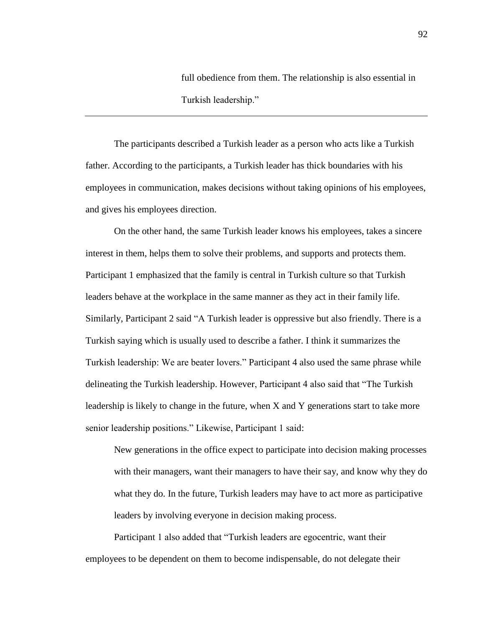full obedience from them. The relationship is also essential in Turkish leadership."

The participants described a Turkish leader as a person who acts like a Turkish father. According to the participants, a Turkish leader has thick boundaries with his employees in communication, makes decisions without taking opinions of his employees, and gives his employees direction.

On the other hand, the same Turkish leader knows his employees, takes a sincere interest in them, helps them to solve their problems, and supports and protects them. Participant 1 emphasized that the family is central in Turkish culture so that Turkish leaders behave at the workplace in the same manner as they act in their family life. Similarly, Participant 2 said "A Turkish leader is oppressive but also friendly. There is a Turkish saying which is usually used to describe a father. I think it summarizes the Turkish leadership: We are beater lovers." Participant 4 also used the same phrase while delineating the Turkish leadership. However, Participant 4 also said that "The Turkish leadership is likely to change in the future, when X and Y generations start to take more senior leadership positions." Likewise, Participant 1 said:

New generations in the office expect to participate into decision making processes with their managers, want their managers to have their say, and know why they do what they do. In the future, Turkish leaders may have to act more as participative leaders by involving everyone in decision making process.

Participant 1 also added that "Turkish leaders are egocentric, want their employees to be dependent on them to become indispensable, do not delegate their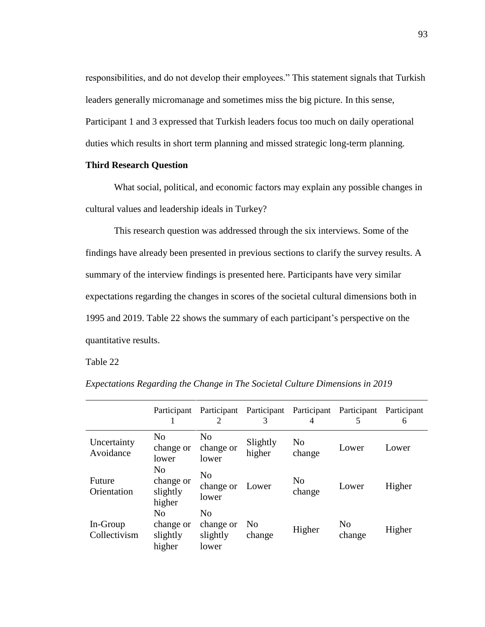responsibilities, and do not develop their employees." This statement signals that Turkish leaders generally micromanage and sometimes miss the big picture. In this sense, Participant 1 and 3 expressed that Turkish leaders focus too much on daily operational duties which results in short term planning and missed strategic long-term planning.

# **Third Research Question**

What social, political, and economic factors may explain any possible changes in cultural values and leadership ideals in Turkey?

This research question was addressed through the six interviews. Some of the findings have already been presented in previous sections to clarify the survey results. A summary of the interview findings is presented here. Participants have very similar expectations regarding the changes in scores of the societal cultural dimensions both in 1995 and 2019. Table 22 shows the summary of each participant's perspective on the quantitative results.

Table 22

|                          | Participant                           | 2                                                | Participant Participant Participant<br>3 | 4                        | Participant<br>5         | Participant<br>6 |
|--------------------------|---------------------------------------|--------------------------------------------------|------------------------------------------|--------------------------|--------------------------|------------------|
| Uncertainty<br>Avoidance | No<br>change or<br>lower              | N <sub>0</sub><br>change or<br>lower             | Slightly<br>higher                       | N <sub>0</sub><br>change | Lower                    | Lower            |
| Future<br>Orientation    | No<br>change or<br>slightly<br>higher | N <sub>0</sub><br>change or<br>lower             | Lower                                    | N <sub>o</sub><br>change | Lower                    | Higher           |
| In-Group<br>Collectivism | No<br>change or<br>slightly<br>higher | N <sub>0</sub><br>change or<br>slightly<br>lower | N <sub>0</sub><br>change                 | Higher                   | N <sub>0</sub><br>change | Higher           |

*Expectations Regarding the Change in The Societal Culture Dimensions in 2019*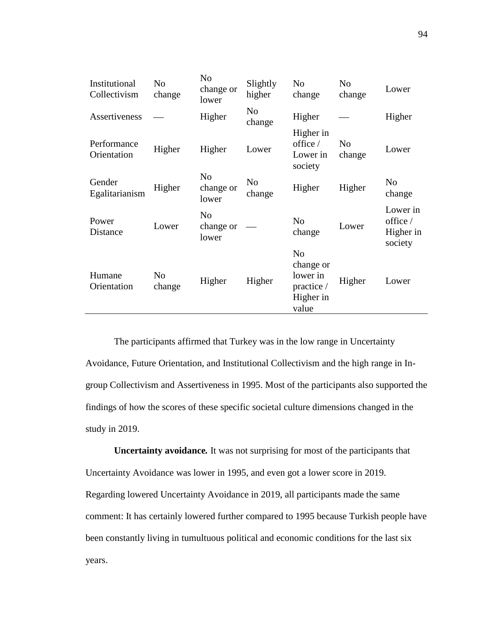| Institutional<br>Collectivism | No<br>change             | N <sub>o</sub><br>change or<br>lower | Slightly<br>higher       | N <sub>0</sub><br>change                                                    | N <sub>0</sub><br>change | Lower                                        |
|-------------------------------|--------------------------|--------------------------------------|--------------------------|-----------------------------------------------------------------------------|--------------------------|----------------------------------------------|
| Assertiveness                 |                          | Higher                               | N <sub>0</sub><br>change | Higher                                                                      |                          | Higher                                       |
| Performance<br>Orientation    | Higher                   | Higher                               | Lower                    | Higher in<br>office $/$<br>Lower in<br>society                              | N <sub>o</sub><br>change | Lower                                        |
| Gender<br>Egalitarianism      | Higher                   | N <sub>0</sub><br>change or<br>lower | N <sub>o</sub><br>change | Higher                                                                      | Higher                   | N <sub>o</sub><br>change                     |
| Power<br>Distance             | Lower                    | N <sub>o</sub><br>change or<br>lower |                          | N <sub>o</sub><br>change                                                    | Lower                    | Lower in<br>office /<br>Higher in<br>society |
| Humane<br>Orientation         | N <sub>o</sub><br>change | Higher                               | Higher                   | N <sub>o</sub><br>change or<br>lower in<br>practice /<br>Higher in<br>value | Higher                   | Lower                                        |

The participants affirmed that Turkey was in the low range in Uncertainty Avoidance, Future Orientation, and Institutional Collectivism and the high range in Ingroup Collectivism and Assertiveness in 1995. Most of the participants also supported the findings of how the scores of these specific societal culture dimensions changed in the study in 2019.

**Uncertainty avoidance***.* It was not surprising for most of the participants that Uncertainty Avoidance was lower in 1995, and even got a lower score in 2019. Regarding lowered Uncertainty Avoidance in 2019, all participants made the same comment: It has certainly lowered further compared to 1995 because Turkish people have been constantly living in tumultuous political and economic conditions for the last six years.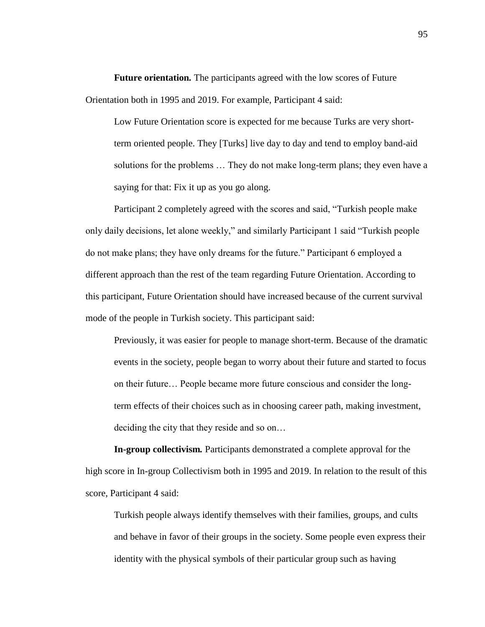**Future orientation***.* The participants agreed with the low scores of Future Orientation both in 1995 and 2019. For example, Participant 4 said:

Low Future Orientation score is expected for me because Turks are very shortterm oriented people. They [Turks] live day to day and tend to employ band-aid solutions for the problems … They do not make long-term plans; they even have a saying for that: Fix it up as you go along.

Participant 2 completely agreed with the scores and said, "Turkish people make only daily decisions, let alone weekly," and similarly Participant 1 said "Turkish people do not make plans; they have only dreams for the future." Participant 6 employed a different approach than the rest of the team regarding Future Orientation. According to this participant, Future Orientation should have increased because of the current survival mode of the people in Turkish society. This participant said:

Previously, it was easier for people to manage short-term. Because of the dramatic events in the society, people began to worry about their future and started to focus on their future… People became more future conscious and consider the longterm effects of their choices such as in choosing career path, making investment, deciding the city that they reside and so on…

**In-group collectivism***.* Participants demonstrated a complete approval for the high score in In-group Collectivism both in 1995 and 2019. In relation to the result of this score, Participant 4 said:

Turkish people always identify themselves with their families, groups, and cults and behave in favor of their groups in the society. Some people even express their identity with the physical symbols of their particular group such as having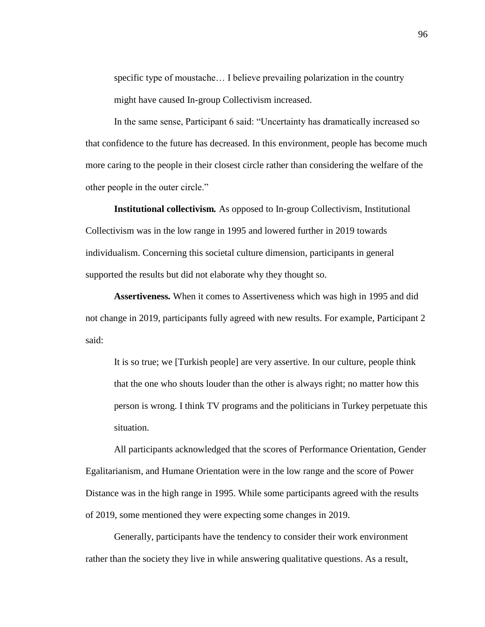specific type of moustache… I believe prevailing polarization in the country might have caused In-group Collectivism increased.

In the same sense, Participant 6 said: "Uncertainty has dramatically increased so that confidence to the future has decreased. In this environment, people has become much more caring to the people in their closest circle rather than considering the welfare of the other people in the outer circle."

**Institutional collectivism***.* As opposed to In-group Collectivism, Institutional Collectivism was in the low range in 1995 and lowered further in 2019 towards individualism. Concerning this societal culture dimension, participants in general supported the results but did not elaborate why they thought so.

**Assertiveness***.* When it comes to Assertiveness which was high in 1995 and did not change in 2019, participants fully agreed with new results. For example, Participant 2 said:

It is so true; we [Turkish people] are very assertive. In our culture, people think that the one who shouts louder than the other is always right; no matter how this person is wrong. I think TV programs and the politicians in Turkey perpetuate this situation.

All participants acknowledged that the scores of Performance Orientation, Gender Egalitarianism, and Humane Orientation were in the low range and the score of Power Distance was in the high range in 1995. While some participants agreed with the results of 2019, some mentioned they were expecting some changes in 2019.

Generally, participants have the tendency to consider their work environment rather than the society they live in while answering qualitative questions. As a result,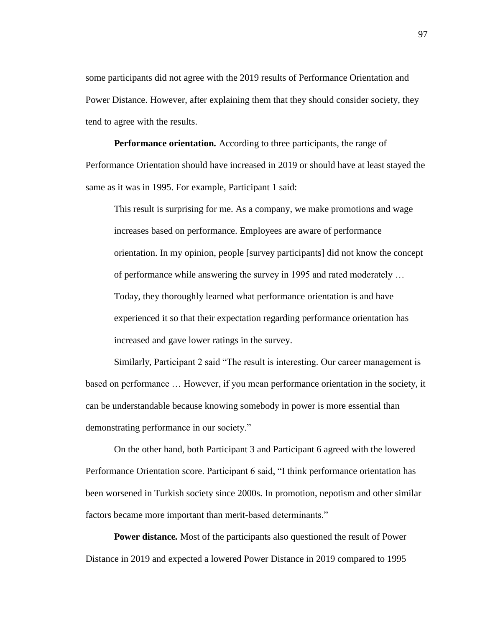some participants did not agree with the 2019 results of Performance Orientation and Power Distance. However, after explaining them that they should consider society, they tend to agree with the results.

**Performance orientation***.* According to three participants, the range of Performance Orientation should have increased in 2019 or should have at least stayed the same as it was in 1995. For example, Participant 1 said:

This result is surprising for me. As a company, we make promotions and wage increases based on performance. Employees are aware of performance orientation. In my opinion, people [survey participants] did not know the concept of performance while answering the survey in 1995 and rated moderately … Today, they thoroughly learned what performance orientation is and have experienced it so that their expectation regarding performance orientation has increased and gave lower ratings in the survey.

Similarly, Participant 2 said "The result is interesting. Our career management is based on performance … However, if you mean performance orientation in the society, it can be understandable because knowing somebody in power is more essential than demonstrating performance in our society."

On the other hand, both Participant 3 and Participant 6 agreed with the lowered Performance Orientation score. Participant 6 said, "I think performance orientation has been worsened in Turkish society since 2000s. In promotion, nepotism and other similar factors became more important than merit-based determinants."

**Power distance***.* Most of the participants also questioned the result of Power Distance in 2019 and expected a lowered Power Distance in 2019 compared to 1995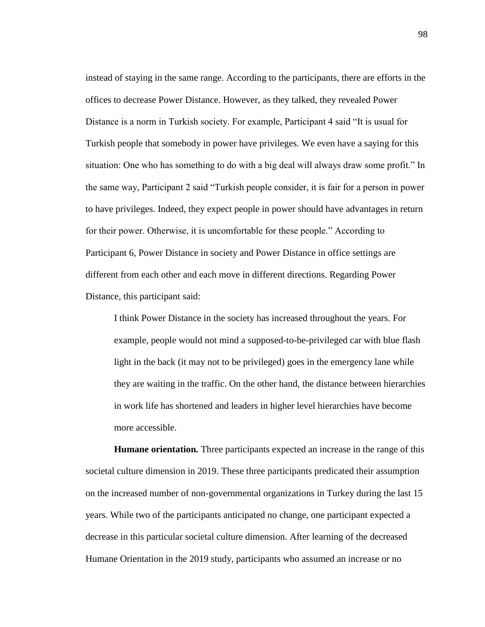instead of staying in the same range. According to the participants, there are efforts in the offices to decrease Power Distance. However, as they talked, they revealed Power Distance is a norm in Turkish society. For example, Participant 4 said "It is usual for Turkish people that somebody in power have privileges. We even have a saying for this situation: One who has something to do with a big deal will always draw some profit." In the same way, Participant 2 said "Turkish people consider, it is fair for a person in power to have privileges. Indeed, they expect people in power should have advantages in return for their power. Otherwise, it is uncomfortable for these people." According to Participant 6, Power Distance in society and Power Distance in office settings are different from each other and each move in different directions. Regarding Power Distance, this participant said:

I think Power Distance in the society has increased throughout the years. For example, people would not mind a supposed-to-be-privileged car with blue flash light in the back (it may not to be privileged) goes in the emergency lane while they are waiting in the traffic. On the other hand, the distance between hierarchies in work life has shortened and leaders in higher level hierarchies have become more accessible.

**Humane orientation***.* Three participants expected an increase in the range of this societal culture dimension in 2019. These three participants predicated their assumption on the increased number of non-governmental organizations in Turkey during the last 15 years. While two of the participants anticipated no change, one participant expected a decrease in this particular societal culture dimension. After learning of the decreased Humane Orientation in the 2019 study, participants who assumed an increase or no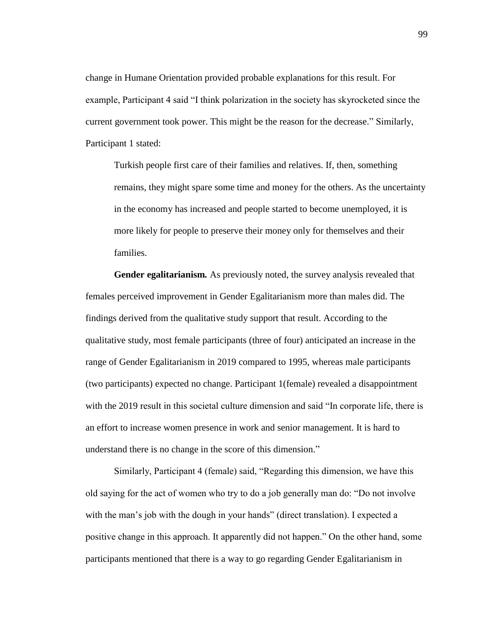change in Humane Orientation provided probable explanations for this result. For example, Participant 4 said "I think polarization in the society has skyrocketed since the current government took power. This might be the reason for the decrease." Similarly, Participant 1 stated:

Turkish people first care of their families and relatives. If, then, something remains, they might spare some time and money for the others. As the uncertainty in the economy has increased and people started to become unemployed, it is more likely for people to preserve their money only for themselves and their families.

**Gender egalitarianism***.* As previously noted, the survey analysis revealed that females perceived improvement in Gender Egalitarianism more than males did. The findings derived from the qualitative study support that result. According to the qualitative study, most female participants (three of four) anticipated an increase in the range of Gender Egalitarianism in 2019 compared to 1995, whereas male participants (two participants) expected no change. Participant 1(female) revealed a disappointment with the 2019 result in this societal culture dimension and said "In corporate life, there is an effort to increase women presence in work and senior management. It is hard to understand there is no change in the score of this dimension."

Similarly, Participant 4 (female) said, "Regarding this dimension, we have this old saying for the act of women who try to do a job generally man do: "Do not involve with the man's job with the dough in your hands" (direct translation). I expected a positive change in this approach. It apparently did not happen." On the other hand, some participants mentioned that there is a way to go regarding Gender Egalitarianism in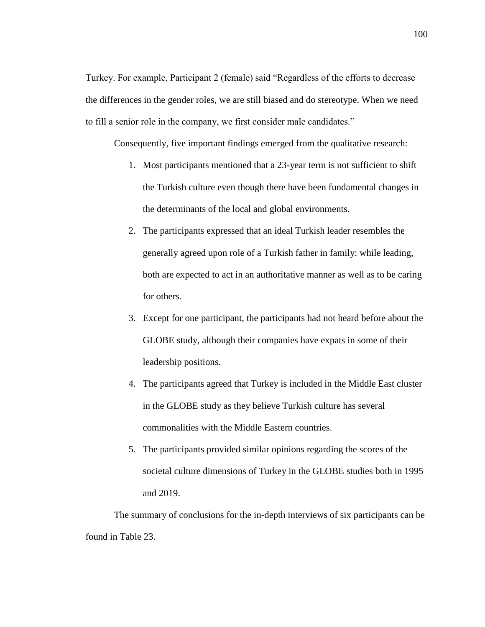Turkey. For example, Participant 2 (female) said "Regardless of the efforts to decrease the differences in the gender roles, we are still biased and do stereotype. When we need to fill a senior role in the company, we first consider male candidates."

Consequently, five important findings emerged from the qualitative research:

- 1. Most participants mentioned that a 23-year term is not sufficient to shift the Turkish culture even though there have been fundamental changes in the determinants of the local and global environments.
- 2. The participants expressed that an ideal Turkish leader resembles the generally agreed upon role of a Turkish father in family: while leading, both are expected to act in an authoritative manner as well as to be caring for others.
- 3. Except for one participant, the participants had not heard before about the GLOBE study, although their companies have expats in some of their leadership positions.
- 4. The participants agreed that Turkey is included in the Middle East cluster in the GLOBE study as they believe Turkish culture has several commonalities with the Middle Eastern countries.
- 5. The participants provided similar opinions regarding the scores of the societal culture dimensions of Turkey in the GLOBE studies both in 1995 and 2019.

The summary of conclusions for the in-depth interviews of six participants can be found in Table 23.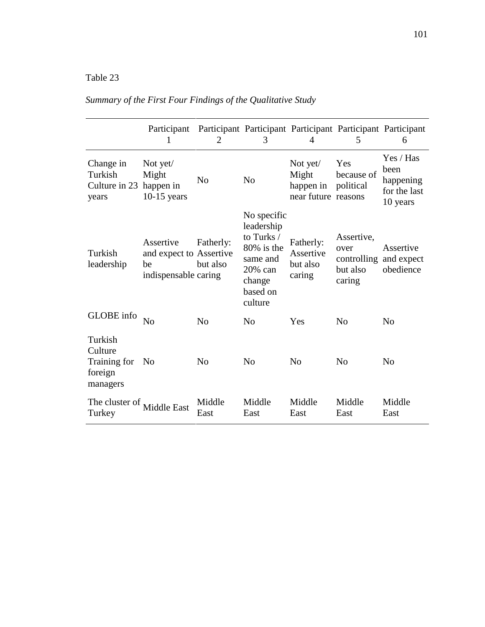# Table 23

|                                                           | Participant                                                        | 2                     | 3                                                                                                             | 4                                                     | 5                                                                  | Participant Participant Participant Participant Participant<br>6 |
|-----------------------------------------------------------|--------------------------------------------------------------------|-----------------------|---------------------------------------------------------------------------------------------------------------|-------------------------------------------------------|--------------------------------------------------------------------|------------------------------------------------------------------|
| Change in<br>Turkish<br>Culture in 23 happen in<br>years  | Not yet/<br>Might<br>$10-15$ years                                 | No                    | N <sub>o</sub>                                                                                                | Not yet/<br>Might<br>happen in<br>near future reasons | Yes<br>because of<br>political                                     | Yes / Has<br>been<br>happening<br>for the last<br>10 years       |
| Turkish<br>leadership                                     | Assertive<br>and expect to Assertive<br>be<br>indispensable caring | Fatherly:<br>but also | No specific<br>leadership<br>to Turks /<br>80% is the<br>same and<br>20% can<br>change<br>based on<br>culture | Fatherly:<br>Assertive<br>but also<br>caring          | Assertive,<br>over<br>controlling and expect<br>but also<br>caring | Assertive<br>obedience                                           |
| GLOBE info                                                | No                                                                 | N <sub>o</sub>        | No                                                                                                            | Yes                                                   | N <sub>o</sub>                                                     | N <sub>0</sub>                                                   |
| Turkish<br>Culture<br>Training for<br>foreign<br>managers | No.                                                                | No                    | No                                                                                                            | N <sub>0</sub>                                        | N <sub>o</sub>                                                     | N <sub>0</sub>                                                   |
| The cluster of<br>Turkey                                  | Middle East                                                        | Middle<br>East        | Middle<br>East                                                                                                | Middle<br>East                                        | Middle<br>East                                                     | Middle<br>East                                                   |

# *Summary of the First Four Findings of the Qualitative Study*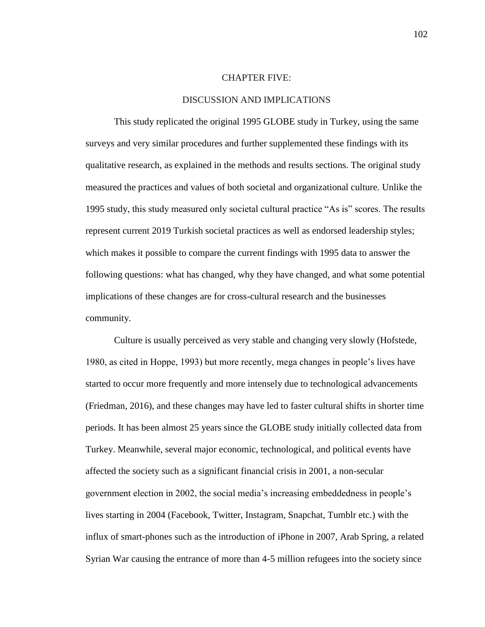# CHAPTER FIVE:

# DISCUSSION AND IMPLICATIONS

This study replicated the original 1995 GLOBE study in Turkey, using the same surveys and very similar procedures and further supplemented these findings with its qualitative research, as explained in the methods and results sections. The original study measured the practices and values of both societal and organizational culture. Unlike the 1995 study, this study measured only societal cultural practice "As is" scores. The results represent current 2019 Turkish societal practices as well as endorsed leadership styles; which makes it possible to compare the current findings with 1995 data to answer the following questions: what has changed, why they have changed, and what some potential implications of these changes are for cross-cultural research and the businesses community.

Culture is usually perceived as very stable and changing very slowly (Hofstede, 1980, as cited in Hoppe, 1993) but more recently, mega changes in people's lives have started to occur more frequently and more intensely due to technological advancements (Friedman, 2016), and these changes may have led to faster cultural shifts in shorter time periods. It has been almost 25 years since the GLOBE study initially collected data from Turkey. Meanwhile, several major economic, technological, and political events have affected the society such as a significant financial crisis in 2001, a non-secular government election in 2002, the social media's increasing embeddedness in people's lives starting in 2004 (Facebook, Twitter, Instagram, Snapchat, Tumblr etc.) with the influx of smart-phones such as the introduction of iPhone in 2007, Arab Spring, a related Syrian War causing the entrance of more than 4-5 million refugees into the society since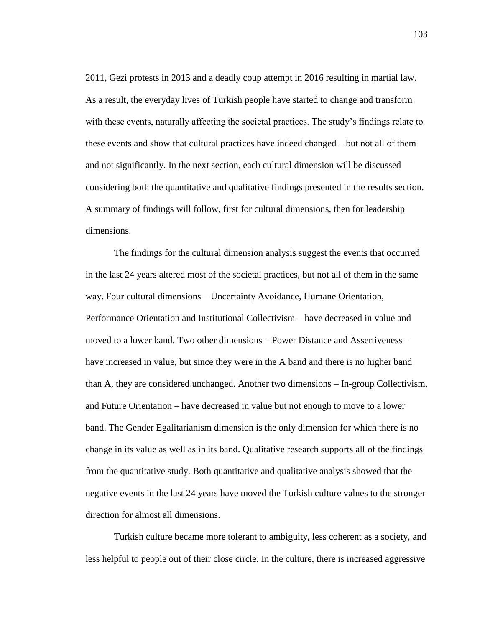2011, Gezi protests in 2013 and a deadly coup attempt in 2016 resulting in martial law. As a result, the everyday lives of Turkish people have started to change and transform with these events, naturally affecting the societal practices. The study's findings relate to these events and show that cultural practices have indeed changed – but not all of them and not significantly. In the next section, each cultural dimension will be discussed considering both the quantitative and qualitative findings presented in the results section. A summary of findings will follow, first for cultural dimensions, then for leadership dimensions.

The findings for the cultural dimension analysis suggest the events that occurred in the last 24 years altered most of the societal practices, but not all of them in the same way. Four cultural dimensions – Uncertainty Avoidance, Humane Orientation, Performance Orientation and Institutional Collectivism – have decreased in value and moved to a lower band. Two other dimensions – Power Distance and Assertiveness – have increased in value, but since they were in the A band and there is no higher band than A, they are considered unchanged. Another two dimensions – In-group Collectivism, and Future Orientation – have decreased in value but not enough to move to a lower band. The Gender Egalitarianism dimension is the only dimension for which there is no change in its value as well as in its band. Qualitative research supports all of the findings from the quantitative study. Both quantitative and qualitative analysis showed that the negative events in the last 24 years have moved the Turkish culture values to the stronger direction for almost all dimensions.

Turkish culture became more tolerant to ambiguity, less coherent as a society, and less helpful to people out of their close circle. In the culture, there is increased aggressive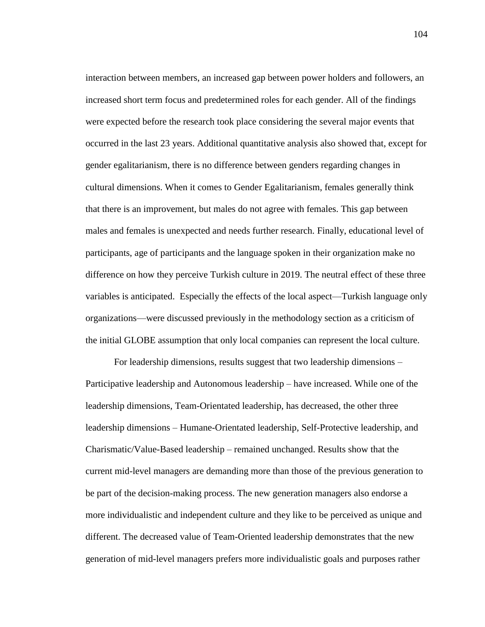interaction between members, an increased gap between power holders and followers, an increased short term focus and predetermined roles for each gender. All of the findings were expected before the research took place considering the several major events that occurred in the last 23 years. Additional quantitative analysis also showed that, except for gender egalitarianism, there is no difference between genders regarding changes in cultural dimensions. When it comes to Gender Egalitarianism, females generally think that there is an improvement, but males do not agree with females. This gap between males and females is unexpected and needs further research. Finally, educational level of participants, age of participants and the language spoken in their organization make no difference on how they perceive Turkish culture in 2019. The neutral effect of these three variables is anticipated. Especially the effects of the local aspect—Turkish language only organizations—were discussed previously in the methodology section as a criticism of the initial GLOBE assumption that only local companies can represent the local culture.

For leadership dimensions, results suggest that two leadership dimensions – Participative leadership and Autonomous leadership – have increased. While one of the leadership dimensions, Team-Orientated leadership, has decreased, the other three leadership dimensions – Humane-Orientated leadership, Self-Protective leadership, and Charismatic/Value-Based leadership – remained unchanged. Results show that the current mid-level managers are demanding more than those of the previous generation to be part of the decision-making process. The new generation managers also endorse a more individualistic and independent culture and they like to be perceived as unique and different. The decreased value of Team-Oriented leadership demonstrates that the new generation of mid-level managers prefers more individualistic goals and purposes rather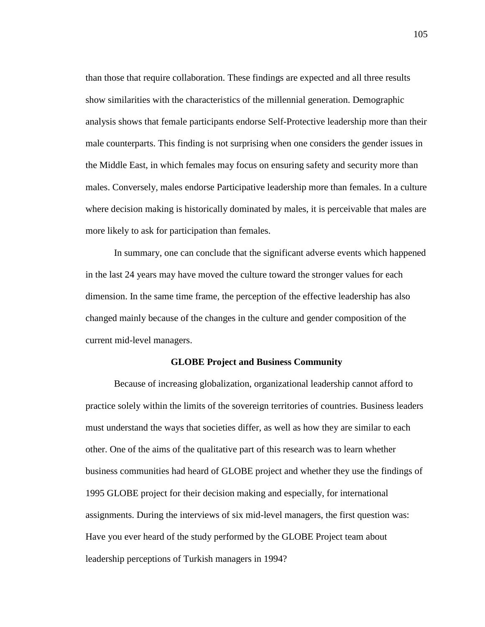than those that require collaboration. These findings are expected and all three results show similarities with the characteristics of the millennial generation. Demographic analysis shows that female participants endorse Self-Protective leadership more than their male counterparts. This finding is not surprising when one considers the gender issues in the Middle East, in which females may focus on ensuring safety and security more than males. Conversely, males endorse Participative leadership more than females. In a culture where decision making is historically dominated by males, it is perceivable that males are more likely to ask for participation than females.

In summary, one can conclude that the significant adverse events which happened in the last 24 years may have moved the culture toward the stronger values for each dimension. In the same time frame, the perception of the effective leadership has also changed mainly because of the changes in the culture and gender composition of the current mid-level managers.

# **GLOBE Project and Business Community**

Because of increasing globalization, organizational leadership cannot afford to practice solely within the limits of the sovereign territories of countries. Business leaders must understand the ways that societies differ, as well as how they are similar to each other. One of the aims of the qualitative part of this research was to learn whether business communities had heard of GLOBE project and whether they use the findings of 1995 GLOBE project for their decision making and especially, for international assignments. During the interviews of six mid-level managers, the first question was: Have you ever heard of the study performed by the GLOBE Project team about leadership perceptions of Turkish managers in 1994?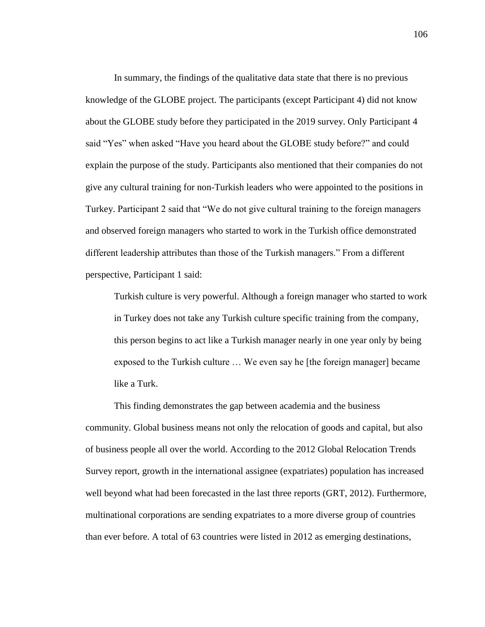In summary, the findings of the qualitative data state that there is no previous knowledge of the GLOBE project. The participants (except Participant 4) did not know about the GLOBE study before they participated in the 2019 survey. Only Participant 4 said "Yes" when asked "Have you heard about the GLOBE study before?" and could explain the purpose of the study. Participants also mentioned that their companies do not give any cultural training for non-Turkish leaders who were appointed to the positions in Turkey. Participant 2 said that "We do not give cultural training to the foreign managers and observed foreign managers who started to work in the Turkish office demonstrated different leadership attributes than those of the Turkish managers." From a different perspective, Participant 1 said:

Turkish culture is very powerful. Although a foreign manager who started to work in Turkey does not take any Turkish culture specific training from the company, this person begins to act like a Turkish manager nearly in one year only by being exposed to the Turkish culture … We even say he [the foreign manager] became like a Turk.

This finding demonstrates the gap between academia and the business community. Global business means not only the relocation of goods and capital, but also of business people all over the world. According to the 2012 Global Relocation Trends Survey report, growth in the international assignee (expatriates) population has increased well beyond what had been forecasted in the last three reports (GRT, 2012). Furthermore, multinational corporations are sending expatriates to a more diverse group of countries than ever before. A total of 63 countries were listed in 2012 as emerging destinations,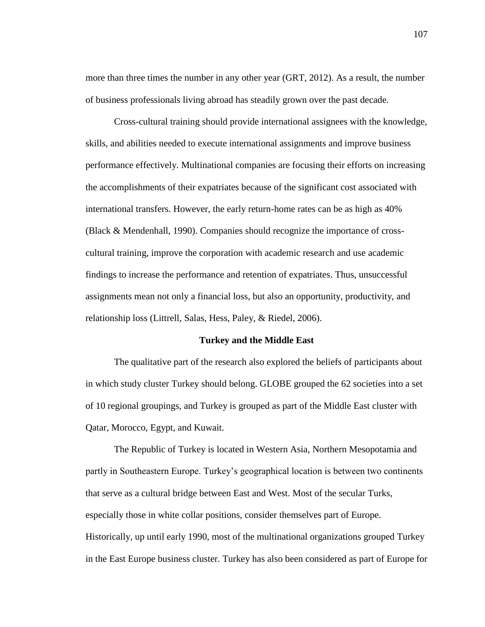more than three times the number in any other year (GRT, 2012). As a result, the number of business professionals living abroad has steadily grown over the past decade.

Cross-cultural training should provide international assignees with the knowledge, skills, and abilities needed to execute international assignments and improve business performance effectively. Multinational companies are focusing their efforts on increasing the accomplishments of their expatriates because of the significant cost associated with international transfers. However, the early return-home rates can be as high as 40% (Black & Mendenhall, 1990). Companies should recognize the importance of crosscultural training, improve the corporation with academic research and use academic findings to increase the performance and retention of expatriates. Thus, unsuccessful assignments mean not only a financial loss, but also an opportunity, productivity, and relationship loss (Littrell, Salas, Hess, Paley, & Riedel, 2006).

## **Turkey and the Middle East**

The qualitative part of the research also explored the beliefs of participants about in which study cluster Turkey should belong. GLOBE grouped the 62 societies into a set of 10 regional groupings, and Turkey is grouped as part of the Middle East cluster with Qatar, Morocco, Egypt, and Kuwait.

The Republic of Turkey is located in Western Asia, Northern Mesopotamia and partly in Southeastern Europe. Turkey's geographical location is between two continents that serve as a cultural bridge between East and West. Most of the secular Turks, especially those in white collar positions, consider themselves part of Europe. Historically, up until early 1990, most of the multinational organizations grouped Turkey in the East Europe business cluster. Turkey has also been considered as part of Europe for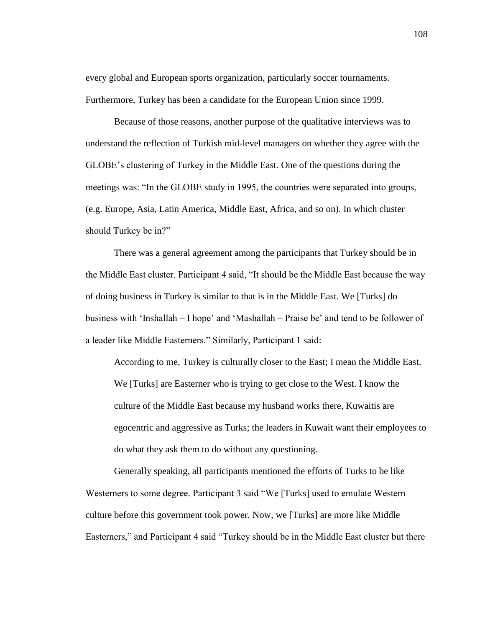every global and European sports organization, particularly soccer tournaments. Furthermore, Turkey has been a candidate for the European Union since 1999.

Because of those reasons, another purpose of the qualitative interviews was to understand the reflection of Turkish mid-level managers on whether they agree with the GLOBE's clustering of Turkey in the Middle East. One of the questions during the meetings was: "In the GLOBE study in 1995, the countries were separated into groups, (e.g. Europe, Asia, Latin America, Middle East, Africa, and so on). In which cluster should Turkey be in?"

There was a general agreement among the participants that Turkey should be in the Middle East cluster. Participant 4 said, "It should be the Middle East because the way of doing business in Turkey is similar to that is in the Middle East. We [Turks] do business with 'Inshallah – I hope' and 'Mashallah – Praise be' and tend to be follower of a leader like Middle Easterners." Similarly, Participant 1 said:

According to me, Turkey is culturally closer to the East; I mean the Middle East. We [Turks] are Easterner who is trying to get close to the West. I know the culture of the Middle East because my husband works there, Kuwaitis are egocentric and aggressive as Turks; the leaders in Kuwait want their employees to do what they ask them to do without any questioning.

Generally speaking, all participants mentioned the efforts of Turks to be like Westerners to some degree. Participant 3 said "We [Turks] used to emulate Western culture before this government took power. Now, we [Turks] are more like Middle Easterners," and Participant 4 said "Turkey should be in the Middle East cluster but there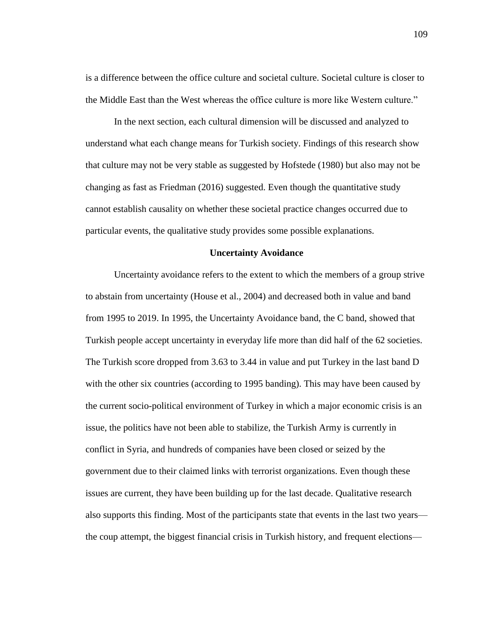is a difference between the office culture and societal culture. Societal culture is closer to the Middle East than the West whereas the office culture is more like Western culture."

In the next section, each cultural dimension will be discussed and analyzed to understand what each change means for Turkish society. Findings of this research show that culture may not be very stable as suggested by Hofstede (1980) but also may not be changing as fast as Friedman (2016) suggested. Even though the quantitative study cannot establish causality on whether these societal practice changes occurred due to particular events, the qualitative study provides some possible explanations.

#### **Uncertainty Avoidance**

Uncertainty avoidance refers to the extent to which the members of a group strive to abstain from uncertainty (House et al., 2004) and decreased both in value and band from 1995 to 2019. In 1995, the Uncertainty Avoidance band, the C band, showed that Turkish people accept uncertainty in everyday life more than did half of the 62 societies. The Turkish score dropped from 3.63 to 3.44 in value and put Turkey in the last band D with the other six countries (according to 1995 banding). This may have been caused by the current socio-political environment of Turkey in which a major economic crisis is an issue, the politics have not been able to stabilize, the Turkish Army is currently in conflict in Syria, and hundreds of companies have been closed or seized by the government due to their claimed links with terrorist organizations. Even though these issues are current, they have been building up for the last decade. Qualitative research also supports this finding. Most of the participants state that events in the last two years the coup attempt, the biggest financial crisis in Turkish history, and frequent elections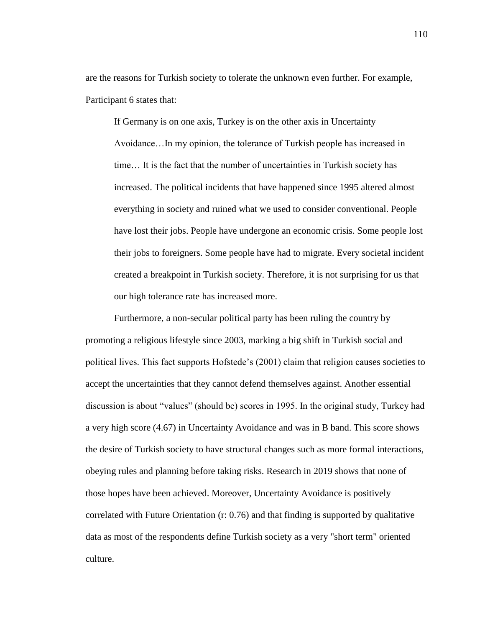are the reasons for Turkish society to tolerate the unknown even further. For example, Participant 6 states that:

If Germany is on one axis, Turkey is on the other axis in Uncertainty Avoidance…In my opinion, the tolerance of Turkish people has increased in time… It is the fact that the number of uncertainties in Turkish society has increased. The political incidents that have happened since 1995 altered almost everything in society and ruined what we used to consider conventional. People have lost their jobs. People have undergone an economic crisis. Some people lost their jobs to foreigners. Some people have had to migrate. Every societal incident created a breakpoint in Turkish society. Therefore, it is not surprising for us that our high tolerance rate has increased more.

Furthermore, a non-secular political party has been ruling the country by promoting a religious lifestyle since 2003, marking a big shift in Turkish social and political lives. This fact supports Hofstede's (2001) claim that religion causes societies to accept the uncertainties that they cannot defend themselves against. Another essential discussion is about "values" (should be) scores in 1995. In the original study, Turkey had a very high score (4.67) in Uncertainty Avoidance and was in B band. This score shows the desire of Turkish society to have structural changes such as more formal interactions, obeying rules and planning before taking risks. Research in 2019 shows that none of those hopes have been achieved. Moreover, Uncertainty Avoidance is positively correlated with Future Orientation (r: 0.76) and that finding is supported by qualitative data as most of the respondents define Turkish society as a very "short term" oriented culture.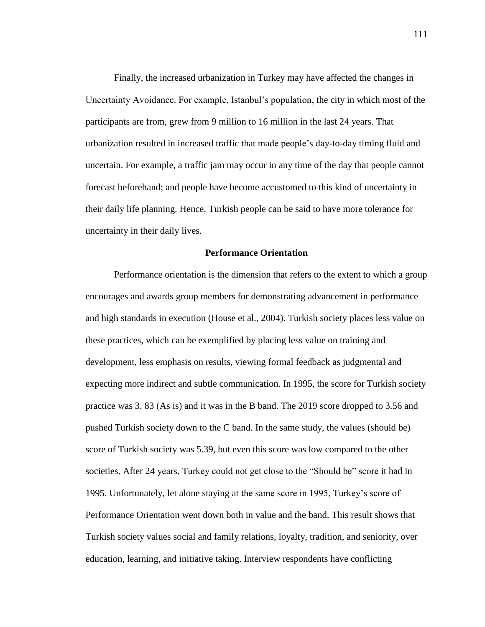Finally, the increased urbanization in Turkey may have affected the changes in Uncertainty Avoidance. For example, Istanbul's population, the city in which most of the participants are from, grew from 9 million to 16 million in the last 24 years. That urbanization resulted in increased traffic that made people's day-to-day timing fluid and uncertain. For example, a traffic jam may occur in any time of the day that people cannot forecast beforehand; and people have become accustomed to this kind of uncertainty in their daily life planning. Hence, Turkish people can be said to have more tolerance for uncertainty in their daily lives.

#### **Performance Orientation**

Performance orientation is the dimension that refers to the extent to which a group encourages and awards group members for demonstrating advancement in performance and high standards in execution (House et al., 2004). Turkish society places less value on these practices, which can be exemplified by placing less value on training and development, less emphasis on results, viewing formal feedback as judgmental and expecting more indirect and subtle communication. In 1995, the score for Turkish society practice was 3. 83 (As is) and it was in the B band. The 2019 score dropped to 3.56 and pushed Turkish society down to the C band. In the same study, the values (should be) score of Turkish society was 5.39, but even this score was low compared to the other societies. After 24 years, Turkey could not get close to the "Should be" score it had in 1995. Unfortunately, let alone staying at the same score in 1995, Turkey's score of Performance Orientation went down both in value and the band. This result shows that Turkish society values social and family relations, loyalty, tradition, and seniority, over education, learning, and initiative taking. Interview respondents have conflicting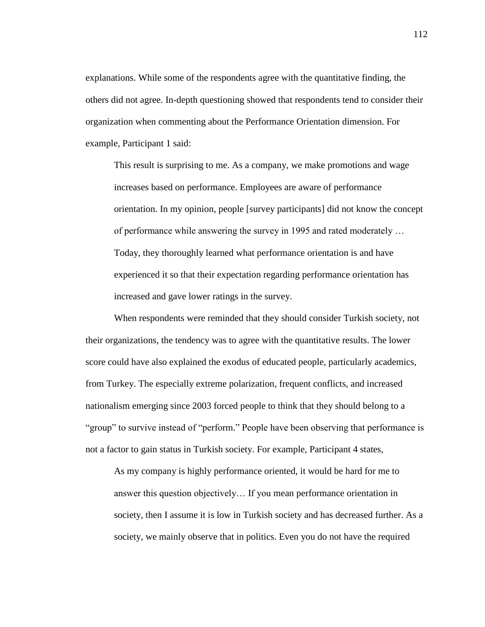explanations. While some of the respondents agree with the quantitative finding, the others did not agree. In-depth questioning showed that respondents tend to consider their organization when commenting about the Performance Orientation dimension. For example, Participant 1 said:

This result is surprising to me. As a company, we make promotions and wage increases based on performance. Employees are aware of performance orientation. In my opinion, people [survey participants] did not know the concept of performance while answering the survey in 1995 and rated moderately … Today, they thoroughly learned what performance orientation is and have experienced it so that their expectation regarding performance orientation has increased and gave lower ratings in the survey.

When respondents were reminded that they should consider Turkish society, not their organizations, the tendency was to agree with the quantitative results. The lower score could have also explained the exodus of educated people, particularly academics, from Turkey. The especially extreme polarization, frequent conflicts, and increased nationalism emerging since 2003 forced people to think that they should belong to a "group" to survive instead of "perform." People have been observing that performance is not a factor to gain status in Turkish society. For example, Participant 4 states,

As my company is highly performance oriented, it would be hard for me to answer this question objectively… If you mean performance orientation in society, then I assume it is low in Turkish society and has decreased further. As a society, we mainly observe that in politics. Even you do not have the required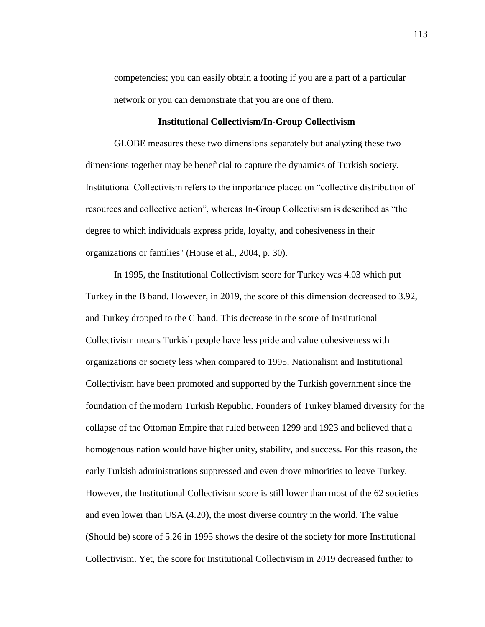competencies; you can easily obtain a footing if you are a part of a particular network or you can demonstrate that you are one of them.

# **Institutional Collectivism/In-Group Collectivism**

GLOBE measures these two dimensions separately but analyzing these two dimensions together may be beneficial to capture the dynamics of Turkish society. Institutional Collectivism refers to the importance placed on "collective distribution of resources and collective action", whereas In-Group Collectivism is described as "the degree to which individuals express pride, loyalty, and cohesiveness in their organizations or families" (House et al., 2004, p. 30).

In 1995, the Institutional Collectivism score for Turkey was 4.03 which put Turkey in the B band. However, in 2019, the score of this dimension decreased to 3.92, and Turkey dropped to the C band. This decrease in the score of Institutional Collectivism means Turkish people have less pride and value cohesiveness with organizations or society less when compared to 1995. Nationalism and Institutional Collectivism have been promoted and supported by the Turkish government since the foundation of the modern Turkish Republic. Founders of Turkey blamed diversity for the collapse of the Ottoman Empire that ruled between 1299 and 1923 and believed that a homogenous nation would have higher unity, stability, and success. For this reason, the early Turkish administrations suppressed and even drove minorities to leave Turkey. However, the Institutional Collectivism score is still lower than most of the 62 societies and even lower than USA (4.20), the most diverse country in the world. The value (Should be) score of 5.26 in 1995 shows the desire of the society for more Institutional Collectivism. Yet, the score for Institutional Collectivism in 2019 decreased further to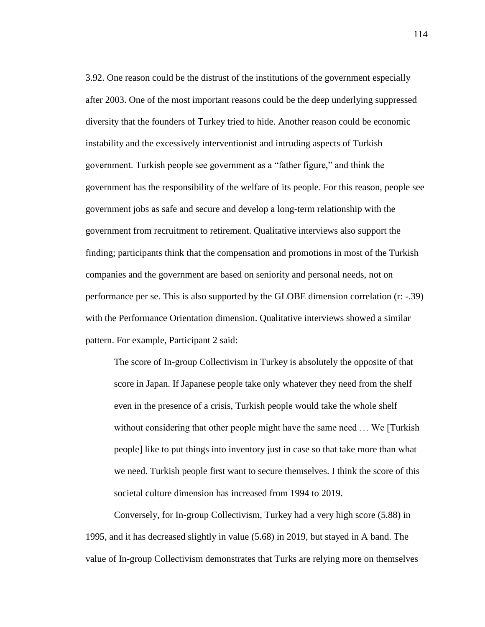3.92. One reason could be the distrust of the institutions of the government especially after 2003. One of the most important reasons could be the deep underlying suppressed diversity that the founders of Turkey tried to hide. Another reason could be economic instability and the excessively interventionist and intruding aspects of Turkish government. Turkish people see government as a "father figure," and think the government has the responsibility of the welfare of its people. For this reason, people see government jobs as safe and secure and develop a long-term relationship with the government from recruitment to retirement. Qualitative interviews also support the finding; participants think that the compensation and promotions in most of the Turkish companies and the government are based on seniority and personal needs, not on performance per se. This is also supported by the GLOBE dimension correlation (r: -.39) with the Performance Orientation dimension. Qualitative interviews showed a similar pattern. For example, Participant 2 said:

The score of In-group Collectivism in Turkey is absolutely the opposite of that score in Japan. If Japanese people take only whatever they need from the shelf even in the presence of a crisis, Turkish people would take the whole shelf without considering that other people might have the same need ... We [Turkish] people] like to put things into inventory just in case so that take more than what we need. Turkish people first want to secure themselves. I think the score of this societal culture dimension has increased from 1994 to 2019.

Conversely, for In-group Collectivism, Turkey had a very high score (5.88) in 1995, and it has decreased slightly in value (5.68) in 2019, but stayed in A band. The value of In-group Collectivism demonstrates that Turks are relying more on themselves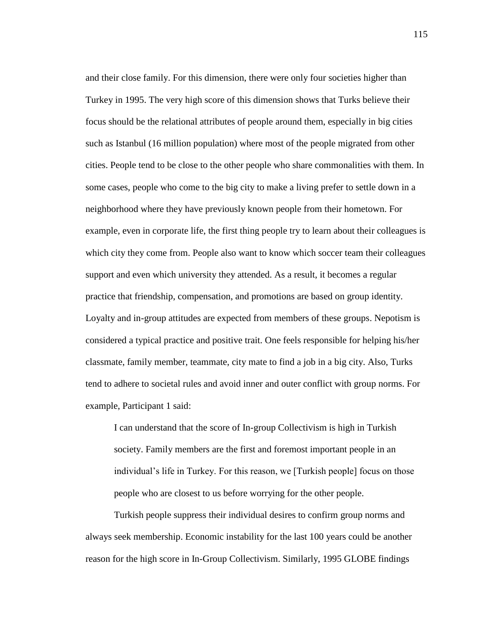and their close family. For this dimension, there were only four societies higher than Turkey in 1995. The very high score of this dimension shows that Turks believe their focus should be the relational attributes of people around them, especially in big cities such as Istanbul (16 million population) where most of the people migrated from other cities. People tend to be close to the other people who share commonalities with them. In some cases, people who come to the big city to make a living prefer to settle down in a neighborhood where they have previously known people from their hometown. For example, even in corporate life, the first thing people try to learn about their colleagues is which city they come from. People also want to know which soccer team their colleagues support and even which university they attended. As a result, it becomes a regular practice that friendship, compensation, and promotions are based on group identity. Loyalty and in-group attitudes are expected from members of these groups. Nepotism is considered a typical practice and positive trait. One feels responsible for helping his/her classmate, family member, teammate, city mate to find a job in a big city. Also, Turks tend to adhere to societal rules and avoid inner and outer conflict with group norms. For example, Participant 1 said:

I can understand that the score of In-group Collectivism is high in Turkish society. Family members are the first and foremost important people in an individual's life in Turkey. For this reason, we [Turkish people] focus on those people who are closest to us before worrying for the other people.

Turkish people suppress their individual desires to confirm group norms and always seek membership. Economic instability for the last 100 years could be another reason for the high score in In-Group Collectivism. Similarly, 1995 GLOBE findings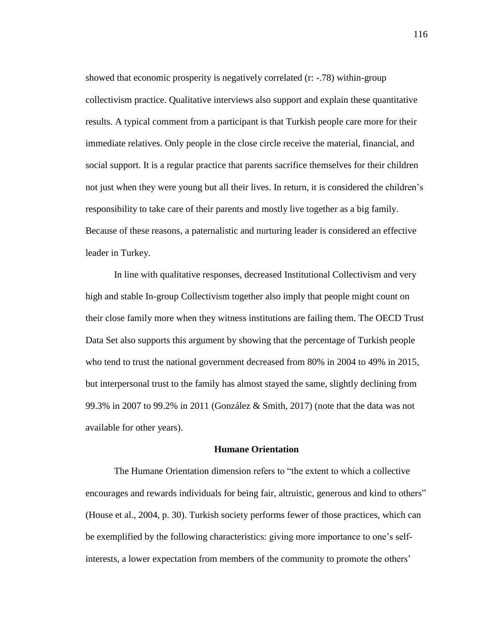showed that economic prosperity is negatively correlated (r: -.78) within-group collectivism practice. Qualitative interviews also support and explain these quantitative results. A typical comment from a participant is that Turkish people care more for their immediate relatives. Only people in the close circle receive the material, financial, and social support. It is a regular practice that parents sacrifice themselves for their children not just when they were young but all their lives. In return, it is considered the children's responsibility to take care of their parents and mostly live together as a big family. Because of these reasons, a paternalistic and nurturing leader is considered an effective leader in Turkey.

In line with qualitative responses, decreased Institutional Collectivism and very high and stable In-group Collectivism together also imply that people might count on their close family more when they witness institutions are failing them. The OECD Trust Data Set also supports this argument by showing that the percentage of Turkish people who tend to trust the national government decreased from 80% in 2004 to 49% in 2015, but interpersonal trust to the family has almost stayed the same, slightly declining from 99.3% in 2007 to 99.2% in 2011 (González & Smith, 2017) (note that the data was not available for other years).

#### **Humane Orientation**

The Humane Orientation dimension refers to "the extent to which a collective encourages and rewards individuals for being fair, altruistic, generous and kind to others" (House et al., 2004, p. 30). Turkish society performs fewer of those practices, which can be exemplified by the following characteristics: giving more importance to one's selfinterests, a lower expectation from members of the community to promote the others'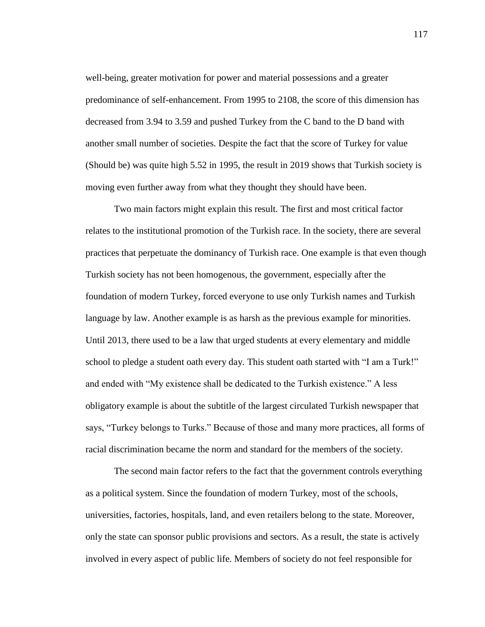well-being, greater motivation for power and material possessions and a greater predominance of self-enhancement. From 1995 to 2108, the score of this dimension has decreased from 3.94 to 3.59 and pushed Turkey from the C band to the D band with another small number of societies. Despite the fact that the score of Turkey for value (Should be) was quite high 5.52 in 1995, the result in 2019 shows that Turkish society is moving even further away from what they thought they should have been.

Two main factors might explain this result. The first and most critical factor relates to the institutional promotion of the Turkish race. In the society, there are several practices that perpetuate the dominancy of Turkish race. One example is that even though Turkish society has not been homogenous, the government, especially after the foundation of modern Turkey, forced everyone to use only Turkish names and Turkish language by law. Another example is as harsh as the previous example for minorities. Until 2013, there used to be a law that urged students at every elementary and middle school to pledge a student oath every day. This student oath started with "I am a Turk!" and ended with "My existence shall be dedicated to the Turkish existence." A less obligatory example is about the subtitle of the largest circulated Turkish newspaper that says, "Turkey belongs to Turks." Because of those and many more practices, all forms of racial discrimination became the norm and standard for the members of the society.

The second main factor refers to the fact that the government controls everything as a political system. Since the foundation of modern Turkey, most of the schools, universities, factories, hospitals, land, and even retailers belong to the state. Moreover, only the state can sponsor public provisions and sectors. As a result, the state is actively involved in every aspect of public life. Members of society do not feel responsible for

117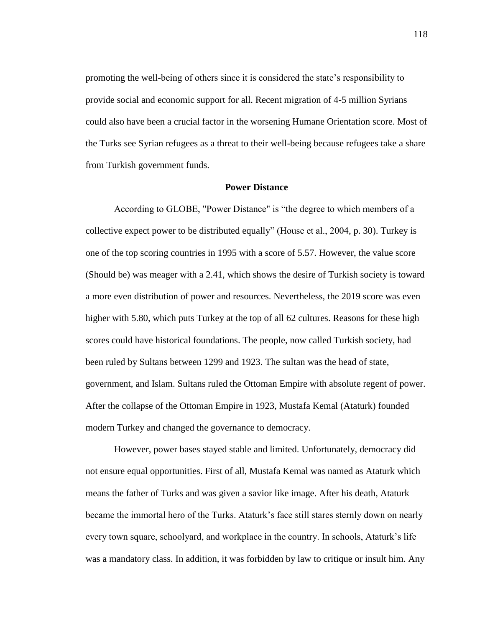promoting the well-being of others since it is considered the state's responsibility to provide social and economic support for all. Recent migration of 4-5 million Syrians could also have been a crucial factor in the worsening Humane Orientation score. Most of the Turks see Syrian refugees as a threat to their well-being because refugees take a share from Turkish government funds.

# **Power Distance**

According to GLOBE, "Power Distance" is "the degree to which members of a collective expect power to be distributed equally" (House et al., 2004, p. 30). Turkey is one of the top scoring countries in 1995 with a score of 5.57. However, the value score (Should be) was meager with a 2.41, which shows the desire of Turkish society is toward a more even distribution of power and resources. Nevertheless, the 2019 score was even higher with 5.80, which puts Turkey at the top of all 62 cultures. Reasons for these high scores could have historical foundations. The people, now called Turkish society, had been ruled by Sultans between 1299 and 1923. The sultan was the head of state, government, and Islam. Sultans ruled the Ottoman Empire with absolute regent of power. After the collapse of the Ottoman Empire in 1923, Mustafa Kemal (Ataturk) founded modern Turkey and changed the governance to democracy.

However, power bases stayed stable and limited. Unfortunately, democracy did not ensure equal opportunities. First of all, Mustafa Kemal was named as Ataturk which means the father of Turks and was given a savior like image. After his death, Ataturk became the immortal hero of the Turks. Ataturk's face still stares sternly down on nearly every town square, schoolyard, and workplace in the country. In schools, Ataturk's life was a mandatory class. In addition, it was forbidden by law to critique or insult him. Any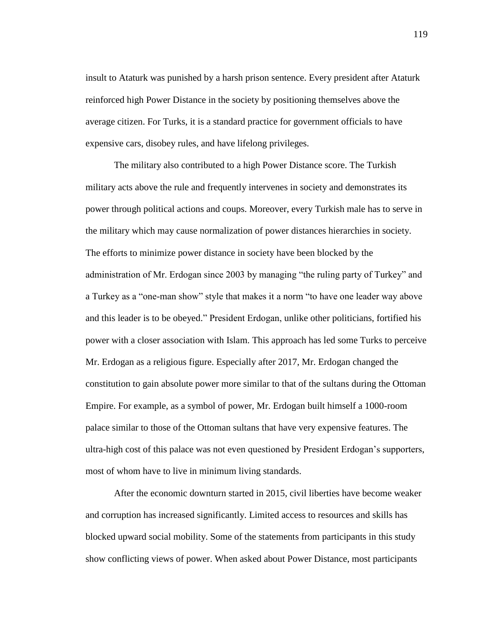insult to Ataturk was punished by a harsh prison sentence. Every president after Ataturk reinforced high Power Distance in the society by positioning themselves above the average citizen. For Turks, it is a standard practice for government officials to have expensive cars, disobey rules, and have lifelong privileges.

The military also contributed to a high Power Distance score. The Turkish military acts above the rule and frequently intervenes in society and demonstrates its power through political actions and coups. Moreover, every Turkish male has to serve in the military which may cause normalization of power distances hierarchies in society. The efforts to minimize power distance in society have been blocked by the administration of Mr. Erdogan since 2003 by managing "the ruling party of Turkey" and a Turkey as a "one-man show" style that makes it a norm "to have one leader way above and this leader is to be obeyed." President Erdogan, unlike other politicians, fortified his power with a closer association with Islam. This approach has led some Turks to perceive Mr. Erdogan as a religious figure. Especially after 2017, Mr. Erdogan changed the constitution to gain absolute power more similar to that of the sultans during the Ottoman Empire. For example, as a symbol of power, Mr. Erdogan built himself a 1000-room palace similar to those of the Ottoman sultans that have very expensive features. The ultra-high cost of this palace was not even questioned by President Erdogan's supporters, most of whom have to live in minimum living standards.

After the economic downturn started in 2015, civil liberties have become weaker and corruption has increased significantly. Limited access to resources and skills has blocked upward social mobility. Some of the statements from participants in this study show conflicting views of power. When asked about Power Distance, most participants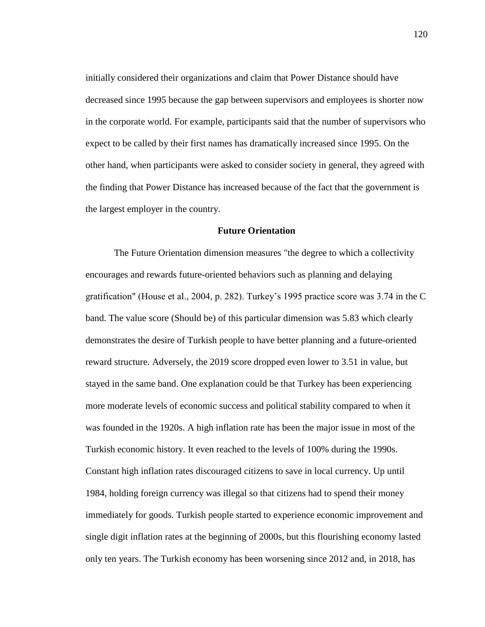initially considered their organizations and claim that Power Distance should have decreased since 1995 because the gap between supervisors and employees is shorter now in the corporate world. For example, participants said that the number of supervisors who expect to be called by their first names has dramatically increased since 1995. On the other hand, when participants were asked to consider society in general, they agreed with the finding that Power Distance has increased because of the fact that the government is the largest employer in the country.

# **Future Orientation**

The Future Orientation dimension measures "the degree to which a collectivity encourages and rewards future-oriented behaviors such as planning and delaying gratification" (House et al., 2004, p. 282). Turkey's 1995 practice score was 3.74 in the C band. The value score (Should be) of this particular dimension was 5.83 which clearly demonstrates the desire of Turkish people to have better planning and a future-oriented reward structure. Adversely, the 2019 score dropped even lower to 3.51 in value, but stayed in the same band. One explanation could be that Turkey has been experiencing more moderate levels of economic success and political stability compared to when it was founded in the 1920s. A high inflation rate has been the major issue in most of the Turkish economic history. It even reached to the levels of 100% during the 1990s. Constant high inflation rates discouraged citizens to save in local currency. Up until 1984, holding foreign currency was illegal so that citizens had to spend their money immediately for goods. Turkish people started to experience economic improvement and single digit inflation rates at the beginning of 2000s, but this flourishing economy lasted only ten years. The Turkish economy has been worsening since 2012 and, in 2018, has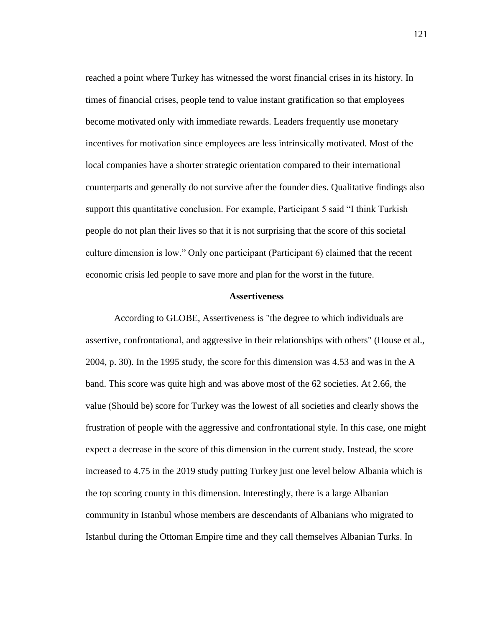reached a point where Turkey has witnessed the worst financial crises in its history. In times of financial crises, people tend to value instant gratification so that employees become motivated only with immediate rewards. Leaders frequently use monetary incentives for motivation since employees are less intrinsically motivated. Most of the local companies have a shorter strategic orientation compared to their international counterparts and generally do not survive after the founder dies. Qualitative findings also support this quantitative conclusion. For example, Participant 5 said "I think Turkish people do not plan their lives so that it is not surprising that the score of this societal culture dimension is low." Only one participant (Participant 6) claimed that the recent economic crisis led people to save more and plan for the worst in the future.

#### **Assertiveness**

According to GLOBE, Assertiveness is "the degree to which individuals are assertive, confrontational, and aggressive in their relationships with others" (House et al., 2004, p. 30). In the 1995 study, the score for this dimension was 4.53 and was in the A band. This score was quite high and was above most of the 62 societies. At 2.66, the value (Should be) score for Turkey was the lowest of all societies and clearly shows the frustration of people with the aggressive and confrontational style. In this case, one might expect a decrease in the score of this dimension in the current study. Instead, the score increased to 4.75 in the 2019 study putting Turkey just one level below Albania which is the top scoring county in this dimension. Interestingly, there is a large Albanian community in Istanbul whose members are descendants of Albanians who migrated to Istanbul during the Ottoman Empire time and they call themselves Albanian Turks. In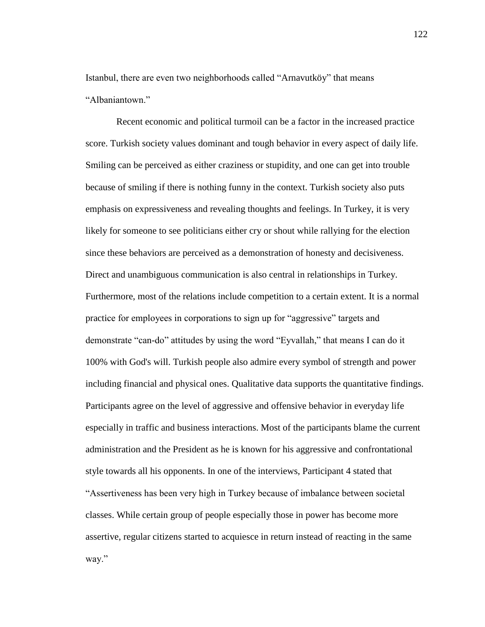Istanbul, there are even two neighborhoods called "Arnavutköy" that means "Albaniantown."

Recent economic and political turmoil can be a factor in the increased practice score. Turkish society values dominant and tough behavior in every aspect of daily life. Smiling can be perceived as either craziness or stupidity, and one can get into trouble because of smiling if there is nothing funny in the context. Turkish society also puts emphasis on expressiveness and revealing thoughts and feelings. In Turkey, it is very likely for someone to see politicians either cry or shout while rallying for the election since these behaviors are perceived as a demonstration of honesty and decisiveness. Direct and unambiguous communication is also central in relationships in Turkey. Furthermore, most of the relations include competition to a certain extent. It is a normal practice for employees in corporations to sign up for "aggressive" targets and demonstrate "can-do" attitudes by using the word "Eyvallah," that means I can do it 100% with God's will. Turkish people also admire every symbol of strength and power including financial and physical ones. Qualitative data supports the quantitative findings. Participants agree on the level of aggressive and offensive behavior in everyday life especially in traffic and business interactions. Most of the participants blame the current administration and the President as he is known for his aggressive and confrontational style towards all his opponents. In one of the interviews, Participant 4 stated that "Assertiveness has been very high in Turkey because of imbalance between societal classes. While certain group of people especially those in power has become more assertive, regular citizens started to acquiesce in return instead of reacting in the same way."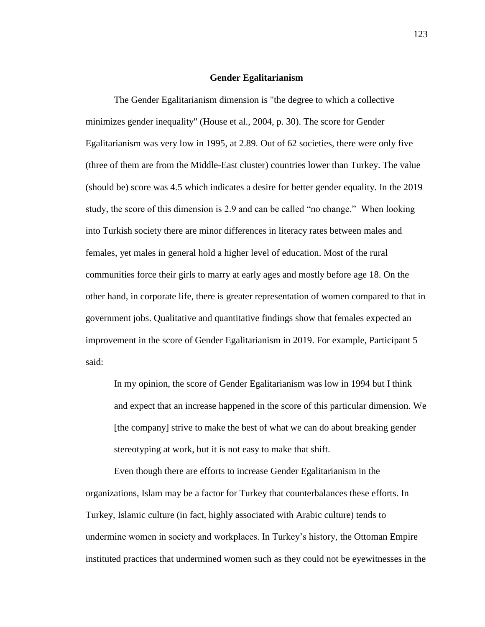#### **Gender Egalitarianism**

The Gender Egalitarianism dimension is "the degree to which a collective minimizes gender inequality" (House et al., 2004, p. 30). The score for Gender Egalitarianism was very low in 1995, at 2.89. Out of 62 societies, there were only five (three of them are from the Middle-East cluster) countries lower than Turkey. The value (should be) score was 4.5 which indicates a desire for better gender equality. In the 2019 study, the score of this dimension is 2.9 and can be called "no change." When looking into Turkish society there are minor differences in literacy rates between males and females, yet males in general hold a higher level of education. Most of the rural communities force their girls to marry at early ages and mostly before age 18. On the other hand, in corporate life, there is greater representation of women compared to that in government jobs. Qualitative and quantitative findings show that females expected an improvement in the score of Gender Egalitarianism in 2019. For example, Participant 5 said:

In my opinion, the score of Gender Egalitarianism was low in 1994 but I think and expect that an increase happened in the score of this particular dimension. We [the company] strive to make the best of what we can do about breaking gender stereotyping at work, but it is not easy to make that shift.

Even though there are efforts to increase Gender Egalitarianism in the organizations, Islam may be a factor for Turkey that counterbalances these efforts. In Turkey, Islamic culture (in fact, highly associated with Arabic culture) tends to undermine women in society and workplaces. In Turkey's history, the Ottoman Empire instituted practices that undermined women such as they could not be eyewitnesses in the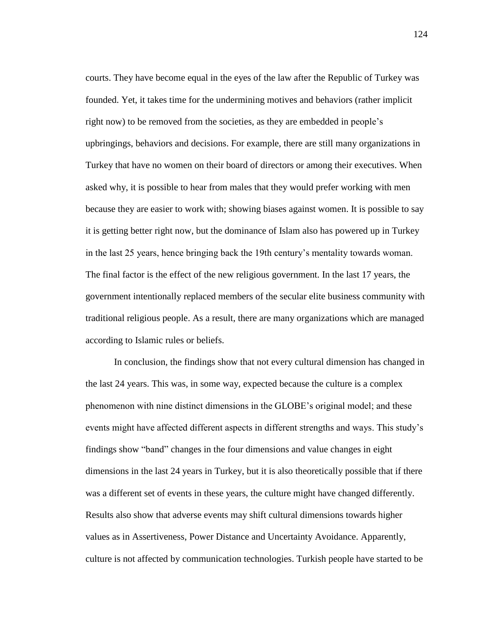courts. They have become equal in the eyes of the law after the Republic of Turkey was founded. Yet, it takes time for the undermining motives and behaviors (rather implicit right now) to be removed from the societies, as they are embedded in people's upbringings, behaviors and decisions. For example, there are still many organizations in Turkey that have no women on their board of directors or among their executives. When asked why, it is possible to hear from males that they would prefer working with men because they are easier to work with; showing biases against women. It is possible to say it is getting better right now, but the dominance of Islam also has powered up in Turkey in the last 25 years, hence bringing back the 19th century's mentality towards woman. The final factor is the effect of the new religious government. In the last 17 years, the government intentionally replaced members of the secular elite business community with traditional religious people. As a result, there are many organizations which are managed according to Islamic rules or beliefs.

In conclusion, the findings show that not every cultural dimension has changed in the last 24 years. This was, in some way, expected because the culture is a complex phenomenon with nine distinct dimensions in the GLOBE's original model; and these events might have affected different aspects in different strengths and ways. This study's findings show "band" changes in the four dimensions and value changes in eight dimensions in the last 24 years in Turkey, but it is also theoretically possible that if there was a different set of events in these years, the culture might have changed differently. Results also show that adverse events may shift cultural dimensions towards higher values as in Assertiveness, Power Distance and Uncertainty Avoidance. Apparently, culture is not affected by communication technologies. Turkish people have started to be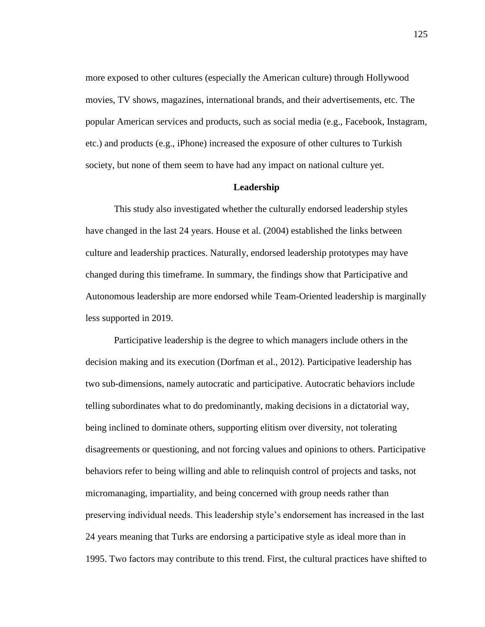more exposed to other cultures (especially the American culture) through Hollywood movies, TV shows, magazines, international brands, and their advertisements, etc. The popular American services and products, such as social media (e.g., Facebook, Instagram, etc.) and products (e.g., iPhone) increased the exposure of other cultures to Turkish society, but none of them seem to have had any impact on national culture yet.

#### **Leadership**

This study also investigated whether the culturally endorsed leadership styles have changed in the last 24 years. House et al. (2004) established the links between culture and leadership practices. Naturally, endorsed leadership prototypes may have changed during this timeframe. In summary, the findings show that Participative and Autonomous leadership are more endorsed while Team-Oriented leadership is marginally less supported in 2019.

Participative leadership is the degree to which managers include others in the decision making and its execution (Dorfman et al., 2012). Participative leadership has two sub-dimensions, namely autocratic and participative. Autocratic behaviors include telling subordinates what to do predominantly, making decisions in a dictatorial way, being inclined to dominate others, supporting elitism over diversity, not tolerating disagreements or questioning, and not forcing values and opinions to others. Participative behaviors refer to being willing and able to relinquish control of projects and tasks, not micromanaging, impartiality, and being concerned with group needs rather than preserving individual needs. This leadership style's endorsement has increased in the last 24 years meaning that Turks are endorsing a participative style as ideal more than in 1995. Two factors may contribute to this trend. First, the cultural practices have shifted to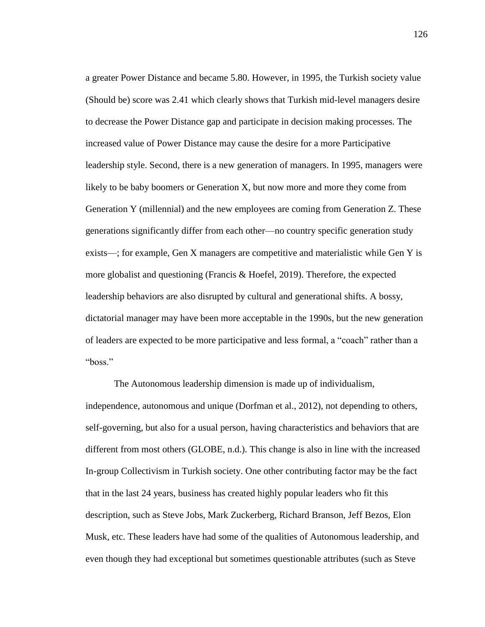a greater Power Distance and became 5.80. However, in 1995, the Turkish society value (Should be) score was 2.41 which clearly shows that Turkish mid-level managers desire to decrease the Power Distance gap and participate in decision making processes. The increased value of Power Distance may cause the desire for a more Participative leadership style. Second, there is a new generation of managers. In 1995, managers were likely to be baby boomers or Generation X, but now more and more they come from Generation Y (millennial) and the new employees are coming from Generation Z. These generations significantly differ from each other—no country specific generation study exists—; for example, Gen X managers are competitive and materialistic while Gen Y is more globalist and questioning (Francis & Hoefel, 2019). Therefore, the expected leadership behaviors are also disrupted by cultural and generational shifts. A bossy, dictatorial manager may have been more acceptable in the 1990s, but the new generation of leaders are expected to be more participative and less formal, a "coach" rather than a "boss."

The Autonomous leadership dimension is made up of individualism, independence, autonomous and unique (Dorfman et al., 2012), not depending to others, self-governing, but also for a usual person, having characteristics and behaviors that are different from most others (GLOBE, n.d.). This change is also in line with the increased In-group Collectivism in Turkish society. One other contributing factor may be the fact that in the last 24 years, business has created highly popular leaders who fit this description, such as Steve Jobs, Mark Zuckerberg, Richard Branson, Jeff Bezos, Elon Musk, etc. These leaders have had some of the qualities of Autonomous leadership, and even though they had exceptional but sometimes questionable attributes (such as Steve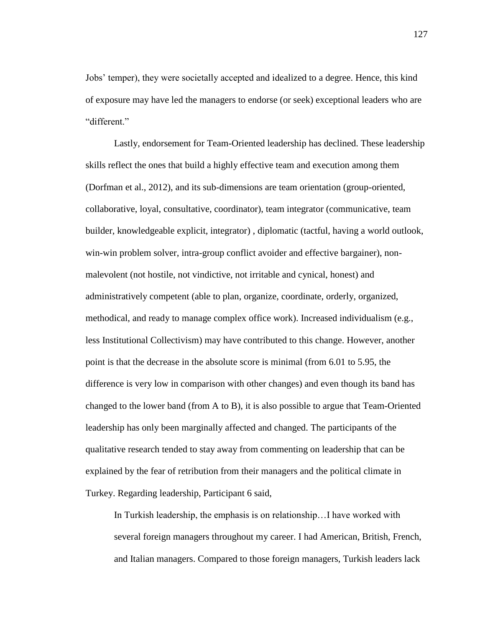Jobs' temper), they were societally accepted and idealized to a degree. Hence, this kind of exposure may have led the managers to endorse (or seek) exceptional leaders who are "different."

Lastly, endorsement for Team-Oriented leadership has declined. These leadership skills reflect the ones that build a highly effective team and execution among them (Dorfman et al., 2012), and its sub-dimensions are team orientation (group-oriented, collaborative, loyal, consultative, coordinator), team integrator (communicative, team builder, knowledgeable explicit, integrator) , diplomatic (tactful, having a world outlook, win-win problem solver, intra-group conflict avoider and effective bargainer), nonmalevolent (not hostile, not vindictive, not irritable and cynical, honest) and administratively competent (able to plan, organize, coordinate, orderly, organized, methodical, and ready to manage complex office work). Increased individualism (e.g., less Institutional Collectivism) may have contributed to this change. However, another point is that the decrease in the absolute score is minimal (from 6.01 to 5.95, the difference is very low in comparison with other changes) and even though its band has changed to the lower band (from A to B), it is also possible to argue that Team-Oriented leadership has only been marginally affected and changed. The participants of the qualitative research tended to stay away from commenting on leadership that can be explained by the fear of retribution from their managers and the political climate in Turkey. Regarding leadership, Participant 6 said,

In Turkish leadership, the emphasis is on relationship…I have worked with several foreign managers throughout my career. I had American, British, French, and Italian managers. Compared to those foreign managers, Turkish leaders lack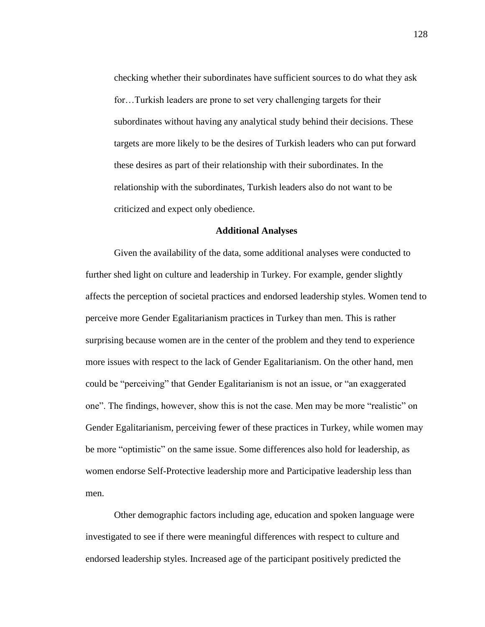checking whether their subordinates have sufficient sources to do what they ask for…Turkish leaders are prone to set very challenging targets for their subordinates without having any analytical study behind their decisions. These targets are more likely to be the desires of Turkish leaders who can put forward these desires as part of their relationship with their subordinates. In the relationship with the subordinates, Turkish leaders also do not want to be criticized and expect only obedience.

### **Additional Analyses**

Given the availability of the data, some additional analyses were conducted to further shed light on culture and leadership in Turkey. For example, gender slightly affects the perception of societal practices and endorsed leadership styles. Women tend to perceive more Gender Egalitarianism practices in Turkey than men. This is rather surprising because women are in the center of the problem and they tend to experience more issues with respect to the lack of Gender Egalitarianism. On the other hand, men could be "perceiving" that Gender Egalitarianism is not an issue, or "an exaggerated one". The findings, however, show this is not the case. Men may be more "realistic" on Gender Egalitarianism, perceiving fewer of these practices in Turkey, while women may be more "optimistic" on the same issue. Some differences also hold for leadership, as women endorse Self-Protective leadership more and Participative leadership less than men.

Other demographic factors including age, education and spoken language were investigated to see if there were meaningful differences with respect to culture and endorsed leadership styles. Increased age of the participant positively predicted the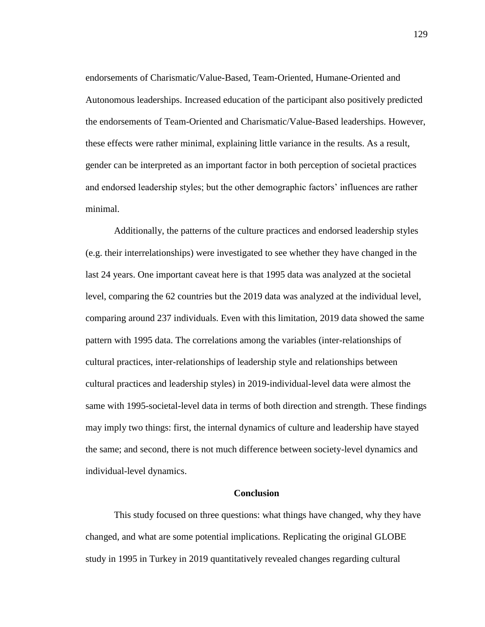endorsements of Charismatic/Value-Based, Team-Oriented, Humane-Oriented and Autonomous leaderships. Increased education of the participant also positively predicted the endorsements of Team-Oriented and Charismatic/Value-Based leaderships. However, these effects were rather minimal, explaining little variance in the results. As a result, gender can be interpreted as an important factor in both perception of societal practices and endorsed leadership styles; but the other demographic factors' influences are rather minimal.

Additionally, the patterns of the culture practices and endorsed leadership styles (e.g. their interrelationships) were investigated to see whether they have changed in the last 24 years. One important caveat here is that 1995 data was analyzed at the societal level, comparing the 62 countries but the 2019 data was analyzed at the individual level, comparing around 237 individuals. Even with this limitation, 2019 data showed the same pattern with 1995 data. The correlations among the variables (inter-relationships of cultural practices, inter-relationships of leadership style and relationships between cultural practices and leadership styles) in 2019-individual-level data were almost the same with 1995-societal-level data in terms of both direction and strength. These findings may imply two things: first, the internal dynamics of culture and leadership have stayed the same; and second, there is not much difference between society-level dynamics and individual-level dynamics.

#### **Conclusion**

This study focused on three questions: what things have changed, why they have changed, and what are some potential implications. Replicating the original GLOBE study in 1995 in Turkey in 2019 quantitatively revealed changes regarding cultural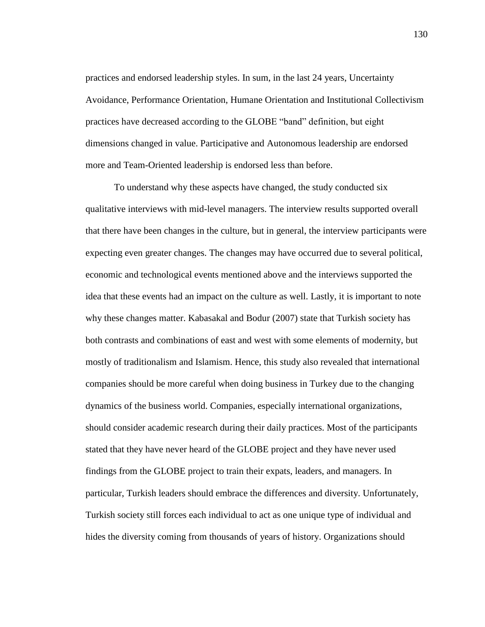practices and endorsed leadership styles. In sum, in the last 24 years, Uncertainty Avoidance, Performance Orientation, Humane Orientation and Institutional Collectivism practices have decreased according to the GLOBE "band" definition, but eight dimensions changed in value. Participative and Autonomous leadership are endorsed more and Team-Oriented leadership is endorsed less than before.

To understand why these aspects have changed, the study conducted six qualitative interviews with mid-level managers. The interview results supported overall that there have been changes in the culture, but in general, the interview participants were expecting even greater changes. The changes may have occurred due to several political, economic and technological events mentioned above and the interviews supported the idea that these events had an impact on the culture as well. Lastly, it is important to note why these changes matter. Kabasakal and Bodur (2007) state that Turkish society has both contrasts and combinations of east and west with some elements of modernity, but mostly of traditionalism and Islamism. Hence, this study also revealed that international companies should be more careful when doing business in Turkey due to the changing dynamics of the business world. Companies, especially international organizations, should consider academic research during their daily practices. Most of the participants stated that they have never heard of the GLOBE project and they have never used findings from the GLOBE project to train their expats, leaders, and managers. In particular, Turkish leaders should embrace the differences and diversity. Unfortunately, Turkish society still forces each individual to act as one unique type of individual and hides the diversity coming from thousands of years of history. Organizations should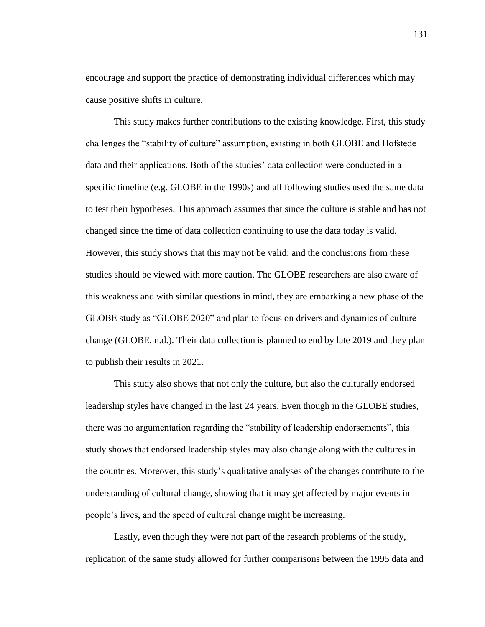encourage and support the practice of demonstrating individual differences which may cause positive shifts in culture.

This study makes further contributions to the existing knowledge. First, this study challenges the "stability of culture" assumption, existing in both GLOBE and Hofstede data and their applications. Both of the studies' data collection were conducted in a specific timeline (e.g. GLOBE in the 1990s) and all following studies used the same data to test their hypotheses. This approach assumes that since the culture is stable and has not changed since the time of data collection continuing to use the data today is valid. However, this study shows that this may not be valid; and the conclusions from these studies should be viewed with more caution. The GLOBE researchers are also aware of this weakness and with similar questions in mind, they are embarking a new phase of the GLOBE study as "GLOBE 2020" and plan to focus on drivers and dynamics of culture change (GLOBE, n.d.). Their data collection is planned to end by late 2019 and they plan to publish their results in 2021.

This study also shows that not only the culture, but also the culturally endorsed leadership styles have changed in the last 24 years. Even though in the GLOBE studies, there was no argumentation regarding the "stability of leadership endorsements", this study shows that endorsed leadership styles may also change along with the cultures in the countries. Moreover, this study's qualitative analyses of the changes contribute to the understanding of cultural change, showing that it may get affected by major events in people's lives, and the speed of cultural change might be increasing.

Lastly, even though they were not part of the research problems of the study, replication of the same study allowed for further comparisons between the 1995 data and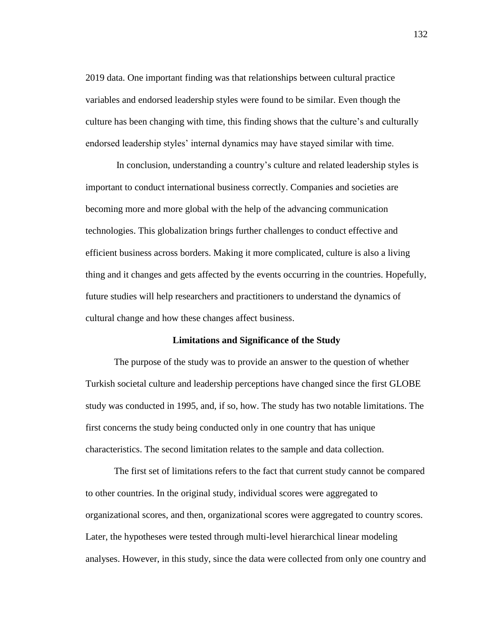2019 data. One important finding was that relationships between cultural practice variables and endorsed leadership styles were found to be similar. Even though the culture has been changing with time, this finding shows that the culture's and culturally endorsed leadership styles' internal dynamics may have stayed similar with time.

In conclusion, understanding a country's culture and related leadership styles is important to conduct international business correctly. Companies and societies are becoming more and more global with the help of the advancing communication technologies. This globalization brings further challenges to conduct effective and efficient business across borders. Making it more complicated, culture is also a living thing and it changes and gets affected by the events occurring in the countries. Hopefully, future studies will help researchers and practitioners to understand the dynamics of cultural change and how these changes affect business.

#### **Limitations and Significance of the Study**

The purpose of the study was to provide an answer to the question of whether Turkish societal culture and leadership perceptions have changed since the first GLOBE study was conducted in 1995, and, if so, how. The study has two notable limitations. The first concerns the study being conducted only in one country that has unique characteristics. The second limitation relates to the sample and data collection.

The first set of limitations refers to the fact that current study cannot be compared to other countries. In the original study, individual scores were aggregated to organizational scores, and then, organizational scores were aggregated to country scores. Later, the hypotheses were tested through multi-level hierarchical linear modeling analyses. However, in this study, since the data were collected from only one country and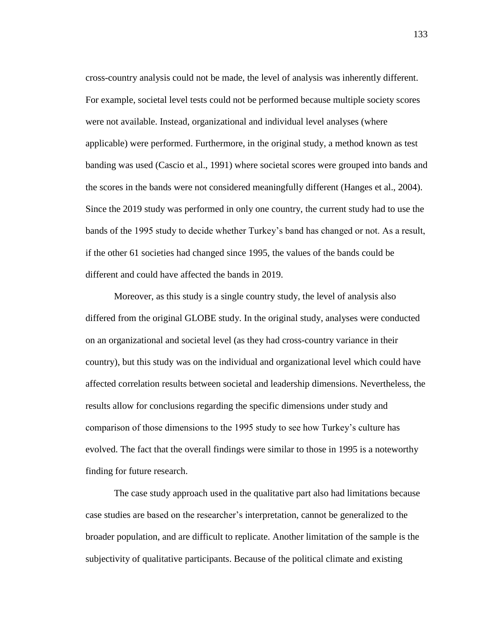cross-country analysis could not be made, the level of analysis was inherently different. For example, societal level tests could not be performed because multiple society scores were not available. Instead, organizational and individual level analyses (where applicable) were performed. Furthermore, in the original study, a method known as test banding was used (Cascio et al., 1991) where societal scores were grouped into bands and the scores in the bands were not considered meaningfully different (Hanges et al., 2004). Since the 2019 study was performed in only one country, the current study had to use the bands of the 1995 study to decide whether Turkey's band has changed or not. As a result, if the other 61 societies had changed since 1995, the values of the bands could be different and could have affected the bands in 2019.

Moreover, as this study is a single country study, the level of analysis also differed from the original GLOBE study. In the original study, analyses were conducted on an organizational and societal level (as they had cross-country variance in their country), but this study was on the individual and organizational level which could have affected correlation results between societal and leadership dimensions. Nevertheless, the results allow for conclusions regarding the specific dimensions under study and comparison of those dimensions to the 1995 study to see how Turkey's culture has evolved. The fact that the overall findings were similar to those in 1995 is a noteworthy finding for future research.

The case study approach used in the qualitative part also had limitations because case studies are based on the researcher's interpretation, cannot be generalized to the broader population, and are difficult to replicate. Another limitation of the sample is the subjectivity of qualitative participants. Because of the political climate and existing

133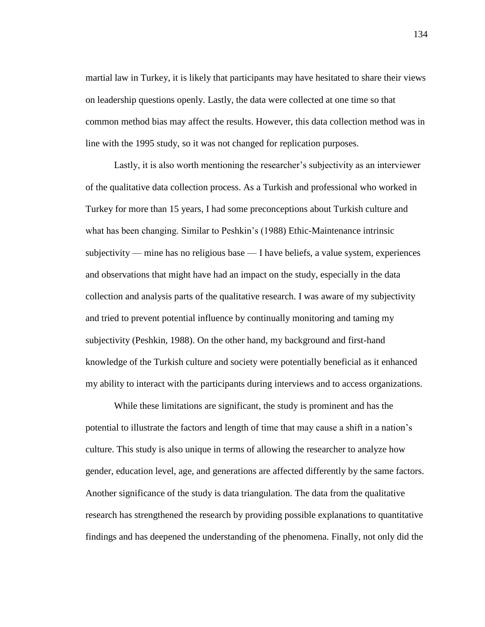martial law in Turkey, it is likely that participants may have hesitated to share their views on leadership questions openly. Lastly, the data were collected at one time so that common method bias may affect the results. However, this data collection method was in line with the 1995 study, so it was not changed for replication purposes.

Lastly, it is also worth mentioning the researcher's subjectivity as an interviewer of the qualitative data collection process. As a Turkish and professional who worked in Turkey for more than 15 years, I had some preconceptions about Turkish culture and what has been changing. Similar to Peshkin's (1988) Ethic-Maintenance intrinsic subjectivity — mine has no religious base — I have beliefs, a value system, experiences and observations that might have had an impact on the study, especially in the data collection and analysis parts of the qualitative research. I was aware of my subjectivity and tried to prevent potential influence by continually monitoring and taming my subjectivity (Peshkin, 1988). On the other hand, my background and first-hand knowledge of the Turkish culture and society were potentially beneficial as it enhanced my ability to interact with the participants during interviews and to access organizations.

While these limitations are significant, the study is prominent and has the potential to illustrate the factors and length of time that may cause a shift in a nation's culture. This study is also unique in terms of allowing the researcher to analyze how gender, education level, age, and generations are affected differently by the same factors. Another significance of the study is data triangulation. The data from the qualitative research has strengthened the research by providing possible explanations to quantitative findings and has deepened the understanding of the phenomena. Finally, not only did the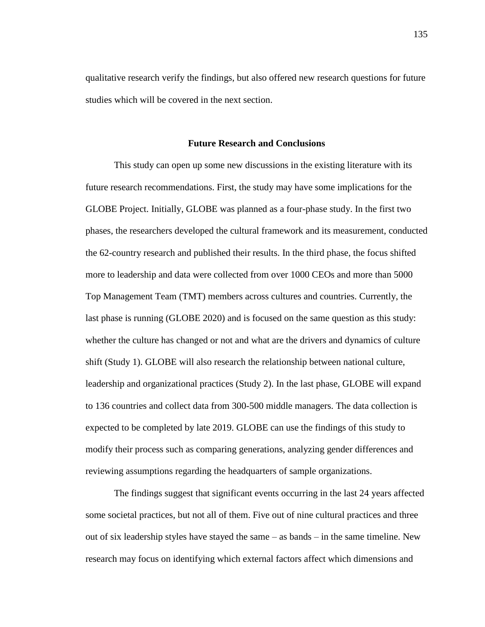qualitative research verify the findings, but also offered new research questions for future studies which will be covered in the next section.

#### **Future Research and Conclusions**

This study can open up some new discussions in the existing literature with its future research recommendations. First, the study may have some implications for the GLOBE Project. Initially, GLOBE was planned as a four-phase study. In the first two phases, the researchers developed the cultural framework and its measurement, conducted the 62-country research and published their results. In the third phase, the focus shifted more to leadership and data were collected from over 1000 CEOs and more than 5000 Top Management Team (TMT) members across cultures and countries. Currently, the last phase is running (GLOBE 2020) and is focused on the same question as this study: whether the culture has changed or not and what are the drivers and dynamics of culture shift (Study 1). GLOBE will also research the relationship between national culture, leadership and organizational practices (Study 2). In the last phase, GLOBE will expand to 136 countries and collect data from 300-500 middle managers. The data collection is expected to be completed by late 2019. GLOBE can use the findings of this study to modify their process such as comparing generations, analyzing gender differences and reviewing assumptions regarding the headquarters of sample organizations.

The findings suggest that significant events occurring in the last 24 years affected some societal practices, but not all of them. Five out of nine cultural practices and three out of six leadership styles have stayed the same – as bands – in the same timeline. New research may focus on identifying which external factors affect which dimensions and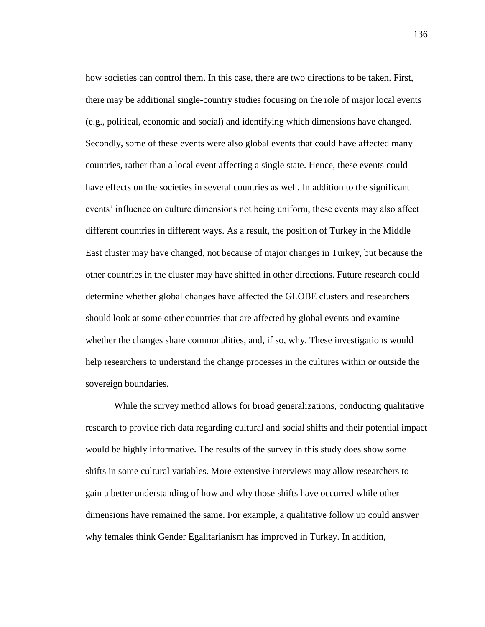how societies can control them. In this case, there are two directions to be taken. First, there may be additional single-country studies focusing on the role of major local events (e.g., political, economic and social) and identifying which dimensions have changed. Secondly, some of these events were also global events that could have affected many countries, rather than a local event affecting a single state. Hence, these events could have effects on the societies in several countries as well. In addition to the significant events' influence on culture dimensions not being uniform, these events may also affect different countries in different ways. As a result, the position of Turkey in the Middle East cluster may have changed, not because of major changes in Turkey, but because the other countries in the cluster may have shifted in other directions. Future research could determine whether global changes have affected the GLOBE clusters and researchers should look at some other countries that are affected by global events and examine whether the changes share commonalities, and, if so, why. These investigations would help researchers to understand the change processes in the cultures within or outside the sovereign boundaries.

While the survey method allows for broad generalizations, conducting qualitative research to provide rich data regarding cultural and social shifts and their potential impact would be highly informative. The results of the survey in this study does show some shifts in some cultural variables. More extensive interviews may allow researchers to gain a better understanding of how and why those shifts have occurred while other dimensions have remained the same. For example, a qualitative follow up could answer why females think Gender Egalitarianism has improved in Turkey. In addition,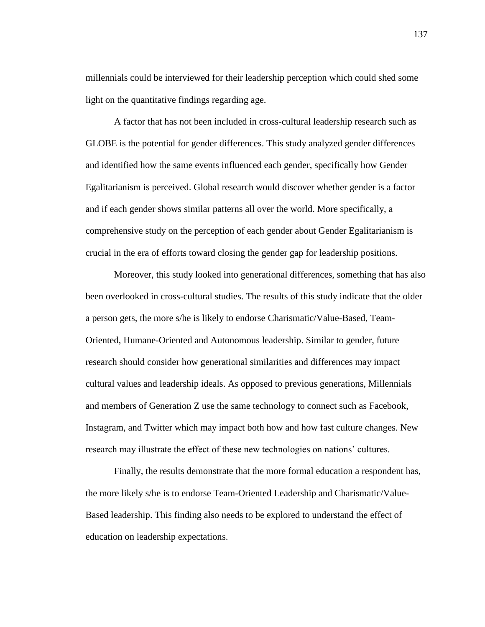millennials could be interviewed for their leadership perception which could shed some light on the quantitative findings regarding age.

A factor that has not been included in cross-cultural leadership research such as GLOBE is the potential for gender differences. This study analyzed gender differences and identified how the same events influenced each gender, specifically how Gender Egalitarianism is perceived. Global research would discover whether gender is a factor and if each gender shows similar patterns all over the world. More specifically, a comprehensive study on the perception of each gender about Gender Egalitarianism is crucial in the era of efforts toward closing the gender gap for leadership positions.

Moreover, this study looked into generational differences, something that has also been overlooked in cross-cultural studies. The results of this study indicate that the older a person gets, the more s/he is likely to endorse Charismatic/Value-Based, Team-Oriented, Humane-Oriented and Autonomous leadership. Similar to gender, future research should consider how generational similarities and differences may impact cultural values and leadership ideals. As opposed to previous generations, Millennials and members of Generation Z use the same technology to connect such as Facebook, Instagram, and Twitter which may impact both how and how fast culture changes. New research may illustrate the effect of these new technologies on nations' cultures.

Finally, the results demonstrate that the more formal education a respondent has, the more likely s/he is to endorse Team-Oriented Leadership and Charismatic/Value-Based leadership. This finding also needs to be explored to understand the effect of education on leadership expectations.

137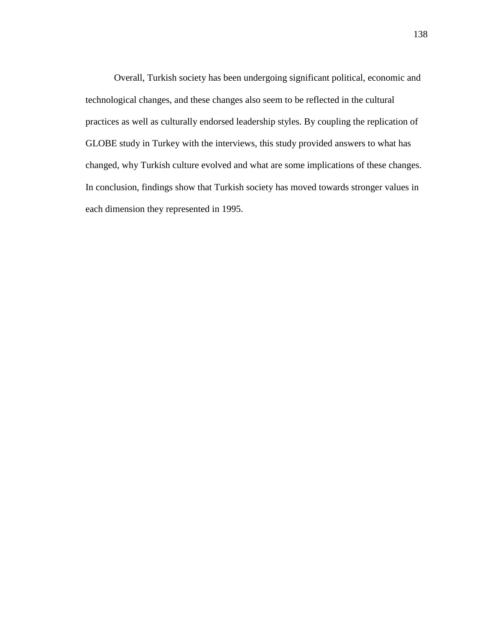Overall, Turkish society has been undergoing significant political, economic and technological changes, and these changes also seem to be reflected in the cultural practices as well as culturally endorsed leadership styles. By coupling the replication of GLOBE study in Turkey with the interviews, this study provided answers to what has changed, why Turkish culture evolved and what are some implications of these changes. In conclusion, findings show that Turkish society has moved towards stronger values in each dimension they represented in 1995.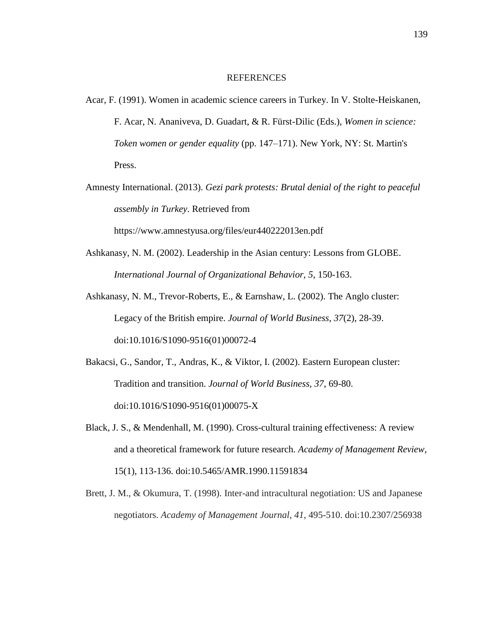#### **REFERENCES**

- Acar, F. (1991). Women in academic science careers in Turkey. In V. Stolte-Heiskanen, F. Acar, N. Ananiveva, D. Guadart, & R. Fürst-Dilic (Eds.), *Women in science: Token women or gender equality* (pp. 147–171). New York, NY: St. Martin's Press.
- Amnesty International. (2013). *Gezi park protests: Brutal denial of the right to peaceful assembly in Turkey*. Retrieved from

https://www.amnestyusa.org/files/eur440222013en.pdf

- Ashkanasy, N. M. (2002). Leadership in the Asian century: Lessons from GLOBE. *International Journal of Organizational Behavior, 5*, 150-163.
- Ashkanasy, N. M., Trevor-Roberts, E., & Earnshaw, L. (2002). The Anglo cluster: Legacy of the British empire. *Journal of World Business*, *37*(2), 28-39. doi:10.1016/S1090-9516(01)00072-4
- Bakacsi, G., Sandor, T., Andras, K., & Viktor, I. (2002). Eastern European cluster: Tradition and transition. *Journal of World Business, 37*, 69-80. doi:10.1016/S1090-9516(01)00075-X
- Black, J. S., & Mendenhall, M. (1990). Cross-cultural training effectiveness: A review and a theoretical framework for future research. *Academy of Management Review*, 15(1), 113-136. doi:10.5465/AMR.1990.11591834
- Brett, J. M., & Okumura, T. (1998). Inter-and intracultural negotiation: US and Japanese negotiators. *Academy of Management Journal*, *41*, 495-510. doi:10.2307/256938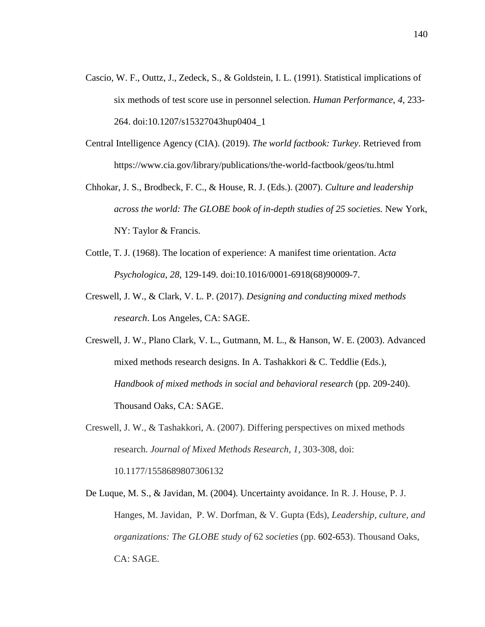- Cascio, W. F., Outtz, J., Zedeck, S., & Goldstein, I. L. (1991). Statistical implications of six methods of test score use in personnel selection. *Human Performance*, *4*, 233- 264. doi:10.1207/s15327043hup0404\_1
- Central Intelligence Agency (CIA). (2019). *The world factbook: Turkey*. Retrieved from https://www.cia.gov/library/publications/the-world-factbook/geos/tu.html
- Chhokar, J. S., Brodbeck, F. C., & House, R. J. (Eds.). (2007). *Culture and leadership across the world: The GLOBE book of in-depth studies of 25 societies.* New York, NY: Taylor & Francis.
- Cottle, T. J. (1968). The location of experience: A manifest time orientation. *Acta Psychologica*, *28*, 129-149. doi:10.1016/0001-6918(68)90009-7.
- Creswell, J. W., & Clark, V. L. P. (2017). *Designing and conducting mixed methods research*. Los Angeles, CA: SAGE.
- Creswell, J. W., Plano Clark, V. L., Gutmann, M. L., & Hanson, W. E. (2003). Advanced mixed methods research designs. In A. Tashakkori & C. Teddlie (Eds.), *Handbook of mixed methods in social and behavioral research* (pp. 209-240). Thousand Oaks, CA: SAGE.
- Creswell, J. W., & Tashakkori, A. (2007). Differing perspectives on mixed methods research. *Journal of Mixed Methods Research*, *1*, 303-308, doi: 10.1177/1558689807306132
- De Luque, M. S., & Javidan, M. (2004). Uncertainty avoidance. In R. J. House, P. J. Hanges, M. Javidan, P. W. Dorfman, & V. Gupta (Eds), *Leadership, culture, and organizations: The GLOBE study of* 62 *societies* (pp. 602-653). Thousand Oaks, CA: SAGE.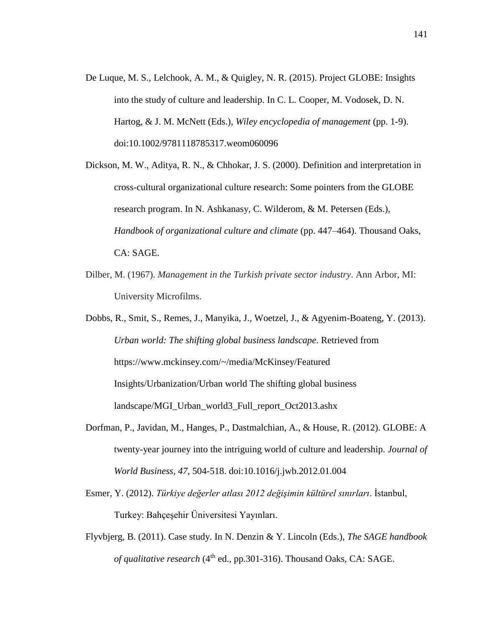- De Luque, M. S., Lelchook, A. M., & Quigley, N. R. (2015). Project GLOBE: Insights into the study of culture and leadership. In C. L. Cooper, M. Vodosek, D. N. Hartog, & J. M. McNett (Eds.), *Wiley encyclopedia of management* (pp. 1-9). doi:10.1002/9781118785317.weom060096
- Dickson, M. W., Aditya, R. N., & Chhokar, J. S. (2000). Definition and interpretation in cross-cultural organizational culture research: Some pointers from the GLOBE research program. In N. Ashkanasy, C. Wilderom, & M. Petersen (Eds.), *Handbook of organizational culture and climate* (pp. 447–464). Thousand Oaks, CA: SAGE.
- Dilber, M. (1967). *Management in the Turkish private sector industry*. Ann Arbor, MI: University Microfilms.

Dobbs, R., Smit, S., Remes, J., Manyika, J., Woetzel, J., & Agyenim-Boateng, Y. (2013). *Urban world: The shifting global business landscape*. Retrieved from https://www.mckinsey.com/~/media/McKinsey/Featured Insights/Urbanization/Urban world The shifting global business landscape/MGI\_Urban\_world3\_Full\_report\_Oct2013.ashx

- Dorfman, P., Javidan, M., Hanges, P., Dastmalchian, A., & House, R. (2012). GLOBE: A twenty-year journey into the intriguing world of culture and leadership. *Journal of World Business, 47*, 504-518. doi:10.1016/j.jwb.2012.01.004
- Esmer, Y. (2012). *Türkiye değerler atlası 2012 değişimin kültürel sınırları*. İstanbul, Turkey: Bahçeşehir Üniversitesi Yayınları.
- Flyvbjerg, B. (2011). Case study. In N. Denzin & Y. Lincoln (Eds.), *The SAGE handbook of qualitative research* (4<sup>th</sup> ed., pp.301-316). Thousand Oaks, CA: SAGE.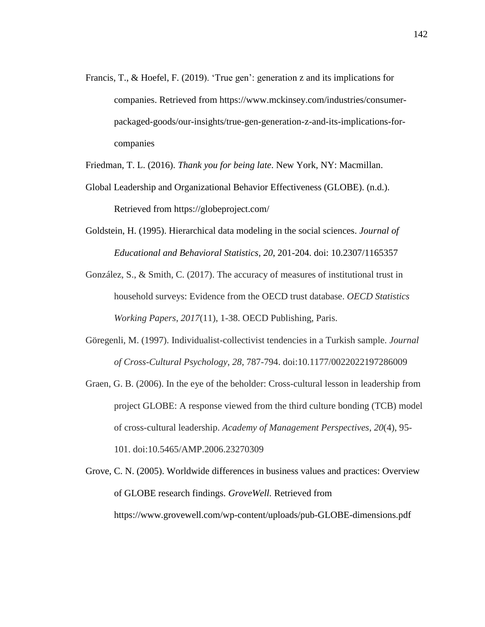Francis, T., & Hoefel, F. (2019). 'True gen': generation z and its implications for companies. Retrieved from https://www.mckinsey.com/industries/consumerpackaged-goods/our-insights/true-gen-generation-z-and-its-implications-forcompanies

Friedman, T. L. (2016). *Thank you for being late*. New York, NY: Macmillan.

- Global Leadership and Organizational Behavior Effectiveness (GLOBE). (n.d.). Retrieved from https://globeproject.com/
- Goldstein, H. (1995). Hierarchical data modeling in the social sciences. *Journal of Educational and Behavioral Statistics, 20*, 201-204. doi: 10.2307/1165357
- González, S., & Smith, C. (2017). The accuracy of measures of institutional trust in household surveys: Evidence from the OECD trust database. *OECD Statistics Working Papers*, *2017*(11), 1-38. OECD Publishing, Paris.
- Göregenli, M. (1997). Individualist-collectivist tendencies in a Turkish sample. *Journal of Cross-Cultural Psychology*, *28*, 787-794. doi:10.1177/0022022197286009
- Graen, G. B. (2006). In the eye of the beholder: Cross-cultural lesson in leadership from project GLOBE: A response viewed from the third culture bonding (TCB) model of cross-cultural leadership. *Academy of Management Perspectives*, *20*(4), 95- 101. doi:10.5465/AMP.2006.23270309
- Grove, C. N. (2005). Worldwide differences in business values and practices: Overview of GLOBE research findings. *GroveWell.* Retrieved from https://www.grovewell.com/wp-content/uploads/pub-GLOBE-dimensions.pdf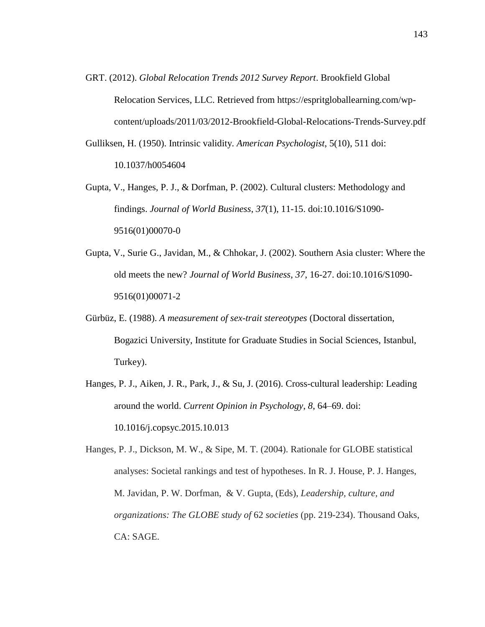- GRT. (2012). *Global Relocation Trends 2012 Survey Report*. Brookfield Global Relocation Services, LLC. Retrieved from https://espritgloballearning.com/wpcontent/uploads/2011/03/2012-Brookfield-Global-Relocations-Trends-Survey.pdf
- Gulliksen, H. (1950). Intrinsic validity. *American Psychologist*, 5(10), 511 doi: 10.1037/h0054604
- Gupta, V., Hanges, P. J., & Dorfman, P. (2002). Cultural clusters: Methodology and findings. *Journal of World Business*, *37*(1), 11-15. doi:10.1016/S1090- 9516(01)00070-0
- Gupta, V., Surie G., Javidan, M., & Chhokar, J. (2002). Southern Asia cluster: Where the old meets the new? *Journal of World Business, 37*, 16-27. doi:10.1016/S1090- 9516(01)00071-2
- Gürbüz, E. (1988). *A measurement of sex-trait stereotypes* (Doctoral dissertation, Bogazici University, Institute for Graduate Studies in Social Sciences, Istanbul, Turkey).
- Hanges, P. J., Aiken, J. R., Park, J., & Su, J. (2016). Cross-cultural leadership: Leading around the world. *Current Opinion in Psychology*, *8*, 64–69. doi: 10.1016/j.copsyc.2015.10.013

Hanges, P. J., Dickson, M. W., & Sipe, M. T. (2004). Rationale for GLOBE statistical analyses: Societal rankings and test of hypotheses. In R. J. House, P. J. Hanges, M. Javidan, P. W. Dorfman, & V. Gupta, (Eds), *Leadership, culture, and organizations: The GLOBE study of* 62 *societies* (pp. 219-234). Thousand Oaks, CA: SAGE.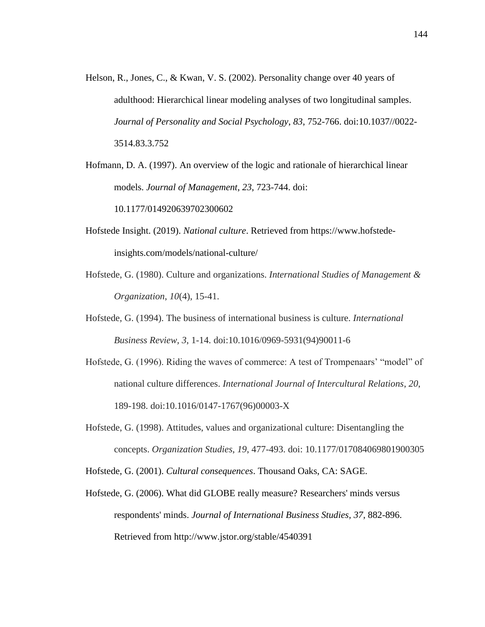Helson, R., Jones, C., & Kwan, V. S. (2002). Personality change over 40 years of adulthood: Hierarchical linear modeling analyses of two longitudinal samples. *Journal of Personality and Social Psychology*, *83*, 752-766. doi:10.1037//0022- 3514.83.3.752

Hofmann, D. A. (1997). An overview of the logic and rationale of hierarchical linear models. *Journal of Management*, *23*, 723-744. doi: 10.1177/014920639702300602

- Hofstede Insight. (2019). *National culture*. Retrieved from https://www.hofstedeinsights.com/models/national-culture/
- Hofstede, G. (1980). Culture and organizations. *International Studies of Management & Organization*, *10*(4), 15-41.
- Hofstede, G. (1994). The business of international business is culture. *International Business Review, 3*, 1-14. doi:10.1016/0969-5931(94)90011-6
- Hofstede, G. (1996). Riding the waves of commerce: A test of Trompenaars' "model" of national culture differences. *International Journal of Intercultural Relations*, *20*, 189-198. doi:10.1016/0147-1767(96)00003-X
- Hofstede, G. (1998). Attitudes, values and organizational culture: Disentangling the concepts. *Organization Studies*, *19*, 477-493. doi: 10.1177/017084069801900305
- Hofstede, G. (2001). *Cultural consequences*. Thousand Oaks, CA: SAGE.
- Hofstede, G. (2006). What did GLOBE really measure? Researchers' minds versus respondents' minds. *Journal of International Business Studies*, *37*, 882-896. Retrieved from http://www.jstor.org/stable/4540391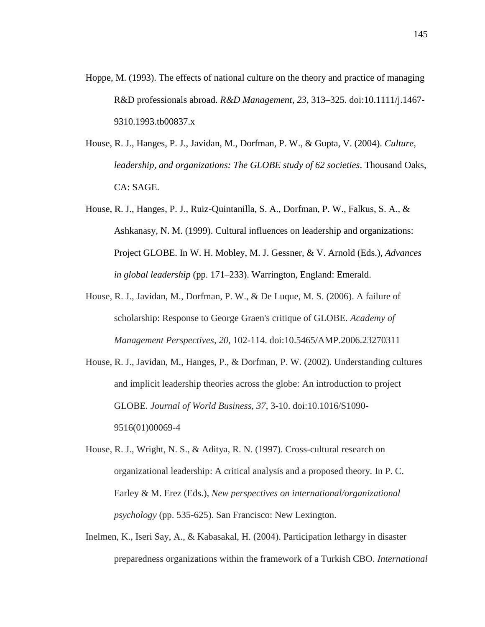- Hoppe, M. (1993). The effects of national culture on the theory and practice of managing R&D professionals abroad. *R&D Management*, *23*, 313–325. doi:10.1111/j.1467- 9310.1993.tb00837.x
- House, R. J., Hanges, P. J., Javidan, M., Dorfman, P. W., & Gupta, V. (2004). *Culture, leadership, and organizations: The GLOBE study of 62 societies*. Thousand Oaks, CA: SAGE.
- House, R. J., Hanges, P. J., Ruiz-Quintanilla, S. A., Dorfman, P. W., Falkus, S. A., & Ashkanasy, N. M. (1999). Cultural influences on leadership and organizations: Project GLOBE. In W. H. Mobley, M. J. Gessner, & V. Arnold (Eds.), *Advances in global leadership* (pp. 171–233). Warrington, England: Emerald.
- House, R. J., Javidan, M., Dorfman, P. W., & De Luque, M. S. (2006). A failure of scholarship: Response to George Graen's critique of GLOBE. *Academy of Management Perspectives*, *20*, 102-114. doi:10.5465/AMP.2006.23270311
- House, R. J., Javidan, M., Hanges, P., & Dorfman, P. W. (2002). Understanding cultures and implicit leadership theories across the globe: An introduction to project GLOBE. *Journal of World Business*, *37*, 3-10. doi:10.1016/S1090- 9516(01)00069-4
- House, R. J., Wright, N. S., & Aditya, R. N. (1997). Cross-cultural research on organizational leadership: A critical analysis and a proposed theory. In P. C. Earley & M. Erez (Eds.), *New perspectives on international/organizational psychology* (pp. 535-625). San Francisco: New Lexington.
- Inelmen, K., Iseri Say, A., & Kabasakal, H. (2004). Participation lethargy in disaster preparedness organizations within the framework of a Turkish CBO. *International*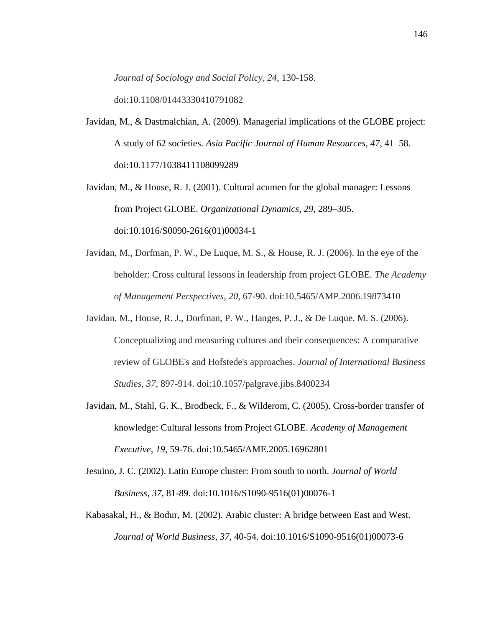*Journal of Sociology and Social Policy*, *24*, 130-158. doi:10.1108/01443330410791082

- Javidan, M., & Dastmalchian, A. (2009). Managerial implications of the GLOBE project: A study of 62 societies. *Asia Pacific Journal of Human Resources*, *47*, 41–58. doi:10.1177/1038411108099289
- Javidan, M., & House, R. J. (2001). Cultural acumen for the global manager: Lessons from Project GLOBE. *Organizational Dynamics*, *29*, 289–305. doi:10.1016/S0090-2616(01)00034-1
- Javidan, M., Dorfman, P. W., De Luque, M. S., & House, R. J. (2006). In the eye of the beholder: Cross cultural lessons in leadership from project GLOBE. *The Academy of Management Perspectives*, *20*, 67-90. doi:10.5465/AMP.2006.19873410
- Javidan, M., House, R. J., Dorfman, P. W., Hanges, P. J., & De Luque, M. S. (2006). Conceptualizing and measuring cultures and their consequences: A comparative review of GLOBE's and Hofstede's approaches. *Journal of International Business Studies*, *37*, 897-914. doi:10.1057/palgrave.jibs.8400234
- Javidan, M., Stahl, G. K., Brodbeck, F., & Wilderom, C. (2005). Cross-border transfer of knowledge: Cultural lessons from Project GLOBE. *Academy of Management Executive*, *19*, 59-76. doi:10.5465/AME.2005.16962801
- Jesuino, J. C. (2002). Latin Europe cluster: From south to north. *Journal of World Business*, *37*, 81-89. doi:10.1016/S1090-9516(01)00076-1
- Kabasakal, H., & Bodur, M. (2002). Arabic cluster: A bridge between East and West. *Journal of World Business*, *37*, 40-54. doi:10.1016/S1090-9516(01)00073-6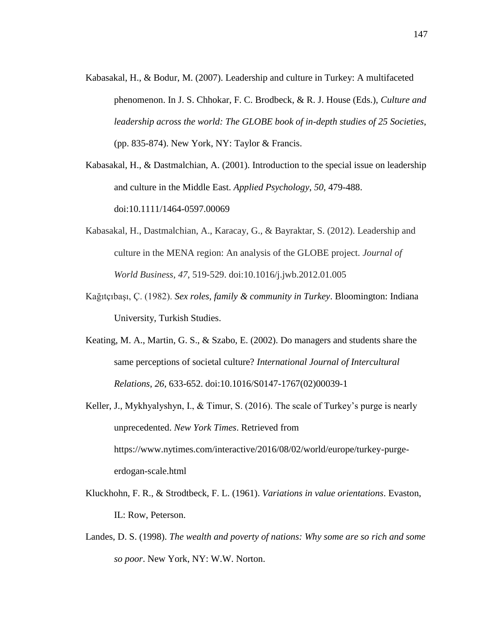- Kabasakal, H., & Bodur, M. (2007). Leadership and culture in Turkey: A multifaceted phenomenon. In J. S. Chhokar, F. C. Brodbeck, & R. J. House (Eds.), *Culture and leadership across the world: The GLOBE book of in-depth studies of 25 Societies*, (pp. 835-874). New York, NY: Taylor & Francis.
- Kabasakal, H., & Dastmalchian, A. (2001). Introduction to the special issue on leadership and culture in the Middle East. *Applied Psychology*, *50*, 479-488. doi:10.1111/1464-0597.00069
- Kabasakal, H., Dastmalchian, A., Karacay, G., & Bayraktar, S. (2012). Leadership and culture in the MENA region: An analysis of the GLOBE project. *Journal of World Business*, *47*, 519-529. doi:10.1016/j.jwb.2012.01.005
- Kağıtçıbaşı, Ç. (1982). *Sex roles, family & community in Turkey*. Bloomington: Indiana University, Turkish Studies.
- Keating, M. A., Martin, G. S., & Szabo, E. (2002). Do managers and students share the same perceptions of societal culture? *International Journal of Intercultural Relations*, *26*, 633-652. doi:10.1016/S0147-1767(02)00039-1
- Keller, J., Mykhyalyshyn, I., & Timur, S. (2016). The scale of Turkey's purge is nearly unprecedented. *New York Times*. Retrieved from https://www.nytimes.com/interactive/2016/08/02/world/europe/turkey-purgeerdogan-scale.html
- Kluckhohn, F. R., & Strodtbeck, F. L. (1961). *Variations in value orientations*. Evaston, IL: Row, Peterson.
- Landes, D. S. (1998). *The wealth and poverty of nations: Why some are so rich and some so poor*. New York, NY: W.W. Norton.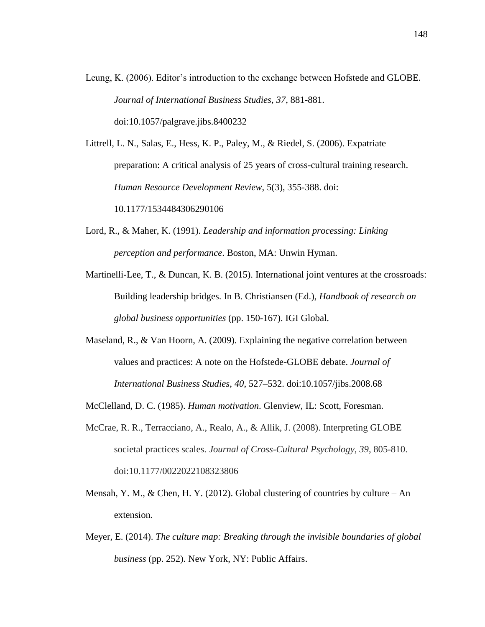Leung, K. (2006). Editor's introduction to the exchange between Hofstede and GLOBE. *Journal of International Business Studies*, *37*, 881-881. doi:10.1057/palgrave.jibs.8400232

Littrell, L. N., Salas, E., Hess, K. P., Paley, M., & Riedel, S. (2006). Expatriate preparation: A critical analysis of 25 years of cross-cultural training research. *Human Resource Development Review*, 5(3), 355-388. doi: 10.1177/1534484306290106

- Lord, R., & Maher, K. (1991). *Leadership and information processing: Linking perception and performance*. Boston, MA: Unwin Hyman.
- Martinelli-Lee, T., & Duncan, K. B. (2015). International joint ventures at the crossroads: Building leadership bridges. In B. Christiansen (Ed.), *Handbook of research on global business opportunities* (pp. 150-167). IGI Global.
- Maseland, R., & Van Hoorn, A. (2009). Explaining the negative correlation between values and practices: A note on the Hofstede-GLOBE debate. *Journal of International Business Studies*, *40*, 527–532. doi:10.1057/jibs.2008.68
- McClelland, D. C. (1985). *Human motivation*. Glenview, IL: Scott, Foresman.
- McCrae, R. R., Terracciano, A., Realo, A., & Allik, J. (2008). Interpreting GLOBE societal practices scales. *Journal of Cross-Cultural Psychology*, *39*, 805-810. doi:10.1177/0022022108323806
- Mensah, Y. M.,  $\&$  Chen, H. Y. (2012). Global clustering of countries by culture An extension.
- Meyer, E. (2014). *The culture map: Breaking through the invisible boundaries of global business* (pp. 252). New York, NY: Public Affairs.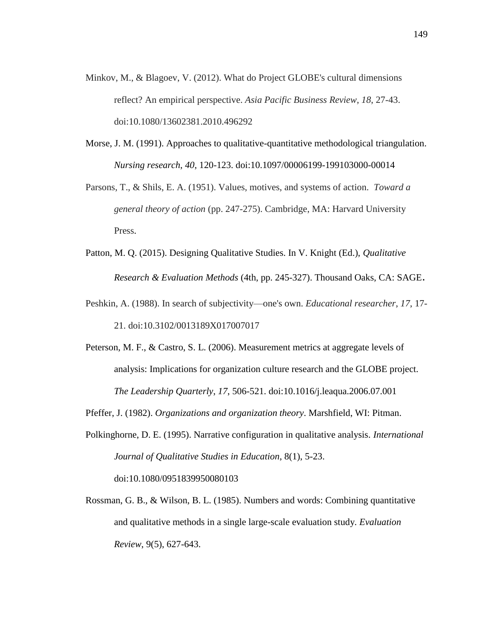- Minkov, M., & Blagoev, V. (2012). What do Project GLOBE's cultural dimensions reflect? An empirical perspective. *Asia Pacific Business Review*, *18*, 27-43. doi:10.1080/13602381.2010.496292
- Morse, J. M. (1991). Approaches to qualitative-quantitative methodological triangulation. *Nursing research*, *40*, 120-123. doi:10.1097/00006199-199103000-00014
- Parsons, T., & Shils, E. A. (1951). Values, motives, and systems of action. *Toward a general theory of action* (pp. 247-275). Cambridge, MA: Harvard University Press.
- Patton, M. Q. (2015). Designing Qualitative Studies. In V. Knight (Ed.), *Qualitative Research & Evaluation Methods* (4th, pp. 245-327). Thousand Oaks, CA: SAGE.
- Peshkin, A. (1988). In search of subjectivity—one's own. *Educational researcher*, *17*, 17- 21. doi:10.3102/0013189X017007017
- Peterson, M. F., & Castro, S. L. (2006). Measurement metrics at aggregate levels of analysis: Implications for organization culture research and the GLOBE project. *The Leadership Quarterly*, *17*, 506-521. doi:10.1016/j.leaqua.2006.07.001
- Pfeffer, J. (1982). *Organizations and organization theory*. Marshfield, WI: Pitman.
- Polkinghorne, D. E. (1995). Narrative configuration in qualitative analysis. *International Journal of Qualitative Studies in Education*, 8(1), 5-23. doi:10.1080/0951839950080103
- Rossman, G. B., & Wilson, B. L. (1985). Numbers and words: Combining quantitative and qualitative methods in a single large-scale evaluation study. *Evaluation Review*, 9(5), 627-643.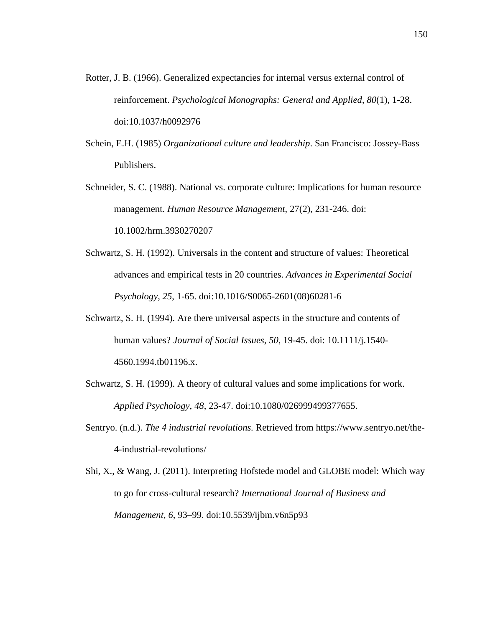- Rotter, J. B. (1966). Generalized expectancies for internal versus external control of reinforcement. *Psychological Monographs: General and Applied*, *80*(1), 1-28. doi:10.1037/h0092976
- Schein, E.H. (1985) *Organizational culture and leadership*. San Francisco: Jossey-Bass Publishers.
- Schneider, S. C. (1988). National vs. corporate culture: Implications for human resource management. *Human Resource Management*, 27(2), 231-246. doi: 10.1002/hrm.3930270207
- Schwartz, S. H. (1992). Universals in the content and structure of values: Theoretical advances and empirical tests in 20 countries. *Advances in Experimental Social Psychology*, *25*, 1-65. doi:10.1016/S0065-2601(08)60281-6
- Schwartz, S. H. (1994). Are there universal aspects in the structure and contents of human values? *Journal of Social Issues*, *50*, 19-45. doi: 10.1111/j.1540- 4560.1994.tb01196.x.
- Schwartz, S. H. (1999). A theory of cultural values and some implications for work. *Applied Psychology*, *48*, 23-47. doi:10.1080/026999499377655.
- Sentryo. (n.d.). *The 4 industrial revolutions.* Retrieved from https://www.sentryo.net/the-4-industrial-revolutions/
- Shi, X., & Wang, J. (2011). Interpreting Hofstede model and GLOBE model: Which way to go for cross-cultural research? *International Journal of Business and Management*, *6*, 93–99. doi:10.5539/ijbm.v6n5p93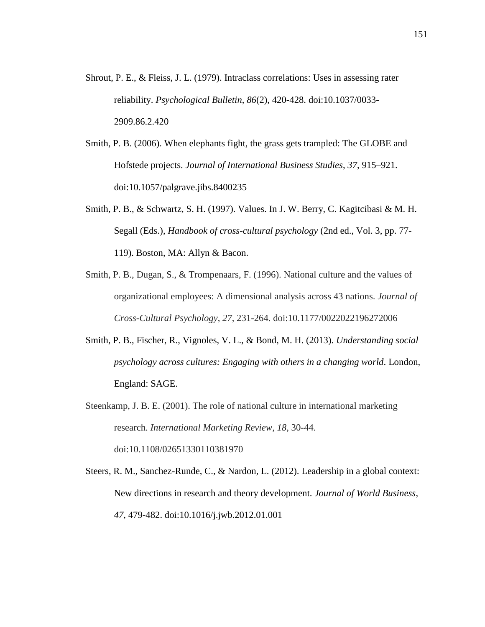- Shrout, P. E., & Fleiss, J. L. (1979). Intraclass correlations: Uses in assessing rater reliability. *Psychological Bulletin*, *86*(2), 420-428. doi:10.1037/0033- 2909.86.2.420
- Smith, P. B. (2006). When elephants fight, the grass gets trampled: The GLOBE and Hofstede projects. *Journal of International Business Studies*, *37*, 915–921. doi:10.1057/palgrave.jibs.8400235
- Smith, P. B., & Schwartz, S. H. (1997). Values. In J. W. Berry, C. Kagitcibasi & M. H. Segall (Eds.), *Handbook of cross-cultural psychology* (2nd ed., Vol. 3, pp. 77- 119). Boston, MA: Allyn & Bacon.
- Smith, P. B., Dugan, S., & Trompenaars, F. (1996). National culture and the values of organizational employees: A dimensional analysis across 43 nations. *Journal of Cross-Cultural Psychology*, *27*, 231-264. doi:10.1177/0022022196272006
- Smith, P. B., Fischer, R., Vignoles, V. L., & Bond, M. H. (2013). *Understanding social psychology across cultures: Engaging with others in a changing world*. London, England: SAGE.
- Steenkamp, J. B. E. (2001). The role of national culture in international marketing research. *International Marketing Review*, *18*, 30-44. doi:10.1108/02651330110381970
- Steers, R. M., Sanchez-Runde, C., & Nardon, L. (2012). Leadership in a global context: New directions in research and theory development. *Journal of World Business*, *47*, 479-482. doi:10.1016/j.jwb.2012.01.001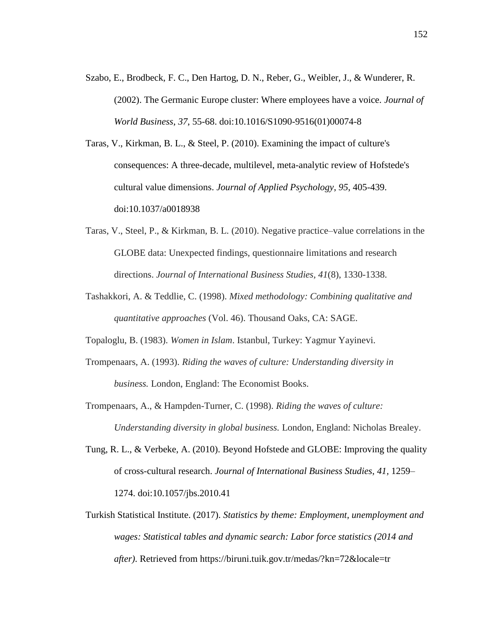- Szabo, E., Brodbeck, F. C., Den Hartog, D. N., Reber, G., Weibler, J., & Wunderer, R. (2002). The Germanic Europe cluster: Where employees have a voice. *Journal of World Business*, *37*, 55-68. doi:10.1016/S1090-9516(01)00074-8
- Taras, V., Kirkman, B. L., & Steel, P. (2010). Examining the impact of culture's consequences: A three-decade, multilevel, meta-analytic review of Hofstede's cultural value dimensions. *Journal of Applied Psychology*, *95*, 405-439. doi:10.1037/a0018938
- Taras, V., Steel, P., & Kirkman, B. L. (2010). Negative practice–value correlations in the GLOBE data: Unexpected findings, questionnaire limitations and research directions. *Journal of International Business Studies, 41*(8), 1330-1338.
- Tashakkori, A. & Teddlie, C. (1998). *Mixed methodology: Combining qualitative and quantitative approaches* (Vol. 46). Thousand Oaks, CA: SAGE.

Topaloglu, B. (1983). *Women in Islam*. Istanbul, Turkey: Yagmur Yayinevi.

- Trompenaars, A. (1993). *Riding the waves of culture: Understanding diversity in business.* London, England: The Economist Books.
- Trompenaars, A., & Hampden-Turner, C. (1998). *Riding the waves of culture: Understanding diversity in global business.* London, England: Nicholas Brealey.
- Tung, R. L., & Verbeke, A. (2010). Beyond Hofstede and GLOBE: Improving the quality of cross-cultural research. *Journal of International Business Studies*, *41,* 1259– 1274. doi:10.1057/jbs.2010.41
- Turkish Statistical Institute. (2017). *Statistics by theme: Employment, unemployment and wages: Statistical tables and dynamic search: Labor force statistics (2014 and after)*. Retrieved from https://biruni.tuik.gov.tr/medas/?kn=72&locale=tr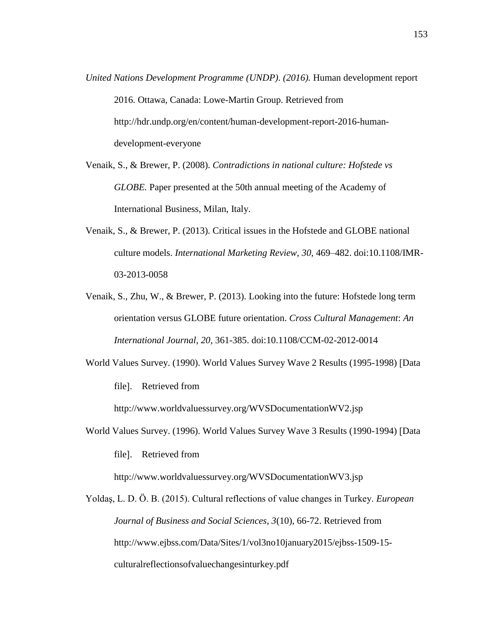- *United Nations Development Programme (UNDP)*. *(2016).* Human development report 2016. Ottawa, Canada: Lowe-Martin Group. Retrieved from http://hdr.undp.org/en/content/human-development-report-2016-humandevelopment-everyone
- Venaik, S., & Brewer, P. (2008). *Contradictions in national culture: Hofstede vs GLOBE.* Paper presented at the 50th annual meeting of the Academy of International Business, Milan, Italy.
- Venaik, S., & Brewer, P. (2013). Critical issues in the Hofstede and GLOBE national culture models. *International Marketing Review*, *30*, 469–482. doi:10.1108/IMR-03-2013-0058
- Venaik, S., Zhu, W., & Brewer, P. (2013). Looking into the future: Hofstede long term orientation versus GLOBE future orientation. *Cross Cultural Management*: *An International Journal*, *20*, 361-385. doi:10.1108/CCM-02-2012-0014
- World Values Survey. (1990). World Values Survey Wave 2 Results (1995-1998) [Data file. Retrieved from

http://www.worldvaluessurvey.org/WVSDocumentationWV2.jsp

World Values Survey. (1996). World Values Survey Wave 3 Results (1990-1994) [Data

file. Retrieved from

http://www.worldvaluessurvey.org/WVSDocumentationWV3.jsp

Yoldaş, L. D. Ö. B. (2015). Cultural reflections of value changes in Turkey. *European Journal of Business and Social Sciences*, *3*(10), 66-72. Retrieved from http://www.ejbss.com/Data/Sites/1/vol3no10january2015/ejbss-1509-15 culturalreflectionsofvaluechangesinturkey.pdf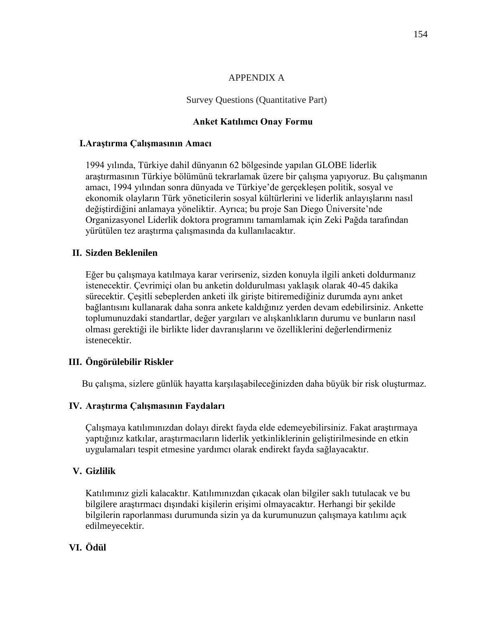#### APPENDIX A

### Survey Questions (Quantitative Part)

## **Anket Katılımcı Onay Formu**

### **I.Araştırma Çalışmasının Amacı**

1994 yılında, Türkiye dahil dünyanın 62 bölgesinde yapılan GLOBE liderlik araştırmasının Türkiye bölümünü tekrarlamak üzere bir çalışma yapıyoruz. Bu çalışmanın amacı, 1994 yılından sonra dünyada ve Türkiye'de gerçekleşen politik, sosyal ve ekonomik olayların Türk yöneticilerin sosyal kültürlerini ve liderlik anlayışlarını nasıl değiştirdiğini anlamaya yöneliktir. Ayrıca; bu proje San Diego Üniversite'nde Organizasyonel Liderlik doktora programını tamamlamak için Zeki Pağda tarafından yürütülen tez araştırma çalışmasında da kullanılacaktır.

## **II. Sizden Beklenilen**

Eğer bu çalışmaya katılmaya karar verirseniz, sizden konuyla ilgili anketi doldurmanız istenecektir. Çevrimiçi olan bu anketin doldurulması yaklaşık olarak 40-45 dakika sürecektir. Çeşitli sebeplerden anketi ilk girişte bitiremediğiniz durumda aynı anket bağlantısını kullanarak daha sonra ankete kaldığınız yerden devam edebilirsiniz. Ankette toplumunuzdaki standartlar, değer yargıları ve alışkanlıkların durumu ve bunların nasıl olması gerektiği ile birlikte lider davranışlarını ve özelliklerini değerlendirmeniz istenecektir.

## **III. Öngörülebilir Riskler**

Bu çalışma, sizlere günlük hayatta karşılaşabileceğinizden daha büyük bir risk oluşturmaz.

#### **IV. Araştırma Çalışmasının Faydaları**

Çalışmaya katılımınızdan dolayı direkt fayda elde edemeyebilirsiniz. Fakat araştırmaya yaptığınız katkılar, araştırmacıların liderlik yetkinliklerinin geliştirilmesinde en etkin uygulamaları tespit etmesine yardımcı olarak endirekt fayda sağlayacaktır.

## **V. Gizlilik**

Katılımınız gizli kalacaktır. Katılımınızdan çıkacak olan bilgiler saklı tutulacak ve bu bilgilere araştırmacı dışındaki kişilerin erişimi olmayacaktır. Herhangi bir şekilde bilgilerin raporlanması durumunda sizin ya da kurumunuzun çalışmaya katılımı açık edilmeyecektir.

# **VI. Ödül**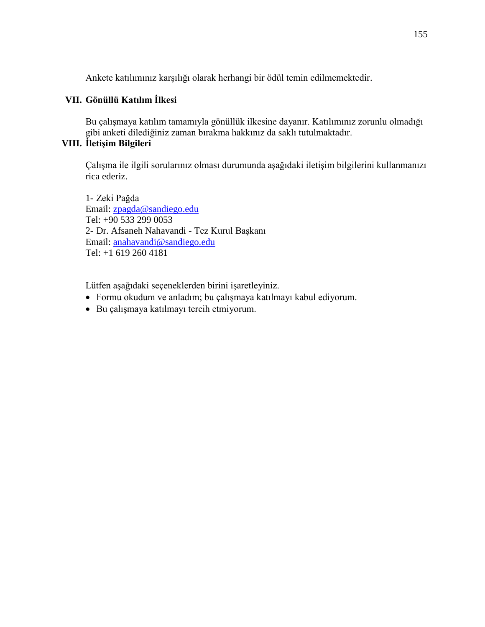Ankete katılımınız karşılığı olarak herhangi bir ödül temin edilmemektedir.

## **VII. Gönüllü Katılım İlkesi**

Bu çalışmaya katılım tamamıyla gönüllük ilkesine dayanır. Katılımınız zorunlu olmadığı gibi anketi dilediğiniz zaman bırakma hakkınız da saklı tutulmaktadır.

# **VIII. İletişim Bilgileri**

Çalışma ile ilgili sorularınız olması durumunda aşağıdaki iletişim bilgilerini kullanmanızı rica ederiz.

1- Zeki Pağda Email: [zpagda@sandiego.edu](mailto:zpagda@sandiego.edu) Tel: +90 533 299 0053 2- Dr. Afsaneh Nahavandi - Tez Kurul Başkanı Email: [anahavandi@sandiego.edu](mailto:anahavandi@sandiego.edu) Tel: +1 619 260 4181

Lütfen aşağıdaki seçeneklerden birini işaretleyiniz.

- Formu okudum ve anladım; bu çalışmaya katılmayı kabul ediyorum.
- Bu çalışmaya katılmayı tercih etmiyorum.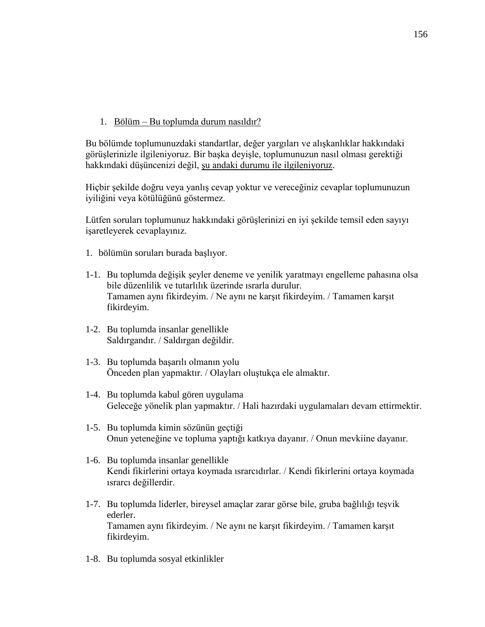1. Bölüm – Bu toplumda durum nasıldır?

Bu bölümde toplumunuzdaki standartlar, değer yargıları ve alışkanlıklar hakkındaki görüşlerinizle ilgileniyoruz. Bir başka deyişle, toplumunuzun nasıl olması gerektiği hakkındaki düşüncenizi değil, şu andaki durumu ile ilgileniyoruz.

Hiçbir şekilde doğru veya yanlış cevap yoktur ve vereceğiniz cevaplar toplumunuzun iyiliğini veya kötülüğünü göstermez.

Lütfen soruları toplumunuz hakkındaki görüşlerinizi en iyi şekilde temsil eden sayıyı işaretleyerek cevaplayınız.

- 1. bölümün soruları burada başlıyor.
- 1-1. Bu toplumda değişik şeyler deneme ve yenilik yaratmayı engelleme pahasına olsa bile düzenlilik ve tutarlılık üzerinde ısrarla durulur. Tamamen aynı fikirdeyim. / Ne aynı ne karşıt fikirdeyim. / Tamamen karşıt fikirdeyim.
- 1-2. Bu toplumda insanlar genellikle Saldırgandır. / Saldırgan değildir.
- 1-3. Bu toplumda başarılı olmanın yolu Önceden plan yapmaktır. / Olayları oluştukça ele almaktır.
- 1-4. Bu toplumda kabul gören uygulama Geleceğe yönelik plan yapmaktır. / Hali hazırdaki uygulamaları devam ettirmektir.
- 1-5. Bu toplumda kimin sözünün geçtiği Onun yeteneğine ve topluma yaptığı katkıya dayanır. / Onun mevkiine dayanır.
- 1-6. Bu toplumda insanlar genellikle Kendi fikirlerini ortaya koymada ısrarcıdırlar. / Kendi fikirlerini ortaya koymada ısrarcı değillerdir.
- 1-7. Bu toplumda liderler, bireysel amaçlar zarar görse bile, gruba bağlılığı teşvik ederler. Tamamen aynı fikirdeyim. / Ne aynı ne karşıt fikirdeyim. / Tamamen karşıt fikirdeyim.
- 1-8. Bu toplumda sosyal etkinlikler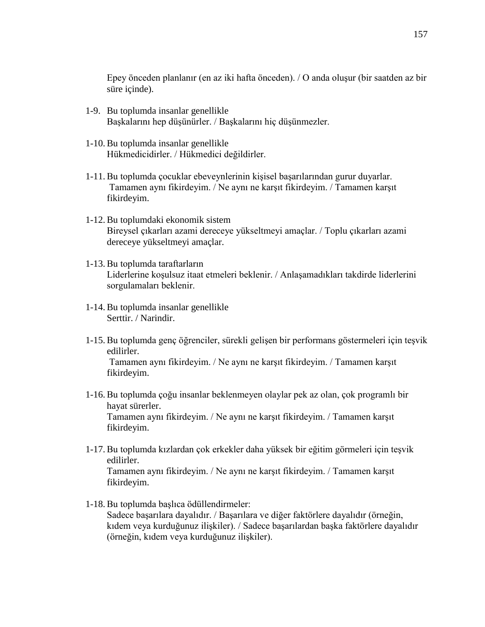Epey önceden planlanır (en az iki hafta önceden). / O anda oluşur (bir saatden az bir süre içinde).

- 1-9. Bu toplumda insanlar genellikle Başkalarını hep düşünürler. / Başkalarını hiç düşünmezler.
- 1-10. Bu toplumda insanlar genellikle Hükmedicidirler. / Hükmedici değildirler.
- 1-11. Bu toplumda çocuklar ebeveynlerinin kişisel başarılarından gurur duyarlar. Tamamen aynı fikirdeyim. / Ne aynı ne karşıt fikirdeyim. / Tamamen karşıt fikirdeyim.
- 1-12. Bu toplumdaki ekonomik sistem Bireysel çıkarları azami dereceye yükseltmeyi amaçlar. / Toplu çıkarları azami dereceye yükseltmeyi amaçlar.
- 1-13. Bu toplumda taraftarların Liderlerine koşulsuz itaat etmeleri beklenir. / Anlaşamadıkları takdirde liderlerini sorgulamaları beklenir.
- 1-14. Bu toplumda insanlar genellikle Serttir. / Narindir.
- 1-15. Bu toplumda genç öğrenciler, sürekli gelişen bir performans göstermeleri için teşvik edilirler. Tamamen aynı fikirdeyim. / Ne aynı ne karşıt fikirdeyim. / Tamamen karşıt fikirdeyim.
- 1-16. Bu toplumda çoğu insanlar beklenmeyen olaylar pek az olan, çok programlı bir hayat sürerler. Tamamen aynı fikirdeyim. / Ne aynı ne karşıt fikirdeyim. / Tamamen karşıt fikirdeyim.
- 1-17. Bu toplumda kızlardan çok erkekler daha yüksek bir eğitim görmeleri için teşvik edilirler. Tamamen aynı fikirdeyim. / Ne aynı ne karşıt fikirdeyim. / Tamamen karşıt fikirdeyim.
- 1-18. Bu toplumda başlıca ödüllendirmeler: Sadece başarılara dayalıdır. / Başarılara ve diğer faktörlere dayalıdır (örneğin, kıdem veya kurduğunuz ilişkiler). / Sadece başarılardan başka faktörlere dayalıdır

(örneğin, kıdem veya kurduğunuz ilişkiler).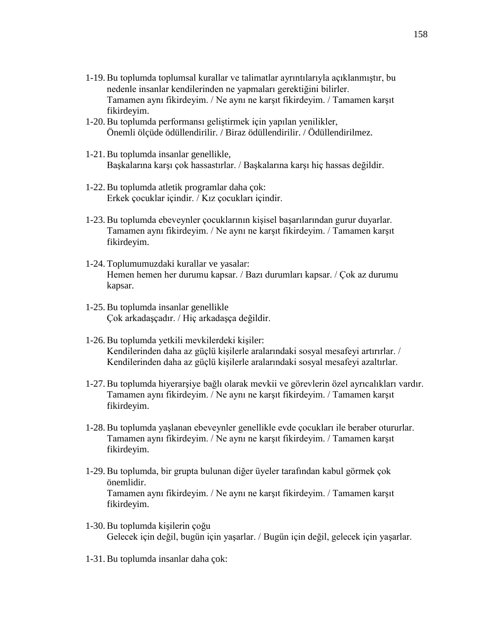- 1-19. Bu toplumda toplumsal kurallar ve talimatlar ayrıntılarıyla açıklanmıştır, bu nedenle insanlar kendilerinden ne yapmaları gerektiğini bilirler. Tamamen aynı fikirdeyim. / Ne aynı ne karşıt fikirdeyim. / Tamamen karşıt fikirdeyim.
- 1-20. Bu toplumda performansı geliştirmek için yapılan yenilikler, Önemli ölçüde ödüllendirilir. / Biraz ödüllendirilir. / Ödüllendirilmez.
- 1-21. Bu toplumda insanlar genellikle, Başkalarına karşı çok hassastırlar. / Başkalarına karşı hiç hassas değildir.
- 1-22. Bu toplumda atletik programlar daha çok: Erkek çocuklar içindir. / Kız çocukları içindir.
- 1-23. Bu toplumda ebeveynler çocuklarının kişisel başarılarından gurur duyarlar. Tamamen aynı fikirdeyim. / Ne aynı ne karşıt fikirdeyim. / Tamamen karşıt fikirdeyim.
- 1-24. Toplumumuzdaki kurallar ve yasalar: Hemen hemen her durumu kapsar. / Bazı durumları kapsar. / Çok az durumu kapsar.
- 1-25. Bu toplumda insanlar genellikle Çok arkadaşçadır. / Hiç arkadaşça değildir.
- 1-26. Bu toplumda yetkili mevkilerdeki kişiler: Kendilerinden daha az güçlü kişilerle aralarındaki sosyal mesafeyi artırırlar. / Kendilerinden daha az güçlü kişilerle aralarındaki sosyal mesafeyi azaltırlar.
- 1-27. Bu toplumda hiyerarşiye bağlı olarak mevkii ve görevlerin özel ayrıcalıkları vardır. Tamamen aynı fikirdeyim. / Ne aynı ne karşıt fikirdeyim. / Tamamen karşıt fikirdeyim.
- 1-28. Bu toplumda yaşlanan ebeveynler genellikle evde çocukları ile beraber otururlar. Tamamen aynı fikirdeyim. / Ne aynı ne karşıt fikirdeyim. / Tamamen karşıt fikirdeyim.
- 1-29. Bu toplumda, bir grupta bulunan diğer üyeler tarafından kabul görmek çok önemlidir. Tamamen aynı fikirdeyim. / Ne aynı ne karşıt fikirdeyim. / Tamamen karşıt fikirdeyim.
- 1-30. Bu toplumda kişilerin çoğu Gelecek için değil, bugün için yaşarlar. / Bugün için değil, gelecek için yaşarlar.
- 1-31. Bu toplumda insanlar daha çok: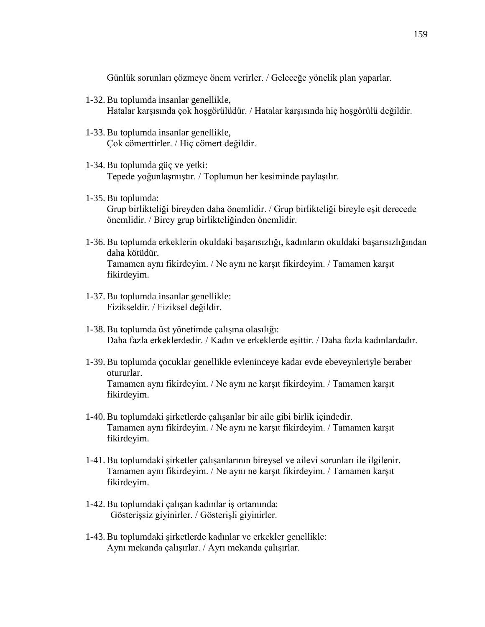Günlük sorunları çözmeye önem verirler. / Geleceğe yönelik plan yaparlar.

- 1-32. Bu toplumda insanlar genellikle, Hatalar karşısında çok hoşgörülüdür. / Hatalar karşısında hiç hoşgörülü değildir.
- 1-33. Bu toplumda insanlar genellikle, Çok cömerttirler. / Hiç cömert değildir.
- 1-34. Bu toplumda güç ve yetki: Tepede yoğunlaşmıştır. / Toplumun her kesiminde paylaşılır.
- 1-35. Bu toplumda: Grup birlikteliği bireyden daha önemlidir. / Grup birlikteliği bireyle eşit derecede önemlidir. / Birey grup birlikteliğinden önemlidir.
- 1-36. Bu toplumda erkeklerin okuldaki başarısızlığı, kadınların okuldaki başarısızlığından daha kötüdür. Tamamen aynı fikirdeyim. / Ne aynı ne karşıt fikirdeyim. / Tamamen karşıt fikirdeyim.
- 1-37. Bu toplumda insanlar genellikle: Fizikseldir. / Fiziksel değildir.
- 1-38. Bu toplumda üst yönetimde çalışma olasılığı: Daha fazla erkeklerdedir. / Kadın ve erkeklerde eşittir. / Daha fazla kadınlardadır.
- 1-39. Bu toplumda çocuklar genellikle evleninceye kadar evde ebeveynleriyle beraber otururlar. Tamamen aynı fikirdeyim. / Ne aynı ne karşıt fikirdeyim. / Tamamen karşıt fikirdeyim.
- 1-40. Bu toplumdaki şirketlerde çalışanlar bir aile gibi birlik içindedir. Tamamen aynı fikirdeyim. / Ne aynı ne karşıt fikirdeyim. / Tamamen karşıt fikirdeyim.
- 1-41. Bu toplumdaki şirketler çalışanlarının bireysel ve ailevi sorunları ile ilgilenir. Tamamen aynı fikirdeyim. / Ne aynı ne karşıt fikirdeyim. / Tamamen karşıt fikirdeyim.
- 1-42. Bu toplumdaki çalışan kadınlar iş ortamında: Gösterişsiz giyinirler. / Gösterişli giyinirler.
- 1-43. Bu toplumdaki şirketlerde kadınlar ve erkekler genellikle: Aynı mekanda çalışırlar. / Ayrı mekanda çalışırlar.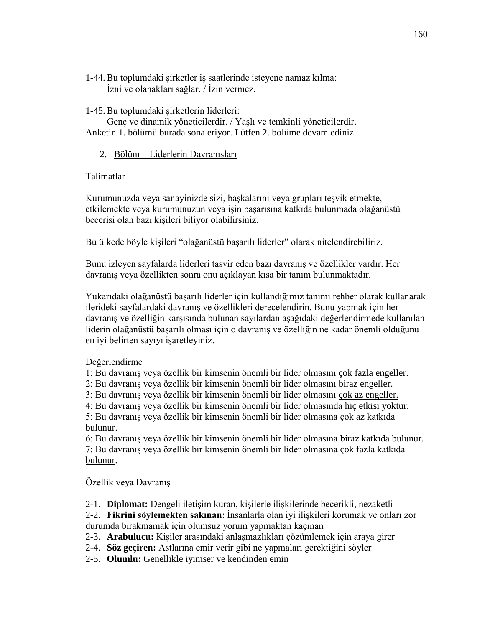1-44. Bu toplumdaki şirketler iş saatlerinde isteyene namaz kılma: İzni ve olanakları sağlar. / İzin vermez.

#### 1-45. Bu toplumdaki şirketlerin liderleri:

Genç ve dinamik yöneticilerdir. / Yaşlı ve temkinli yöneticilerdir. Anketin 1. bölümü burada sona eriyor. Lütfen 2. bölüme devam ediniz.

### 2. Bölüm – Liderlerin Davranışları

#### Talimatlar

Kurumunuzda veya sanayinizde sizi, başkalarını veya grupları teşvik etmekte, etkilemekte veya kurumunuzun veya işin başarısına katkıda bulunmada olağanüstü becerisi olan bazı kişileri biliyor olabilirsiniz.

Bu ülkede böyle kişileri "olağanüstü başarılı liderler" olarak nitelendirebiliriz.

Bunu izleyen sayfalarda liderleri tasvir eden bazı davranış ve özellikler vardır. Her davranış veya özellikten sonra onu açıklayan kısa bir tanım bulunmaktadır.

Yukarıdaki olağanüstü başarılı liderler için kullandığımız tanımı rehber olarak kullanarak ilerideki sayfalardaki davranış ve özellikleri derecelendirin. Bunu yapmak için her davranış ve özelliğin karşısında bulunan sayılardan aşağıdaki değerlendirmede kullanılan liderin olağanüstü başarılı olması için o davranış ve özelliğin ne kadar önemli olduğunu en iyi belirten sayıyı işaretleyiniz.

#### Değerlendirme

1: Bu davranış veya özellik bir kimsenin önemli bir lider olmasını çok fazla engeller.

2: Bu davranış veya özellik bir kimsenin önemli bir lider olmasını biraz engeller.

3: Bu davranış veya özellik bir kimsenin önemli bir lider olmasını çok az engeller.

4: Bu davranış veya özellik bir kimsenin önemli bir lider olmasında hiç etkisi yoktur. 5: Bu davranış veya özellik bir kimsenin önemli bir lider olmasına çok az katkıda bulunur.

6: Bu davranış veya özellik bir kimsenin önemli bir lider olmasına biraz katkıda bulunur. 7: Bu davranış veya özellik bir kimsenin önemli bir lider olmasına çok fazla katkıda bulunur.

## Özellik veya Davranış

2-1. **Diplomat:** Dengeli iletişim kuran, kişilerle ilişkilerinde becerikli, nezaketli

2-2. **Fikrini söylemekten sakınan**: İnsanlarla olan iyi ilişkileri korumak ve onları zor durumda bırakmamak için olumsuz yorum yapmaktan kaçınan

2-3. **Arabulucu:** Kişiler arasındaki anlaşmazlıkları çözümlemek için araya girer

- 2-4. **Söz geçiren:** Astlarına emir verir gibi ne yapmaları gerektiğini söyler
- 2-5. **Olumlu:** Genellikle iyimser ve kendinden emin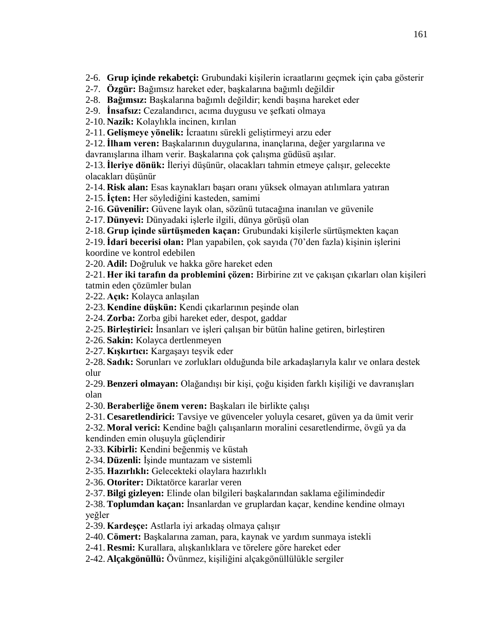2-6. **Grup içinde rekabetçi:** Grubundaki kişilerin icraatlarını geçmek için çaba gösterir

2-7. **Özgür:** Bağımsız hareket eder, başkalarına bağımlı değildir

2-8. **Bağımsız:** Başkalarına bağımlı değildir; kendi başına hareket eder

2-9. **İnsafsız:** Cezalandırıcı, acıma duygusu ve şefkati olmaya

2-10. **Nazik:** Kolaylıkla incinen, kırılan

2-11. **Gelişmeye yönelik:** İcraatını sürekli geliştirmeyi arzu eder

2-12.**İlham veren:** Başkalarının duygularına, inançlarına, değer yargılarına ve davranışlarına ilham verir. Başkalarına çok çalışma güdüsü aşılar.

2-13.**İleriye dönük:** İleriyi düşünür, olacakları tahmin etmeye çalışır, gelecekte olacakları düşünür

2-14. **Risk alan:** Esas kaynakları başarı oranı yüksek olmayan atılımlara yatıran

2-15.**İçten:** Her söylediğini kasteden, samimi

2-16. **Güvenilir:** Güvene layık olan, sözünü tutacağına inanılan ve güvenile

2-17. **Dünyevi:** Dünyadaki işlerle ilgili, dünya görüşü olan

2-18. **Grup içinde sürtüşmeden kaçan:** Grubundaki kişilerle sürtüşmekten kaçan

2-19.**İdari becerisi olan:** Plan yapabilen, çok sayıda (70'den fazla) kişinin işlerini koordine ve kontrol edebilen

2-20. **Adil:** Doğruluk ve hakka göre hareket eden

2-21. **Her iki tarafın da problemini çözen:** Birbirine zıt ve çakışan çıkarları olan kişileri tatmin eden çözümler bulan

2-22. **Açık:** Kolayca anlaşılan

2-23. **Kendine düşkün:** Kendi çıkarlarının peşinde olan

2-24. **Zorba:** Zorba gibi hareket eder, despot, gaddar

2-25. **Birleştirici:** İnsanları ve işleri çalışan bir bütün haline getiren, birleştiren

2-26. **Sakin:** Kolayca dertlenmeyen

2-27. **Kışkırtıcı:** Kargaşayı teşvik eder

2-28. **Sadık:** Sorunları ve zorlukları olduğunda bile arkadaşlarıyla kalır ve onlara destek olur

2-29. **Benzeri olmayan:** Olağandışı bir kişi, çoğu kişiden farklı kişiliği ve davranışları olan

2-30. **Beraberliğe önem veren:** Başkaları ile birlikte çalışı

2-31. **Cesaretlendirici:** Tavsiye ve güvenceler yoluyla cesaret, güven ya da ümit verir

2-32. **Moral verici:** Kendine bağlı çalışanların moralini cesaretlendirme, övgü ya da kendinden emin oluşuyla güçlendirir

2-33. **Kibirli:** Kendini beğenmiş ve küstah

2-34. **Düzenli:** İşinde muntazam ve sistemli

2-35. **Hazırlıklı:** Gelecekteki olaylara hazırlıklı

2-36. **Otoriter:** Diktatörce kararlar veren

2-37. **Bilgi gizleyen:** Elinde olan bilgileri başkalarından saklama eğilimindedir

2-38. **Toplumdan kaçan:** İnsanlardan ve gruplardan kaçar, kendine kendine olmayı yeğler

2-39. **Kardeşçe:** Astlarla iyi arkadaş olmaya çalışır

2-40. **Cömert:** Başkalarına zaman, para, kaynak ve yardım sunmaya istekli

2-41. **Resmi:** Kurallara, alışkanlıklara ve törelere göre hareket eder

2-42. **Alçakgönüllü:** Övünmez, kişiliğini alçakgönüllülükle sergiler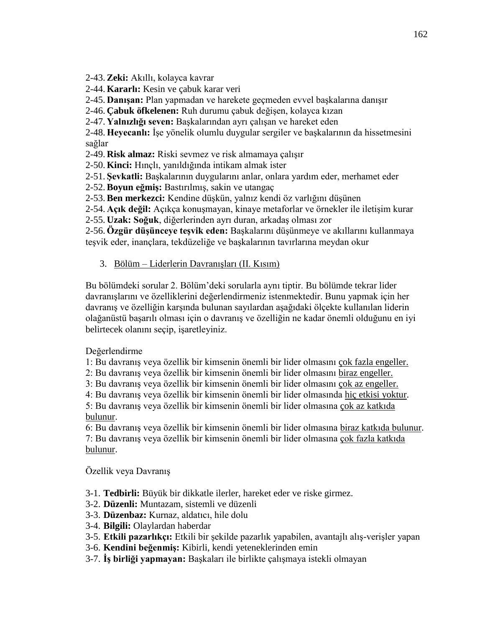2-43. **Zeki:** Akıllı, kolayca kavrar

- 2-44. **Kararlı:** Kesin ve çabuk karar veri
- 2-45. **Danışan:** Plan yapmadan ve harekete geçmeden evvel başkalarına danışır

2-46. **Çabuk öfkelenen:** Ruh durumu çabuk değişen, kolayca kızan

2-47. **Yalnızlığı seven:** Başkalarından ayrı çalışan ve hareket eden

2-48. **Heyecanlı:** İşe yönelik olumlu duygular sergiler ve başkalarının da hissetmesini sağlar

2-49. **Risk almaz:** Riski sevmez ve risk almamaya çalışır

2-50. **Kinci:** Hınçlı, yanıldığında intikam almak ister

2-51. **Şevkatli:** Başkalarının duygularını anlar, onlara yardım eder, merhamet eder

2-52. **Boyun eğmiş:** Bastırılmış, sakin ve utangaç

2-53. **Ben merkezci:** Kendine düşkün, yalnız kendi öz varlığını düşünen

2-54. **Açık değil:** Açıkça konuşmayan, kinaye metaforlar ve örnekler ile iletişim kurar

2-55. **Uzak: Soğuk**, diğerlerinden ayrı duran, arkadaş olması zor

2-56. **Özgür düşünceye teşvik eden:** Başkalarını düşünmeye ve akıllarını kullanmaya teşvik eder, inançlara, tekdüzeliğe ve başkalarının tavırlarına meydan okur

3. Bölüm – Liderlerin Davranışları (II. Kısım)

Bu bölümdeki sorular 2. Bölüm'deki sorularla aynı tiptir. Bu bölümde tekrar lider davranışlarını ve özelliklerini değerlendirmeniz istenmektedir. Bunu yapmak için her davranış ve özelliğin karşında bulunan sayılardan aşağıdaki ölçekte kullanılan liderin olağanüstü başarılı olması için o davranış ve özelliğin ne kadar önemli olduğunu en iyi belirtecek olanını seçip, işaretleyiniz.

Değerlendirme

- 1: Bu davranış veya özellik bir kimsenin önemli bir lider olmasını çok fazla engeller.
- 2: Bu davranış veya özellik bir kimsenin önemli bir lider olmasını biraz engeller.
- 3: Bu davranış veya özellik bir kimsenin önemli bir lider olmasını çok az engeller.

4: Bu davranış veya özellik bir kimsenin önemli bir lider olmasında hiç etkisi yoktur.

5: Bu davranış veya özellik bir kimsenin önemli bir lider olmasına çok az katkıda bulunur.

6: Bu davranış veya özellik bir kimsenin önemli bir lider olmasına biraz katkıda bulunur. 7: Bu davranış veya özellik bir kimsenin önemli bir lider olmasına çok fazla katkıda bulunur.

Özellik veya Davranış

- 3-1. **Tedbirli:** Büyük bir dikkatle ilerler, hareket eder ve riske girmez.
- 3-2. **Düzenli:** Muntazam, sistemli ve düzenli
- 3-3. **Düzenbaz:** Kurnaz, aldatıcı, hile dolu
- 3-4. **Bilgili:** Olaylardan haberdar
- 3-5. **Etkili pazarlıkçı:** Etkili bir şekilde pazarlık yapabilen, avantajlı alış-verişler yapan
- 3-6. **Kendini beğenmiş:** Kibirli, kendi yeteneklerinden emin
- 3-7. **İş birliği yapmayan:** Başkaları ile birlikte çalışmaya istekli olmayan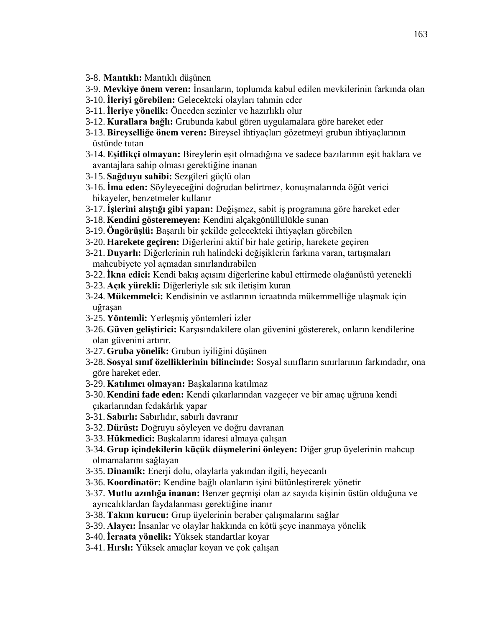- 3-8. **Mantıklı:** Mantıklı düşünen
- 3-9. **Mevkiye önem veren:** İnsanların, toplumda kabul edilen mevkilerinin farkında olan
- 3-10.**İleriyi görebilen:** Gelecekteki olayları tahmin eder
- 3-11.**İleriye yönelik:** Önceden sezinler ve hazırlıklı olur
- 3-12. **Kurallara bağlı:** Grubunda kabul gören uygulamalara göre hareket eder
- 3-13. **Bireyselliğe önem veren:** Bireysel ihtiyaçları gözetmeyi grubun ihtiyaçlarının üstünde tutan
- 3-14. **Eşitlikçi olmayan:** Bireylerin eşit olmadığına ve sadece bazılarının eşit haklara ve avantajlara sahip olması gerektiğine inanan
- 3-15. **Sağduyu sahibi:** Sezgileri güçlü olan
- 3-16.**İma eden:** Söyleyeceğini doğrudan belirtmez, konuşmalarında öğüt verici hikayeler, benzetmeler kullanır
- 3-17.**İşlerini alıştığı gibi yapan:** Değişmez, sabit iş programına göre hareket eder
- 3-18. **Kendini gösteremeyen:** Kendini alçakgönüllülükle sunan
- 3-19. **Öngörüşlü:** Başarılı bir şekilde gelecekteki ihtiyaçları görebilen
- 3-20. **Harekete geçiren:** Diğerlerini aktif bir hale getirip, harekete geçiren
- 3-21. **Duyarlı:** Diğerlerinin ruh halindeki değişiklerin farkına varan, tartışmaları mahcubiyete yol açmadan sınırlandırabilen
- 3-22.**İkna edici:** Kendi bakış açısını diğerlerine kabul ettirmede olağanüstü yetenekli
- 3-23. **Açık yürekli:** Diğerleriyle sık sık iletişim kuran
- 3-24. **Mükemmelci:** Kendisinin ve astlarının icraatında mükemmelliğe ulaşmak için uğraşan
- 3-25. **Yöntemli:** Yerleşmiş yöntemleri izler
- 3-26. **Güven geliştirici:** Karşısındakilere olan güvenini göstererek, onların kendilerine olan güvenini artırır.
- 3-27. **Gruba yönelik:** Grubun iyiliğini düşünen
- 3-28. **Sosyal sınıf özelliklerinin bilincinde:** Sosyal sınıfların sınırlarının farkındadır, ona göre hareket eder.
- 3-29. **Katılımcı olmayan:** Başkalarına katılmaz
- 3-30. **Kendini fade eden:** Kendi çıkarlarından vazgeçer ve bir amaç uğruna kendi çıkarlarından fedakârlık yapar
- 3-31. **Sabırlı:** Sabırlıdır, sabırlı davranır
- 3-32. **Dürüst:** Doğruyu söyleyen ve doğru davranan
- 3-33. **Hükmedici:** Başkalarını idaresi almaya çalışan
- 3-34. **Grup içindekilerin küçük düşmelerini önleyen:** Diğer grup üyelerinin mahcup olmamalarını sağlayan
- 3-35. **Dinamik:** Enerji dolu, olaylarla yakından ilgili, heyecanlı
- 3-36. **Koordinatör:** Kendine bağlı olanların işini bütünleştirerek yönetir
- 3-37. **Mutlu azınlığa inanan:** Benzer geçmişi olan az sayıda kişinin üstün olduğuna ve ayrıcalıklardan faydalanması gerektiğine inanır
- 3-38. **Takım kurucu:** Grup üyelerinin beraber çalışmalarını sağlar
- 3-39. **Alaycı:** İnsanlar ve olaylar hakkında en kötü şeye inanmaya yönelik
- 3-40.**İcraata yönelik:** Yüksek standartlar koyar
- 3-41. **Hırslı:** Yüksek amaçlar koyan ve çok çalışan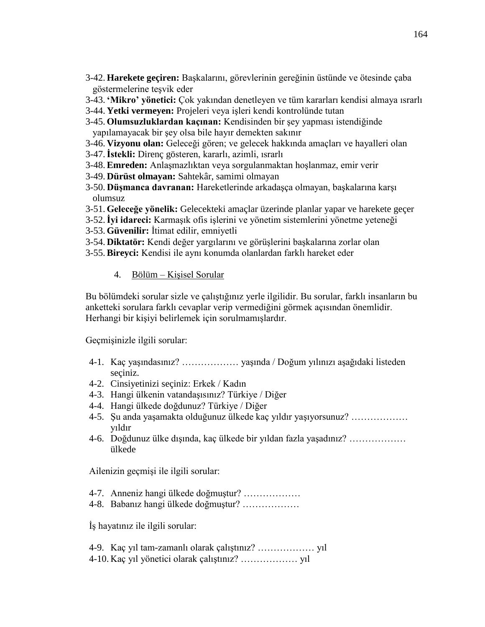- 3-42. **Harekete geçiren:** Başkalarını, görevlerinin gereğinin üstünde ve ötesinde çaba göstermelerine teşvik eder
- 3-43. **'Mikro' yönetici:** Çok yakından denetleyen ve tüm kararları kendisi almaya ısrarlı
- 3-44. **Yetki vermeyen:** Projeleri veya işleri kendi kontrolünde tutan
- 3-45. **Olumsuzluklardan kaçınan:** Kendisinden bir şey yapması istendiğinde yapılamayacak bir şey olsa bile hayır demekten sakınır
- 3-46. **Vizyonu olan:** Geleceği gören; ve gelecek hakkında amaçları ve hayalleri olan
- 3-47.**İstekli:** Direnç gösteren, kararlı, azimli, ısrarlı
- 3-48. **Emreden:** Anlaşmazlıktan veya sorgulanmaktan hoşlanmaz, emir verir
- 3-49. **Dürüst olmayan:** Sahtekâr, samimi olmayan
- 3-50. **Düşmanca davranan:** Hareketlerinde arkadaşça olmayan, başkalarına karşı olumsuz
- 3-51. **Geleceğe yönelik:** Gelecekteki amaçlar üzerinde planlar yapar ve harekete geçer
- 3-52.**İyi idareci:** Karmaşık ofis işlerini ve yönetim sistemlerini yönetme yeteneği
- 3-53. **Güvenilir:** İtimat edilir, emniyetli
- 3-54. **Diktatör:** Kendi değer yargılarını ve görüşlerini başkalarına zorlar olan
- 3-55. **Bireyci:** Kendisi ile aynı konumda olanlardan farklı hareket eder

#### 4. Bölüm – Kişisel Sorular

Bu bölümdeki sorular sizle ve çalıştığınız yerle ilgilidir. Bu sorular, farklı insanların bu anketteki sorulara farklı cevaplar verip vermediğini görmek açısından önemlidir. Herhangi bir kişiyi belirlemek için sorulmamışlardır.

Geçmişinizle ilgili sorular:

- 4-1. Kaç yaşındasınız? ……………… yaşında / Doğum yılınızı aşağıdaki listeden seçiniz.
- 4-2. Cinsiyetinizi seçiniz: Erkek / Kadın
- 4-3. Hangi ülkenin vatandaşısınız? Türkiye / Diğer
- 4-4. Hangi ülkede doğdunuz? Türkiye / Diğer
- 4-5. Şu anda yaşamakta olduğunuz ülkede kaç yıldır yaşıyorsunuz? ……………… yıldır
- 4-6. Doğdunuz ülke dışında, kaç ülkede bir yıldan fazla yaşadınız? ……………… ülkede

Ailenizin geçmişi ile ilgili sorular:

- 4-7. Anneniz hangi ülkede doğmuştur? ………………
- 4-8. Babanız hangi ülkede doğmuştur? ………………

İş hayatınız ile ilgili sorular:

4-9. Kaç yıl tam-zamanlı olarak çalıştınız? ……………… yıl 4-10. Kaç yıl yönetici olarak çalıştınız? ……………… yıl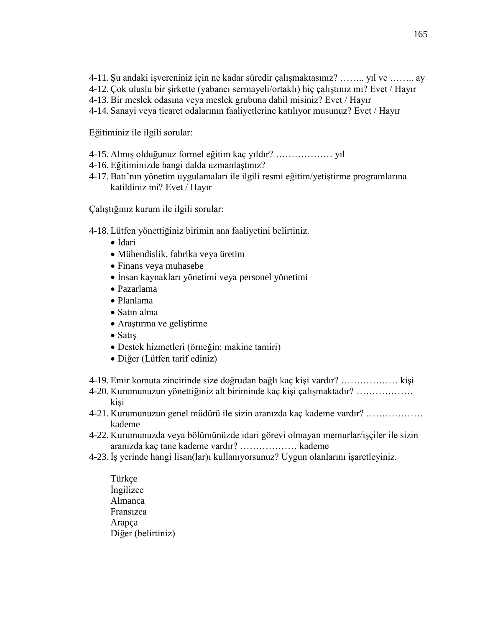- 4-11. Şu andaki işvereniniz için ne kadar süredir çalışmaktasınız? …….. yıl ve …….. ay
- 4-12. Çok uluslu bir şirkette (yabancı sermayeli/ortaklı) hiç çalıştınız mı? Evet / Hayır
- 4-13. Bir meslek odasına veya meslek grubuna dahil misiniz? Evet / Hayır
- 4-14. Sanayi veya ticaret odalarının faaliyetlerine katılıyor musunuz? Evet / Hayır

Eğitiminiz ile ilgili sorular:

- 4-15. Almış olduğunuz formel eğitim kaç yıldır? ……………… yıl
- 4-16. Eğitiminizde hangi dalda uzmanlaştınız?
- 4-17. Batı'nın yönetim uygulamaları ile ilgili resmi eğitim/yetiştirme programlarına katildiniz mi? Evet / Hayır

Çalıştığınız kurum ile ilgili sorular:

4-18. Lütfen yönettiğiniz birimin ana faaliyetini belirtiniz.

- İdari
- Mühendislik, fabrika veya üretim
- Finans veya muhasebe
- İnsan kaynakları yönetimi veya personel yönetimi
- Pazarlama
- Planlama
- Satın alma
- Araştırma ve geliştirme
- Satış
- Destek hizmetleri (örneğin: makine tamiri)
- Diğer (Lütfen tarif ediniz)
- 4-19. Emir komuta zincirinde size doğrudan bağlı kaç kişi vardır? ……………… kişi
- 4-20. Kurumunuzun yönettiğiniz alt biriminde kaç kişi çalışmaktadır? ……………… kişi
- 4-21. Kurumunuzun genel müdürü ile sizin aranızda kaç kademe vardır? ……………… kademe
- 4-22. Kurumunuzda veya bölümünüzde idari görevi olmayan memurlar/işçiler ile sizin aranızda kaç tane kademe vardır? ……………… kademe
- 4-23. İş yerinde hangi lisan(lar)ı kullanıyorsunuz? Uygun olanlarını işaretleyiniz.
	- Türkçe İngilizce Almanca Fransızca Arapça Diğer (belirtiniz)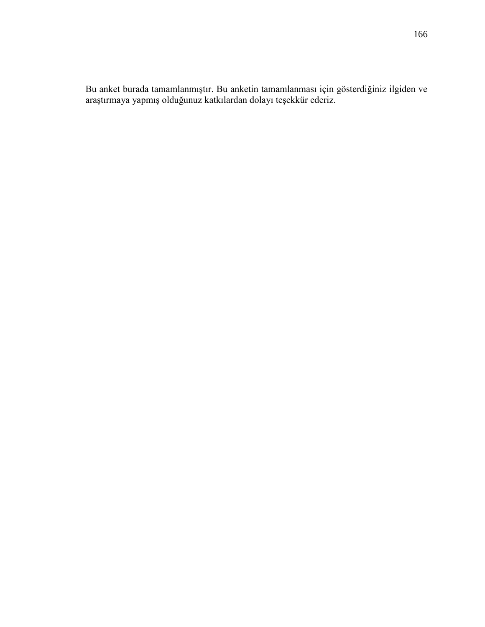Bu anket burada tamamlanmıştır. Bu anketin tamamlanması için gösterdiğiniz ilgiden ve araştırmaya yapmış olduğunuz katkılardan dolayı teşekkür ederiz.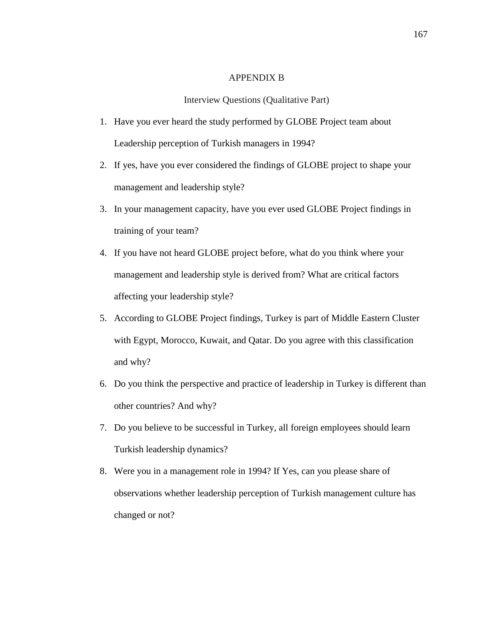## APPENDIX B

## Interview Questions (Qualitative Part)

- 1. Have you ever heard the study performed by GLOBE Project team about Leadership perception of Turkish managers in 1994?
- 2. If yes, have you ever considered the findings of GLOBE project to shape your management and leadership style?
- 3. In your management capacity, have you ever used GLOBE Project findings in training of your team?
- 4. If you have not heard GLOBE project before, what do you think where your management and leadership style is derived from? What are critical factors affecting your leadership style?
- 5. According to GLOBE Project findings, Turkey is part of Middle Eastern Cluster with Egypt, Morocco, Kuwait, and Qatar. Do you agree with this classification and why?
- 6. Do you think the perspective and practice of leadership in Turkey is different than other countries? And why?
- 7. Do you believe to be successful in Turkey, all foreign employees should learn Turkish leadership dynamics?
- 8. Were you in a management role in 1994? If Yes, can you please share of observations whether leadership perception of Turkish management culture has changed or not?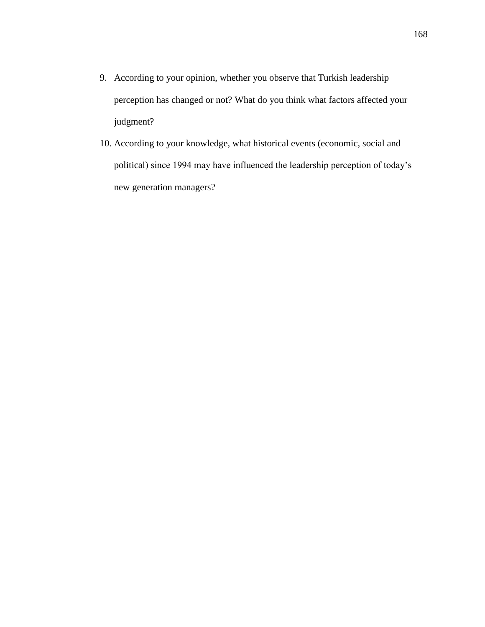- 9. According to your opinion, whether you observe that Turkish leadership perception has changed or not? What do you think what factors affected your judgment?
- 10. According to your knowledge, what historical events (economic, social and political) since 1994 may have influenced the leadership perception of today's new generation managers?